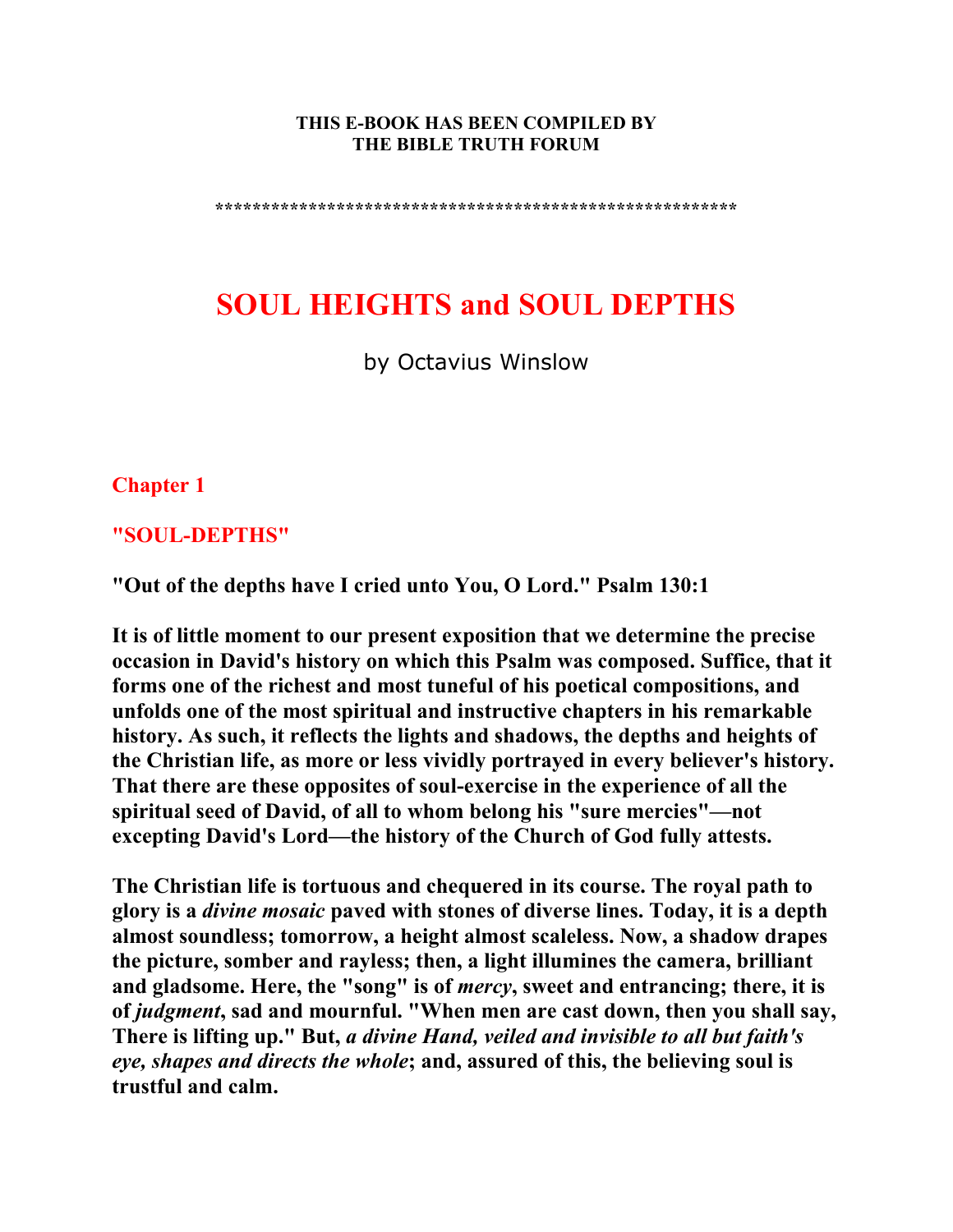#### **THIS E-BOOK HAS BEEN COMPILED BY THE BIBLE TRUTH FORUM**

**\*\*\*\*\*\*\*\*\*\*\*\*\*\*\*\*\*\*\*\*\*\*\*\*\*\*\*\*\*\*\*\*\*\*\*\*\*\*\*\*\*\*\*\*\*\*\*\*\*\*\*\*\*\*\*\*** 

# **SOUL HEIGHTS and SOUL DEPTHS**

by Octavius Winslow

**Chapter 1** 

#### **"SOUL-DEPTHS"**

**"Out of the depths have I cried unto You, O Lord." Psalm 130:1** 

**It is of little moment to our present exposition that we determine the precise occasion in David's history on which this Psalm was composed. Suffice, that it forms one of the richest and most tuneful of his poetical compositions, and unfolds one of the most spiritual and instructive chapters in his remarkable history. As such, it reflects the lights and shadows, the depths and heights of the Christian life, as more or less vividly portrayed in every believer's history. That there are these opposites of soul-exercise in the experience of all the spiritual seed of David, of all to whom belong his "sure mercies"—not excepting David's Lord—the history of the Church of God fully attests.** 

**The Christian life is tortuous and chequered in its course. The royal path to glory is a** *divine mosaic* **paved with stones of diverse lines. Today, it is a depth almost soundless; tomorrow, a height almost scaleless. Now, a shadow drapes the picture, somber and rayless; then, a light illumines the camera, brilliant and gladsome. Here, the "song" is of** *mercy***, sweet and entrancing; there, it is of** *judgment***, sad and mournful. "When men are cast down, then you shall say, There is lifting up." But,** *a divine Hand, veiled and invisible to all but faith's eye, shapes and directs the whole***; and, assured of this, the believing soul is trustful and calm.**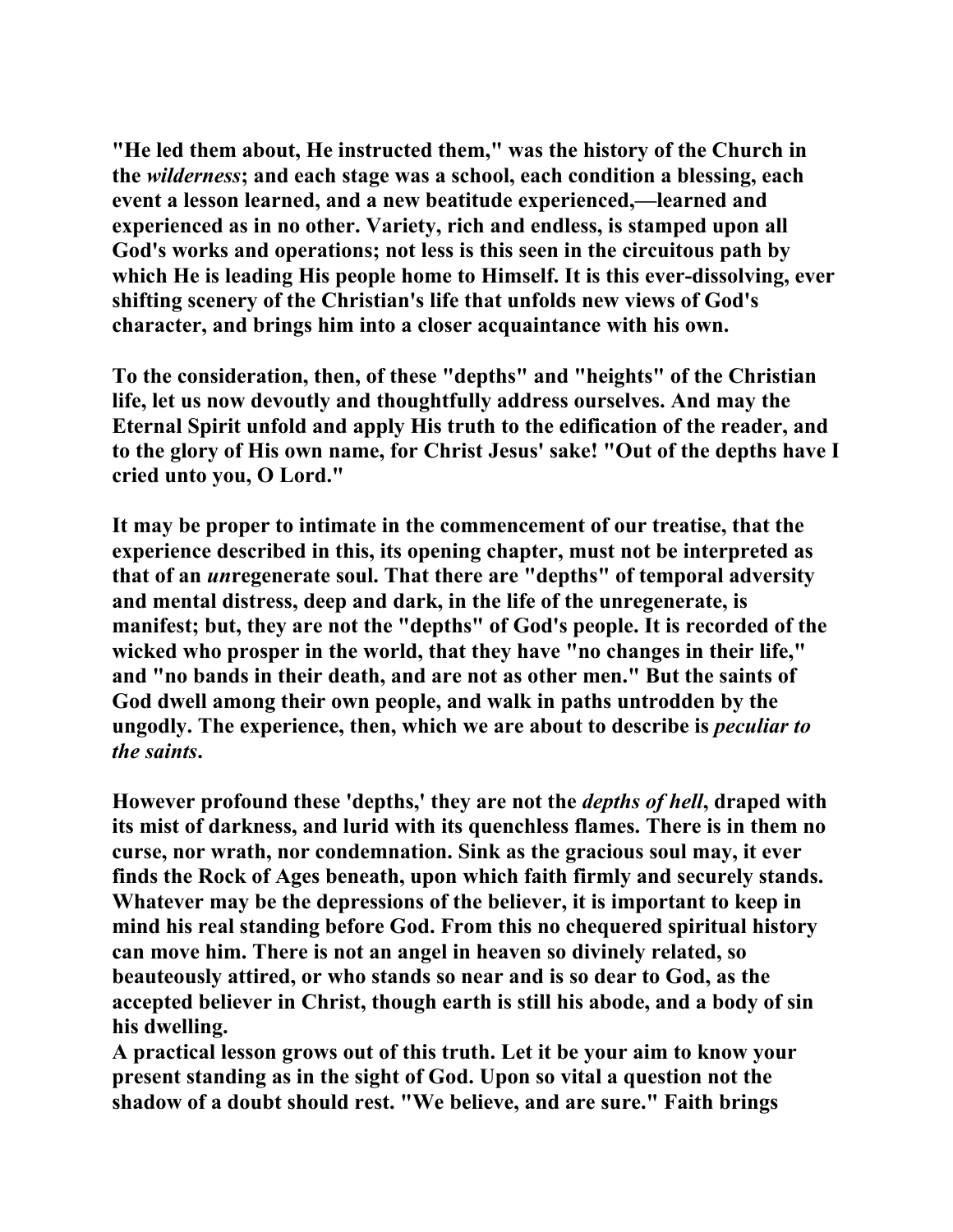**"He led them about, He instructed them," was the history of the Church in the** *wilderness***; and each stage was a school, each condition a blessing, each event a lesson learned, and a new beatitude experienced,—learned and experienced as in no other. Variety, rich and endless, is stamped upon all God's works and operations; not less is this seen in the circuitous path by which He is leading His people home to Himself. It is this ever-dissolving, ever shifting scenery of the Christian's life that unfolds new views of God's character, and brings him into a closer acquaintance with his own.** 

**To the consideration, then, of these "depths" and "heights" of the Christian life, let us now devoutly and thoughtfully address ourselves. And may the Eternal Spirit unfold and apply His truth to the edification of the reader, and to the glory of His own name, for Christ Jesus' sake! "Out of the depths have I cried unto you, O Lord."** 

**It may be proper to intimate in the commencement of our treatise, that the experience described in this, its opening chapter, must not be interpreted as that of an** *un***regenerate soul. That there are "depths" of temporal adversity and mental distress, deep and dark, in the life of the unregenerate, is manifest; but, they are not the "depths" of God's people. It is recorded of the wicked who prosper in the world, that they have "no changes in their life," and "no bands in their death, and are not as other men." But the saints of God dwell among their own people, and walk in paths untrodden by the ungodly. The experience, then, which we are about to describe is** *peculiar to the saints***.** 

**However profound these 'depths,' they are not the** *depths of hell***, draped with its mist of darkness, and lurid with its quenchless flames. There is in them no curse, nor wrath, nor condemnation. Sink as the gracious soul may, it ever finds the Rock of Ages beneath, upon which faith firmly and securely stands. Whatever may be the depressions of the believer, it is important to keep in mind his real standing before God. From this no chequered spiritual history can move him. There is not an angel in heaven so divinely related, so beauteously attired, or who stands so near and is so dear to God, as the accepted believer in Christ, though earth is still his abode, and a body of sin his dwelling.** 

**A practical lesson grows out of this truth. Let it be your aim to know your present standing as in the sight of God. Upon so vital a question not the shadow of a doubt should rest. "We believe, and are sure." Faith brings**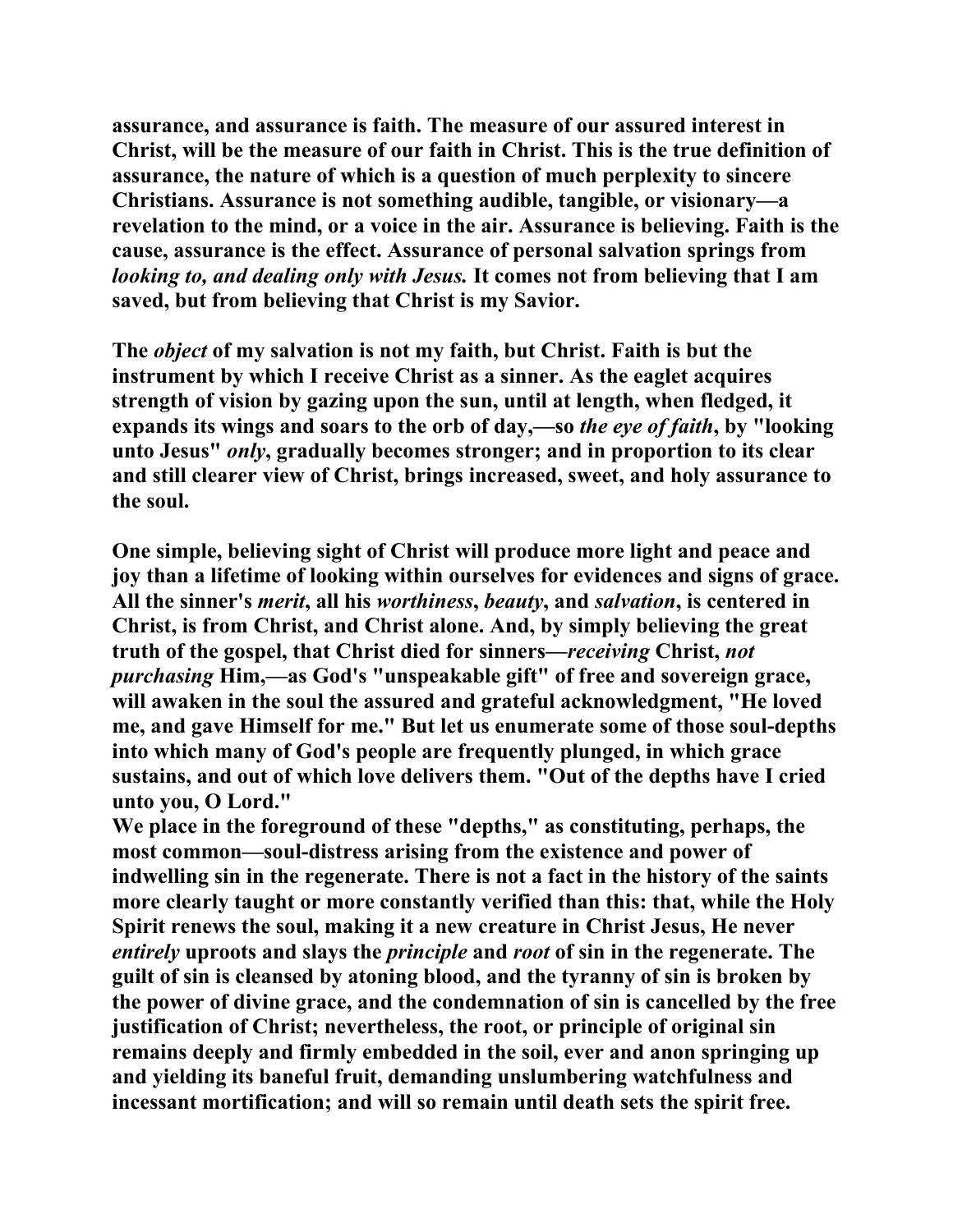**assurance, and assurance is faith. The measure of our assured interest in Christ, will be the measure of our faith in Christ. This is the true definition of assurance, the nature of which is a question of much perplexity to sincere Christians. Assurance is not something audible, tangible, or visionary—a revelation to the mind, or a voice in the air. Assurance is believing. Faith is the cause, assurance is the effect. Assurance of personal salvation springs from**  *looking to, and dealing only with Jesus.* **It comes not from believing that I am saved, but from believing that Christ is my Savior.** 

**The** *object* **of my salvation is not my faith, but Christ. Faith is but the instrument by which I receive Christ as a sinner. As the eaglet acquires strength of vision by gazing upon the sun, until at length, when fledged, it expands its wings and soars to the orb of day,—so** *the eye of faith***, by "looking unto Jesus"** *only***, gradually becomes stronger; and in proportion to its clear and still clearer view of Christ, brings increased, sweet, and holy assurance to the soul.** 

**One simple, believing sight of Christ will produce more light and peace and joy than a lifetime of looking within ourselves for evidences and signs of grace. All the sinner's** *merit***, all his** *worthiness***,** *beauty***, and** *salvation***, is centered in Christ, is from Christ, and Christ alone. And, by simply believing the great truth of the gospel, that Christ died for sinners—***receiving* **Christ,** *not purchasing* **Him,—as God's "unspeakable gift" of free and sovereign grace, will awaken in the soul the assured and grateful acknowledgment, "He loved me, and gave Himself for me." But let us enumerate some of those soul-depths into which many of God's people are frequently plunged, in which grace sustains, and out of which love delivers them. "Out of the depths have I cried unto you, O Lord."** 

**We place in the foreground of these "depths," as constituting, perhaps, the most common—soul-distress arising from the existence and power of indwelling sin in the regenerate. There is not a fact in the history of the saints more clearly taught or more constantly verified than this: that, while the Holy Spirit renews the soul, making it a new creature in Christ Jesus, He never**  *entirely* **uproots and slays the** *principle* **and** *root* **of sin in the regenerate. The guilt of sin is cleansed by atoning blood, and the tyranny of sin is broken by the power of divine grace, and the condemnation of sin is cancelled by the free justification of Christ; nevertheless, the root, or principle of original sin remains deeply and firmly embedded in the soil, ever and anon springing up and yielding its baneful fruit, demanding unslumbering watchfulness and incessant mortification; and will so remain until death sets the spirit free.**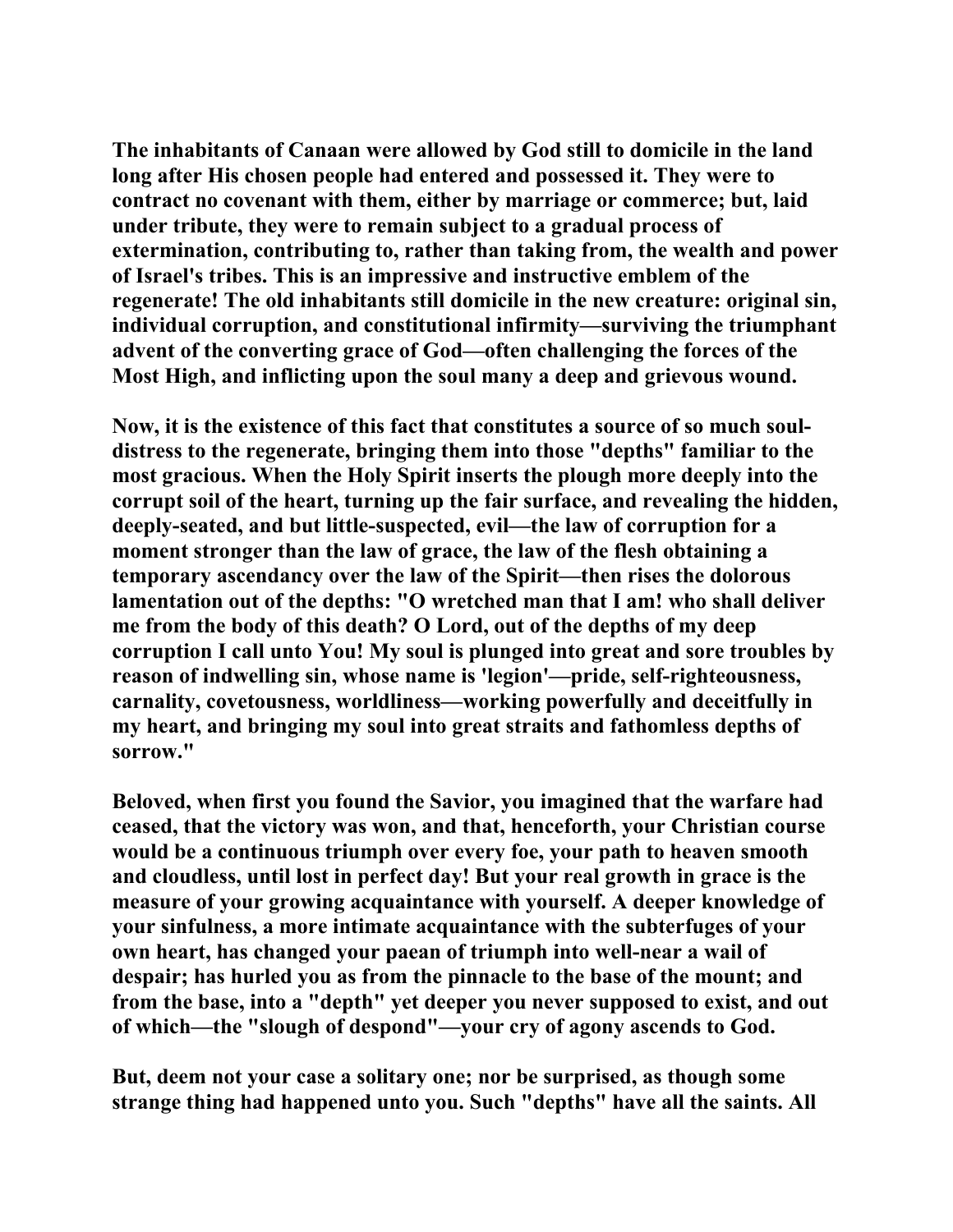**The inhabitants of Canaan were allowed by God still to domicile in the land long after His chosen people had entered and possessed it. They were to contract no covenant with them, either by marriage or commerce; but, laid under tribute, they were to remain subject to a gradual process of extermination, contributing to, rather than taking from, the wealth and power of Israel's tribes. This is an impressive and instructive emblem of the regenerate! The old inhabitants still domicile in the new creature: original sin, individual corruption, and constitutional infirmity—surviving the triumphant advent of the converting grace of God—often challenging the forces of the Most High, and inflicting upon the soul many a deep and grievous wound.** 

**Now, it is the existence of this fact that constitutes a source of so much souldistress to the regenerate, bringing them into those "depths" familiar to the most gracious. When the Holy Spirit inserts the plough more deeply into the corrupt soil of the heart, turning up the fair surface, and revealing the hidden, deeply-seated, and but little-suspected, evil—the law of corruption for a moment stronger than the law of grace, the law of the flesh obtaining a temporary ascendancy over the law of the Spirit—then rises the dolorous lamentation out of the depths: "O wretched man that I am! who shall deliver me from the body of this death? O Lord, out of the depths of my deep corruption I call unto You! My soul is plunged into great and sore troubles by reason of indwelling sin, whose name is 'legion'—pride, self-righteousness, carnality, covetousness, worldliness—working powerfully and deceitfully in my heart, and bringing my soul into great straits and fathomless depths of sorrow."** 

**Beloved, when first you found the Savior, you imagined that the warfare had ceased, that the victory was won, and that, henceforth, your Christian course would be a continuous triumph over every foe, your path to heaven smooth and cloudless, until lost in perfect day! But your real growth in grace is the measure of your growing acquaintance with yourself. A deeper knowledge of your sinfulness, a more intimate acquaintance with the subterfuges of your own heart, has changed your paean of triumph into well-near a wail of despair; has hurled you as from the pinnacle to the base of the mount; and from the base, into a "depth" yet deeper you never supposed to exist, and out of which—the "slough of despond"—your cry of agony ascends to God.** 

**But, deem not your case a solitary one; nor be surprised, as though some strange thing had happened unto you. Such "depths" have all the saints. All**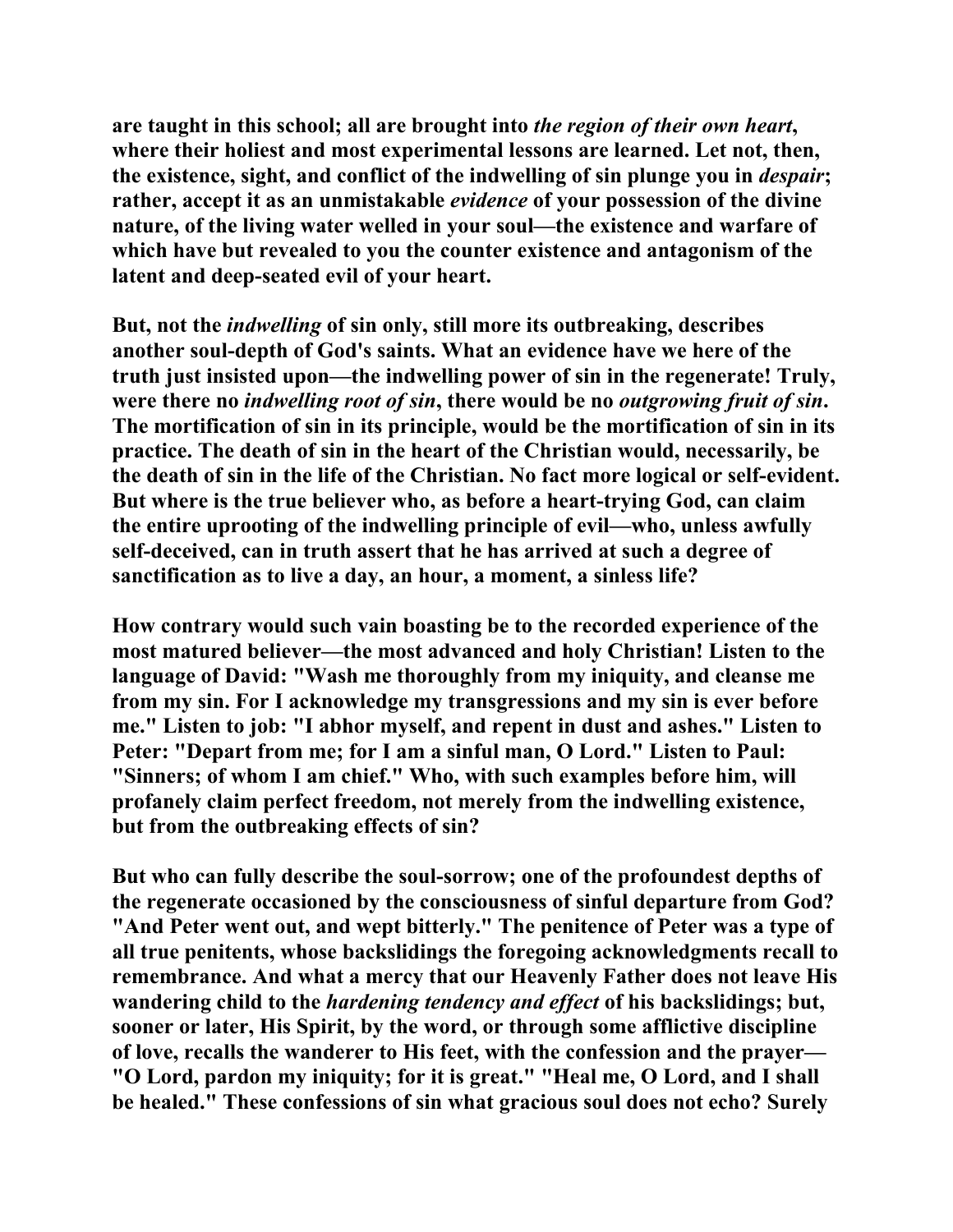**are taught in this school; all are brought into** *the region of their own heart***, where their holiest and most experimental lessons are learned. Let not, then, the existence, sight, and conflict of the indwelling of sin plunge you in** *despair***; rather, accept it as an unmistakable** *evidence* **of your possession of the divine nature, of the living water welled in your soul—the existence and warfare of which have but revealed to you the counter existence and antagonism of the latent and deep-seated evil of your heart.** 

**But, not the** *indwelling* **of sin only, still more its outbreaking, describes another soul-depth of God's saints. What an evidence have we here of the truth just insisted upon—the indwelling power of sin in the regenerate! Truly, were there no** *indwelling root of sin***, there would be no** *outgrowing fruit of sin***. The mortification of sin in its principle, would be the mortification of sin in its practice. The death of sin in the heart of the Christian would, necessarily, be the death of sin in the life of the Christian. No fact more logical or self-evident. But where is the true believer who, as before a heart-trying God, can claim the entire uprooting of the indwelling principle of evil—who, unless awfully self-deceived, can in truth assert that he has arrived at such a degree of sanctification as to live a day, an hour, a moment, a sinless life?** 

**How contrary would such vain boasting be to the recorded experience of the most matured believer—the most advanced and holy Christian! Listen to the language of David: "Wash me thoroughly from my iniquity, and cleanse me from my sin. For I acknowledge my transgressions and my sin is ever before me." Listen to job: "I abhor myself, and repent in dust and ashes." Listen to Peter: "Depart from me; for I am a sinful man, O Lord." Listen to Paul: "Sinners; of whom I am chief." Who, with such examples before him, will profanely claim perfect freedom, not merely from the indwelling existence, but from the outbreaking effects of sin?** 

**But who can fully describe the soul-sorrow; one of the profoundest depths of the regenerate occasioned by the consciousness of sinful departure from God? "And Peter went out, and wept bitterly." The penitence of Peter was a type of all true penitents, whose backslidings the foregoing acknowledgments recall to remembrance. And what a mercy that our Heavenly Father does not leave His wandering child to the** *hardening tendency and effect* **of his backslidings; but, sooner or later, His Spirit, by the word, or through some afflictive discipline of love, recalls the wanderer to His feet, with the confession and the prayer— "O Lord, pardon my iniquity; for it is great." "Heal me, O Lord, and I shall be healed." These confessions of sin what gracious soul does not echo? Surely**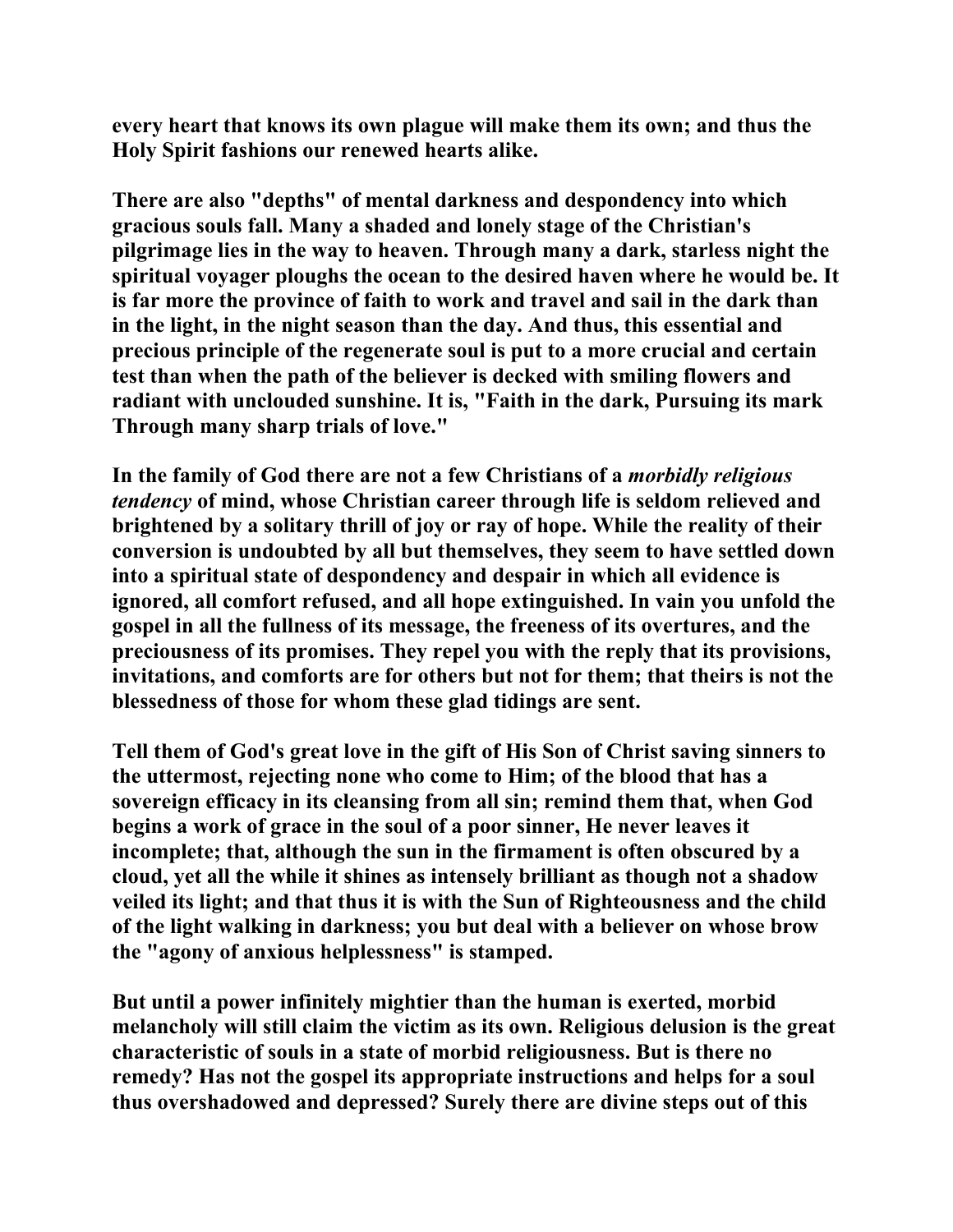**every heart that knows its own plague will make them its own; and thus the Holy Spirit fashions our renewed hearts alike.** 

**There are also "depths" of mental darkness and despondency into which gracious souls fall. Many a shaded and lonely stage of the Christian's pilgrimage lies in the way to heaven. Through many a dark, starless night the spiritual voyager ploughs the ocean to the desired haven where he would be. It is far more the province of faith to work and travel and sail in the dark than in the light, in the night season than the day. And thus, this essential and precious principle of the regenerate soul is put to a more crucial and certain test than when the path of the believer is decked with smiling flowers and radiant with unclouded sunshine. It is, "Faith in the dark, Pursuing its mark Through many sharp trials of love."** 

**In the family of God there are not a few Christians of a** *morbidly religious tendency* **of mind, whose Christian career through life is seldom relieved and brightened by a solitary thrill of joy or ray of hope. While the reality of their conversion is undoubted by all but themselves, they seem to have settled down into a spiritual state of despondency and despair in which all evidence is ignored, all comfort refused, and all hope extinguished. In vain you unfold the gospel in all the fullness of its message, the freeness of its overtures, and the preciousness of its promises. They repel you with the reply that its provisions, invitations, and comforts are for others but not for them; that theirs is not the blessedness of those for whom these glad tidings are sent.** 

**Tell them of God's great love in the gift of His Son of Christ saving sinners to the uttermost, rejecting none who come to Him; of the blood that has a sovereign efficacy in its cleansing from all sin; remind them that, when God begins a work of grace in the soul of a poor sinner, He never leaves it incomplete; that, although the sun in the firmament is often obscured by a cloud, yet all the while it shines as intensely brilliant as though not a shadow veiled its light; and that thus it is with the Sun of Righteousness and the child of the light walking in darkness; you but deal with a believer on whose brow the "agony of anxious helplessness" is stamped.** 

**But until a power infinitely mightier than the human is exerted, morbid melancholy will still claim the victim as its own. Religious delusion is the great characteristic of souls in a state of morbid religiousness. But is there no remedy? Has not the gospel its appropriate instructions and helps for a soul thus overshadowed and depressed? Surely there are divine steps out of this**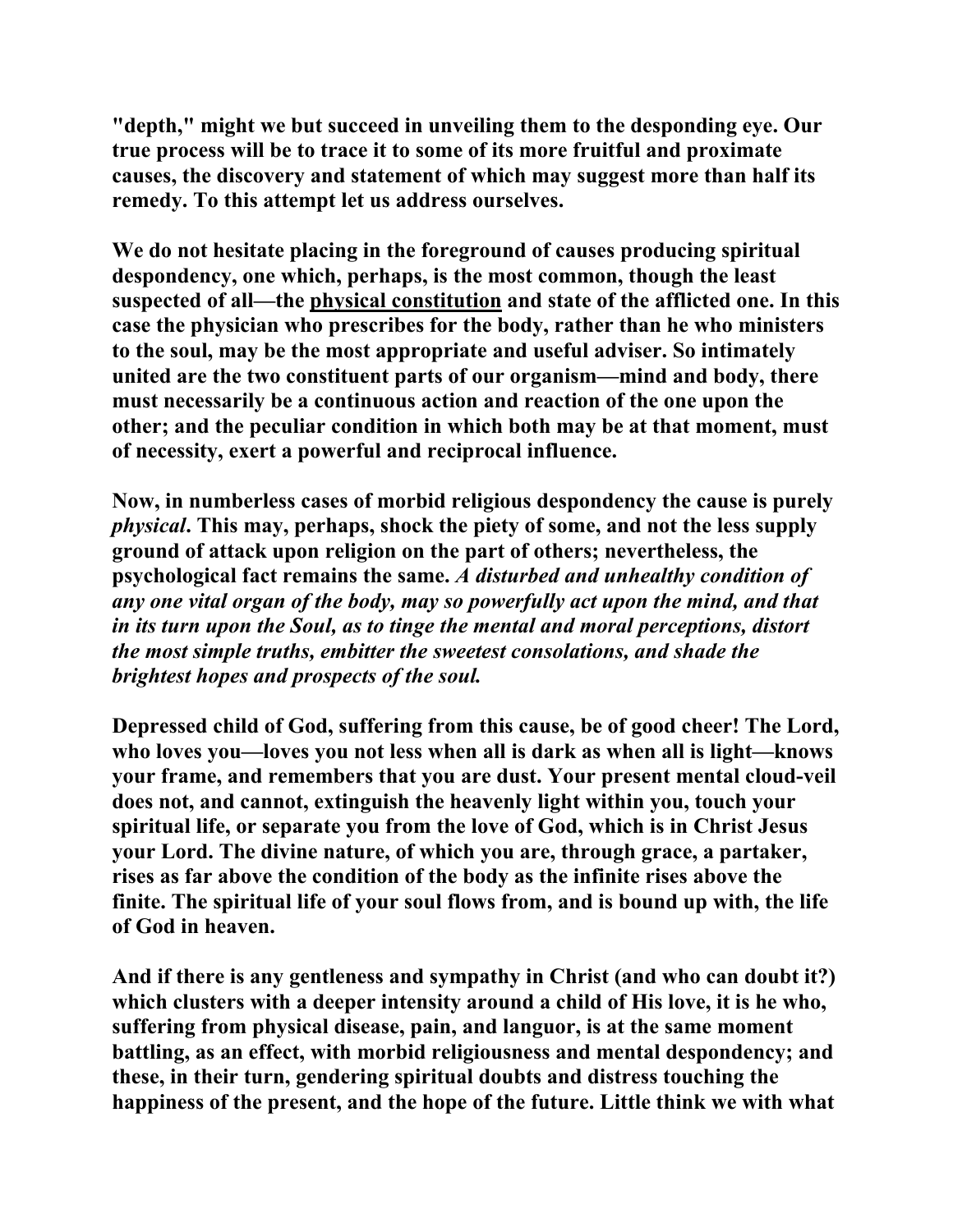**"depth," might we but succeed in unveiling them to the desponding eye. Our true process will be to trace it to some of its more fruitful and proximate causes, the discovery and statement of which may suggest more than half its remedy. To this attempt let us address ourselves.** 

**We do not hesitate placing in the foreground of causes producing spiritual despondency, one which, perhaps, is the most common, though the least suspected of all—the physical constitution and state of the afflicted one. In this case the physician who prescribes for the body, rather than he who ministers to the soul, may be the most appropriate and useful adviser. So intimately united are the two constituent parts of our organism—mind and body, there must necessarily be a continuous action and reaction of the one upon the other; and the peculiar condition in which both may be at that moment, must of necessity, exert a powerful and reciprocal influence.** 

**Now, in numberless cases of morbid religious despondency the cause is purely**  *physical***. This may, perhaps, shock the piety of some, and not the less supply ground of attack upon religion on the part of others; nevertheless, the psychological fact remains the same.** *A disturbed and unhealthy condition of any one vital organ of the body, may so powerfully act upon the mind, and that in its turn upon the Soul, as to tinge the mental and moral perceptions, distort the most simple truths, embitter the sweetest consolations, and shade the brightest hopes and prospects of the soul.* 

**Depressed child of God, suffering from this cause, be of good cheer! The Lord, who loves you—loves you not less when all is dark as when all is light—knows your frame, and remembers that you are dust. Your present mental cloud-veil does not, and cannot, extinguish the heavenly light within you, touch your spiritual life, or separate you from the love of God, which is in Christ Jesus your Lord. The divine nature, of which you are, through grace, a partaker, rises as far above the condition of the body as the infinite rises above the finite. The spiritual life of your soul flows from, and is bound up with, the life of God in heaven.** 

**And if there is any gentleness and sympathy in Christ (and who can doubt it?) which clusters with a deeper intensity around a child of His love, it is he who, suffering from physical disease, pain, and languor, is at the same moment battling, as an effect, with morbid religiousness and mental despondency; and these, in their turn, gendering spiritual doubts and distress touching the happiness of the present, and the hope of the future. Little think we with what**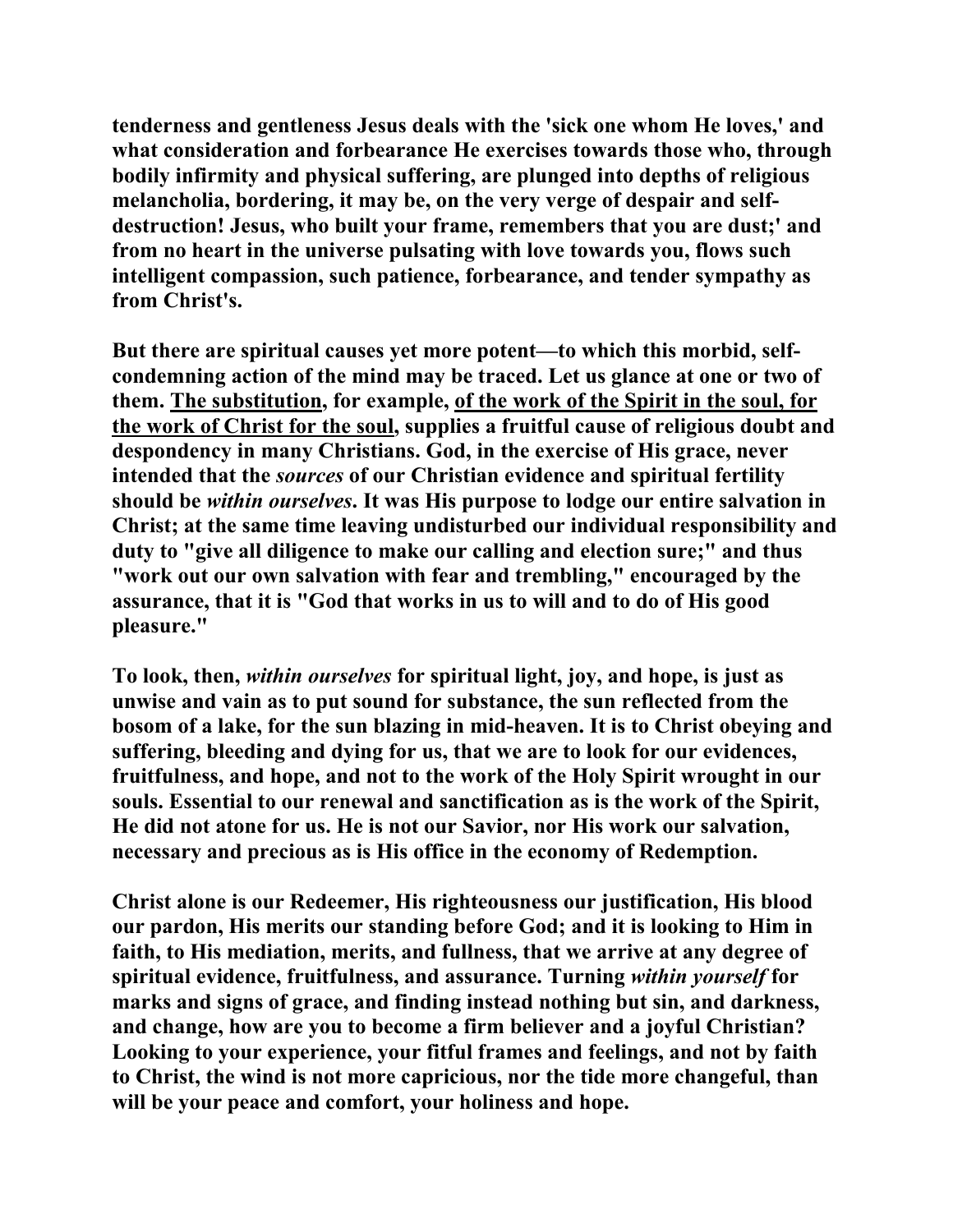**tenderness and gentleness Jesus deals with the 'sick one whom He loves,' and what consideration and forbearance He exercises towards those who, through bodily infirmity and physical suffering, are plunged into depths of religious melancholia, bordering, it may be, on the very verge of despair and selfdestruction! Jesus, who built your frame, remembers that you are dust;' and from no heart in the universe pulsating with love towards you, flows such intelligent compassion, such patience, forbearance, and tender sympathy as from Christ's.** 

**But there are spiritual causes yet more potent—to which this morbid, selfcondemning action of the mind may be traced. Let us glance at one or two of them. The substitution, for example, of the work of the Spirit in the soul, for the work of Christ for the soul, supplies a fruitful cause of religious doubt and despondency in many Christians. God, in the exercise of His grace, never intended that the** *sources* **of our Christian evidence and spiritual fertility should be** *within ourselves***. It was His purpose to lodge our entire salvation in Christ; at the same time leaving undisturbed our individual responsibility and duty to "give all diligence to make our calling and election sure;" and thus "work out our own salvation with fear and trembling," encouraged by the assurance, that it is "God that works in us to will and to do of His good pleasure."** 

**To look, then,** *within ourselves* **for spiritual light, joy, and hope, is just as unwise and vain as to put sound for substance, the sun reflected from the bosom of a lake, for the sun blazing in mid-heaven. It is to Christ obeying and suffering, bleeding and dying for us, that we are to look for our evidences, fruitfulness, and hope, and not to the work of the Holy Spirit wrought in our souls. Essential to our renewal and sanctification as is the work of the Spirit, He did not atone for us. He is not our Savior, nor His work our salvation, necessary and precious as is His office in the economy of Redemption.** 

**Christ alone is our Redeemer, His righteousness our justification, His blood our pardon, His merits our standing before God; and it is looking to Him in faith, to His mediation, merits, and fullness, that we arrive at any degree of spiritual evidence, fruitfulness, and assurance. Turning** *within yourself* **for marks and signs of grace, and finding instead nothing but sin, and darkness, and change, how are you to become a firm believer and a joyful Christian? Looking to your experience, your fitful frames and feelings, and not by faith to Christ, the wind is not more capricious, nor the tide more changeful, than will be your peace and comfort, your holiness and hope.**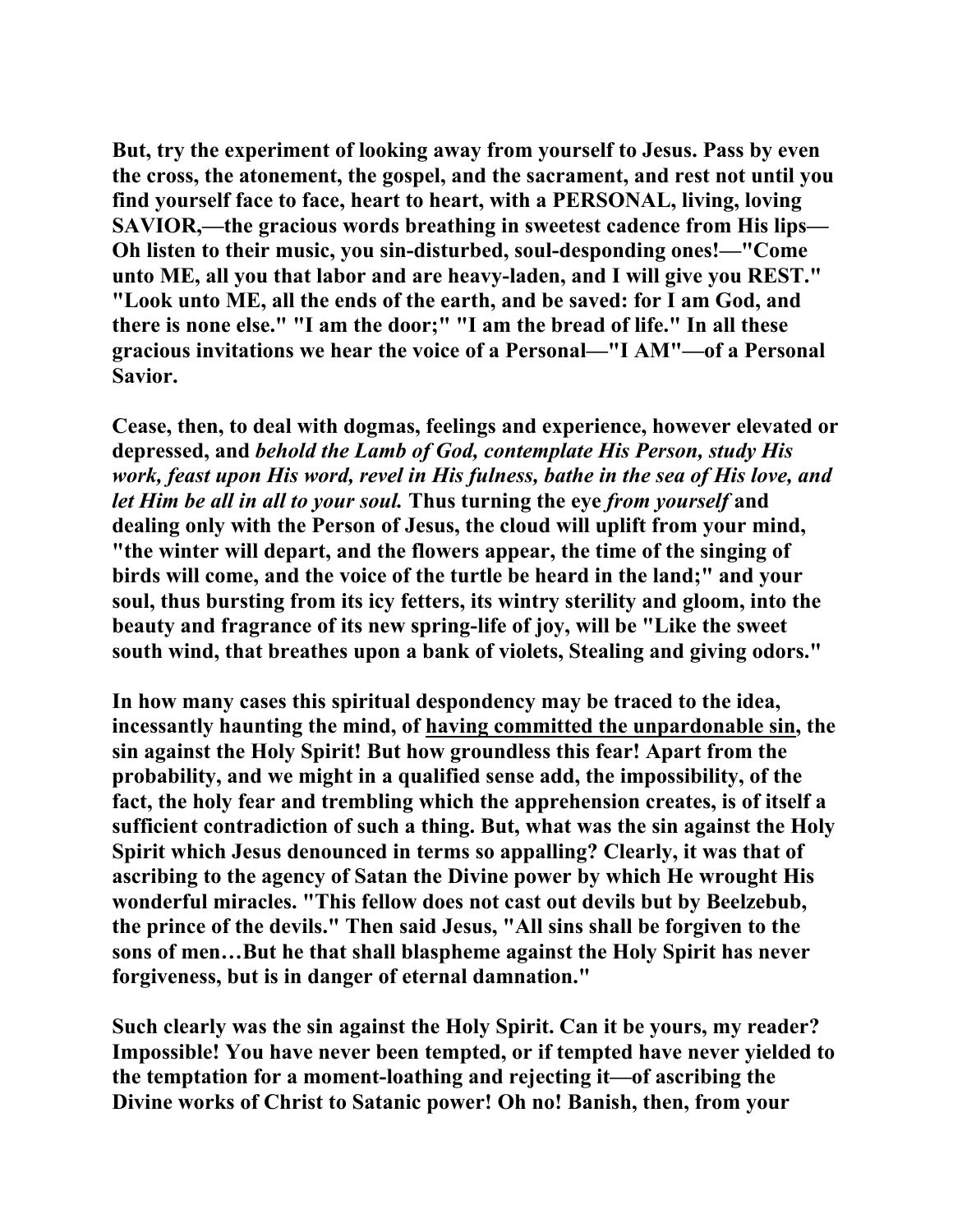**But, try the experiment of looking away from yourself to Jesus. Pass by even the cross, the atonement, the gospel, and the sacrament, and rest not until you find yourself face to face, heart to heart, with a PERSONAL, living, loving SAVIOR,—the gracious words breathing in sweetest cadence from His lips— Oh listen to their music, you sin-disturbed, soul-desponding ones!—"Come unto ME, all you that labor and are heavy-laden, and I will give you REST." "Look unto ME, all the ends of the earth, and be saved: for I am God, and there is none else." "I am the door;" "I am the bread of life." In all these gracious invitations we hear the voice of a Personal—"I AM"—of a Personal Savior.** 

**Cease, then, to deal with dogmas, feelings and experience, however elevated or depressed, and** *behold the Lamb of God, contemplate His Person, study His work, feast upon His word, revel in His fulness, bathe in the sea of His love, and let Him be all in all to your soul.* **Thus turning the eye** *from yourself* **and dealing only with the Person of Jesus, the cloud will uplift from your mind, "the winter will depart, and the flowers appear, the time of the singing of birds will come, and the voice of the turtle be heard in the land;" and your soul, thus bursting from its icy fetters, its wintry sterility and gloom, into the beauty and fragrance of its new spring-life of joy, will be "Like the sweet south wind, that breathes upon a bank of violets, Stealing and giving odors."** 

**In how many cases this spiritual despondency may be traced to the idea, incessantly haunting the mind, of having committed the unpardonable sin, the sin against the Holy Spirit! But how groundless this fear! Apart from the probability, and we might in a qualified sense add, the impossibility, of the fact, the holy fear and trembling which the apprehension creates, is of itself a sufficient contradiction of such a thing. But, what was the sin against the Holy Spirit which Jesus denounced in terms so appalling? Clearly, it was that of ascribing to the agency of Satan the Divine power by which He wrought His wonderful miracles. "This fellow does not cast out devils but by Beelzebub, the prince of the devils." Then said Jesus, "All sins shall be forgiven to the sons of men…But he that shall blaspheme against the Holy Spirit has never forgiveness, but is in danger of eternal damnation."** 

**Such clearly was the sin against the Holy Spirit. Can it be yours, my reader? Impossible! You have never been tempted, or if tempted have never yielded to the temptation for a moment-loathing and rejecting it—of ascribing the Divine works of Christ to Satanic power! Oh no! Banish, then, from your**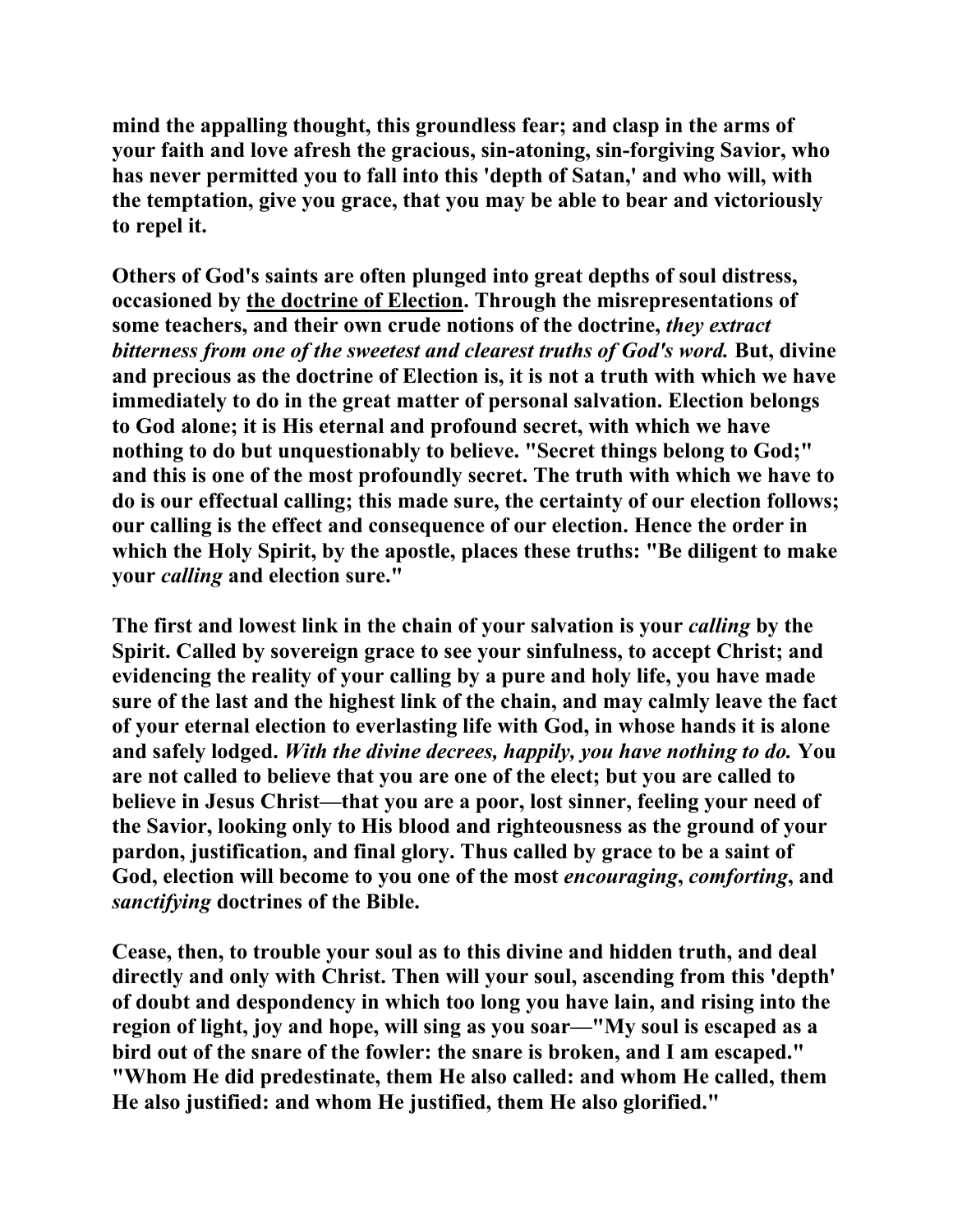**mind the appalling thought, this groundless fear; and clasp in the arms of your faith and love afresh the gracious, sin-atoning, sin-forgiving Savior, who has never permitted you to fall into this 'depth of Satan,' and who will, with the temptation, give you grace, that you may be able to bear and victoriously to repel it.** 

**Others of God's saints are often plunged into great depths of soul distress, occasioned by the doctrine of Election. Through the misrepresentations of some teachers, and their own crude notions of the doctrine,** *they extract bitterness from one of the sweetest and clearest truths of God's word.* **But, divine and precious as the doctrine of Election is, it is not a truth with which we have immediately to do in the great matter of personal salvation. Election belongs to God alone; it is His eternal and profound secret, with which we have nothing to do but unquestionably to believe. "Secret things belong to God;" and this is one of the most profoundly secret. The truth with which we have to do is our effectual calling; this made sure, the certainty of our election follows; our calling is the effect and consequence of our election. Hence the order in which the Holy Spirit, by the apostle, places these truths: "Be diligent to make your** *calling* **and election sure."** 

**The first and lowest link in the chain of your salvation is your** *calling* **by the Spirit. Called by sovereign grace to see your sinfulness, to accept Christ; and evidencing the reality of your calling by a pure and holy life, you have made sure of the last and the highest link of the chain, and may calmly leave the fact of your eternal election to everlasting life with God, in whose hands it is alone and safely lodged.** *With the divine decrees, happily, you have nothing to do.* **You are not called to believe that you are one of the elect; but you are called to believe in Jesus Christ—that you are a poor, lost sinner, feeling your need of the Savior, looking only to His blood and righteousness as the ground of your pardon, justification, and final glory. Thus called by grace to be a saint of God, election will become to you one of the most** *encouraging***,** *comforting***, and**  *sanctifying* **doctrines of the Bible.** 

**Cease, then, to trouble your soul as to this divine and hidden truth, and deal directly and only with Christ. Then will your soul, ascending from this 'depth' of doubt and despondency in which too long you have lain, and rising into the region of light, joy and hope, will sing as you soar—"My soul is escaped as a bird out of the snare of the fowler: the snare is broken, and I am escaped." "Whom He did predestinate, them He also called: and whom He called, them He also justified: and whom He justified, them He also glorified."**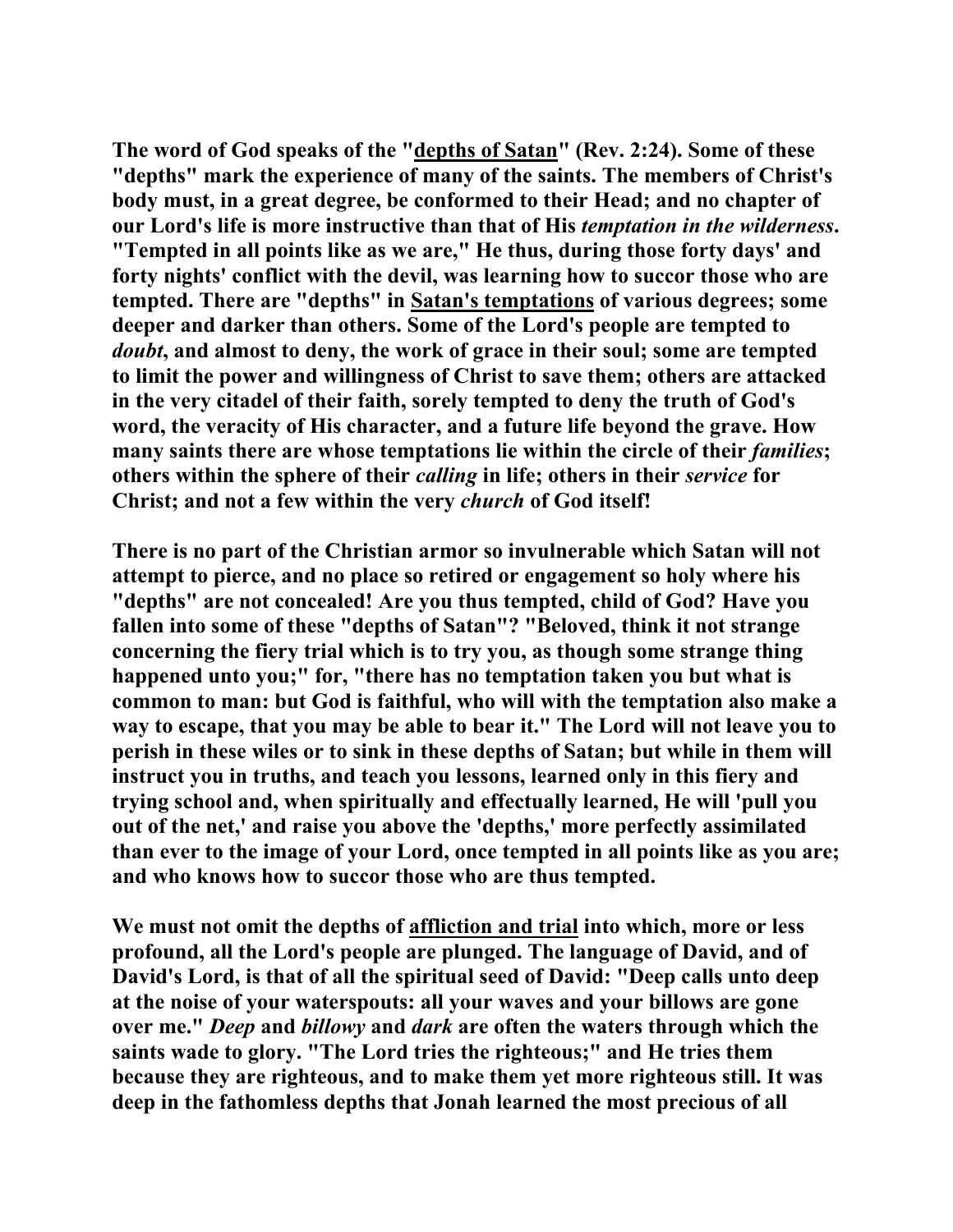**The word of God speaks of the "depths of Satan" (Rev. 2:24). Some of these "depths" mark the experience of many of the saints. The members of Christ's body must, in a great degree, be conformed to their Head; and no chapter of our Lord's life is more instructive than that of His** *temptation in the wilderness***. "Tempted in all points like as we are," He thus, during those forty days' and forty nights' conflict with the devil, was learning how to succor those who are tempted. There are "depths" in Satan's temptations of various degrees; some deeper and darker than others. Some of the Lord's people are tempted to**  *doubt***, and almost to deny, the work of grace in their soul; some are tempted to limit the power and willingness of Christ to save them; others are attacked in the very citadel of their faith, sorely tempted to deny the truth of God's word, the veracity of His character, and a future life beyond the grave. How**  many saints there are whose temptations lie within the circle of their *families*; **others within the sphere of their** *calling* **in life; others in their** *service* **for Christ; and not a few within the very** *church* **of God itself!** 

**There is no part of the Christian armor so invulnerable which Satan will not attempt to pierce, and no place so retired or engagement so holy where his "depths" are not concealed! Are you thus tempted, child of God? Have you fallen into some of these "depths of Satan"? "Beloved, think it not strange concerning the fiery trial which is to try you, as though some strange thing happened unto you;" for, "there has no temptation taken you but what is common to man: but God is faithful, who will with the temptation also make a way to escape, that you may be able to bear it." The Lord will not leave you to perish in these wiles or to sink in these depths of Satan; but while in them will instruct you in truths, and teach you lessons, learned only in this fiery and trying school and, when spiritually and effectually learned, He will 'pull you out of the net,' and raise you above the 'depths,' more perfectly assimilated than ever to the image of your Lord, once tempted in all points like as you are; and who knows how to succor those who are thus tempted.** 

**We must not omit the depths of affliction and trial into which, more or less profound, all the Lord's people are plunged. The language of David, and of David's Lord, is that of all the spiritual seed of David: "Deep calls unto deep at the noise of your waterspouts: all your waves and your billows are gone over me."** *Deep* **and** *billowy* **and** *dark* **are often the waters through which the saints wade to glory. "The Lord tries the righteous;" and He tries them because they are righteous, and to make them yet more righteous still. It was deep in the fathomless depths that Jonah learned the most precious of all**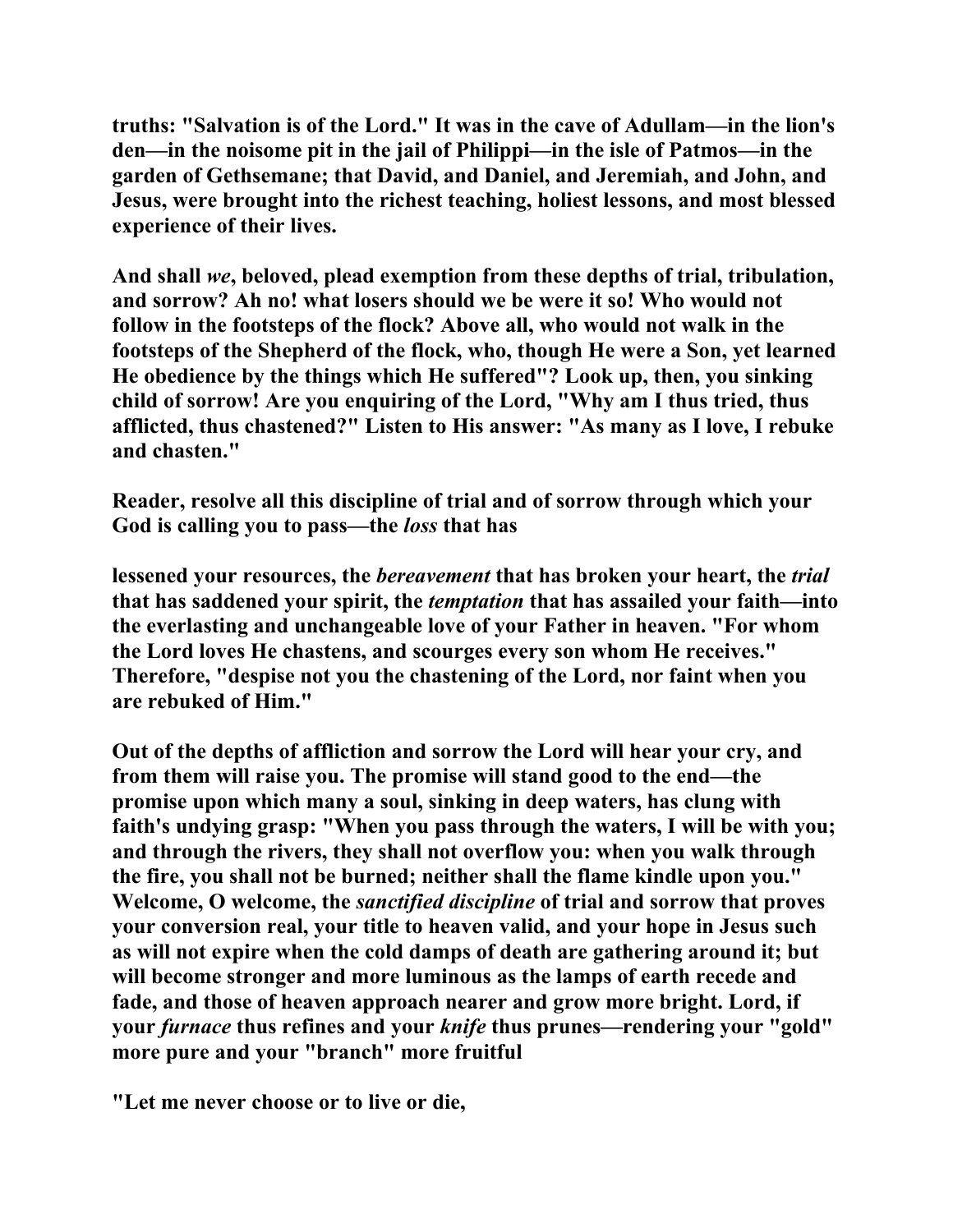**truths: "Salvation is of the Lord." It was in the cave of Adullam—in the lion's den—in the noisome pit in the jail of Philippi—in the isle of Patmos—in the garden of Gethsemane; that David, and Daniel, and Jeremiah, and John, and Jesus, were brought into the richest teaching, holiest lessons, and most blessed experience of their lives.** 

**And shall** *we***, beloved, plead exemption from these depths of trial, tribulation, and sorrow? Ah no! what losers should we be were it so! Who would not follow in the footsteps of the flock? Above all, who would not walk in the footsteps of the Shepherd of the flock, who, though He were a Son, yet learned He obedience by the things which He suffered"? Look up, then, you sinking child of sorrow! Are you enquiring of the Lord, "Why am I thus tried, thus afflicted, thus chastened?" Listen to His answer: "As many as I love, I rebuke and chasten."** 

**Reader, resolve all this discipline of trial and of sorrow through which your God is calling you to pass—the** *loss* **that has** 

**lessened your resources, the** *bereavement* **that has broken your heart, the** *trial* **that has saddened your spirit, the** *temptation* **that has assailed your faith—into the everlasting and unchangeable love of your Father in heaven. "For whom the Lord loves He chastens, and scourges every son whom He receives." Therefore, "despise not you the chastening of the Lord, nor faint when you are rebuked of Him."** 

**Out of the depths of affliction and sorrow the Lord will hear your cry, and from them will raise you. The promise will stand good to the end—the promise upon which many a soul, sinking in deep waters, has clung with faith's undying grasp: "When you pass through the waters, I will be with you; and through the rivers, they shall not overflow you: when you walk through the fire, you shall not be burned; neither shall the flame kindle upon you." Welcome, O welcome, the** *sanctified discipline* **of trial and sorrow that proves your conversion real, your title to heaven valid, and your hope in Jesus such as will not expire when the cold damps of death are gathering around it; but will become stronger and more luminous as the lamps of earth recede and fade, and those of heaven approach nearer and grow more bright. Lord, if your** *furnace* **thus refines and your** *knife* **thus prunes—rendering your "gold" more pure and your "branch" more fruitful** 

**"Let me never choose or to live or die,**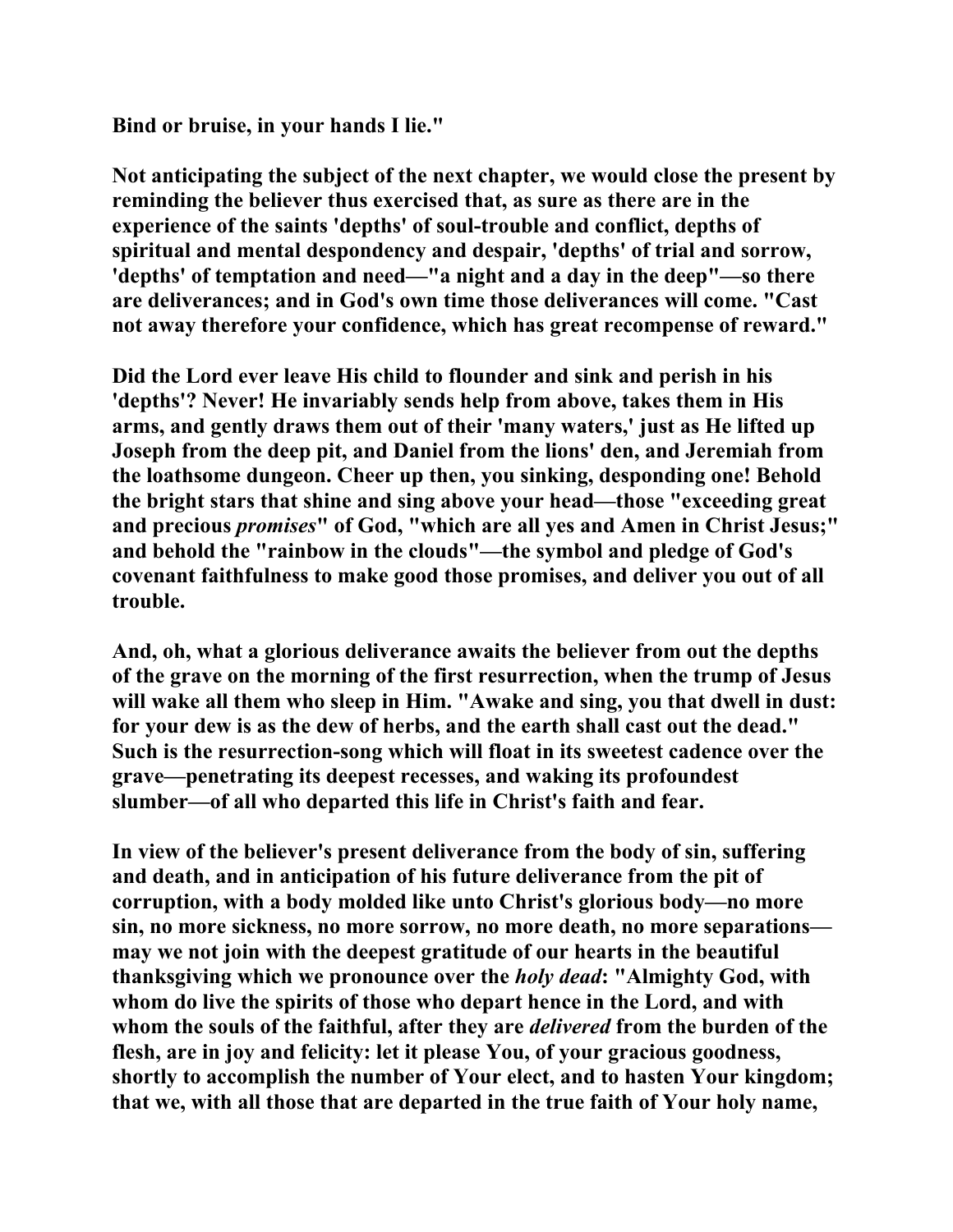**Bind or bruise, in your hands I lie."** 

**Not anticipating the subject of the next chapter, we would close the present by reminding the believer thus exercised that, as sure as there are in the experience of the saints 'depths' of soul-trouble and conflict, depths of spiritual and mental despondency and despair, 'depths' of trial and sorrow, 'depths' of temptation and need—"a night and a day in the deep"—so there are deliverances; and in God's own time those deliverances will come. "Cast not away therefore your confidence, which has great recompense of reward."** 

**Did the Lord ever leave His child to flounder and sink and perish in his 'depths'? Never! He invariably sends help from above, takes them in His arms, and gently draws them out of their 'many waters,' just as He lifted up Joseph from the deep pit, and Daniel from the lions' den, and Jeremiah from the loathsome dungeon. Cheer up then, you sinking, desponding one! Behold the bright stars that shine and sing above your head—those "exceeding great and precious** *promises***" of God, "which are all yes and Amen in Christ Jesus;" and behold the "rainbow in the clouds"—the symbol and pledge of God's covenant faithfulness to make good those promises, and deliver you out of all trouble.** 

**And, oh, what a glorious deliverance awaits the believer from out the depths of the grave on the morning of the first resurrection, when the trump of Jesus will wake all them who sleep in Him. "Awake and sing, you that dwell in dust: for your dew is as the dew of herbs, and the earth shall cast out the dead." Such is the resurrection-song which will float in its sweetest cadence over the grave—penetrating its deepest recesses, and waking its profoundest slumber—of all who departed this life in Christ's faith and fear.** 

**In view of the believer's present deliverance from the body of sin, suffering and death, and in anticipation of his future deliverance from the pit of corruption, with a body molded like unto Christ's glorious body—no more sin, no more sickness, no more sorrow, no more death, no more separations may we not join with the deepest gratitude of our hearts in the beautiful thanksgiving which we pronounce over the** *holy dead***: "Almighty God, with whom do live the spirits of those who depart hence in the Lord, and with whom the souls of the faithful, after they are** *delivered* **from the burden of the flesh, are in joy and felicity: let it please You, of your gracious goodness, shortly to accomplish the number of Your elect, and to hasten Your kingdom; that we, with all those that are departed in the true faith of Your holy name,**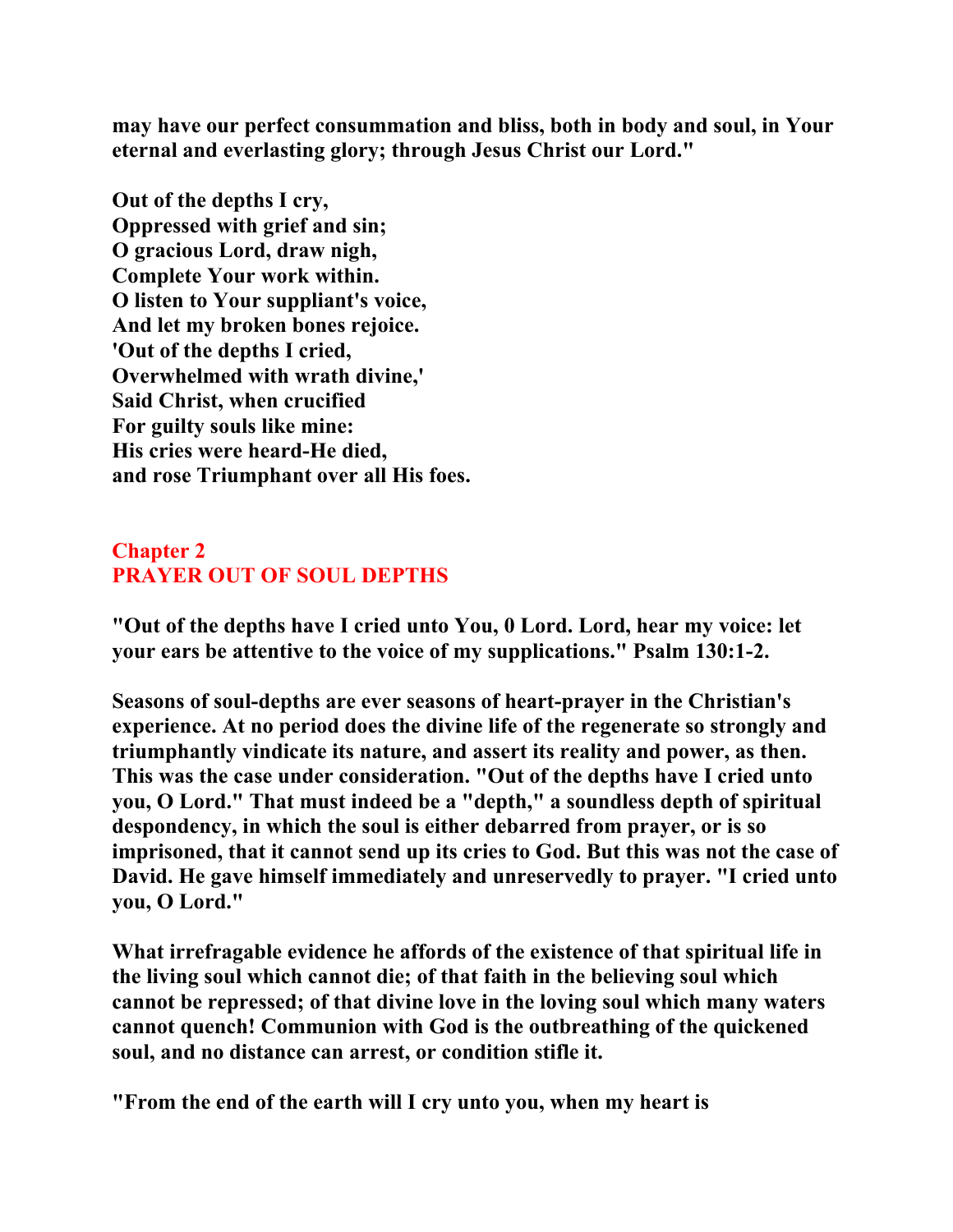**may have our perfect consummation and bliss, both in body and soul, in Your eternal and everlasting glory; through Jesus Christ our Lord."** 

**Out of the depths I cry, Oppressed with grief and sin; O gracious Lord, draw nigh, Complete Your work within. O listen to Your suppliant's voice, And let my broken bones rejoice. 'Out of the depths I cried, Overwhelmed with wrath divine,' Said Christ, when crucified For guilty souls like mine: His cries were heard-He died, and rose Triumphant over all His foes.** 

## **Chapter 2 PRAYER OUT OF SOUL DEPTHS**

**"Out of the depths have I cried unto You, 0 Lord. Lord, hear my voice: let your ears be attentive to the voice of my supplications." Psalm 130:1-2.** 

**Seasons of soul-depths are ever seasons of heart-prayer in the Christian's experience. At no period does the divine life of the regenerate so strongly and triumphantly vindicate its nature, and assert its reality and power, as then. This was the case under consideration. "Out of the depths have I cried unto you, O Lord." That must indeed be a "depth," a soundless depth of spiritual despondency, in which the soul is either debarred from prayer, or is so imprisoned, that it cannot send up its cries to God. But this was not the case of David. He gave himself immediately and unreservedly to prayer. "I cried unto you, O Lord."** 

**What irrefragable evidence he affords of the existence of that spiritual life in the living soul which cannot die; of that faith in the believing soul which cannot be repressed; of that divine love in the loving soul which many waters cannot quench! Communion with God is the outbreathing of the quickened soul, and no distance can arrest, or condition stifle it.** 

**"From the end of the earth will I cry unto you, when my heart is**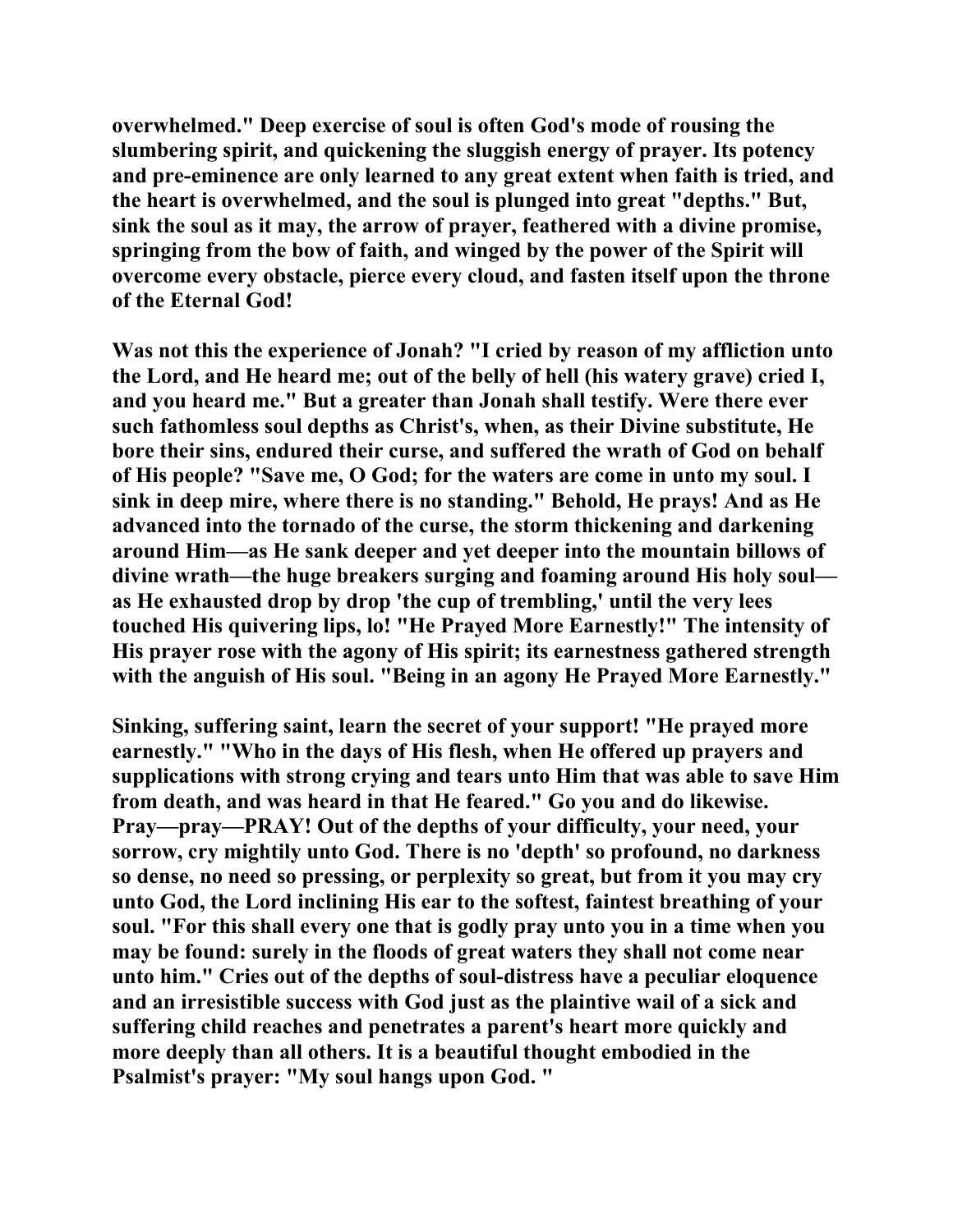**overwhelmed." Deep exercise of soul is often God's mode of rousing the slumbering spirit, and quickening the sluggish energy of prayer. Its potency and pre-eminence are only learned to any great extent when faith is tried, and the heart is overwhelmed, and the soul is plunged into great "depths." But, sink the soul as it may, the arrow of prayer, feathered with a divine promise, springing from the bow of faith, and winged by the power of the Spirit will overcome every obstacle, pierce every cloud, and fasten itself upon the throne of the Eternal God!** 

**Was not this the experience of Jonah? "I cried by reason of my affliction unto the Lord, and He heard me; out of the belly of hell (his watery grave) cried I, and you heard me." But a greater than Jonah shall testify. Were there ever such fathomless soul depths as Christ's, when, as their Divine substitute, He bore their sins, endured their curse, and suffered the wrath of God on behalf of His people? "Save me, O God; for the waters are come in unto my soul. I sink in deep mire, where there is no standing." Behold, He prays! And as He advanced into the tornado of the curse, the storm thickening and darkening around Him—as He sank deeper and yet deeper into the mountain billows of divine wrath—the huge breakers surging and foaming around His holy soul as He exhausted drop by drop 'the cup of trembling,' until the very lees touched His quivering lips, lo! "He Prayed More Earnestly!" The intensity of His prayer rose with the agony of His spirit; its earnestness gathered strength with the anguish of His soul. "Being in an agony He Prayed More Earnestly."** 

**Sinking, suffering saint, learn the secret of your support! "He prayed more earnestly." "Who in the days of His flesh, when He offered up prayers and supplications with strong crying and tears unto Him that was able to save Him from death, and was heard in that He feared." Go you and do likewise. Pray—pray—PRAY! Out of the depths of your difficulty, your need, your sorrow, cry mightily unto God. There is no 'depth' so profound, no darkness so dense, no need so pressing, or perplexity so great, but from it you may cry unto God, the Lord inclining His ear to the softest, faintest breathing of your soul. "For this shall every one that is godly pray unto you in a time when you may be found: surely in the floods of great waters they shall not come near unto him." Cries out of the depths of soul-distress have a peculiar eloquence and an irresistible success with God just as the plaintive wail of a sick and suffering child reaches and penetrates a parent's heart more quickly and more deeply than all others. It is a beautiful thought embodied in the Psalmist's prayer: "My soul hangs upon God. "**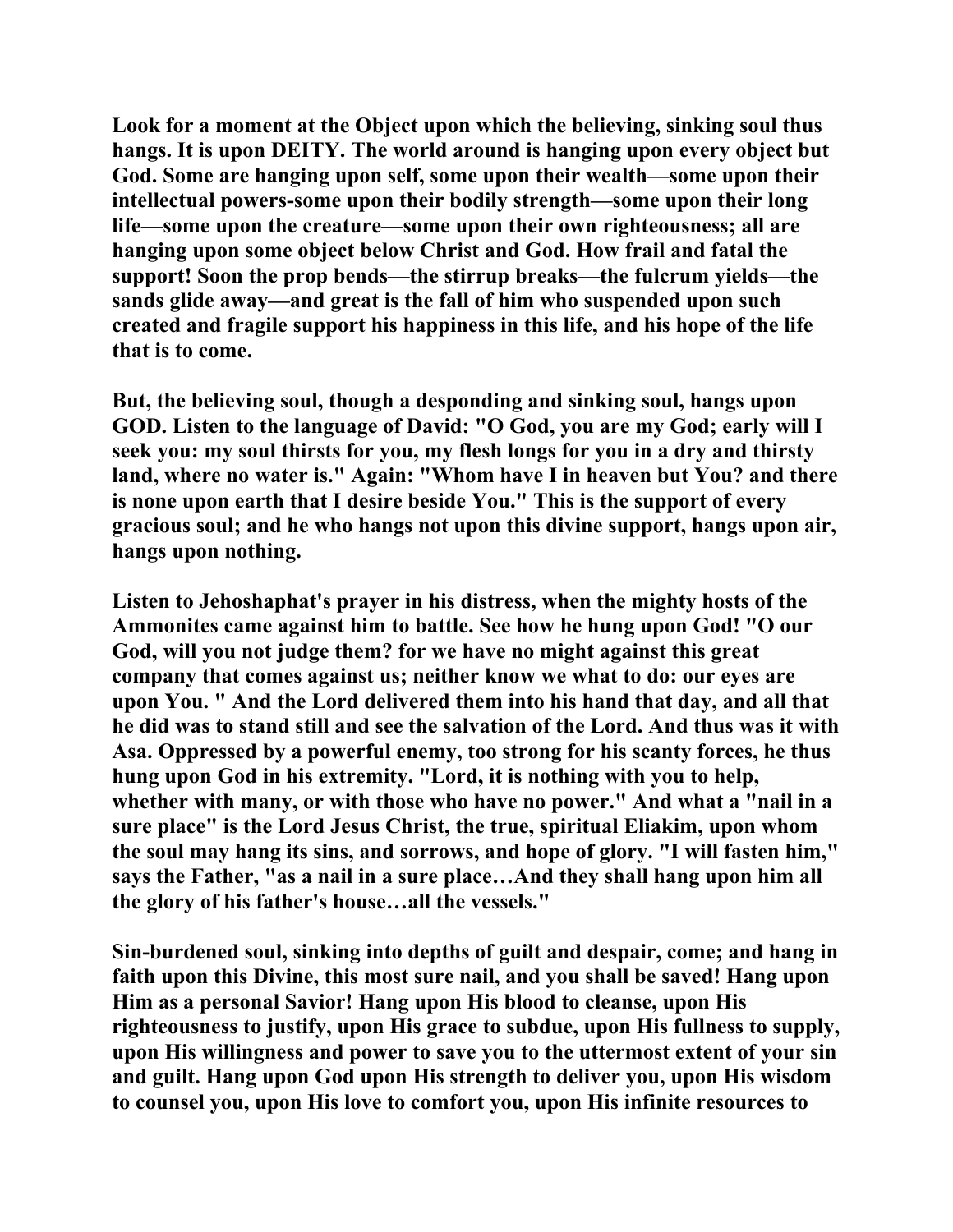**Look for a moment at the Object upon which the believing, sinking soul thus hangs. It is upon DEITY. The world around is hanging upon every object but God. Some are hanging upon self, some upon their wealth—some upon their intellectual powers-some upon their bodily strength—some upon their long life—some upon the creature—some upon their own righteousness; all are hanging upon some object below Christ and God. How frail and fatal the support! Soon the prop bends—the stirrup breaks—the fulcrum yields—the sands glide away—and great is the fall of him who suspended upon such created and fragile support his happiness in this life, and his hope of the life that is to come.** 

**But, the believing soul, though a desponding and sinking soul, hangs upon GOD. Listen to the language of David: "O God, you are my God; early will I seek you: my soul thirsts for you, my flesh longs for you in a dry and thirsty land, where no water is." Again: "Whom have I in heaven but You? and there is none upon earth that I desire beside You." This is the support of every gracious soul; and he who hangs not upon this divine support, hangs upon air, hangs upon nothing.** 

**Listen to Jehoshaphat's prayer in his distress, when the mighty hosts of the Ammonites came against him to battle. See how he hung upon God! "O our God, will you not judge them? for we have no might against this great company that comes against us; neither know we what to do: our eyes are upon You. " And the Lord delivered them into his hand that day, and all that he did was to stand still and see the salvation of the Lord. And thus was it with Asa. Oppressed by a powerful enemy, too strong for his scanty forces, he thus hung upon God in his extremity. "Lord, it is nothing with you to help, whether with many, or with those who have no power." And what a "nail in a sure place" is the Lord Jesus Christ, the true, spiritual Eliakim, upon whom the soul may hang its sins, and sorrows, and hope of glory. "I will fasten him," says the Father, "as a nail in a sure place…And they shall hang upon him all the glory of his father's house…all the vessels."** 

**Sin-burdened soul, sinking into depths of guilt and despair, come; and hang in faith upon this Divine, this most sure nail, and you shall be saved! Hang upon Him as a personal Savior! Hang upon His blood to cleanse, upon His righteousness to justify, upon His grace to subdue, upon His fullness to supply, upon His willingness and power to save you to the uttermost extent of your sin and guilt. Hang upon God upon His strength to deliver you, upon His wisdom to counsel you, upon His love to comfort you, upon His infinite resources to**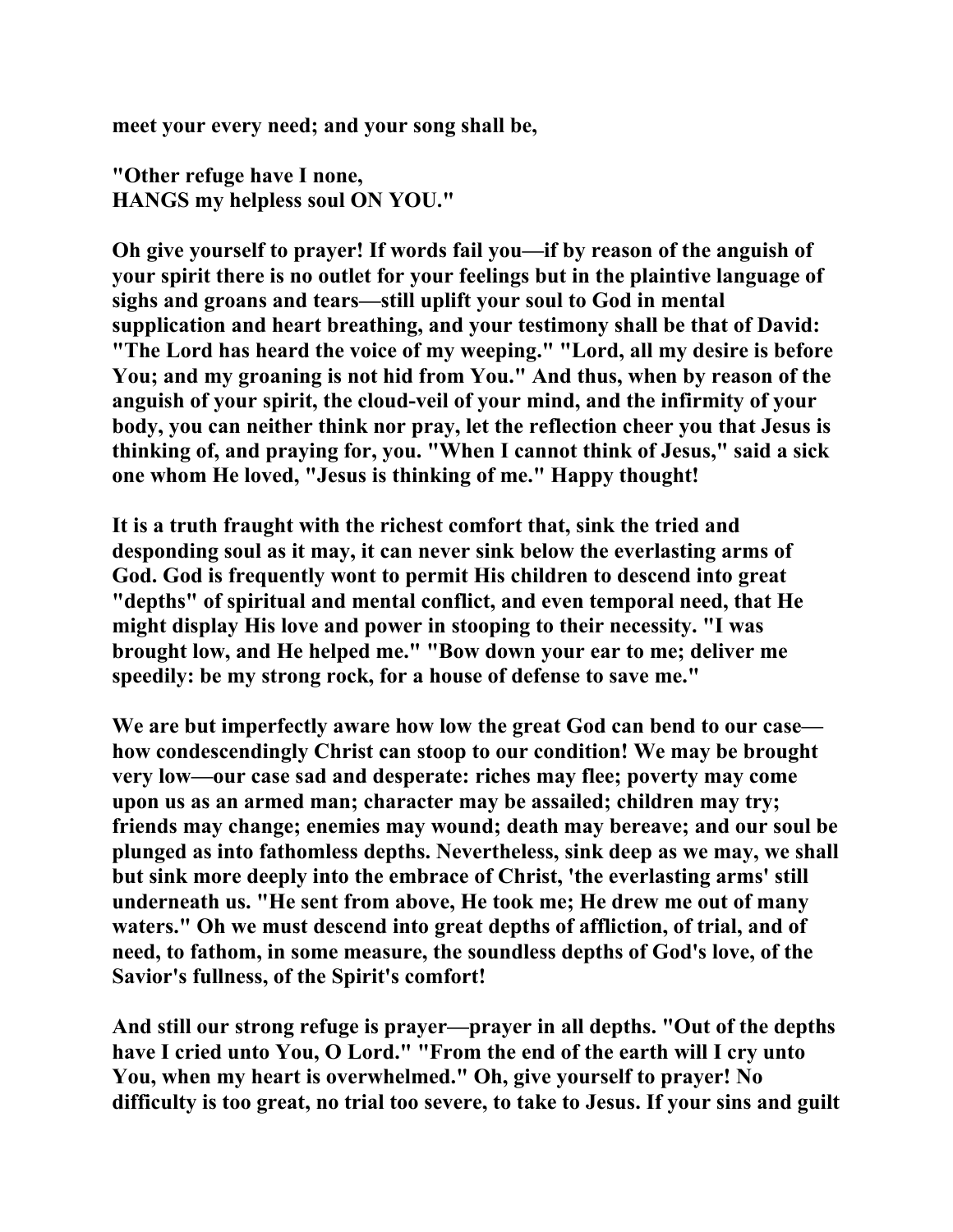**meet your every need; and your song shall be,** 

**"Other refuge have I none, HANGS my helpless soul ON YOU."** 

**Oh give yourself to prayer! If words fail you—if by reason of the anguish of your spirit there is no outlet for your feelings but in the plaintive language of sighs and groans and tears—still uplift your soul to God in mental supplication and heart breathing, and your testimony shall be that of David: "The Lord has heard the voice of my weeping." "Lord, all my desire is before You; and my groaning is not hid from You." And thus, when by reason of the anguish of your spirit, the cloud-veil of your mind, and the infirmity of your body, you can neither think nor pray, let the reflection cheer you that Jesus is thinking of, and praying for, you. "When I cannot think of Jesus," said a sick one whom He loved, "Jesus is thinking of me." Happy thought!** 

**It is a truth fraught with the richest comfort that, sink the tried and desponding soul as it may, it can never sink below the everlasting arms of God. God is frequently wont to permit His children to descend into great "depths" of spiritual and mental conflict, and even temporal need, that He might display His love and power in stooping to their necessity. "I was brought low, and He helped me." "Bow down your ear to me; deliver me speedily: be my strong rock, for a house of defense to save me."** 

**We are but imperfectly aware how low the great God can bend to our case how condescendingly Christ can stoop to our condition! We may be brought very low—our case sad and desperate: riches may flee; poverty may come upon us as an armed man; character may be assailed; children may try; friends may change; enemies may wound; death may bereave; and our soul be plunged as into fathomless depths. Nevertheless, sink deep as we may, we shall but sink more deeply into the embrace of Christ, 'the everlasting arms' still underneath us. "He sent from above, He took me; He drew me out of many waters." Oh we must descend into great depths of affliction, of trial, and of need, to fathom, in some measure, the soundless depths of God's love, of the Savior's fullness, of the Spirit's comfort!** 

**And still our strong refuge is prayer—prayer in all depths. "Out of the depths have I cried unto You, O Lord." "From the end of the earth will I cry unto You, when my heart is overwhelmed." Oh, give yourself to prayer! No difficulty is too great, no trial too severe, to take to Jesus. If your sins and guilt**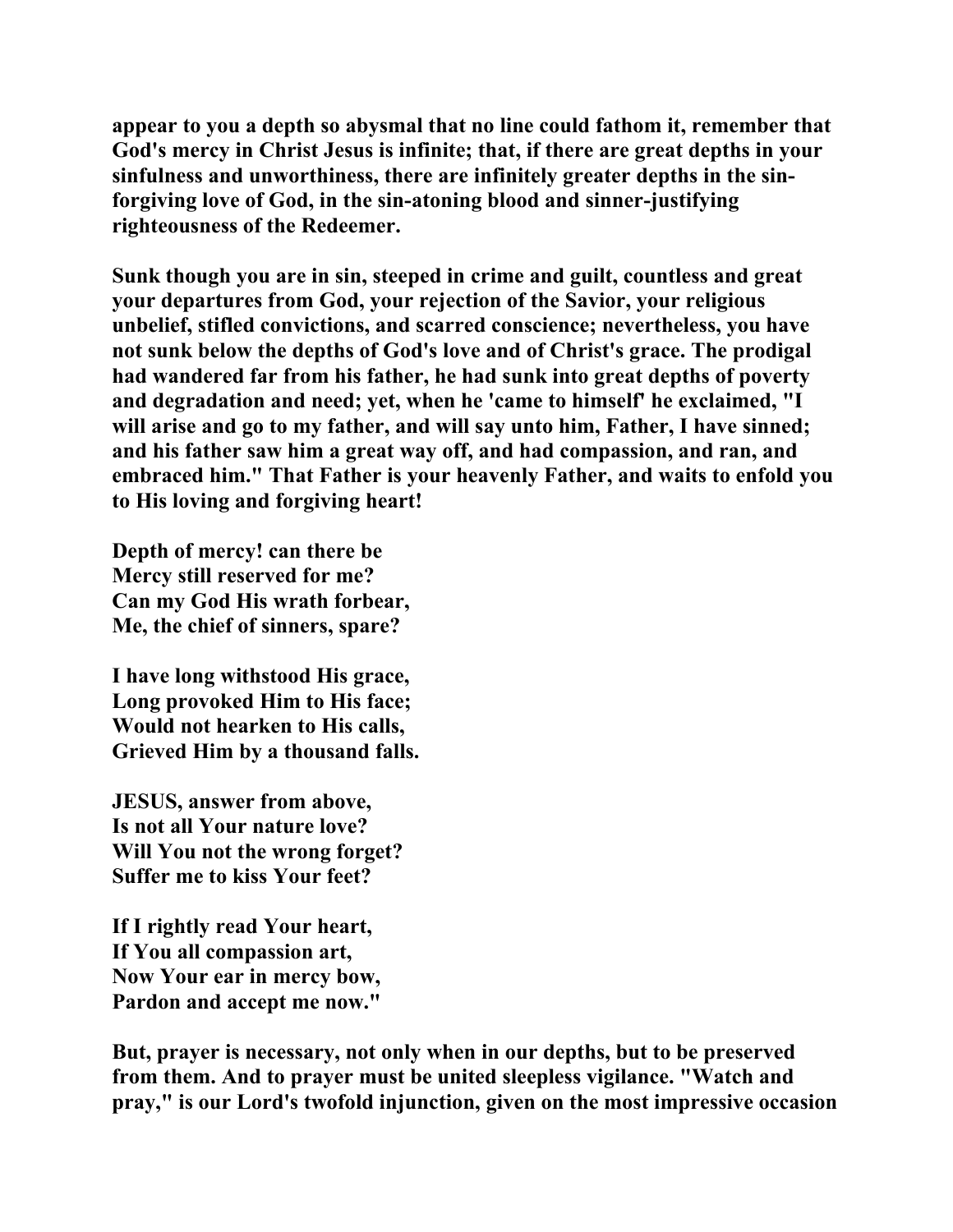**appear to you a depth so abysmal that no line could fathom it, remember that God's mercy in Christ Jesus is infinite; that, if there are great depths in your sinfulness and unworthiness, there are infinitely greater depths in the sinforgiving love of God, in the sin-atoning blood and sinner-justifying righteousness of the Redeemer.** 

**Sunk though you are in sin, steeped in crime and guilt, countless and great your departures from God, your rejection of the Savior, your religious unbelief, stifled convictions, and scarred conscience; nevertheless, you have not sunk below the depths of God's love and of Christ's grace. The prodigal had wandered far from his father, he had sunk into great depths of poverty and degradation and need; yet, when he 'came to himself' he exclaimed, "I will arise and go to my father, and will say unto him, Father, I have sinned; and his father saw him a great way off, and had compassion, and ran, and embraced him." That Father is your heavenly Father, and waits to enfold you to His loving and forgiving heart!** 

**Depth of mercy! can there be Mercy still reserved for me? Can my God His wrath forbear, Me, the chief of sinners, spare?** 

**I have long withstood His grace, Long provoked Him to His face; Would not hearken to His calls, Grieved Him by a thousand falls.** 

**JESUS, answer from above, Is not all Your nature love? Will You not the wrong forget? Suffer me to kiss Your feet?** 

**If I rightly read Your heart, If You all compassion art, Now Your ear in mercy bow, Pardon and accept me now."** 

**But, prayer is necessary, not only when in our depths, but to be preserved from them. And to prayer must be united sleepless vigilance. "Watch and pray," is our Lord's twofold injunction, given on the most impressive occasion**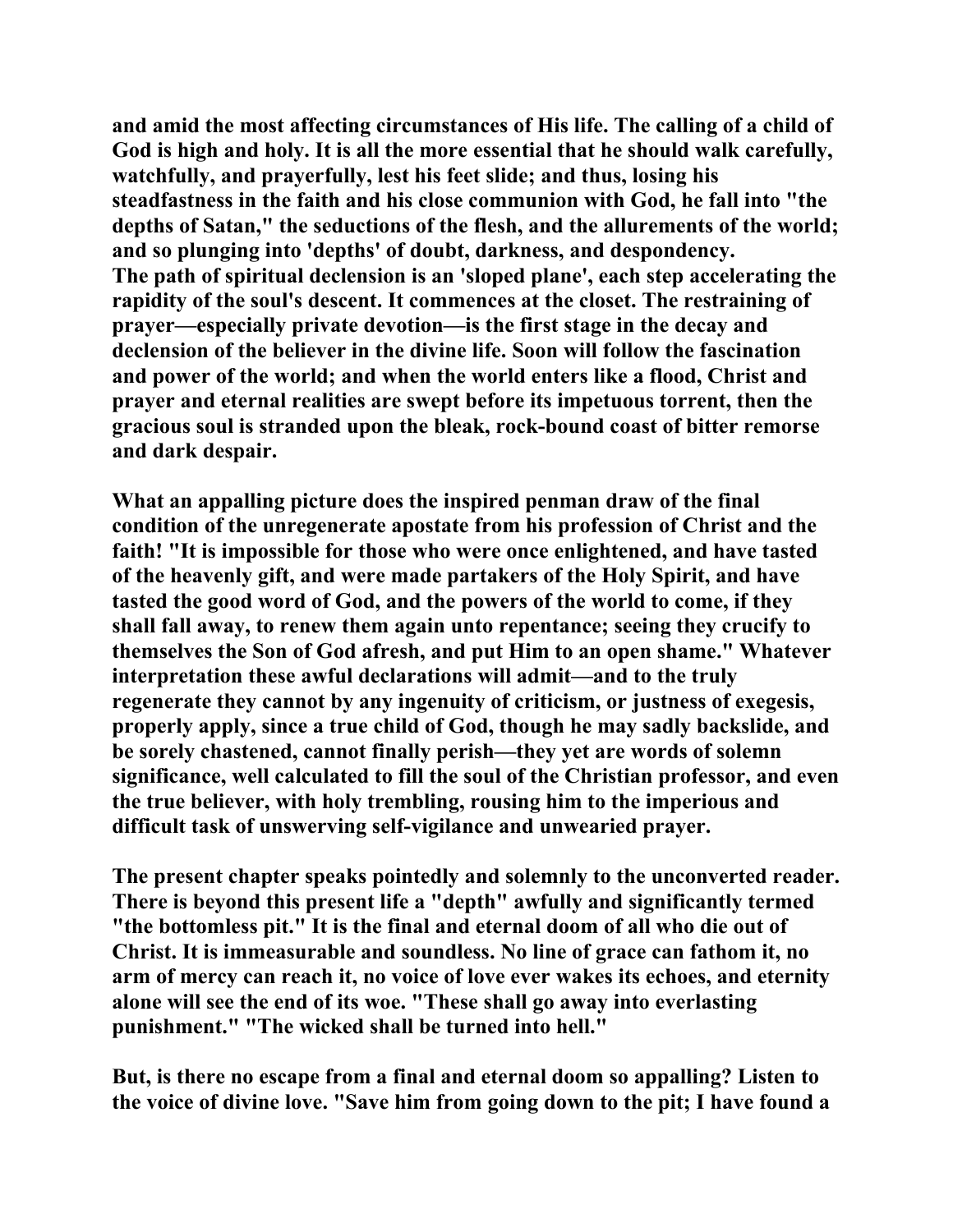**and amid the most affecting circumstances of His life. The calling of a child of God is high and holy. It is all the more essential that he should walk carefully, watchfully, and prayerfully, lest his feet slide; and thus, losing his steadfastness in the faith and his close communion with God, he fall into "the depths of Satan," the seductions of the flesh, and the allurements of the world; and so plunging into 'depths' of doubt, darkness, and despondency. The path of spiritual declension is an 'sloped plane', each step accelerating the rapidity of the soul's descent. It commences at the closet. The restraining of prayer—especially private devotion—is the first stage in the decay and declension of the believer in the divine life. Soon will follow the fascination and power of the world; and when the world enters like a flood, Christ and prayer and eternal realities are swept before its impetuous torrent, then the gracious soul is stranded upon the bleak, rock-bound coast of bitter remorse and dark despair.** 

**What an appalling picture does the inspired penman draw of the final condition of the unregenerate apostate from his profession of Christ and the faith! "It is impossible for those who were once enlightened, and have tasted of the heavenly gift, and were made partakers of the Holy Spirit, and have tasted the good word of God, and the powers of the world to come, if they shall fall away, to renew them again unto repentance; seeing they crucify to themselves the Son of God afresh, and put Him to an open shame." Whatever interpretation these awful declarations will admit—and to the truly regenerate they cannot by any ingenuity of criticism, or justness of exegesis, properly apply, since a true child of God, though he may sadly backslide, and be sorely chastened, cannot finally perish—they yet are words of solemn significance, well calculated to fill the soul of the Christian professor, and even the true believer, with holy trembling, rousing him to the imperious and difficult task of unswerving self-vigilance and unwearied prayer.** 

**The present chapter speaks pointedly and solemnly to the unconverted reader. There is beyond this present life a "depth" awfully and significantly termed "the bottomless pit." It is the final and eternal doom of all who die out of Christ. It is immeasurable and soundless. No line of grace can fathom it, no arm of mercy can reach it, no voice of love ever wakes its echoes, and eternity alone will see the end of its woe. "These shall go away into everlasting punishment." "The wicked shall be turned into hell."** 

**But, is there no escape from a final and eternal doom so appalling? Listen to the voice of divine love. "Save him from going down to the pit; I have found a**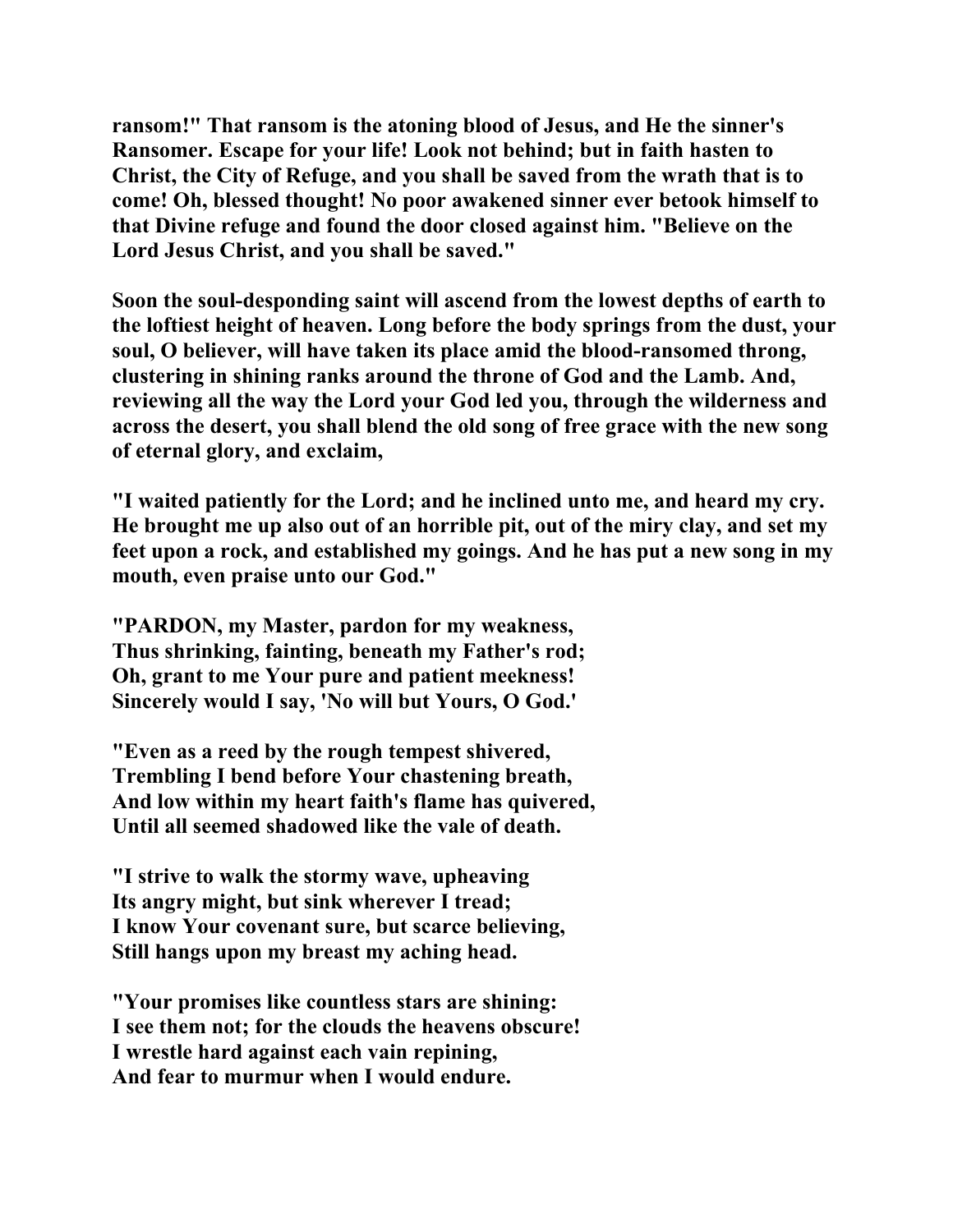**ransom!" That ransom is the atoning blood of Jesus, and He the sinner's Ransomer. Escape for your life! Look not behind; but in faith hasten to Christ, the City of Refuge, and you shall be saved from the wrath that is to come! Oh, blessed thought! No poor awakened sinner ever betook himself to that Divine refuge and found the door closed against him. "Believe on the Lord Jesus Christ, and you shall be saved."** 

**Soon the soul-desponding saint will ascend from the lowest depths of earth to the loftiest height of heaven. Long before the body springs from the dust, your soul, O believer, will have taken its place amid the blood-ransomed throng, clustering in shining ranks around the throne of God and the Lamb. And, reviewing all the way the Lord your God led you, through the wilderness and across the desert, you shall blend the old song of free grace with the new song of eternal glory, and exclaim,** 

**"I waited patiently for the Lord; and he inclined unto me, and heard my cry. He brought me up also out of an horrible pit, out of the miry clay, and set my feet upon a rock, and established my goings. And he has put a new song in my mouth, even praise unto our God."** 

**"PARDON, my Master, pardon for my weakness, Thus shrinking, fainting, beneath my Father's rod; Oh, grant to me Your pure and patient meekness! Sincerely would I say, 'No will but Yours, O God.'** 

**"Even as a reed by the rough tempest shivered, Trembling I bend before Your chastening breath, And low within my heart faith's flame has quivered, Until all seemed shadowed like the vale of death.** 

**"I strive to walk the stormy wave, upheaving Its angry might, but sink wherever I tread; I know Your covenant sure, but scarce believing, Still hangs upon my breast my aching head.** 

**"Your promises like countless stars are shining: I see them not; for the clouds the heavens obscure! I wrestle hard against each vain repining, And fear to murmur when I would endure.**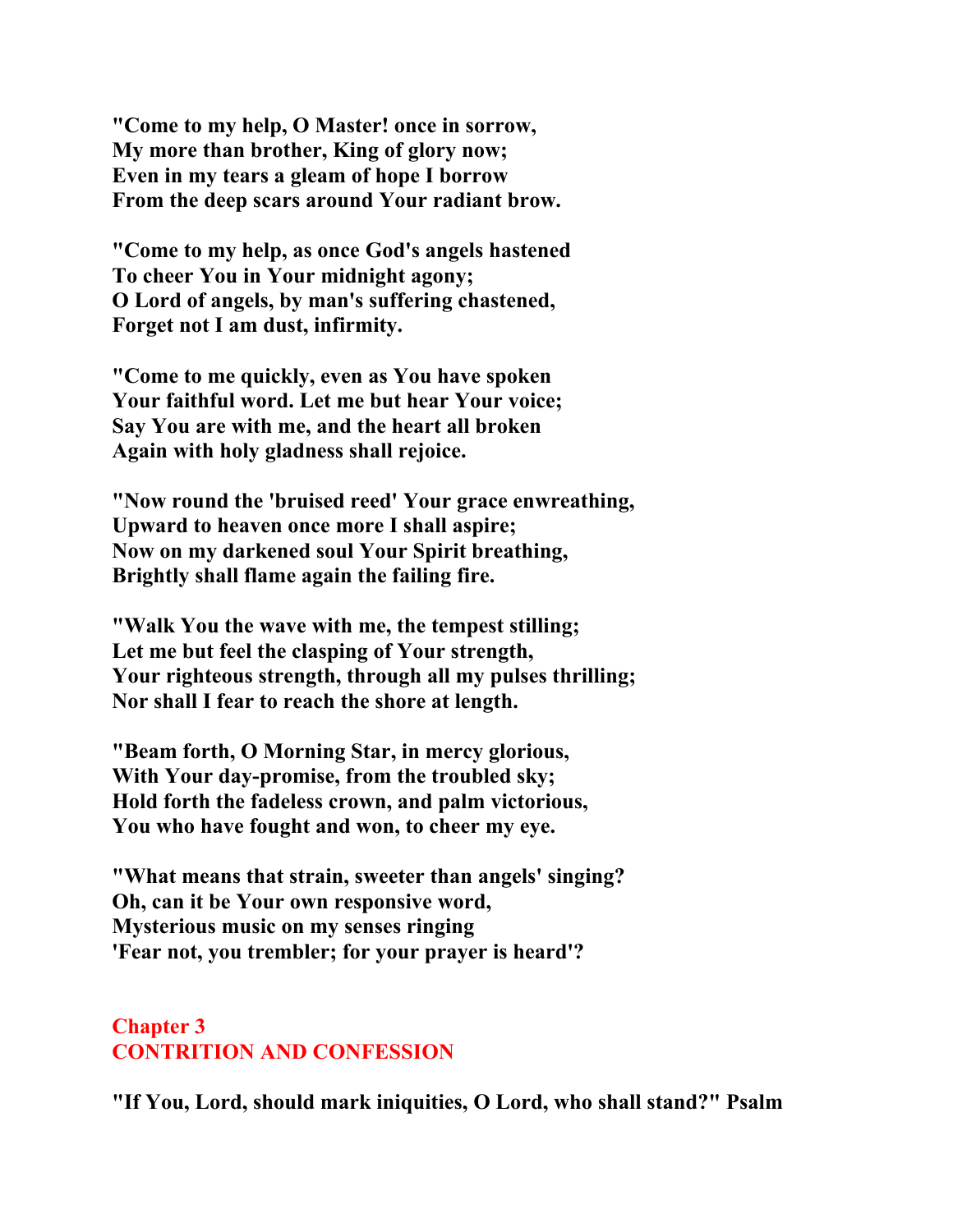**"Come to my help, O Master! once in sorrow, My more than brother, King of glory now; Even in my tears a gleam of hope I borrow From the deep scars around Your radiant brow.** 

**"Come to my help, as once God's angels hastened To cheer You in Your midnight agony; O Lord of angels, by man's suffering chastened, Forget not I am dust, infirmity.** 

**"Come to me quickly, even as You have spoken Your faithful word. Let me but hear Your voice; Say You are with me, and the heart all broken Again with holy gladness shall rejoice.** 

**"Now round the 'bruised reed' Your grace enwreathing, Upward to heaven once more I shall aspire; Now on my darkened soul Your Spirit breathing, Brightly shall flame again the failing fire.** 

**"Walk You the wave with me, the tempest stilling; Let me but feel the clasping of Your strength, Your righteous strength, through all my pulses thrilling; Nor shall I fear to reach the shore at length.** 

**"Beam forth, O Morning Star, in mercy glorious, With Your day-promise, from the troubled sky; Hold forth the fadeless crown, and palm victorious, You who have fought and won, to cheer my eye.** 

**"What means that strain, sweeter than angels' singing? Oh, can it be Your own responsive word, Mysterious music on my senses ringing 'Fear not, you trembler; for your prayer is heard'?** 

### **Chapter 3 CONTRITION AND CONFESSION**

**"If You, Lord, should mark iniquities, O Lord, who shall stand?" Psalm**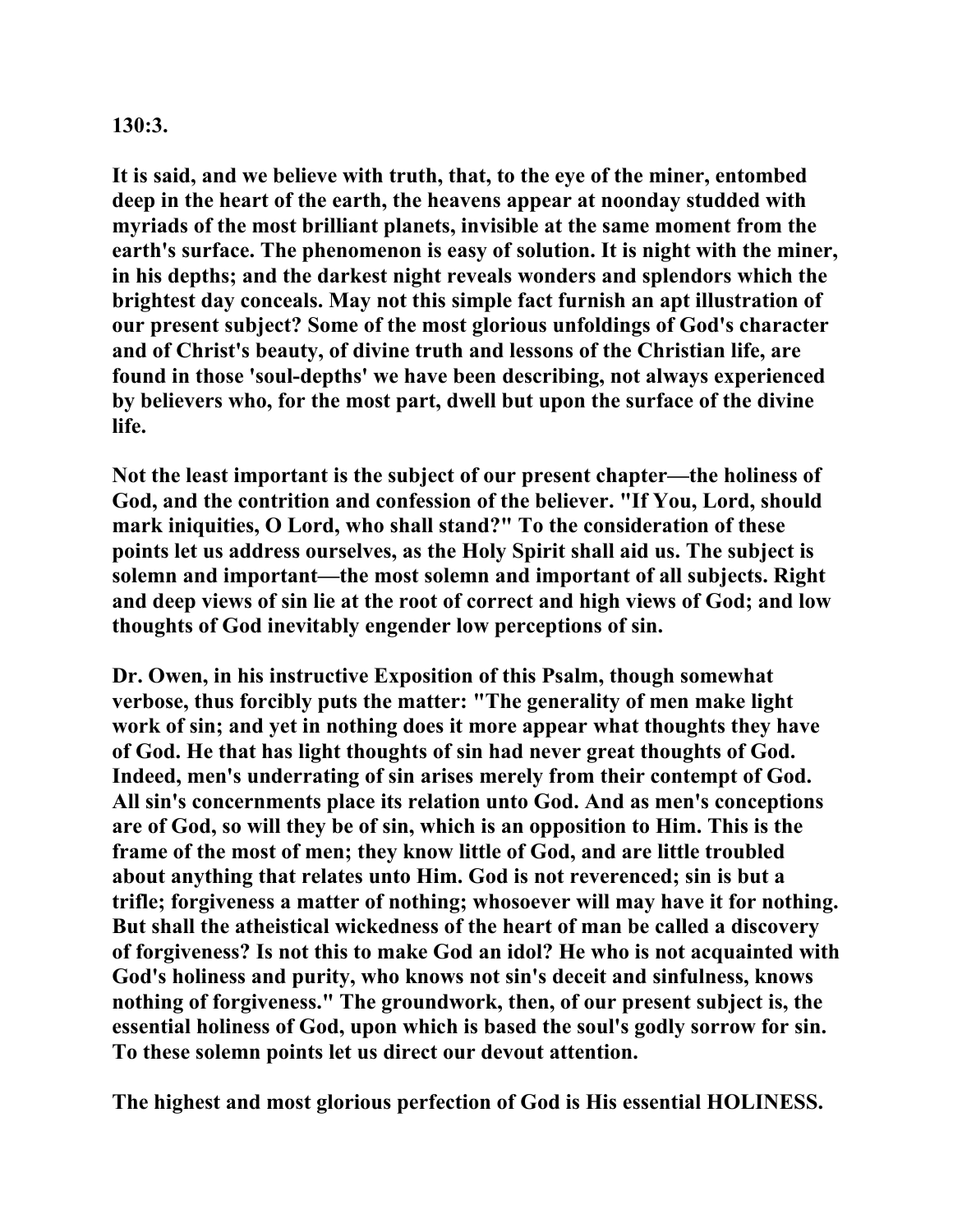#### **130:3.**

**It is said, and we believe with truth, that, to the eye of the miner, entombed deep in the heart of the earth, the heavens appear at noonday studded with myriads of the most brilliant planets, invisible at the same moment from the earth's surface. The phenomenon is easy of solution. It is night with the miner, in his depths; and the darkest night reveals wonders and splendors which the brightest day conceals. May not this simple fact furnish an apt illustration of our present subject? Some of the most glorious unfoldings of God's character and of Christ's beauty, of divine truth and lessons of the Christian life, are found in those 'soul-depths' we have been describing, not always experienced by believers who, for the most part, dwell but upon the surface of the divine life.** 

**Not the least important is the subject of our present chapter—the holiness of God, and the contrition and confession of the believer. "If You, Lord, should mark iniquities, O Lord, who shall stand?" To the consideration of these points let us address ourselves, as the Holy Spirit shall aid us. The subject is solemn and important—the most solemn and important of all subjects. Right and deep views of sin lie at the root of correct and high views of God; and low thoughts of God inevitably engender low perceptions of sin.** 

**Dr. Owen, in his instructive Exposition of this Psalm, though somewhat verbose, thus forcibly puts the matter: "The generality of men make light work of sin; and yet in nothing does it more appear what thoughts they have of God. He that has light thoughts of sin had never great thoughts of God. Indeed, men's underrating of sin arises merely from their contempt of God. All sin's concernments place its relation unto God. And as men's conceptions are of God, so will they be of sin, which is an opposition to Him. This is the frame of the most of men; they know little of God, and are little troubled about anything that relates unto Him. God is not reverenced; sin is but a trifle; forgiveness a matter of nothing; whosoever will may have it for nothing. But shall the atheistical wickedness of the heart of man be called a discovery of forgiveness? Is not this to make God an idol? He who is not acquainted with God's holiness and purity, who knows not sin's deceit and sinfulness, knows nothing of forgiveness." The groundwork, then, of our present subject is, the essential holiness of God, upon which is based the soul's godly sorrow for sin. To these solemn points let us direct our devout attention.** 

**The highest and most glorious perfection of God is His essential HOLINESS.**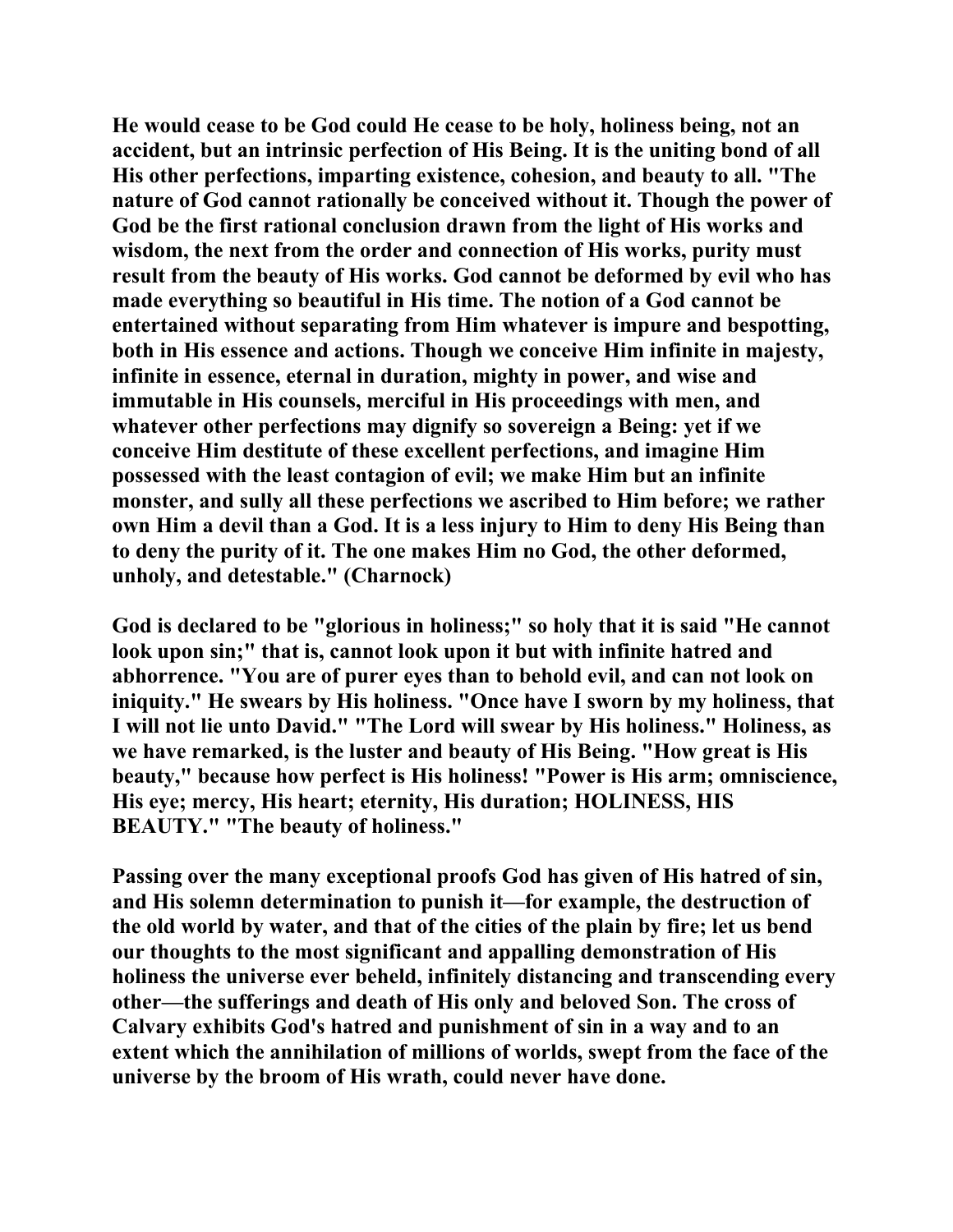**He would cease to be God could He cease to be holy, holiness being, not an accident, but an intrinsic perfection of His Being. It is the uniting bond of all His other perfections, imparting existence, cohesion, and beauty to all. "The nature of God cannot rationally be conceived without it. Though the power of God be the first rational conclusion drawn from the light of His works and wisdom, the next from the order and connection of His works, purity must result from the beauty of His works. God cannot be deformed by evil who has made everything so beautiful in His time. The notion of a God cannot be entertained without separating from Him whatever is impure and bespotting, both in His essence and actions. Though we conceive Him infinite in majesty, infinite in essence, eternal in duration, mighty in power, and wise and immutable in His counsels, merciful in His proceedings with men, and whatever other perfections may dignify so sovereign a Being: yet if we conceive Him destitute of these excellent perfections, and imagine Him possessed with the least contagion of evil; we make Him but an infinite monster, and sully all these perfections we ascribed to Him before; we rather own Him a devil than a God. It is a less injury to Him to deny His Being than to deny the purity of it. The one makes Him no God, the other deformed, unholy, and detestable." (Charnock)** 

**God is declared to be "glorious in holiness;" so holy that it is said "He cannot look upon sin;" that is, cannot look upon it but with infinite hatred and abhorrence. "You are of purer eyes than to behold evil, and can not look on iniquity." He swears by His holiness. "Once have I sworn by my holiness, that I will not lie unto David." "The Lord will swear by His holiness." Holiness, as we have remarked, is the luster and beauty of His Being. "How great is His beauty," because how perfect is His holiness! "Power is His arm; omniscience, His eye; mercy, His heart; eternity, His duration; HOLINESS, HIS BEAUTY." "The beauty of holiness."** 

**Passing over the many exceptional proofs God has given of His hatred of sin, and His solemn determination to punish it—for example, the destruction of the old world by water, and that of the cities of the plain by fire; let us bend our thoughts to the most significant and appalling demonstration of His holiness the universe ever beheld, infinitely distancing and transcending every other—the sufferings and death of His only and beloved Son. The cross of Calvary exhibits God's hatred and punishment of sin in a way and to an extent which the annihilation of millions of worlds, swept from the face of the universe by the broom of His wrath, could never have done.**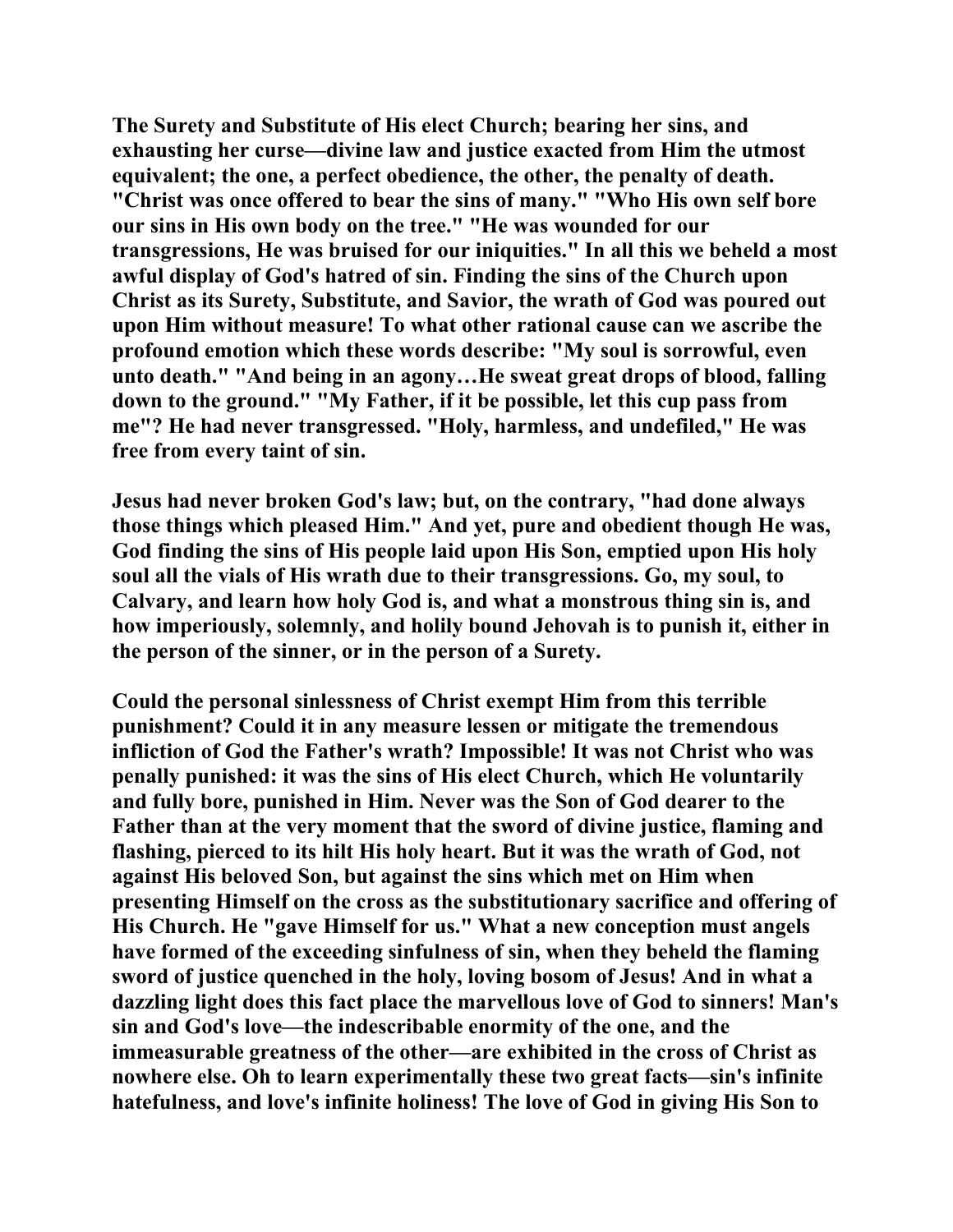**The Surety and Substitute of His elect Church; bearing her sins, and exhausting her curse—divine law and justice exacted from Him the utmost equivalent; the one, a perfect obedience, the other, the penalty of death. "Christ was once offered to bear the sins of many." "Who His own self bore our sins in His own body on the tree." "He was wounded for our transgressions, He was bruised for our iniquities." In all this we beheld a most awful display of God's hatred of sin. Finding the sins of the Church upon Christ as its Surety, Substitute, and Savior, the wrath of God was poured out upon Him without measure! To what other rational cause can we ascribe the profound emotion which these words describe: "My soul is sorrowful, even unto death." "And being in an agony…He sweat great drops of blood, falling down to the ground." "My Father, if it be possible, let this cup pass from me"? He had never transgressed. "Holy, harmless, and undefiled," He was free from every taint of sin.** 

**Jesus had never broken God's law; but, on the contrary, "had done always those things which pleased Him." And yet, pure and obedient though He was, God finding the sins of His people laid upon His Son, emptied upon His holy soul all the vials of His wrath due to their transgressions. Go, my soul, to Calvary, and learn how holy God is, and what a monstrous thing sin is, and how imperiously, solemnly, and holily bound Jehovah is to punish it, either in the person of the sinner, or in the person of a Surety.** 

**Could the personal sinlessness of Christ exempt Him from this terrible punishment? Could it in any measure lessen or mitigate the tremendous infliction of God the Father's wrath? Impossible! It was not Christ who was penally punished: it was the sins of His elect Church, which He voluntarily and fully bore, punished in Him. Never was the Son of God dearer to the Father than at the very moment that the sword of divine justice, flaming and flashing, pierced to its hilt His holy heart. But it was the wrath of God, not against His beloved Son, but against the sins which met on Him when presenting Himself on the cross as the substitutionary sacrifice and offering of His Church. He "gave Himself for us." What a new conception must angels have formed of the exceeding sinfulness of sin, when they beheld the flaming sword of justice quenched in the holy, loving bosom of Jesus! And in what a dazzling light does this fact place the marvellous love of God to sinners! Man's sin and God's love—the indescribable enormity of the one, and the immeasurable greatness of the other—are exhibited in the cross of Christ as nowhere else. Oh to learn experimentally these two great facts—sin's infinite hatefulness, and love's infinite holiness! The love of God in giving His Son to**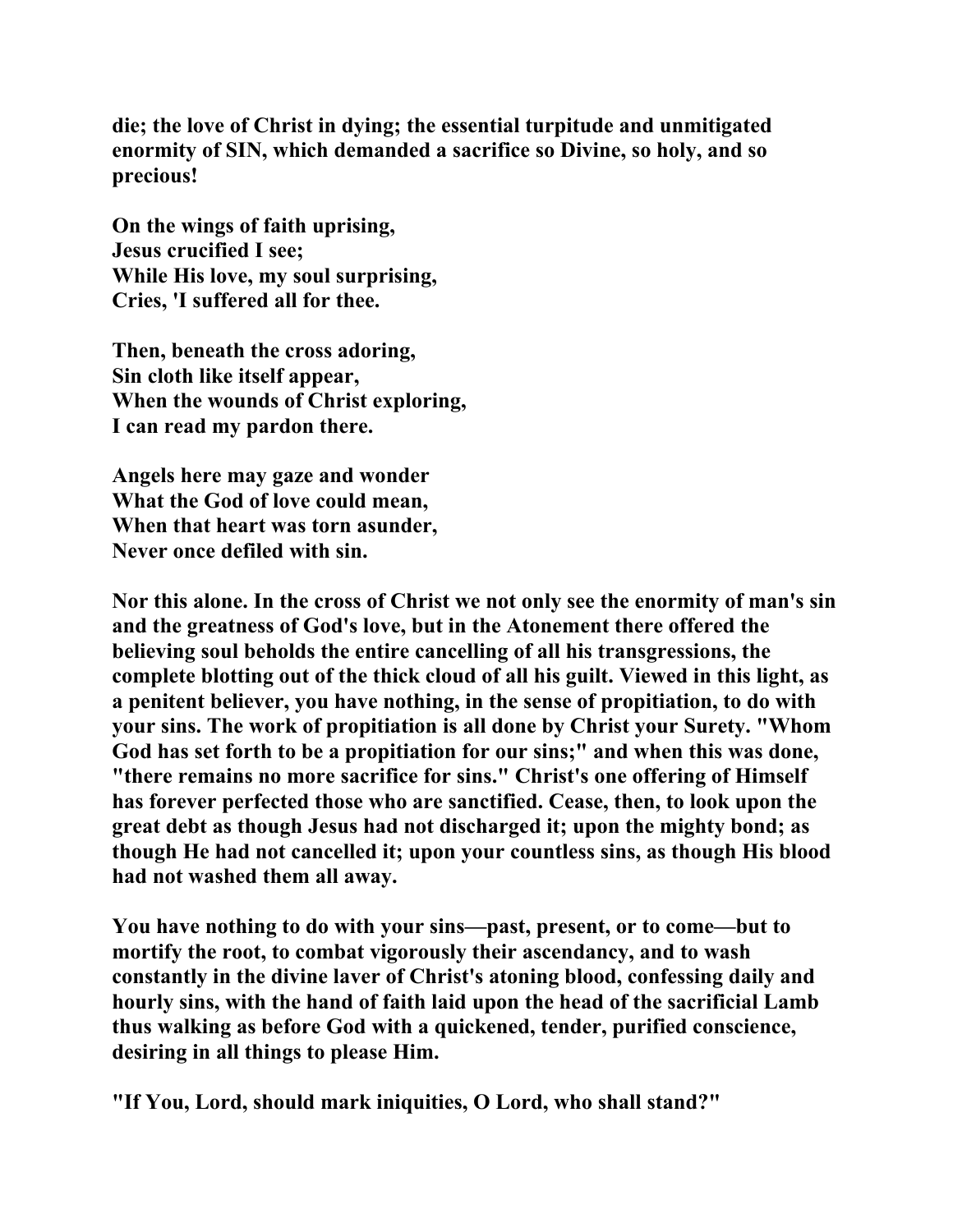**die; the love of Christ in dying; the essential turpitude and unmitigated enormity of SIN, which demanded a sacrifice so Divine, so holy, and so precious!** 

**On the wings of faith uprising, Jesus crucified I see; While His love, my soul surprising, Cries, 'I suffered all for thee.** 

**Then, beneath the cross adoring, Sin cloth like itself appear, When the wounds of Christ exploring, I can read my pardon there.** 

**Angels here may gaze and wonder What the God of love could mean, When that heart was torn asunder, Never once defiled with sin.** 

**Nor this alone. In the cross of Christ we not only see the enormity of man's sin and the greatness of God's love, but in the Atonement there offered the believing soul beholds the entire cancelling of all his transgressions, the complete blotting out of the thick cloud of all his guilt. Viewed in this light, as a penitent believer, you have nothing, in the sense of propitiation, to do with your sins. The work of propitiation is all done by Christ your Surety. "Whom God has set forth to be a propitiation for our sins;" and when this was done, "there remains no more sacrifice for sins." Christ's one offering of Himself has forever perfected those who are sanctified. Cease, then, to look upon the great debt as though Jesus had not discharged it; upon the mighty bond; as though He had not cancelled it; upon your countless sins, as though His blood had not washed them all away.** 

**You have nothing to do with your sins—past, present, or to come—but to mortify the root, to combat vigorously their ascendancy, and to wash constantly in the divine laver of Christ's atoning blood, confessing daily and hourly sins, with the hand of faith laid upon the head of the sacrificial Lamb thus walking as before God with a quickened, tender, purified conscience, desiring in all things to please Him.** 

**"If You, Lord, should mark iniquities, O Lord, who shall stand?"**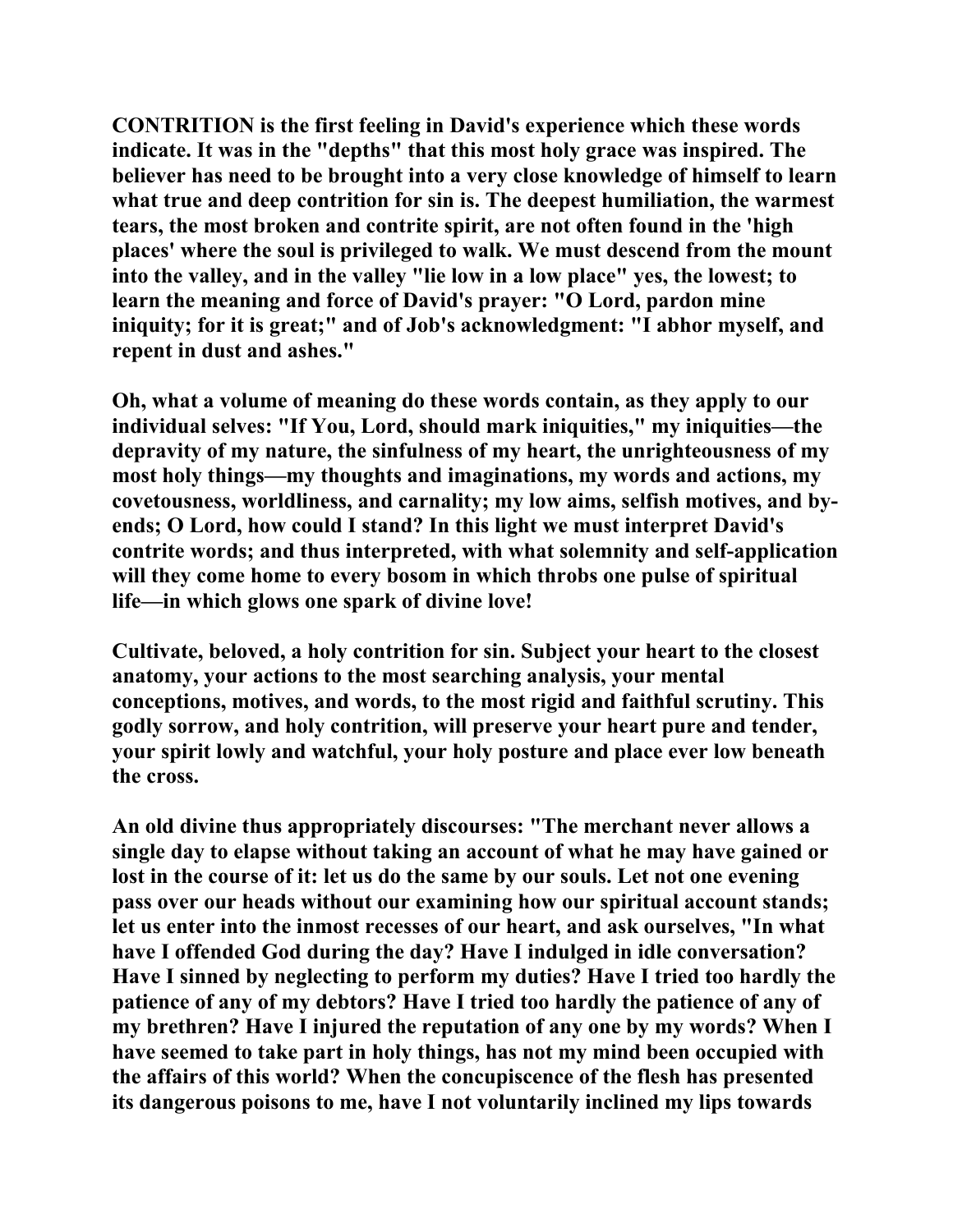**CONTRITION is the first feeling in David's experience which these words indicate. It was in the "depths" that this most holy grace was inspired. The believer has need to be brought into a very close knowledge of himself to learn what true and deep contrition for sin is. The deepest humiliation, the warmest tears, the most broken and contrite spirit, are not often found in the 'high places' where the soul is privileged to walk. We must descend from the mount into the valley, and in the valley "lie low in a low place" yes, the lowest; to learn the meaning and force of David's prayer: "O Lord, pardon mine iniquity; for it is great;" and of Job's acknowledgment: "I abhor myself, and repent in dust and ashes."** 

**Oh, what a volume of meaning do these words contain, as they apply to our individual selves: "If You, Lord, should mark iniquities," my iniquities—the depravity of my nature, the sinfulness of my heart, the unrighteousness of my most holy things—my thoughts and imaginations, my words and actions, my covetousness, worldliness, and carnality; my low aims, selfish motives, and byends; O Lord, how could I stand? In this light we must interpret David's contrite words; and thus interpreted, with what solemnity and self-application will they come home to every bosom in which throbs one pulse of spiritual life—in which glows one spark of divine love!** 

**Cultivate, beloved, a holy contrition for sin. Subject your heart to the closest anatomy, your actions to the most searching analysis, your mental conceptions, motives, and words, to the most rigid and faithful scrutiny. This godly sorrow, and holy contrition, will preserve your heart pure and tender, your spirit lowly and watchful, your holy posture and place ever low beneath the cross.** 

**An old divine thus appropriately discourses: "The merchant never allows a single day to elapse without taking an account of what he may have gained or lost in the course of it: let us do the same by our souls. Let not one evening pass over our heads without our examining how our spiritual account stands; let us enter into the inmost recesses of our heart, and ask ourselves, "In what have I offended God during the day? Have I indulged in idle conversation? Have I sinned by neglecting to perform my duties? Have I tried too hardly the patience of any of my debtors? Have I tried too hardly the patience of any of my brethren? Have I injured the reputation of any one by my words? When I have seemed to take part in holy things, has not my mind been occupied with the affairs of this world? When the concupiscence of the flesh has presented its dangerous poisons to me, have I not voluntarily inclined my lips towards**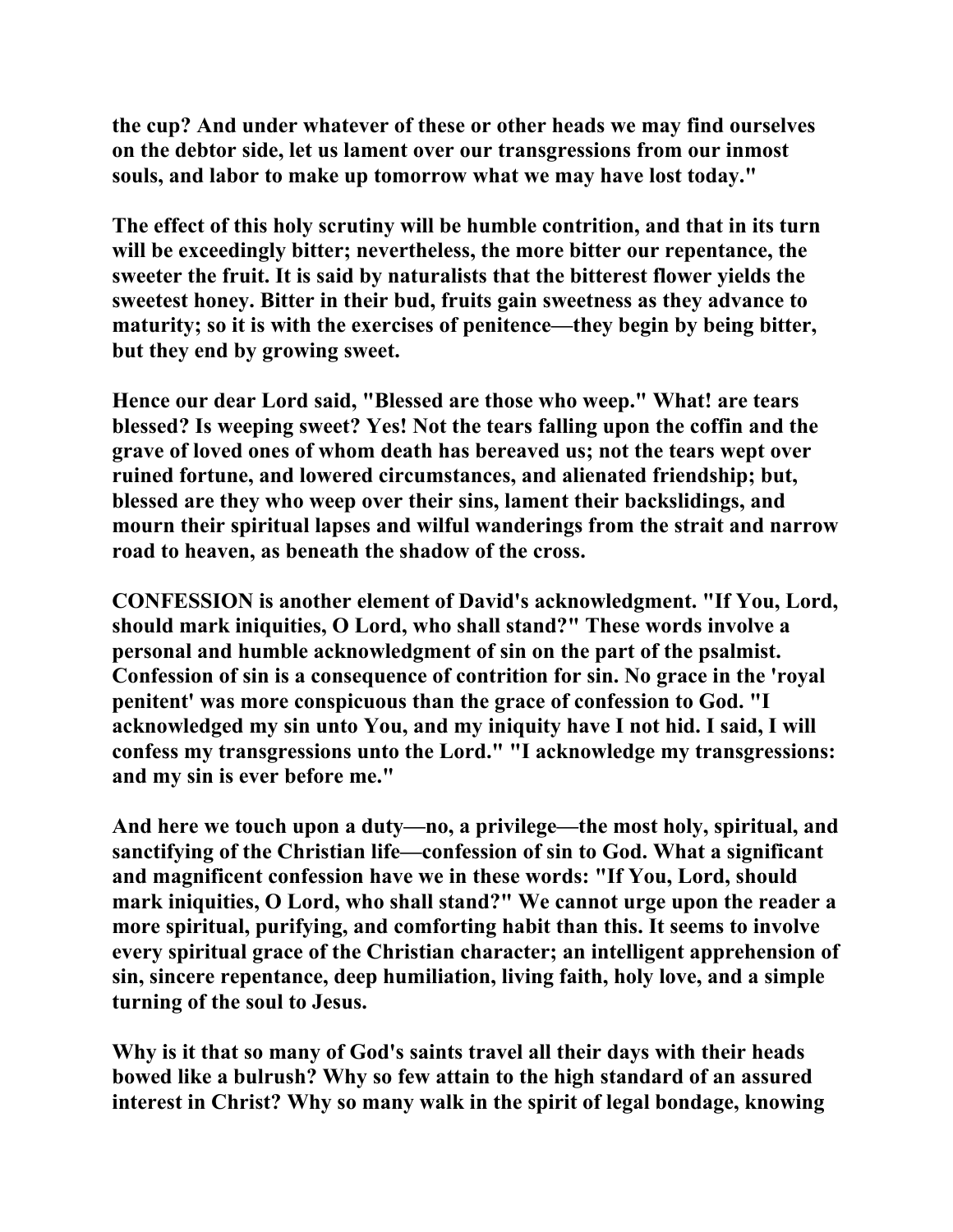**the cup? And under whatever of these or other heads we may find ourselves on the debtor side, let us lament over our transgressions from our inmost souls, and labor to make up tomorrow what we may have lost today."** 

**The effect of this holy scrutiny will be humble contrition, and that in its turn will be exceedingly bitter; nevertheless, the more bitter our repentance, the sweeter the fruit. It is said by naturalists that the bitterest flower yields the sweetest honey. Bitter in their bud, fruits gain sweetness as they advance to maturity; so it is with the exercises of penitence—they begin by being bitter, but they end by growing sweet.** 

**Hence our dear Lord said, "Blessed are those who weep." What! are tears blessed? Is weeping sweet? Yes! Not the tears falling upon the coffin and the grave of loved ones of whom death has bereaved us; not the tears wept over ruined fortune, and lowered circumstances, and alienated friendship; but, blessed are they who weep over their sins, lament their backslidings, and mourn their spiritual lapses and wilful wanderings from the strait and narrow road to heaven, as beneath the shadow of the cross.** 

**CONFESSION is another element of David's acknowledgment. "If You, Lord, should mark iniquities, O Lord, who shall stand?" These words involve a personal and humble acknowledgment of sin on the part of the psalmist. Confession of sin is a consequence of contrition for sin. No grace in the 'royal penitent' was more conspicuous than the grace of confession to God. "I acknowledged my sin unto You, and my iniquity have I not hid. I said, I will confess my transgressions unto the Lord." "I acknowledge my transgressions: and my sin is ever before me."** 

**And here we touch upon a duty—no, a privilege—the most holy, spiritual, and sanctifying of the Christian life—confession of sin to God. What a significant and magnificent confession have we in these words: "If You, Lord, should mark iniquities, O Lord, who shall stand?" We cannot urge upon the reader a more spiritual, purifying, and comforting habit than this. It seems to involve every spiritual grace of the Christian character; an intelligent apprehension of sin, sincere repentance, deep humiliation, living faith, holy love, and a simple turning of the soul to Jesus.** 

**Why is it that so many of God's saints travel all their days with their heads bowed like a bulrush? Why so few attain to the high standard of an assured interest in Christ? Why so many walk in the spirit of legal bondage, knowing**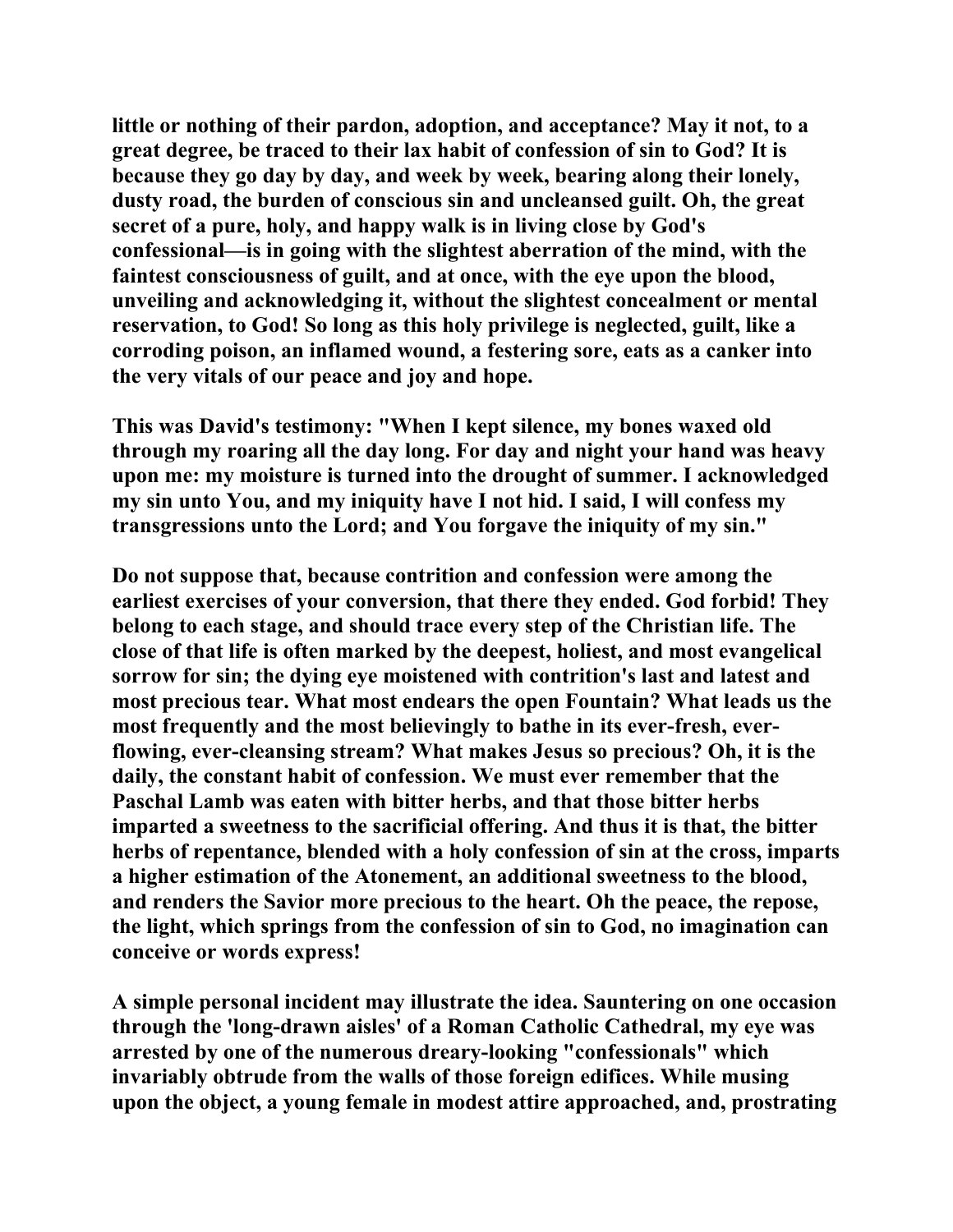**little or nothing of their pardon, adoption, and acceptance? May it not, to a great degree, be traced to their lax habit of confession of sin to God? It is because they go day by day, and week by week, bearing along their lonely, dusty road, the burden of conscious sin and uncleansed guilt. Oh, the great secret of a pure, holy, and happy walk is in living close by God's confessional—is in going with the slightest aberration of the mind, with the faintest consciousness of guilt, and at once, with the eye upon the blood, unveiling and acknowledging it, without the slightest concealment or mental reservation, to God! So long as this holy privilege is neglected, guilt, like a corroding poison, an inflamed wound, a festering sore, eats as a canker into the very vitals of our peace and joy and hope.** 

**This was David's testimony: "When I kept silence, my bones waxed old through my roaring all the day long. For day and night your hand was heavy upon me: my moisture is turned into the drought of summer. I acknowledged my sin unto You, and my iniquity have I not hid. I said, I will confess my transgressions unto the Lord; and You forgave the iniquity of my sin."** 

**Do not suppose that, because contrition and confession were among the earliest exercises of your conversion, that there they ended. God forbid! They belong to each stage, and should trace every step of the Christian life. The close of that life is often marked by the deepest, holiest, and most evangelical sorrow for sin; the dying eye moistened with contrition's last and latest and most precious tear. What most endears the open Fountain? What leads us the most frequently and the most believingly to bathe in its ever-fresh, everflowing, ever-cleansing stream? What makes Jesus so precious? Oh, it is the daily, the constant habit of confession. We must ever remember that the Paschal Lamb was eaten with bitter herbs, and that those bitter herbs imparted a sweetness to the sacrificial offering. And thus it is that, the bitter herbs of repentance, blended with a holy confession of sin at the cross, imparts a higher estimation of the Atonement, an additional sweetness to the blood, and renders the Savior more precious to the heart. Oh the peace, the repose, the light, which springs from the confession of sin to God, no imagination can conceive or words express!** 

**A simple personal incident may illustrate the idea. Sauntering on one occasion through the 'long-drawn aisles' of a Roman Catholic Cathedral, my eye was arrested by one of the numerous dreary-looking "confessionals" which invariably obtrude from the walls of those foreign edifices. While musing upon the object, a young female in modest attire approached, and, prostrating**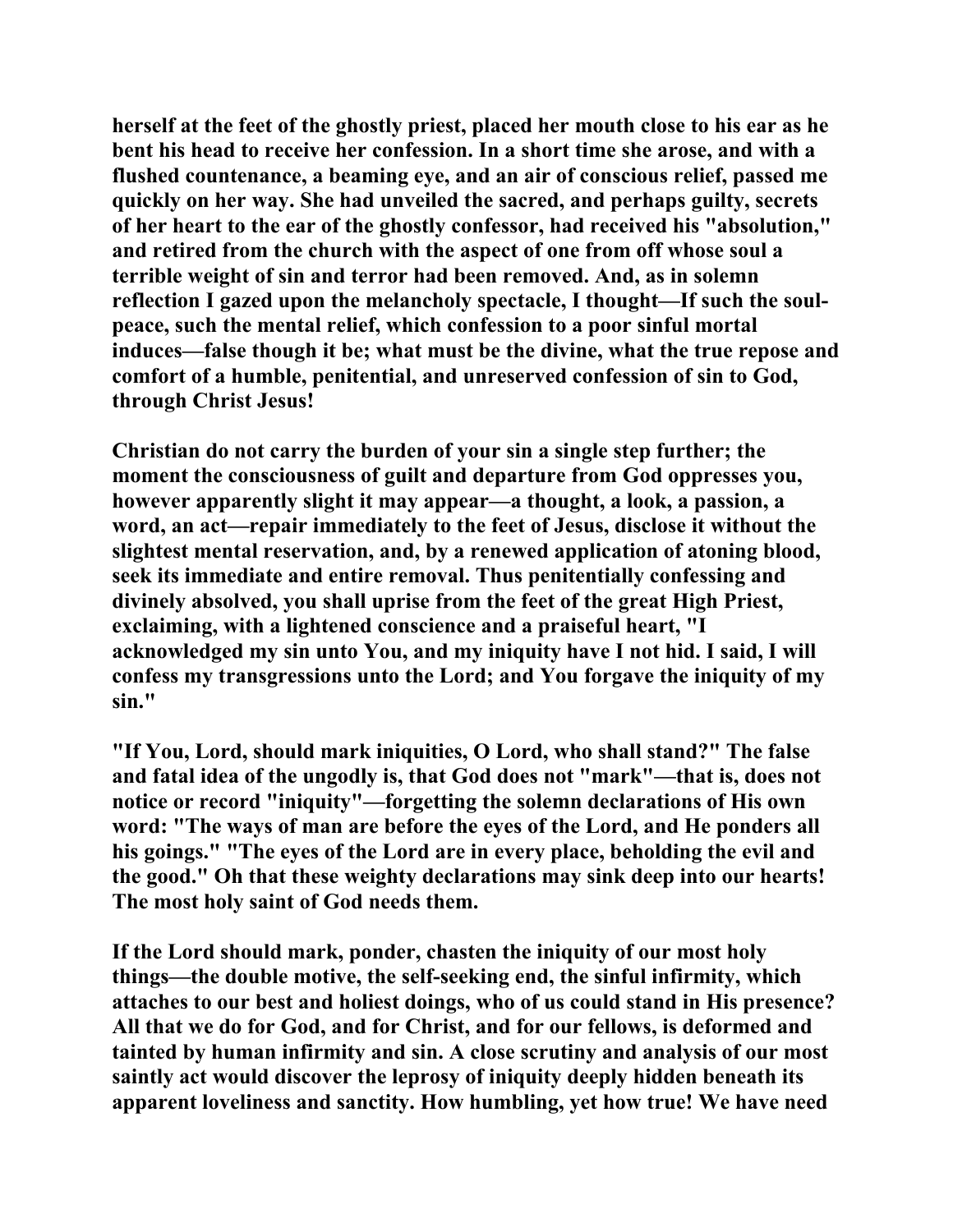**herself at the feet of the ghostly priest, placed her mouth close to his ear as he bent his head to receive her confession. In a short time she arose, and with a flushed countenance, a beaming eye, and an air of conscious relief, passed me quickly on her way. She had unveiled the sacred, and perhaps guilty, secrets of her heart to the ear of the ghostly confessor, had received his "absolution," and retired from the church with the aspect of one from off whose soul a terrible weight of sin and terror had been removed. And, as in solemn reflection I gazed upon the melancholy spectacle, I thought—If such the soulpeace, such the mental relief, which confession to a poor sinful mortal induces—false though it be; what must be the divine, what the true repose and comfort of a humble, penitential, and unreserved confession of sin to God, through Christ Jesus!** 

**Christian do not carry the burden of your sin a single step further; the moment the consciousness of guilt and departure from God oppresses you, however apparently slight it may appear—a thought, a look, a passion, a word, an act—repair immediately to the feet of Jesus, disclose it without the slightest mental reservation, and, by a renewed application of atoning blood, seek its immediate and entire removal. Thus penitentially confessing and divinely absolved, you shall uprise from the feet of the great High Priest, exclaiming, with a lightened conscience and a praiseful heart, "I acknowledged my sin unto You, and my iniquity have I not hid. I said, I will confess my transgressions unto the Lord; and You forgave the iniquity of my sin."** 

**"If You, Lord, should mark iniquities, O Lord, who shall stand?" The false and fatal idea of the ungodly is, that God does not "mark"—that is, does not notice or record "iniquity"—forgetting the solemn declarations of His own word: "The ways of man are before the eyes of the Lord, and He ponders all his goings." "The eyes of the Lord are in every place, beholding the evil and the good." Oh that these weighty declarations may sink deep into our hearts! The most holy saint of God needs them.** 

**If the Lord should mark, ponder, chasten the iniquity of our most holy things—the double motive, the self-seeking end, the sinful infirmity, which attaches to our best and holiest doings, who of us could stand in His presence? All that we do for God, and for Christ, and for our fellows, is deformed and tainted by human infirmity and sin. A close scrutiny and analysis of our most saintly act would discover the leprosy of iniquity deeply hidden beneath its apparent loveliness and sanctity. How humbling, yet how true! We have need**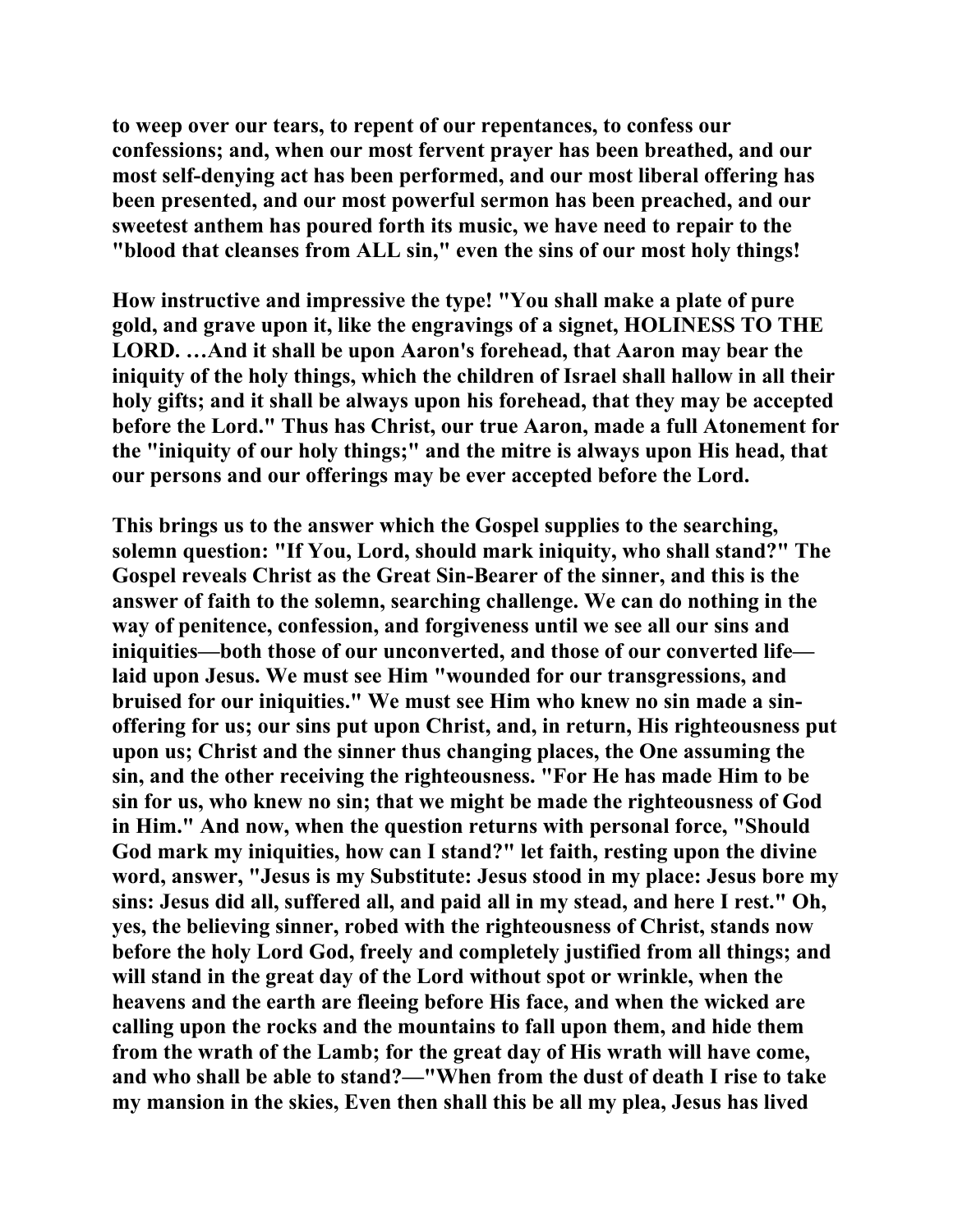**to weep over our tears, to repent of our repentances, to confess our confessions; and, when our most fervent prayer has been breathed, and our most self-denying act has been performed, and our most liberal offering has been presented, and our most powerful sermon has been preached, and our sweetest anthem has poured forth its music, we have need to repair to the "blood that cleanses from ALL sin," even the sins of our most holy things!** 

**How instructive and impressive the type! "You shall make a plate of pure gold, and grave upon it, like the engravings of a signet, HOLINESS TO THE LORD. …And it shall be upon Aaron's forehead, that Aaron may bear the iniquity of the holy things, which the children of Israel shall hallow in all their holy gifts; and it shall be always upon his forehead, that they may be accepted before the Lord." Thus has Christ, our true Aaron, made a full Atonement for the "iniquity of our holy things;" and the mitre is always upon His head, that our persons and our offerings may be ever accepted before the Lord.** 

**This brings us to the answer which the Gospel supplies to the searching, solemn question: "If You, Lord, should mark iniquity, who shall stand?" The Gospel reveals Christ as the Great Sin-Bearer of the sinner, and this is the answer of faith to the solemn, searching challenge. We can do nothing in the way of penitence, confession, and forgiveness until we see all our sins and iniquities—both those of our unconverted, and those of our converted life laid upon Jesus. We must see Him "wounded for our transgressions, and bruised for our iniquities." We must see Him who knew no sin made a sinoffering for us; our sins put upon Christ, and, in return, His righteousness put upon us; Christ and the sinner thus changing places, the One assuming the sin, and the other receiving the righteousness. "For He has made Him to be sin for us, who knew no sin; that we might be made the righteousness of God in Him." And now, when the question returns with personal force, "Should God mark my iniquities, how can I stand?" let faith, resting upon the divine word, answer, "Jesus is my Substitute: Jesus stood in my place: Jesus bore my sins: Jesus did all, suffered all, and paid all in my stead, and here I rest." Oh, yes, the believing sinner, robed with the righteousness of Christ, stands now before the holy Lord God, freely and completely justified from all things; and will stand in the great day of the Lord without spot or wrinkle, when the heavens and the earth are fleeing before His face, and when the wicked are calling upon the rocks and the mountains to fall upon them, and hide them from the wrath of the Lamb; for the great day of His wrath will have come, and who shall be able to stand?—"When from the dust of death I rise to take my mansion in the skies, Even then shall this be all my plea, Jesus has lived**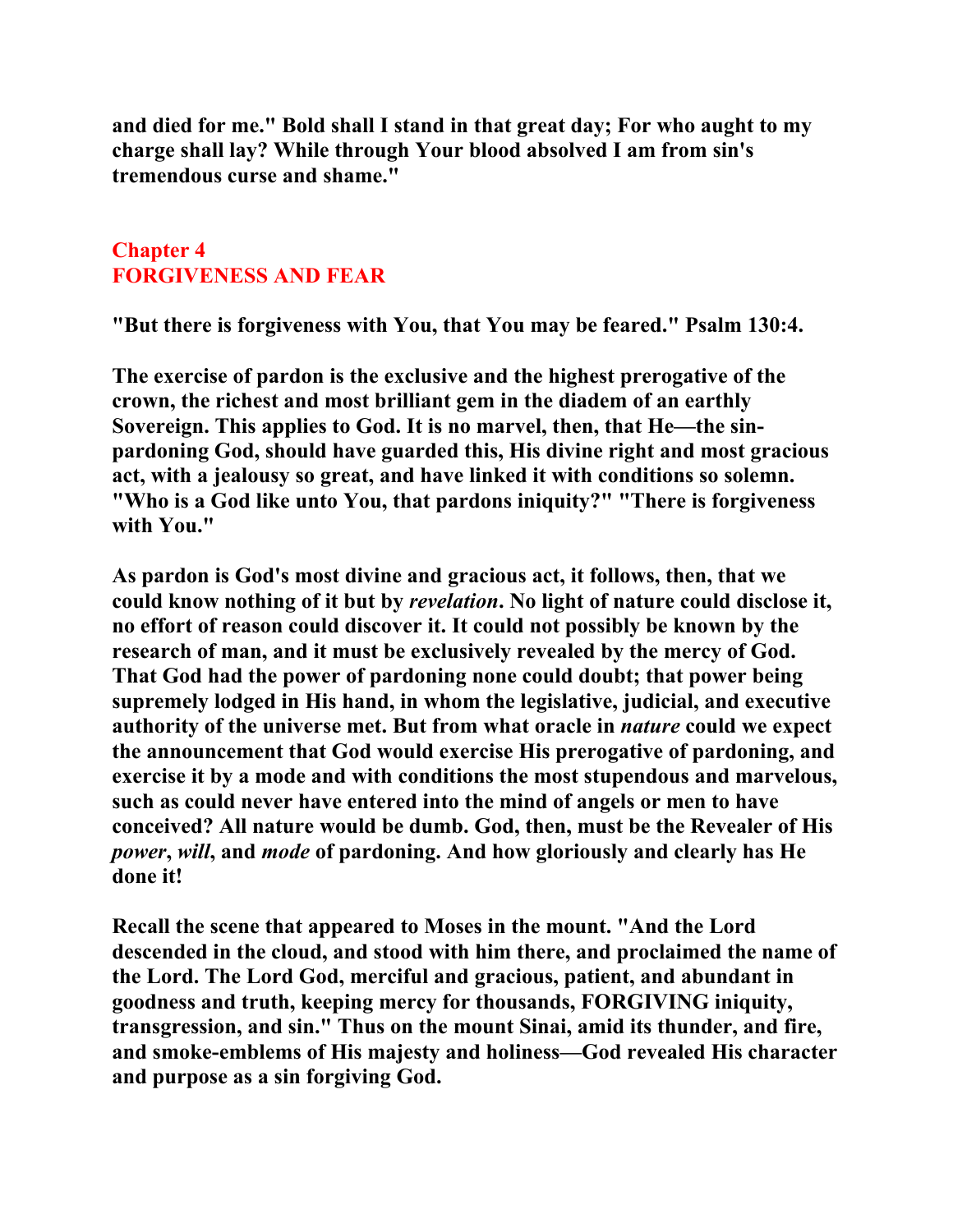**and died for me." Bold shall I stand in that great day; For who aught to my charge shall lay? While through Your blood absolved I am from sin's tremendous curse and shame."** 

## **Chapter 4 FORGIVENESS AND FEAR**

**"But there is forgiveness with You, that You may be feared." Psalm 130:4.** 

**The exercise of pardon is the exclusive and the highest prerogative of the crown, the richest and most brilliant gem in the diadem of an earthly Sovereign. This applies to God. It is no marvel, then, that He—the sinpardoning God, should have guarded this, His divine right and most gracious act, with a jealousy so great, and have linked it with conditions so solemn. "Who is a God like unto You, that pardons iniquity?" "There is forgiveness with You."** 

**As pardon is God's most divine and gracious act, it follows, then, that we could know nothing of it but by** *revelation***. No light of nature could disclose it, no effort of reason could discover it. It could not possibly be known by the research of man, and it must be exclusively revealed by the mercy of God. That God had the power of pardoning none could doubt; that power being supremely lodged in His hand, in whom the legislative, judicial, and executive authority of the universe met. But from what oracle in** *nature* **could we expect the announcement that God would exercise His prerogative of pardoning, and exercise it by a mode and with conditions the most stupendous and marvelous, such as could never have entered into the mind of angels or men to have conceived? All nature would be dumb. God, then, must be the Revealer of His**  *power***,** *will***, and** *mode* **of pardoning. And how gloriously and clearly has He done it!** 

**Recall the scene that appeared to Moses in the mount. "And the Lord descended in the cloud, and stood with him there, and proclaimed the name of the Lord. The Lord God, merciful and gracious, patient, and abundant in goodness and truth, keeping mercy for thousands, FORGIVING iniquity, transgression, and sin." Thus on the mount Sinai, amid its thunder, and fire, and smoke-emblems of His majesty and holiness—God revealed His character and purpose as a sin forgiving God.**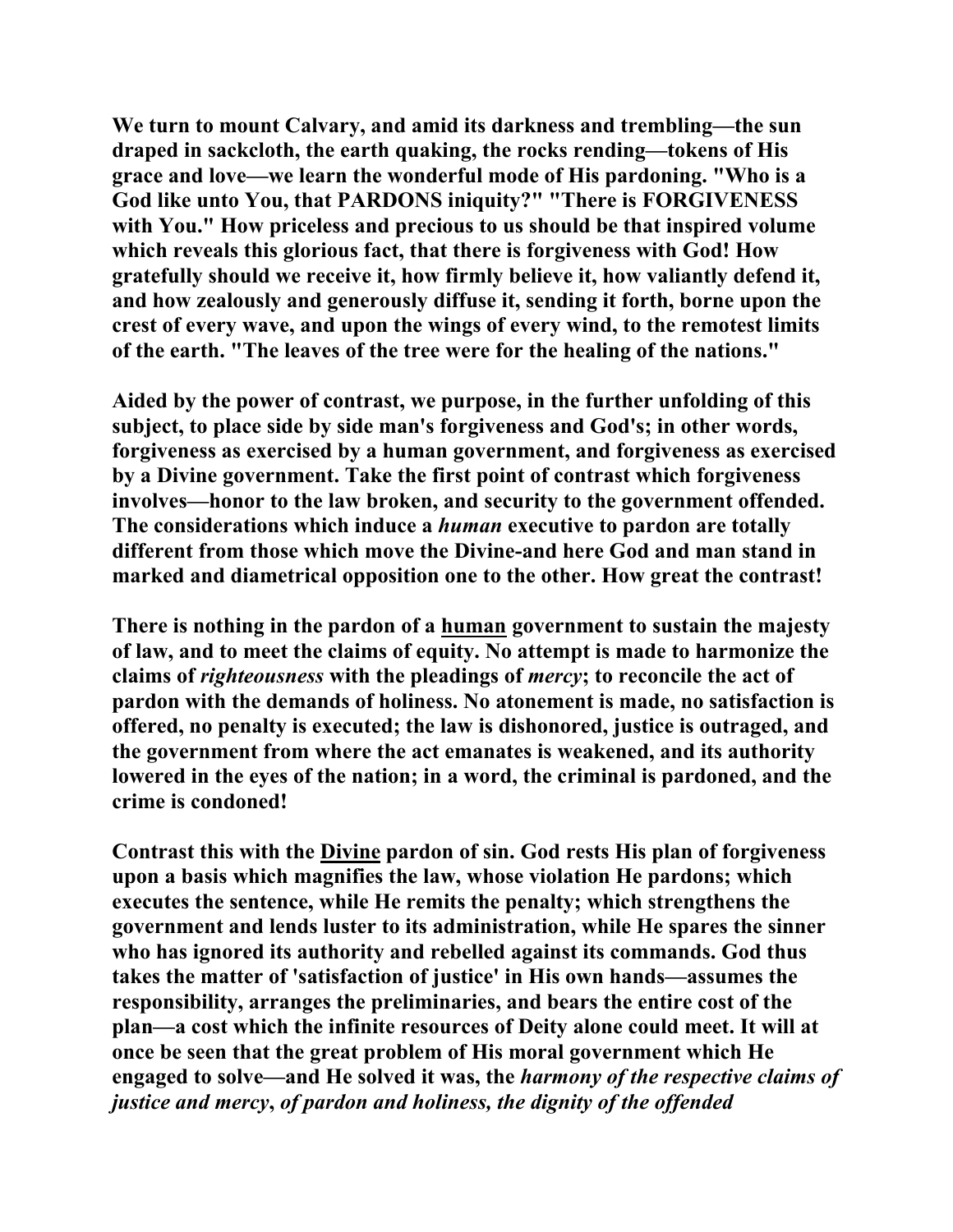**We turn to mount Calvary, and amid its darkness and trembling—the sun draped in sackcloth, the earth quaking, the rocks rending—tokens of His grace and love—we learn the wonderful mode of His pardoning. "Who is a God like unto You, that PARDONS iniquity?" "There is FORGIVENESS with You." How priceless and precious to us should be that inspired volume which reveals this glorious fact, that there is forgiveness with God! How gratefully should we receive it, how firmly believe it, how valiantly defend it, and how zealously and generously diffuse it, sending it forth, borne upon the crest of every wave, and upon the wings of every wind, to the remotest limits of the earth. "The leaves of the tree were for the healing of the nations."** 

**Aided by the power of contrast, we purpose, in the further unfolding of this subject, to place side by side man's forgiveness and God's; in other words, forgiveness as exercised by a human government, and forgiveness as exercised by a Divine government. Take the first point of contrast which forgiveness involves—honor to the law broken, and security to the government offended. The considerations which induce a** *human* **executive to pardon are totally different from those which move the Divine-and here God and man stand in marked and diametrical opposition one to the other. How great the contrast!** 

**There is nothing in the pardon of a human government to sustain the majesty of law, and to meet the claims of equity. No attempt is made to harmonize the claims of** *righteousness* **with the pleadings of** *mercy***; to reconcile the act of pardon with the demands of holiness. No atonement is made, no satisfaction is offered, no penalty is executed; the law is dishonored, justice is outraged, and the government from where the act emanates is weakened, and its authority lowered in the eyes of the nation; in a word, the criminal is pardoned, and the crime is condoned!** 

**Contrast this with the Divine pardon of sin. God rests His plan of forgiveness upon a basis which magnifies the law, whose violation He pardons; which executes the sentence, while He remits the penalty; which strengthens the government and lends luster to its administration, while He spares the sinner who has ignored its authority and rebelled against its commands. God thus takes the matter of 'satisfaction of justice' in His own hands—assumes the responsibility, arranges the preliminaries, and bears the entire cost of the plan—a cost which the infinite resources of Deity alone could meet. It will at once be seen that the great problem of His moral government which He engaged to solve—and He solved it was, the** *harmony of the respective claims of justice and mercy***,** *of pardon and holiness, the dignity of the offended*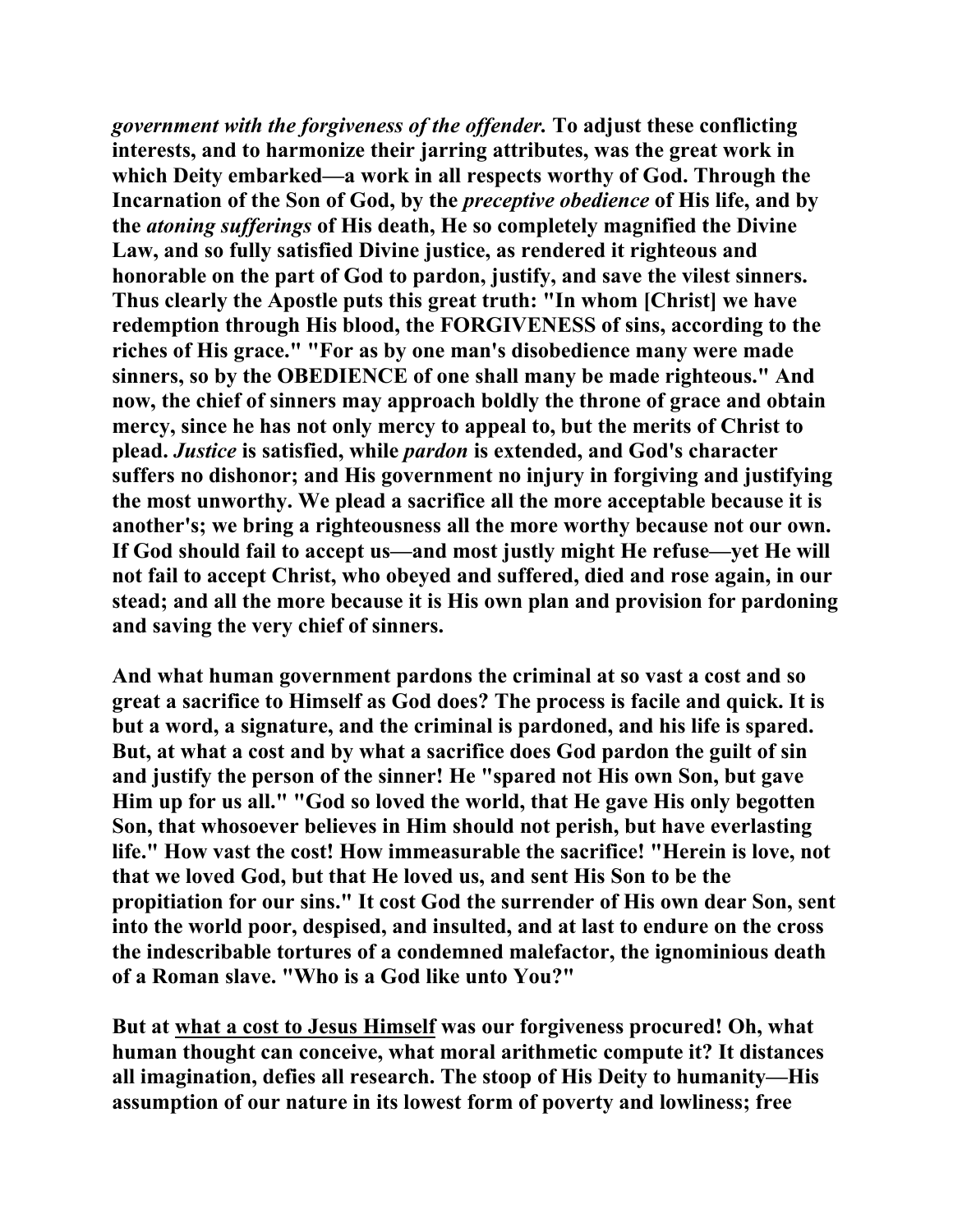*government with the forgiveness of the offender.* **To adjust these conflicting interests, and to harmonize their jarring attributes, was the great work in which Deity embarked—a work in all respects worthy of God. Through the Incarnation of the Son of God, by the** *preceptive obedience* **of His life, and by the** *atoning sufferings* **of His death, He so completely magnified the Divine Law, and so fully satisfied Divine justice, as rendered it righteous and honorable on the part of God to pardon, justify, and save the vilest sinners. Thus clearly the Apostle puts this great truth: "In whom [Christ] we have redemption through His blood, the FORGIVENESS of sins, according to the riches of His grace." "For as by one man's disobedience many were made sinners, so by the OBEDIENCE of one shall many be made righteous." And now, the chief of sinners may approach boldly the throne of grace and obtain mercy, since he has not only mercy to appeal to, but the merits of Christ to plead.** *Justice* **is satisfied, while** *pardon* **is extended, and God's character suffers no dishonor; and His government no injury in forgiving and justifying the most unworthy. We plead a sacrifice all the more acceptable because it is another's; we bring a righteousness all the more worthy because not our own. If God should fail to accept us—and most justly might He refuse—yet He will not fail to accept Christ, who obeyed and suffered, died and rose again, in our stead; and all the more because it is His own plan and provision for pardoning and saving the very chief of sinners.** 

**And what human government pardons the criminal at so vast a cost and so great a sacrifice to Himself as God does? The process is facile and quick. It is but a word, a signature, and the criminal is pardoned, and his life is spared. But, at what a cost and by what a sacrifice does God pardon the guilt of sin and justify the person of the sinner! He "spared not His own Son, but gave Him up for us all." "God so loved the world, that He gave His only begotten Son, that whosoever believes in Him should not perish, but have everlasting life." How vast the cost! How immeasurable the sacrifice! "Herein is love, not that we loved God, but that He loved us, and sent His Son to be the propitiation for our sins." It cost God the surrender of His own dear Son, sent into the world poor, despised, and insulted, and at last to endure on the cross the indescribable tortures of a condemned malefactor, the ignominious death of a Roman slave. "Who is a God like unto You?"** 

**But at what a cost to Jesus Himself was our forgiveness procured! Oh, what human thought can conceive, what moral arithmetic compute it? It distances all imagination, defies all research. The stoop of His Deity to humanity—His assumption of our nature in its lowest form of poverty and lowliness; free**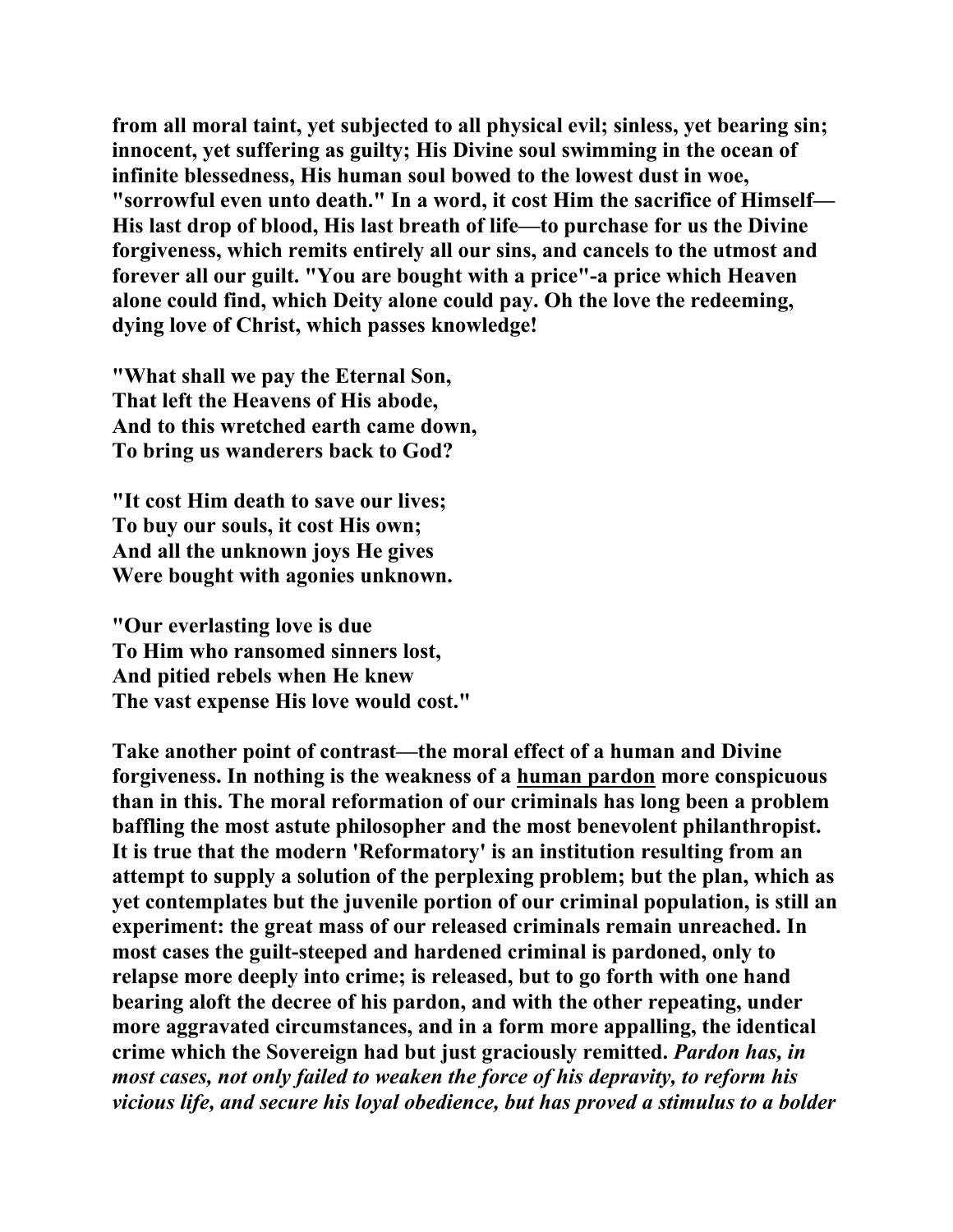**from all moral taint, yet subjected to all physical evil; sinless, yet bearing sin; innocent, yet suffering as guilty; His Divine soul swimming in the ocean of infinite blessedness, His human soul bowed to the lowest dust in woe, "sorrowful even unto death." In a word, it cost Him the sacrifice of Himself— His last drop of blood, His last breath of life—to purchase for us the Divine forgiveness, which remits entirely all our sins, and cancels to the utmost and forever all our guilt. "You are bought with a price"-a price which Heaven alone could find, which Deity alone could pay. Oh the love the redeeming, dying love of Christ, which passes knowledge!** 

**"What shall we pay the Eternal Son, That left the Heavens of His abode, And to this wretched earth came down, To bring us wanderers back to God?** 

**"It cost Him death to save our lives; To buy our souls, it cost His own; And all the unknown joys He gives Were bought with agonies unknown.** 

**"Our everlasting love is due To Him who ransomed sinners lost, And pitied rebels when He knew The vast expense His love would cost."** 

**Take another point of contrast—the moral effect of a human and Divine forgiveness. In nothing is the weakness of a human pardon more conspicuous than in this. The moral reformation of our criminals has long been a problem baffling the most astute philosopher and the most benevolent philanthropist. It is true that the modern 'Reformatory' is an institution resulting from an attempt to supply a solution of the perplexing problem; but the plan, which as yet contemplates but the juvenile portion of our criminal population, is still an experiment: the great mass of our released criminals remain unreached. In most cases the guilt-steeped and hardened criminal is pardoned, only to relapse more deeply into crime; is released, but to go forth with one hand bearing aloft the decree of his pardon, and with the other repeating, under more aggravated circumstances, and in a form more appalling, the identical crime which the Sovereign had but just graciously remitted.** *Pardon has, in most cases, not only failed to weaken the force of his depravity, to reform his vicious life, and secure his loyal obedience, but has proved a stimulus to a bolder*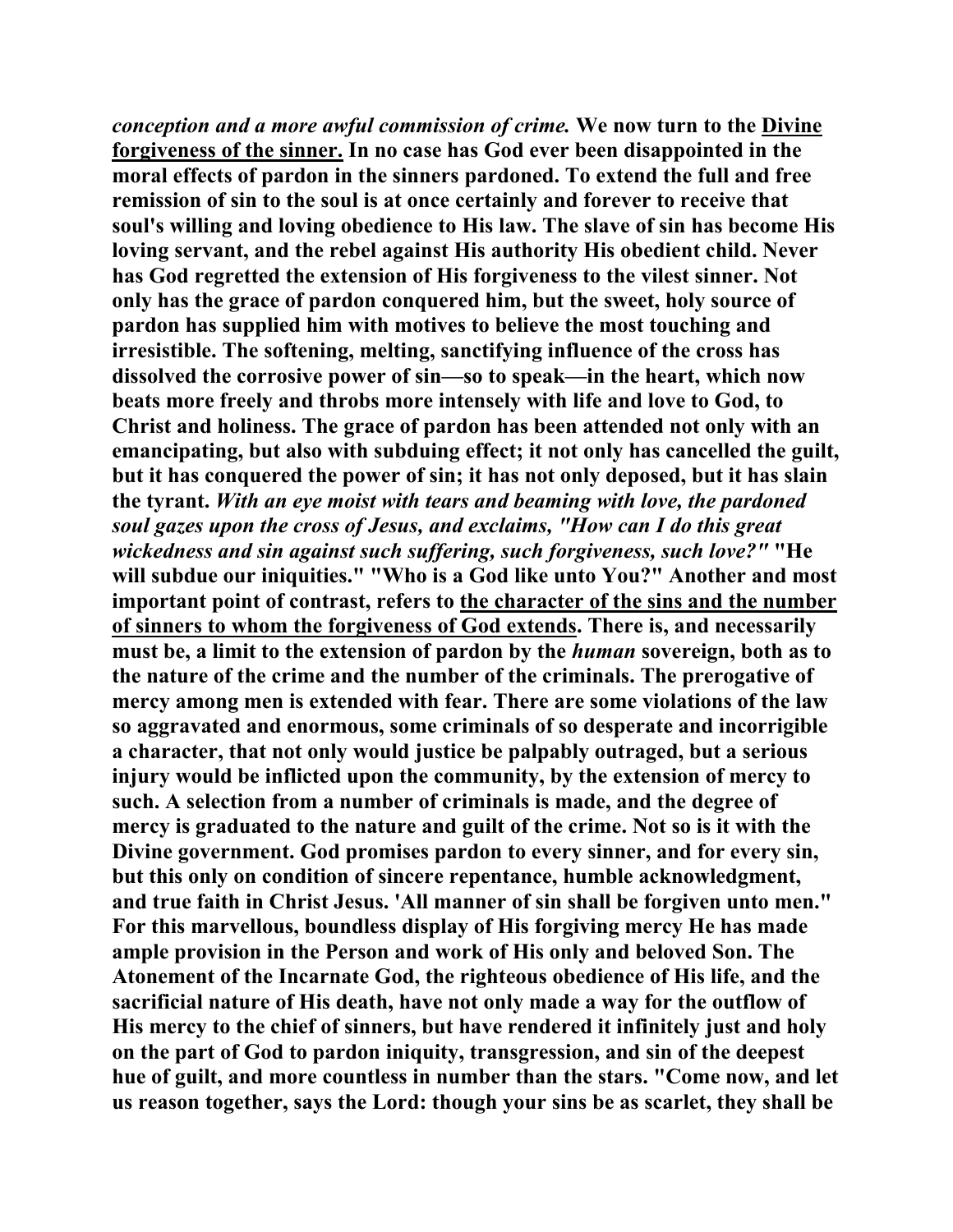*conception and a more awful commission of crime.* **We now turn to the Divine forgiveness of the sinner. In no case has God ever been disappointed in the moral effects of pardon in the sinners pardoned. To extend the full and free remission of sin to the soul is at once certainly and forever to receive that soul's willing and loving obedience to His law. The slave of sin has become His loving servant, and the rebel against His authority His obedient child. Never has God regretted the extension of His forgiveness to the vilest sinner. Not only has the grace of pardon conquered him, but the sweet, holy source of pardon has supplied him with motives to believe the most touching and irresistible. The softening, melting, sanctifying influence of the cross has dissolved the corrosive power of sin—so to speak—in the heart, which now beats more freely and throbs more intensely with life and love to God, to Christ and holiness. The grace of pardon has been attended not only with an emancipating, but also with subduing effect; it not only has cancelled the guilt, but it has conquered the power of sin; it has not only deposed, but it has slain the tyrant.** *With an eye moist with tears and beaming with love, the pardoned soul gazes upon the cross of Jesus, and exclaims, "How can I do this great wickedness and sin against such suffering, such forgiveness, such love?"* **"He will subdue our iniquities." "Who is a God like unto You?" Another and most important point of contrast, refers to the character of the sins and the number of sinners to whom the forgiveness of God extends. There is, and necessarily must be, a limit to the extension of pardon by the** *human* **sovereign, both as to the nature of the crime and the number of the criminals. The prerogative of mercy among men is extended with fear. There are some violations of the law so aggravated and enormous, some criminals of so desperate and incorrigible a character, that not only would justice be palpably outraged, but a serious injury would be inflicted upon the community, by the extension of mercy to such. A selection from a number of criminals is made, and the degree of mercy is graduated to the nature and guilt of the crime. Not so is it with the Divine government. God promises pardon to every sinner, and for every sin, but this only on condition of sincere repentance, humble acknowledgment, and true faith in Christ Jesus. 'All manner of sin shall be forgiven unto men." For this marvellous, boundless display of His forgiving mercy He has made ample provision in the Person and work of His only and beloved Son. The Atonement of the Incarnate God, the righteous obedience of His life, and the sacrificial nature of His death, have not only made a way for the outflow of His mercy to the chief of sinners, but have rendered it infinitely just and holy on the part of God to pardon iniquity, transgression, and sin of the deepest hue of guilt, and more countless in number than the stars. "Come now, and let us reason together, says the Lord: though your sins be as scarlet, they shall be**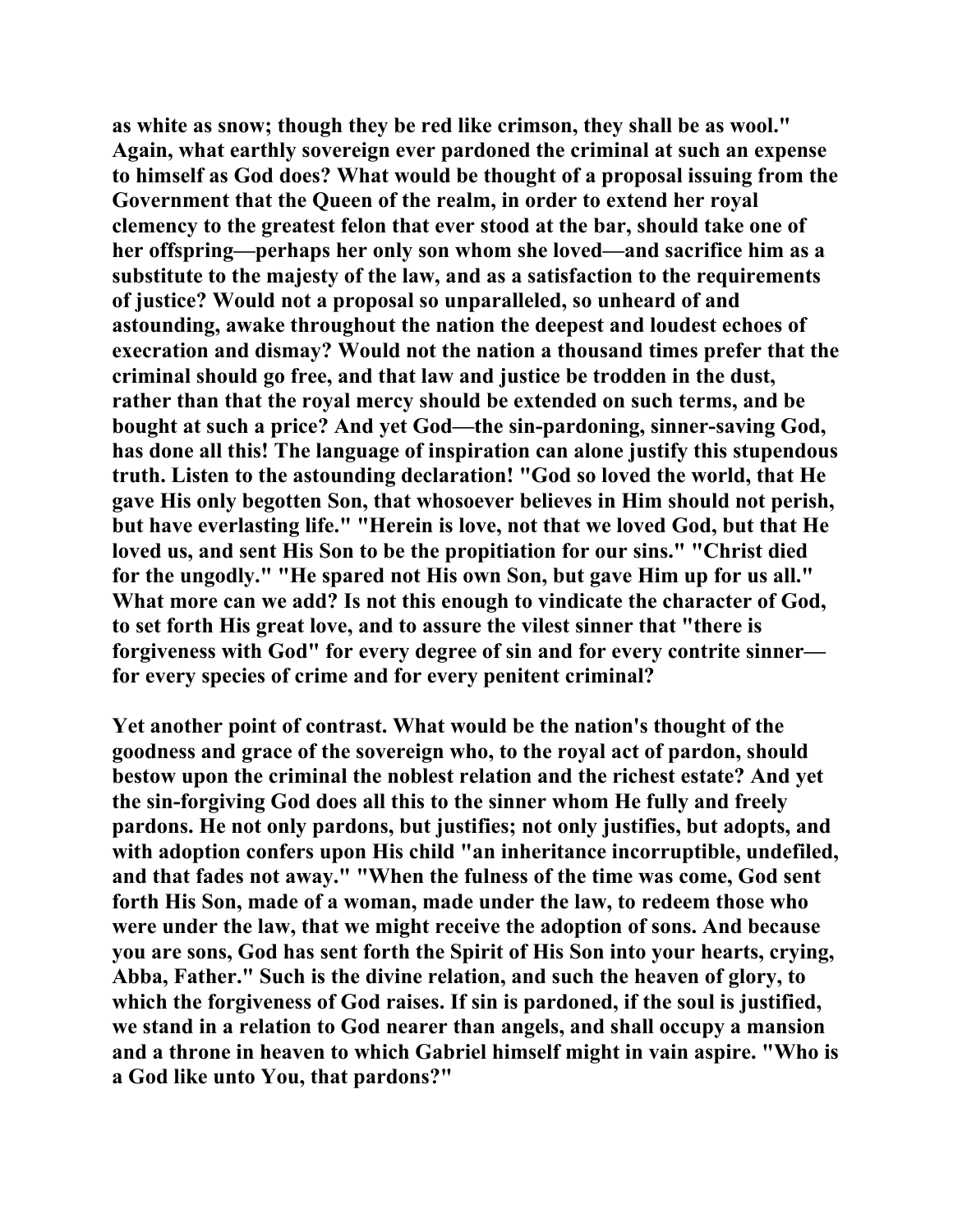**as white as snow; though they be red like crimson, they shall be as wool." Again, what earthly sovereign ever pardoned the criminal at such an expense to himself as God does? What would be thought of a proposal issuing from the Government that the Queen of the realm, in order to extend her royal clemency to the greatest felon that ever stood at the bar, should take one of her offspring—perhaps her only son whom she loved—and sacrifice him as a substitute to the majesty of the law, and as a satisfaction to the requirements of justice? Would not a proposal so unparalleled, so unheard of and astounding, awake throughout the nation the deepest and loudest echoes of execration and dismay? Would not the nation a thousand times prefer that the criminal should go free, and that law and justice be trodden in the dust, rather than that the royal mercy should be extended on such terms, and be bought at such a price? And yet God—the sin-pardoning, sinner-saving God, has done all this! The language of inspiration can alone justify this stupendous truth. Listen to the astounding declaration! "God so loved the world, that He gave His only begotten Son, that whosoever believes in Him should not perish, but have everlasting life." "Herein is love, not that we loved God, but that He loved us, and sent His Son to be the propitiation for our sins." "Christ died for the ungodly." "He spared not His own Son, but gave Him up for us all." What more can we add? Is not this enough to vindicate the character of God, to set forth His great love, and to assure the vilest sinner that "there is forgiveness with God" for every degree of sin and for every contrite sinner for every species of crime and for every penitent criminal?** 

**Yet another point of contrast. What would be the nation's thought of the goodness and grace of the sovereign who, to the royal act of pardon, should bestow upon the criminal the noblest relation and the richest estate? And yet the sin-forgiving God does all this to the sinner whom He fully and freely pardons. He not only pardons, but justifies; not only justifies, but adopts, and with adoption confers upon His child "an inheritance incorruptible, undefiled, and that fades not away." "When the fulness of the time was come, God sent forth His Son, made of a woman, made under the law, to redeem those who were under the law, that we might receive the adoption of sons. And because you are sons, God has sent forth the Spirit of His Son into your hearts, crying, Abba, Father." Such is the divine relation, and such the heaven of glory, to which the forgiveness of God raises. If sin is pardoned, if the soul is justified, we stand in a relation to God nearer than angels, and shall occupy a mansion and a throne in heaven to which Gabriel himself might in vain aspire. "Who is a God like unto You, that pardons?"**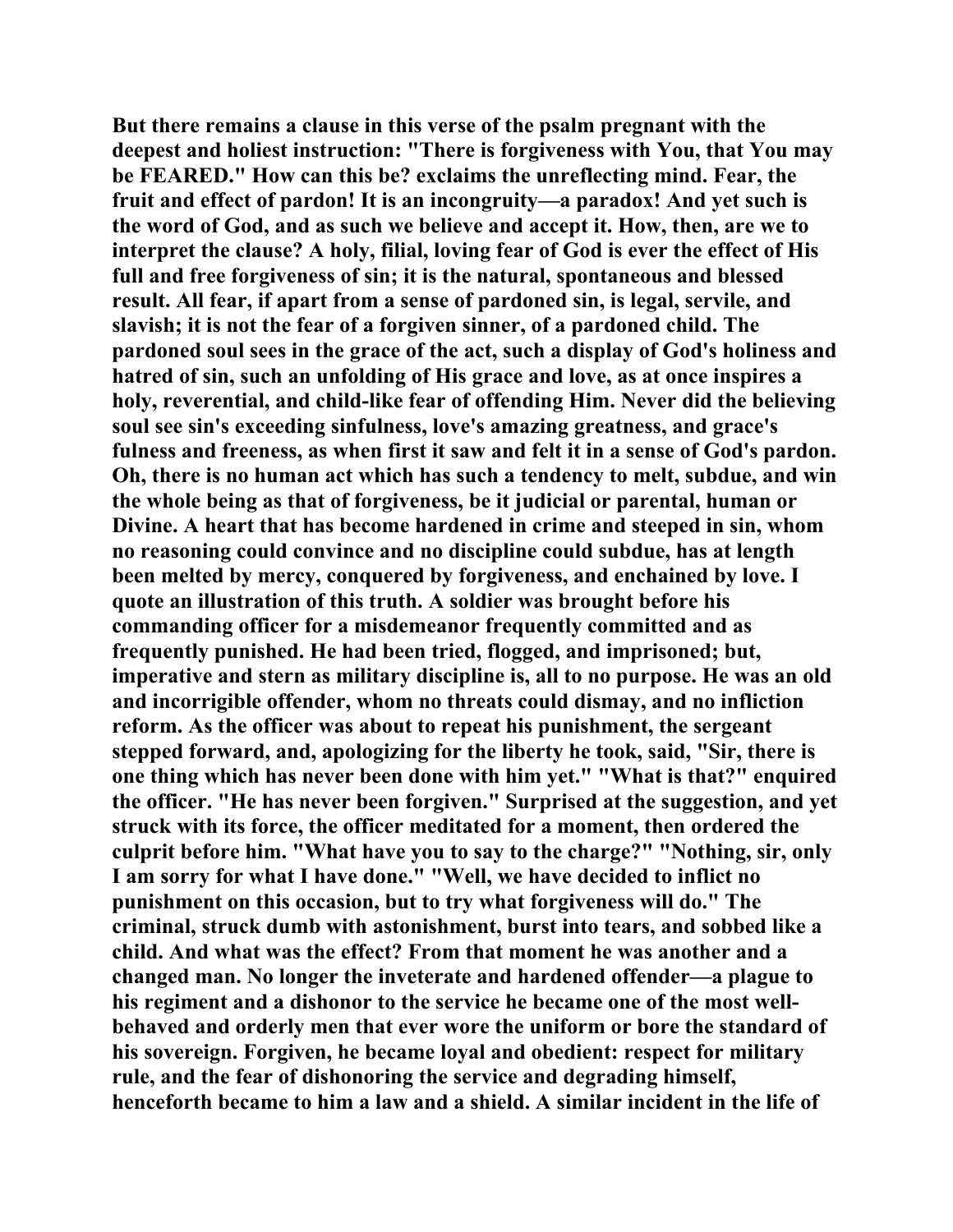**But there remains a clause in this verse of the psalm pregnant with the deepest and holiest instruction: "There is forgiveness with You, that You may be FEARED." How can this be? exclaims the unreflecting mind. Fear, the fruit and effect of pardon! It is an incongruity—a paradox! And yet such is the word of God, and as such we believe and accept it. How, then, are we to interpret the clause? A holy, filial, loving fear of God is ever the effect of His full and free forgiveness of sin; it is the natural, spontaneous and blessed result. All fear, if apart from a sense of pardoned sin, is legal, servile, and slavish; it is not the fear of a forgiven sinner, of a pardoned child. The pardoned soul sees in the grace of the act, such a display of God's holiness and hatred of sin, such an unfolding of His grace and love, as at once inspires a holy, reverential, and child-like fear of offending Him. Never did the believing soul see sin's exceeding sinfulness, love's amazing greatness, and grace's fulness and freeness, as when first it saw and felt it in a sense of God's pardon. Oh, there is no human act which has such a tendency to melt, subdue, and win the whole being as that of forgiveness, be it judicial or parental, human or Divine. A heart that has become hardened in crime and steeped in sin, whom no reasoning could convince and no discipline could subdue, has at length been melted by mercy, conquered by forgiveness, and enchained by love. I quote an illustration of this truth. A soldier was brought before his commanding officer for a misdemeanor frequently committed and as frequently punished. He had been tried, flogged, and imprisoned; but, imperative and stern as military discipline is, all to no purpose. He was an old and incorrigible offender, whom no threats could dismay, and no infliction reform. As the officer was about to repeat his punishment, the sergeant stepped forward, and, apologizing for the liberty he took, said, "Sir, there is one thing which has never been done with him yet." "What is that?" enquired the officer. "He has never been forgiven." Surprised at the suggestion, and yet struck with its force, the officer meditated for a moment, then ordered the culprit before him. "What have you to say to the charge?" "Nothing, sir, only I am sorry for what I have done." "Well, we have decided to inflict no punishment on this occasion, but to try what forgiveness will do." The criminal, struck dumb with astonishment, burst into tears, and sobbed like a child. And what was the effect? From that moment he was another and a changed man. No longer the inveterate and hardened offender—a plague to his regiment and a dishonor to the service he became one of the most wellbehaved and orderly men that ever wore the uniform or bore the standard of his sovereign. Forgiven, he became loyal and obedient: respect for military rule, and the fear of dishonoring the service and degrading himself, henceforth became to him a law and a shield. A similar incident in the life of**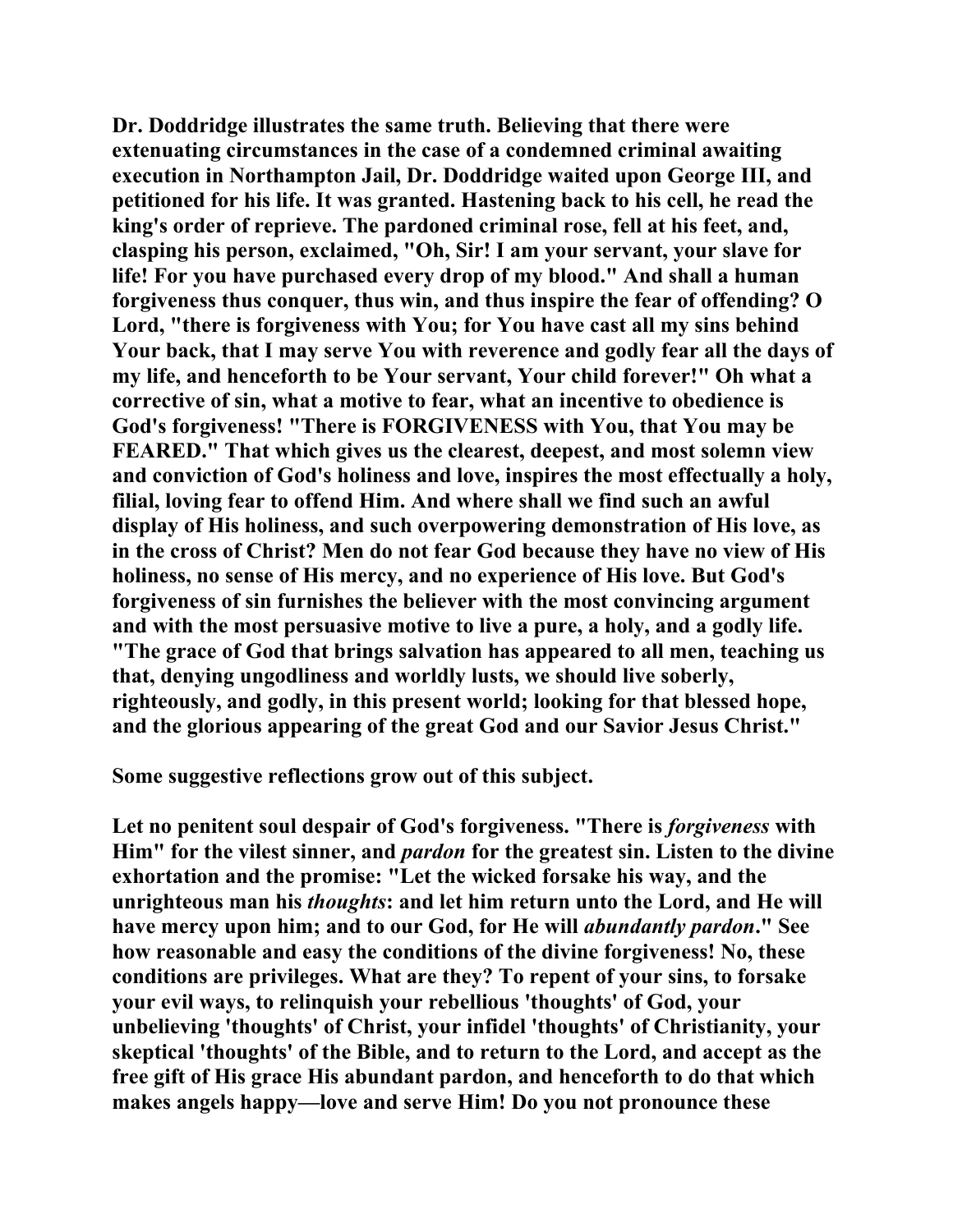**Dr. Doddridge illustrates the same truth. Believing that there were extenuating circumstances in the case of a condemned criminal awaiting execution in Northampton Jail, Dr. Doddridge waited upon George III, and petitioned for his life. It was granted. Hastening back to his cell, he read the king's order of reprieve. The pardoned criminal rose, fell at his feet, and, clasping his person, exclaimed, "Oh, Sir! I am your servant, your slave for life! For you have purchased every drop of my blood." And shall a human forgiveness thus conquer, thus win, and thus inspire the fear of offending? O Lord, "there is forgiveness with You; for You have cast all my sins behind Your back, that I may serve You with reverence and godly fear all the days of my life, and henceforth to be Your servant, Your child forever!" Oh what a corrective of sin, what a motive to fear, what an incentive to obedience is God's forgiveness! "There is FORGIVENESS with You, that You may be FEARED." That which gives us the clearest, deepest, and most solemn view and conviction of God's holiness and love, inspires the most effectually a holy, filial, loving fear to offend Him. And where shall we find such an awful display of His holiness, and such overpowering demonstration of His love, as in the cross of Christ? Men do not fear God because they have no view of His holiness, no sense of His mercy, and no experience of His love. But God's forgiveness of sin furnishes the believer with the most convincing argument and with the most persuasive motive to live a pure, a holy, and a godly life. "The grace of God that brings salvation has appeared to all men, teaching us that, denying ungodliness and worldly lusts, we should live soberly, righteously, and godly, in this present world; looking for that blessed hope, and the glorious appearing of the great God and our Savior Jesus Christ."** 

**Some suggestive reflections grow out of this subject.** 

Let no penitent soul despair of God's forgiveness. "There is *forgiveness* with **Him" for the vilest sinner, and** *pardon* **for the greatest sin. Listen to the divine exhortation and the promise: "Let the wicked forsake his way, and the unrighteous man his** *thoughts***: and let him return unto the Lord, and He will have mercy upon him; and to our God, for He will** *abundantly pardon***." See how reasonable and easy the conditions of the divine forgiveness! No, these conditions are privileges. What are they? To repent of your sins, to forsake your evil ways, to relinquish your rebellious 'thoughts' of God, your unbelieving 'thoughts' of Christ, your infidel 'thoughts' of Christianity, your skeptical 'thoughts' of the Bible, and to return to the Lord, and accept as the free gift of His grace His abundant pardon, and henceforth to do that which makes angels happy—love and serve Him! Do you not pronounce these**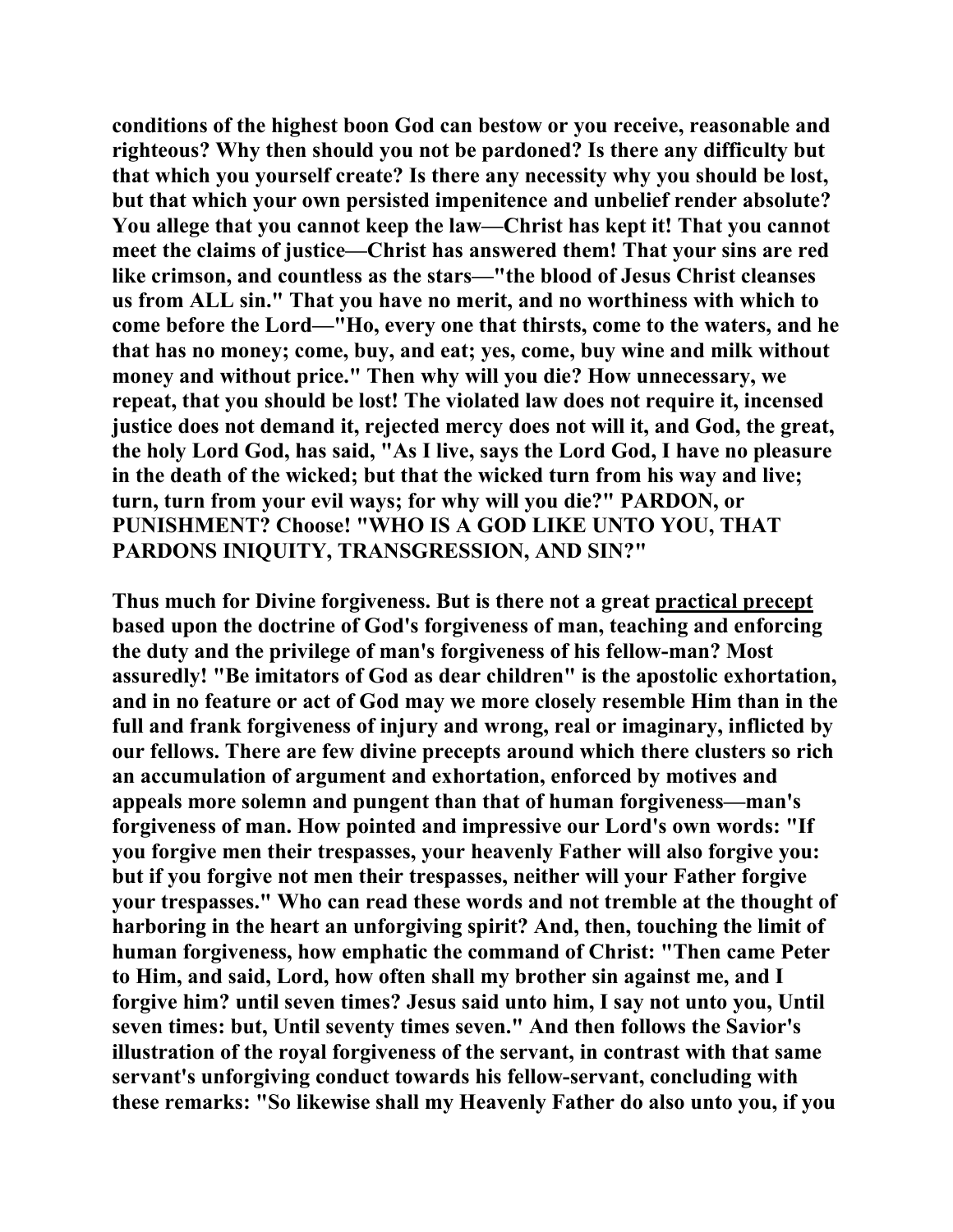**conditions of the highest boon God can bestow or you receive, reasonable and righteous? Why then should you not be pardoned? Is there any difficulty but that which you yourself create? Is there any necessity why you should be lost, but that which your own persisted impenitence and unbelief render absolute? You allege that you cannot keep the law—Christ has kept it! That you cannot meet the claims of justice—Christ has answered them! That your sins are red like crimson, and countless as the stars—"the blood of Jesus Christ cleanses us from ALL sin." That you have no merit, and no worthiness with which to come before the Lord—"Ho, every one that thirsts, come to the waters, and he that has no money; come, buy, and eat; yes, come, buy wine and milk without money and without price." Then why will you die? How unnecessary, we repeat, that you should be lost! The violated law does not require it, incensed justice does not demand it, rejected mercy does not will it, and God, the great, the holy Lord God, has said, "As I live, says the Lord God, I have no pleasure in the death of the wicked; but that the wicked turn from his way and live; turn, turn from your evil ways; for why will you die?" PARDON, or PUNISHMENT? Choose! "WHO IS A GOD LIKE UNTO YOU, THAT PARDONS INIQUITY, TRANSGRESSION, AND SIN?"** 

**Thus much for Divine forgiveness. But is there not a great practical precept based upon the doctrine of God's forgiveness of man, teaching and enforcing the duty and the privilege of man's forgiveness of his fellow-man? Most assuredly! "Be imitators of God as dear children" is the apostolic exhortation, and in no feature or act of God may we more closely resemble Him than in the full and frank forgiveness of injury and wrong, real or imaginary, inflicted by our fellows. There are few divine precepts around which there clusters so rich an accumulation of argument and exhortation, enforced by motives and appeals more solemn and pungent than that of human forgiveness—man's forgiveness of man. How pointed and impressive our Lord's own words: "If you forgive men their trespasses, your heavenly Father will also forgive you: but if you forgive not men their trespasses, neither will your Father forgive your trespasses." Who can read these words and not tremble at the thought of harboring in the heart an unforgiving spirit? And, then, touching the limit of human forgiveness, how emphatic the command of Christ: "Then came Peter to Him, and said, Lord, how often shall my brother sin against me, and I forgive him? until seven times? Jesus said unto him, I say not unto you, Until seven times: but, Until seventy times seven." And then follows the Savior's illustration of the royal forgiveness of the servant, in contrast with that same servant's unforgiving conduct towards his fellow-servant, concluding with these remarks: "So likewise shall my Heavenly Father do also unto you, if you**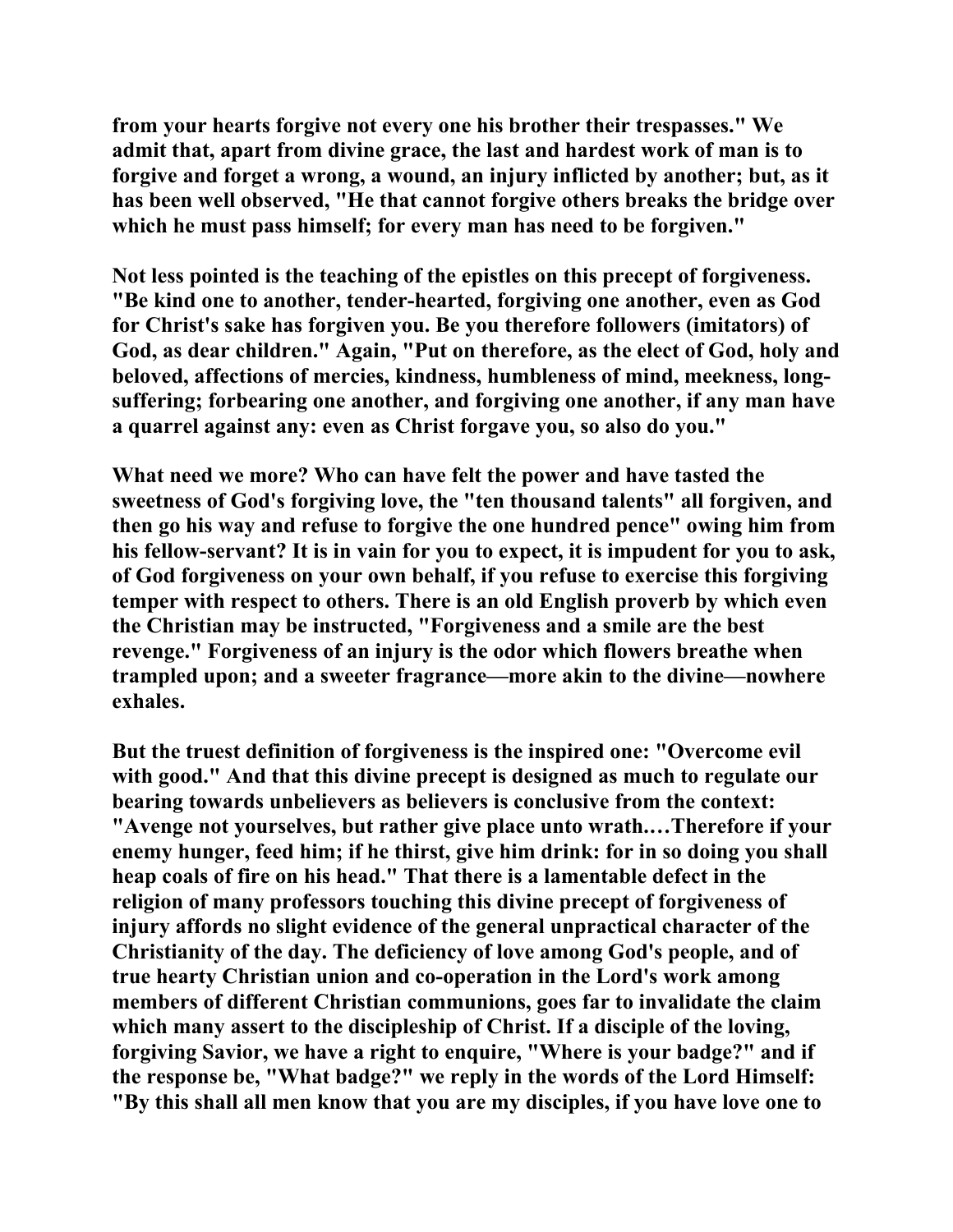**from your hearts forgive not every one his brother their trespasses." We admit that, apart from divine grace, the last and hardest work of man is to forgive and forget a wrong, a wound, an injury inflicted by another; but, as it has been well observed, "He that cannot forgive others breaks the bridge over which he must pass himself; for every man has need to be forgiven."** 

**Not less pointed is the teaching of the epistles on this precept of forgiveness. "Be kind one to another, tender-hearted, forgiving one another, even as God for Christ's sake has forgiven you. Be you therefore followers (imitators) of God, as dear children." Again, "Put on therefore, as the elect of God, holy and beloved, affections of mercies, kindness, humbleness of mind, meekness, longsuffering; forbearing one another, and forgiving one another, if any man have a quarrel against any: even as Christ forgave you, so also do you."** 

**What need we more? Who can have felt the power and have tasted the sweetness of God's forgiving love, the "ten thousand talents" all forgiven, and then go his way and refuse to forgive the one hundred pence" owing him from his fellow-servant? It is in vain for you to expect, it is impudent for you to ask, of God forgiveness on your own behalf, if you refuse to exercise this forgiving temper with respect to others. There is an old English proverb by which even the Christian may be instructed, "Forgiveness and a smile are the best revenge." Forgiveness of an injury is the odor which flowers breathe when trampled upon; and a sweeter fragrance—more akin to the divine—nowhere exhales.** 

**But the truest definition of forgiveness is the inspired one: "Overcome evil with good." And that this divine precept is designed as much to regulate our bearing towards unbelievers as believers is conclusive from the context: "Avenge not yourselves, but rather give place unto wrath.…Therefore if your enemy hunger, feed him; if he thirst, give him drink: for in so doing you shall heap coals of fire on his head." That there is a lamentable defect in the religion of many professors touching this divine precept of forgiveness of injury affords no slight evidence of the general unpractical character of the Christianity of the day. The deficiency of love among God's people, and of true hearty Christian union and co-operation in the Lord's work among members of different Christian communions, goes far to invalidate the claim which many assert to the discipleship of Christ. If a disciple of the loving, forgiving Savior, we have a right to enquire, "Where is your badge?" and if the response be, "What badge?" we reply in the words of the Lord Himself: "By this shall all men know that you are my disciples, if you have love one to**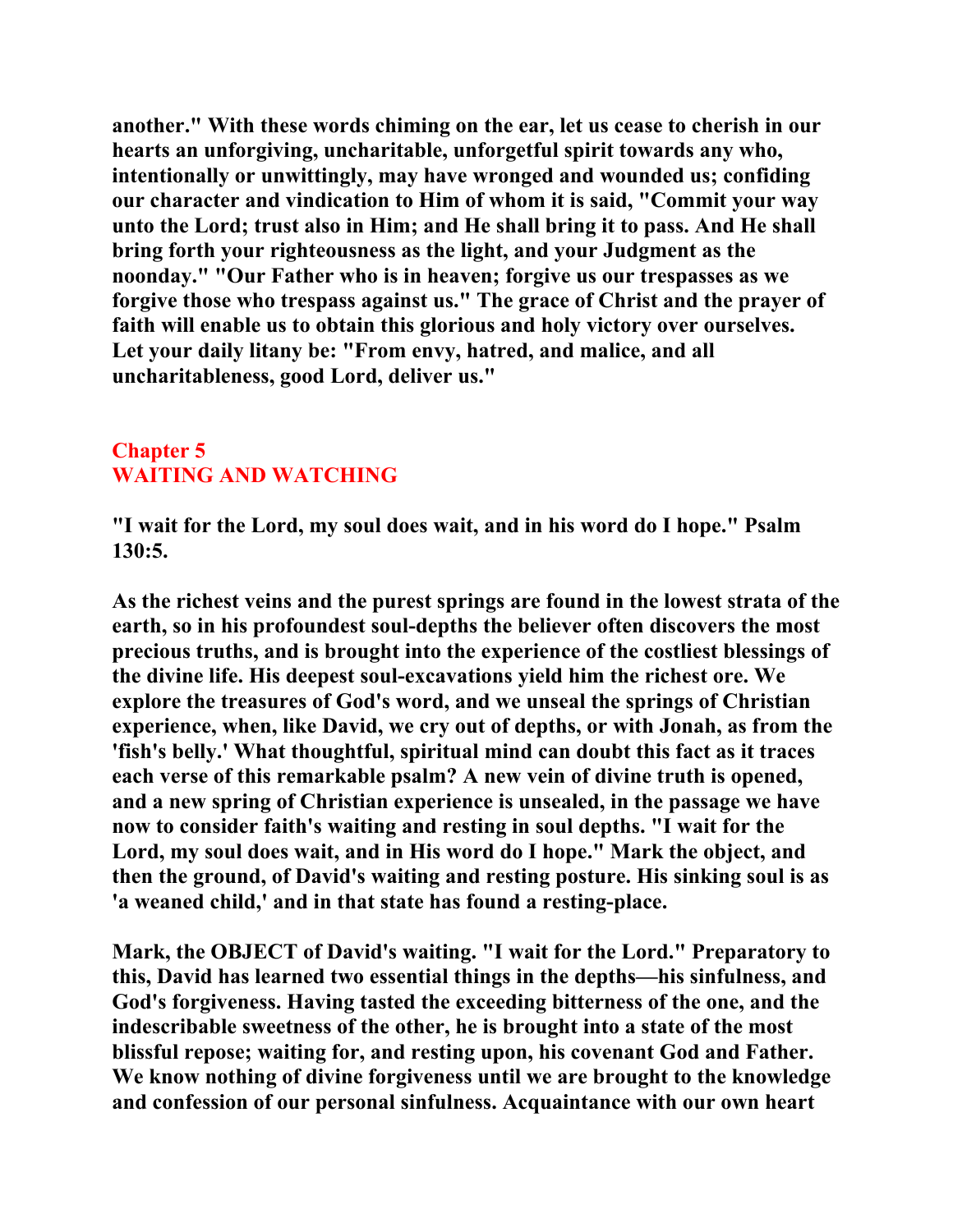**another." With these words chiming on the ear, let us cease to cherish in our hearts an unforgiving, uncharitable, unforgetful spirit towards any who, intentionally or unwittingly, may have wronged and wounded us; confiding our character and vindication to Him of whom it is said, "Commit your way unto the Lord; trust also in Him; and He shall bring it to pass. And He shall bring forth your righteousness as the light, and your Judgment as the noonday." "Our Father who is in heaven; forgive us our trespasses as we forgive those who trespass against us." The grace of Christ and the prayer of faith will enable us to obtain this glorious and holy victory over ourselves. Let your daily litany be: "From envy, hatred, and malice, and all uncharitableness, good Lord, deliver us."** 

## **Chapter 5 WAITING AND WATCHING**

**"I wait for the Lord, my soul does wait, and in his word do I hope." Psalm 130:5.** 

**As the richest veins and the purest springs are found in the lowest strata of the earth, so in his profoundest soul-depths the believer often discovers the most precious truths, and is brought into the experience of the costliest blessings of the divine life. His deepest soul-excavations yield him the richest ore. We explore the treasures of God's word, and we unseal the springs of Christian experience, when, like David, we cry out of depths, or with Jonah, as from the 'fish's belly.' What thoughtful, spiritual mind can doubt this fact as it traces each verse of this remarkable psalm? A new vein of divine truth is opened, and a new spring of Christian experience is unsealed, in the passage we have now to consider faith's waiting and resting in soul depths. "I wait for the Lord, my soul does wait, and in His word do I hope." Mark the object, and then the ground, of David's waiting and resting posture. His sinking soul is as 'a weaned child,' and in that state has found a resting-place.** 

**Mark, the OBJECT of David's waiting. "I wait for the Lord." Preparatory to this, David has learned two essential things in the depths—his sinfulness, and God's forgiveness. Having tasted the exceeding bitterness of the one, and the indescribable sweetness of the other, he is brought into a state of the most blissful repose; waiting for, and resting upon, his covenant God and Father. We know nothing of divine forgiveness until we are brought to the knowledge and confession of our personal sinfulness. Acquaintance with our own heart**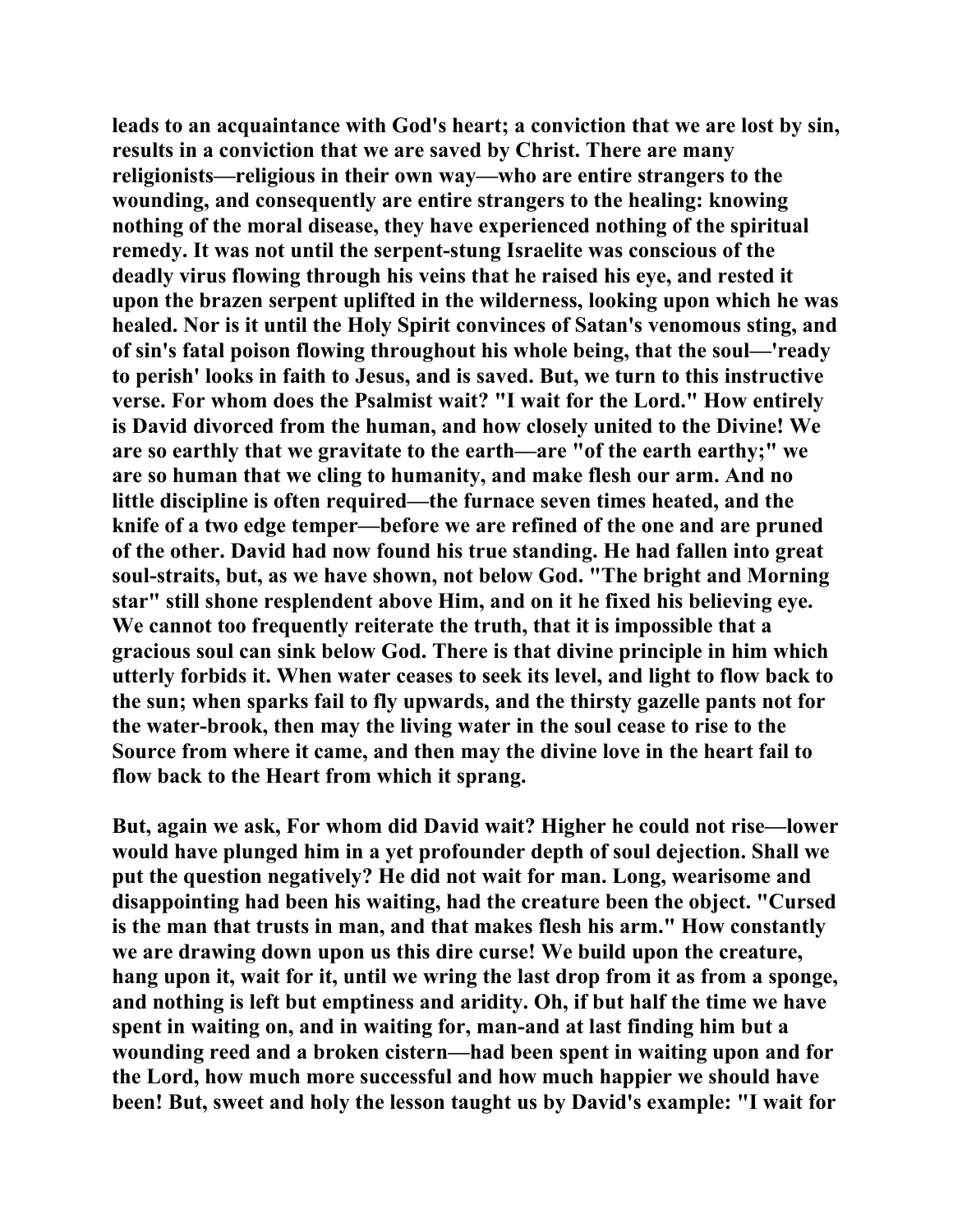**leads to an acquaintance with God's heart; a conviction that we are lost by sin, results in a conviction that we are saved by Christ. There are many religionists—religious in their own way—who are entire strangers to the wounding, and consequently are entire strangers to the healing: knowing nothing of the moral disease, they have experienced nothing of the spiritual remedy. It was not until the serpent-stung Israelite was conscious of the deadly virus flowing through his veins that he raised his eye, and rested it upon the brazen serpent uplifted in the wilderness, looking upon which he was healed. Nor is it until the Holy Spirit convinces of Satan's venomous sting, and of sin's fatal poison flowing throughout his whole being, that the soul—'ready to perish' looks in faith to Jesus, and is saved. But, we turn to this instructive verse. For whom does the Psalmist wait? "I wait for the Lord." How entirely is David divorced from the human, and how closely united to the Divine! We are so earthly that we gravitate to the earth—are "of the earth earthy;" we are so human that we cling to humanity, and make flesh our arm. And no little discipline is often required—the furnace seven times heated, and the knife of a two edge temper—before we are refined of the one and are pruned of the other. David had now found his true standing. He had fallen into great soul-straits, but, as we have shown, not below God. "The bright and Morning star" still shone resplendent above Him, and on it he fixed his believing eye. We cannot too frequently reiterate the truth, that it is impossible that a gracious soul can sink below God. There is that divine principle in him which utterly forbids it. When water ceases to seek its level, and light to flow back to the sun; when sparks fail to fly upwards, and the thirsty gazelle pants not for the water-brook, then may the living water in the soul cease to rise to the Source from where it came, and then may the divine love in the heart fail to flow back to the Heart from which it sprang.** 

**But, again we ask, For whom did David wait? Higher he could not rise—lower would have plunged him in a yet profounder depth of soul dejection. Shall we put the question negatively? He did not wait for man. Long, wearisome and disappointing had been his waiting, had the creature been the object. "Cursed is the man that trusts in man, and that makes flesh his arm." How constantly we are drawing down upon us this dire curse! We build upon the creature, hang upon it, wait for it, until we wring the last drop from it as from a sponge, and nothing is left but emptiness and aridity. Oh, if but half the time we have spent in waiting on, and in waiting for, man-and at last finding him but a wounding reed and a broken cistern—had been spent in waiting upon and for the Lord, how much more successful and how much happier we should have been! But, sweet and holy the lesson taught us by David's example: "I wait for**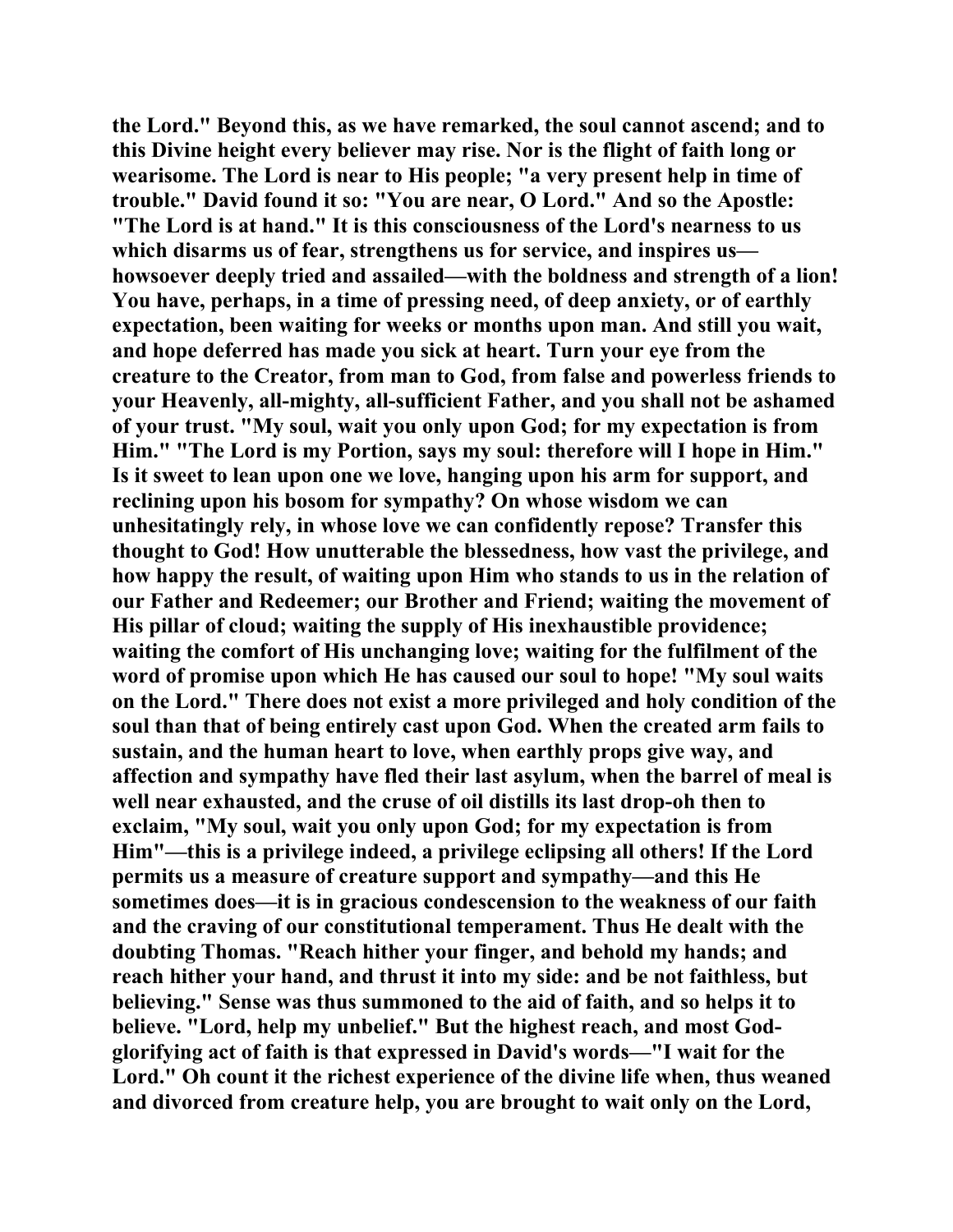**the Lord." Beyond this, as we have remarked, the soul cannot ascend; and to this Divine height every believer may rise. Nor is the flight of faith long or wearisome. The Lord is near to His people; "a very present help in time of trouble." David found it so: "You are near, O Lord." And so the Apostle: "The Lord is at hand." It is this consciousness of the Lord's nearness to us which disarms us of fear, strengthens us for service, and inspires us howsoever deeply tried and assailed—with the boldness and strength of a lion! You have, perhaps, in a time of pressing need, of deep anxiety, or of earthly expectation, been waiting for weeks or months upon man. And still you wait, and hope deferred has made you sick at heart. Turn your eye from the creature to the Creator, from man to God, from false and powerless friends to your Heavenly, all-mighty, all-sufficient Father, and you shall not be ashamed of your trust. "My soul, wait you only upon God; for my expectation is from Him." "The Lord is my Portion, says my soul: therefore will I hope in Him." Is it sweet to lean upon one we love, hanging upon his arm for support, and reclining upon his bosom for sympathy? On whose wisdom we can unhesitatingly rely, in whose love we can confidently repose? Transfer this thought to God! How unutterable the blessedness, how vast the privilege, and how happy the result, of waiting upon Him who stands to us in the relation of our Father and Redeemer; our Brother and Friend; waiting the movement of His pillar of cloud; waiting the supply of His inexhaustible providence; waiting the comfort of His unchanging love; waiting for the fulfilment of the word of promise upon which He has caused our soul to hope! "My soul waits on the Lord." There does not exist a more privileged and holy condition of the soul than that of being entirely cast upon God. When the created arm fails to sustain, and the human heart to love, when earthly props give way, and affection and sympathy have fled their last asylum, when the barrel of meal is well near exhausted, and the cruse of oil distills its last drop-oh then to exclaim, "My soul, wait you only upon God; for my expectation is from Him"—this is a privilege indeed, a privilege eclipsing all others! If the Lord permits us a measure of creature support and sympathy—and this He sometimes does—it is in gracious condescension to the weakness of our faith and the craving of our constitutional temperament. Thus He dealt with the doubting Thomas. "Reach hither your finger, and behold my hands; and reach hither your hand, and thrust it into my side: and be not faithless, but believing." Sense was thus summoned to the aid of faith, and so helps it to believe. "Lord, help my unbelief." But the highest reach, and most Godglorifying act of faith is that expressed in David's words—"I wait for the Lord." Oh count it the richest experience of the divine life when, thus weaned and divorced from creature help, you are brought to wait only on the Lord,**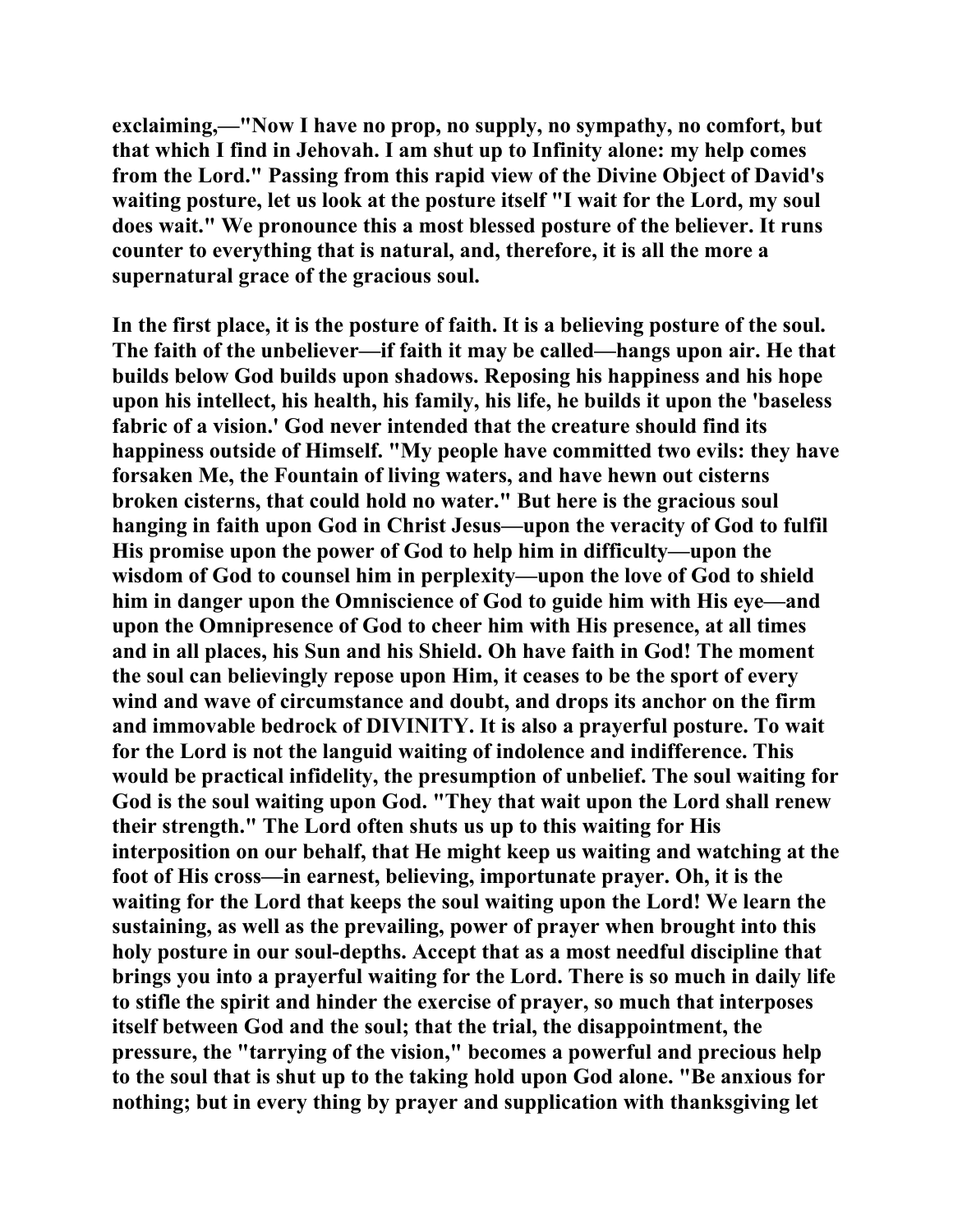**exclaiming,—"Now I have no prop, no supply, no sympathy, no comfort, but that which I find in Jehovah. I am shut up to Infinity alone: my help comes from the Lord." Passing from this rapid view of the Divine Object of David's waiting posture, let us look at the posture itself "I wait for the Lord, my soul does wait." We pronounce this a most blessed posture of the believer. It runs counter to everything that is natural, and, therefore, it is all the more a supernatural grace of the gracious soul.** 

**In the first place, it is the posture of faith. It is a believing posture of the soul. The faith of the unbeliever—if faith it may be called—hangs upon air. He that builds below God builds upon shadows. Reposing his happiness and his hope upon his intellect, his health, his family, his life, he builds it upon the 'baseless fabric of a vision.' God never intended that the creature should find its happiness outside of Himself. "My people have committed two evils: they have forsaken Me, the Fountain of living waters, and have hewn out cisterns broken cisterns, that could hold no water." But here is the gracious soul hanging in faith upon God in Christ Jesus—upon the veracity of God to fulfil His promise upon the power of God to help him in difficulty—upon the wisdom of God to counsel him in perplexity—upon the love of God to shield him in danger upon the Omniscience of God to guide him with His eye—and upon the Omnipresence of God to cheer him with His presence, at all times and in all places, his Sun and his Shield. Oh have faith in God! The moment the soul can believingly repose upon Him, it ceases to be the sport of every wind and wave of circumstance and doubt, and drops its anchor on the firm and immovable bedrock of DIVINITY. It is also a prayerful posture. To wait for the Lord is not the languid waiting of indolence and indifference. This would be practical infidelity, the presumption of unbelief. The soul waiting for God is the soul waiting upon God. "They that wait upon the Lord shall renew their strength." The Lord often shuts us up to this waiting for His interposition on our behalf, that He might keep us waiting and watching at the foot of His cross—in earnest, believing, importunate prayer. Oh, it is the waiting for the Lord that keeps the soul waiting upon the Lord! We learn the sustaining, as well as the prevailing, power of prayer when brought into this holy posture in our soul-depths. Accept that as a most needful discipline that brings you into a prayerful waiting for the Lord. There is so much in daily life to stifle the spirit and hinder the exercise of prayer, so much that interposes itself between God and the soul; that the trial, the disappointment, the pressure, the "tarrying of the vision," becomes a powerful and precious help to the soul that is shut up to the taking hold upon God alone. "Be anxious for nothing; but in every thing by prayer and supplication with thanksgiving let**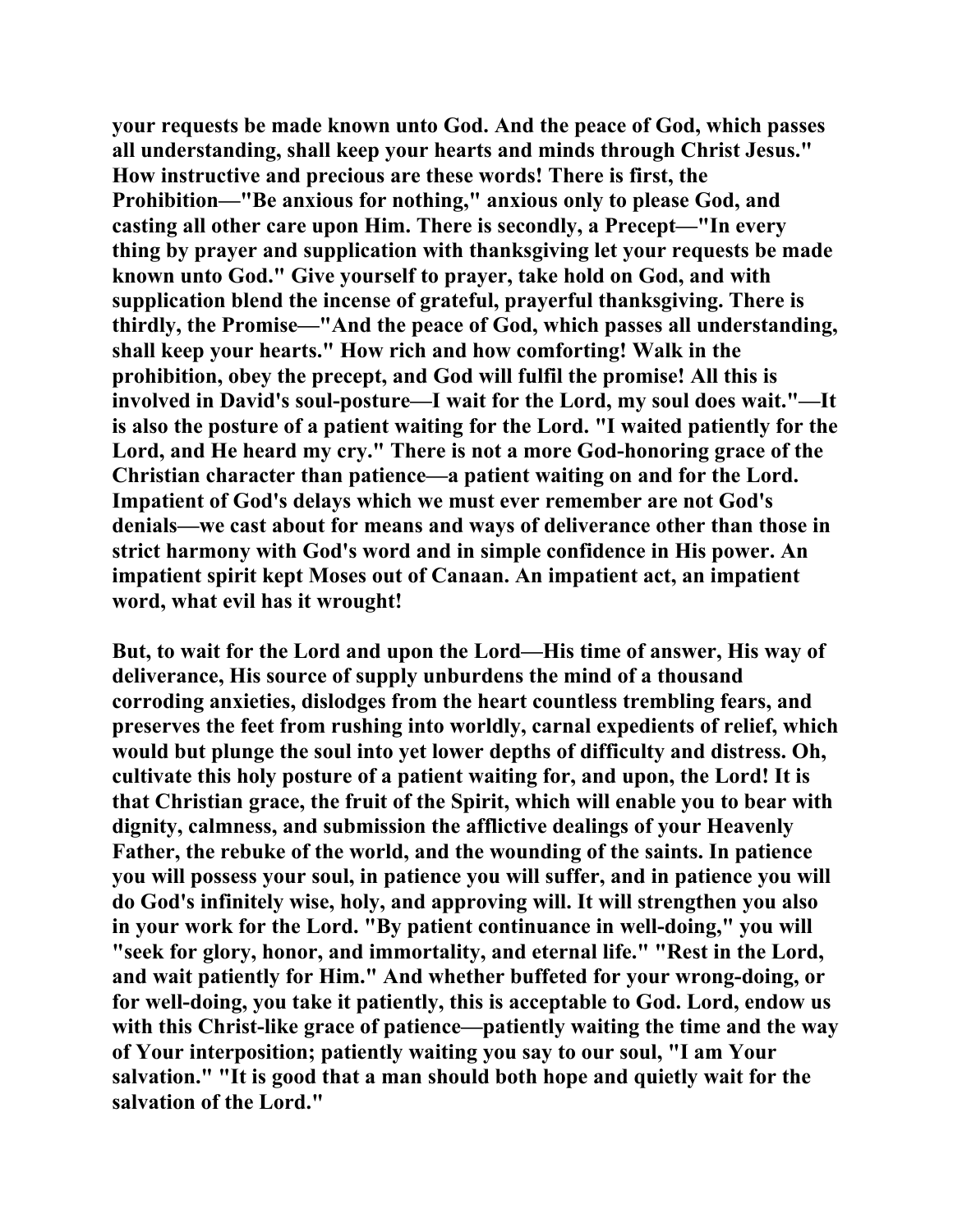**your requests be made known unto God. And the peace of God, which passes all understanding, shall keep your hearts and minds through Christ Jesus." How instructive and precious are these words! There is first, the Prohibition—"Be anxious for nothing," anxious only to please God, and casting all other care upon Him. There is secondly, a Precept—"In every thing by prayer and supplication with thanksgiving let your requests be made known unto God." Give yourself to prayer, take hold on God, and with supplication blend the incense of grateful, prayerful thanksgiving. There is thirdly, the Promise—"And the peace of God, which passes all understanding, shall keep your hearts." How rich and how comforting! Walk in the prohibition, obey the precept, and God will fulfil the promise! All this is involved in David's soul-posture—I wait for the Lord, my soul does wait."—It is also the posture of a patient waiting for the Lord. "I waited patiently for the Lord, and He heard my cry." There is not a more God-honoring grace of the Christian character than patience—a patient waiting on and for the Lord. Impatient of God's delays which we must ever remember are not God's denials—we cast about for means and ways of deliverance other than those in strict harmony with God's word and in simple confidence in His power. An impatient spirit kept Moses out of Canaan. An impatient act, an impatient word, what evil has it wrought!** 

**But, to wait for the Lord and upon the Lord—His time of answer, His way of deliverance, His source of supply unburdens the mind of a thousand corroding anxieties, dislodges from the heart countless trembling fears, and preserves the feet from rushing into worldly, carnal expedients of relief, which would but plunge the soul into yet lower depths of difficulty and distress. Oh, cultivate this holy posture of a patient waiting for, and upon, the Lord! It is that Christian grace, the fruit of the Spirit, which will enable you to bear with dignity, calmness, and submission the afflictive dealings of your Heavenly Father, the rebuke of the world, and the wounding of the saints. In patience you will possess your soul, in patience you will suffer, and in patience you will do God's infinitely wise, holy, and approving will. It will strengthen you also in your work for the Lord. "By patient continuance in well-doing," you will "seek for glory, honor, and immortality, and eternal life." "Rest in the Lord, and wait patiently for Him." And whether buffeted for your wrong-doing, or for well-doing, you take it patiently, this is acceptable to God. Lord, endow us with this Christ-like grace of patience—patiently waiting the time and the way of Your interposition; patiently waiting you say to our soul, "I am Your salvation." "It is good that a man should both hope and quietly wait for the salvation of the Lord."**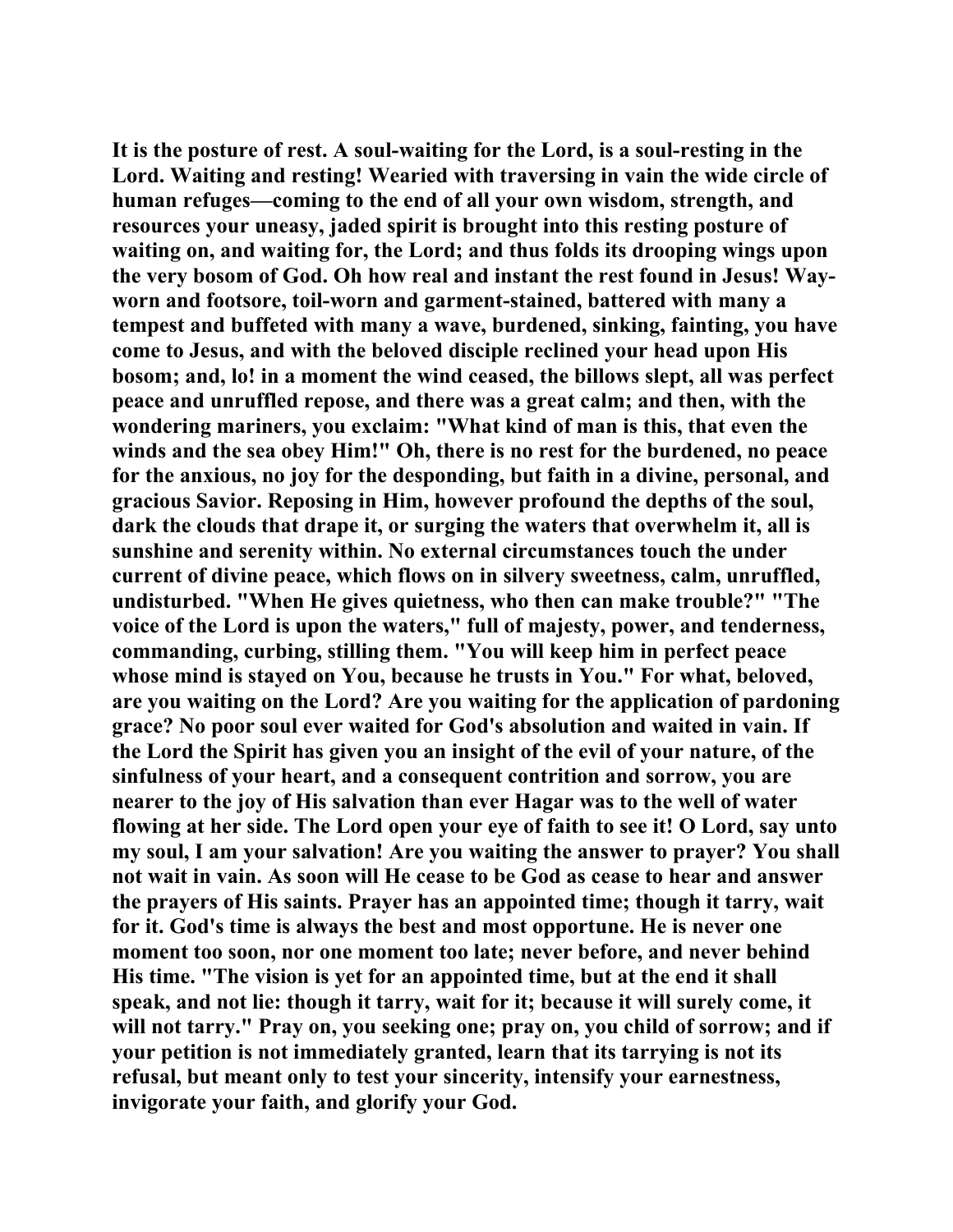**It is the posture of rest. A soul-waiting for the Lord, is a soul-resting in the Lord. Waiting and resting! Wearied with traversing in vain the wide circle of human refuges—coming to the end of all your own wisdom, strength, and resources your uneasy, jaded spirit is brought into this resting posture of waiting on, and waiting for, the Lord; and thus folds its drooping wings upon the very bosom of God. Oh how real and instant the rest found in Jesus! Wayworn and footsore, toil-worn and garment-stained, battered with many a tempest and buffeted with many a wave, burdened, sinking, fainting, you have come to Jesus, and with the beloved disciple reclined your head upon His bosom; and, lo! in a moment the wind ceased, the billows slept, all was perfect peace and unruffled repose, and there was a great calm; and then, with the wondering mariners, you exclaim: "What kind of man is this, that even the winds and the sea obey Him!" Oh, there is no rest for the burdened, no peace for the anxious, no joy for the desponding, but faith in a divine, personal, and gracious Savior. Reposing in Him, however profound the depths of the soul, dark the clouds that drape it, or surging the waters that overwhelm it, all is sunshine and serenity within. No external circumstances touch the under current of divine peace, which flows on in silvery sweetness, calm, unruffled, undisturbed. "When He gives quietness, who then can make trouble?" "The voice of the Lord is upon the waters," full of majesty, power, and tenderness, commanding, curbing, stilling them. "You will keep him in perfect peace whose mind is stayed on You, because he trusts in You." For what, beloved, are you waiting on the Lord? Are you waiting for the application of pardoning grace? No poor soul ever waited for God's absolution and waited in vain. If the Lord the Spirit has given you an insight of the evil of your nature, of the sinfulness of your heart, and a consequent contrition and sorrow, you are nearer to the joy of His salvation than ever Hagar was to the well of water flowing at her side. The Lord open your eye of faith to see it! O Lord, say unto my soul, I am your salvation! Are you waiting the answer to prayer? You shall not wait in vain. As soon will He cease to be God as cease to hear and answer the prayers of His saints. Prayer has an appointed time; though it tarry, wait for it. God's time is always the best and most opportune. He is never one moment too soon, nor one moment too late; never before, and never behind His time. "The vision is yet for an appointed time, but at the end it shall speak, and not lie: though it tarry, wait for it; because it will surely come, it will not tarry." Pray on, you seeking one; pray on, you child of sorrow; and if your petition is not immediately granted, learn that its tarrying is not its refusal, but meant only to test your sincerity, intensify your earnestness, invigorate your faith, and glorify your God.**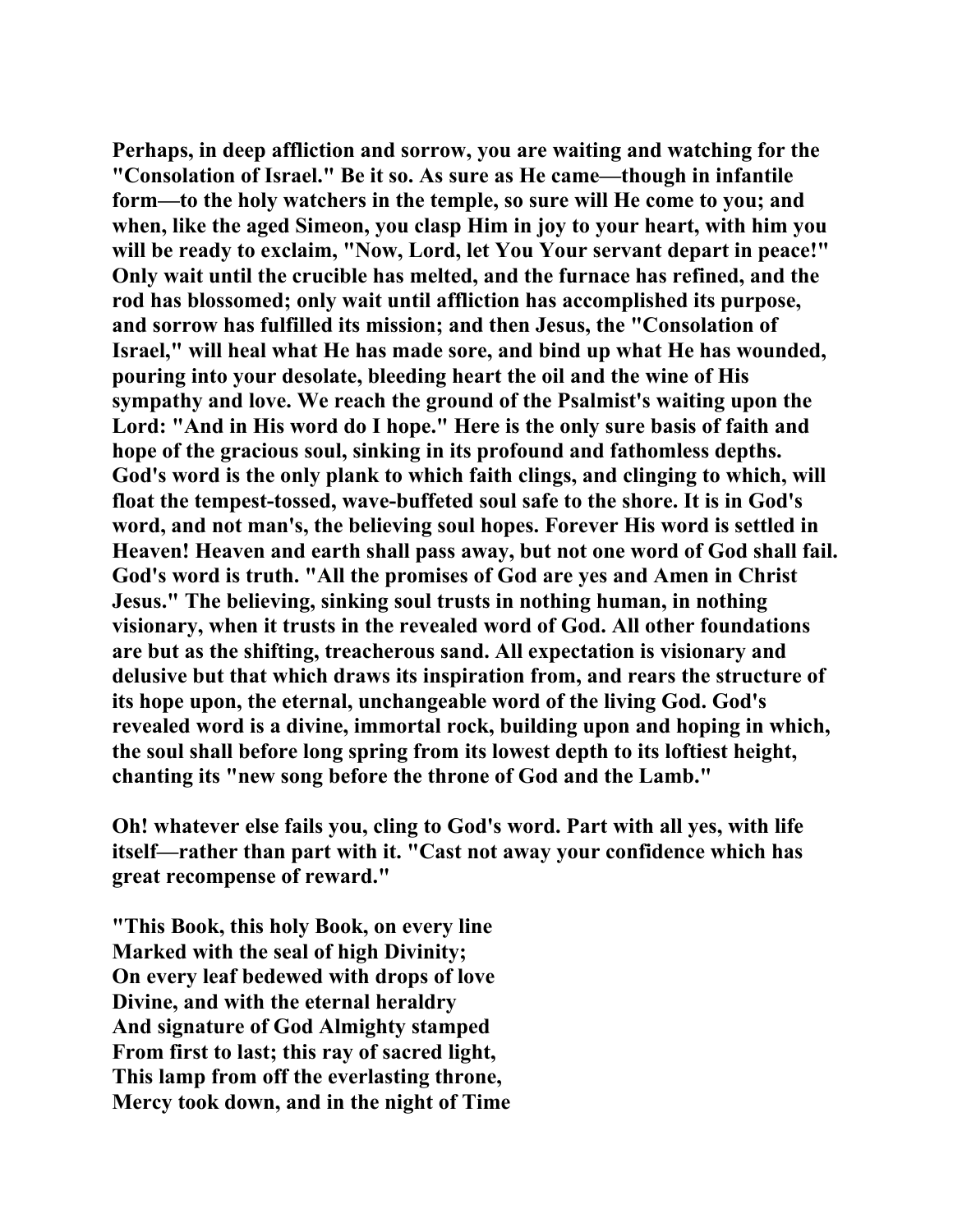**Perhaps, in deep affliction and sorrow, you are waiting and watching for the "Consolation of Israel." Be it so. As sure as He came—though in infantile form—to the holy watchers in the temple, so sure will He come to you; and when, like the aged Simeon, you clasp Him in joy to your heart, with him you will be ready to exclaim, "Now, Lord, let You Your servant depart in peace!" Only wait until the crucible has melted, and the furnace has refined, and the rod has blossomed; only wait until affliction has accomplished its purpose, and sorrow has fulfilled its mission; and then Jesus, the "Consolation of Israel," will heal what He has made sore, and bind up what He has wounded, pouring into your desolate, bleeding heart the oil and the wine of His sympathy and love. We reach the ground of the Psalmist's waiting upon the Lord: "And in His word do I hope." Here is the only sure basis of faith and hope of the gracious soul, sinking in its profound and fathomless depths. God's word is the only plank to which faith clings, and clinging to which, will float the tempest-tossed, wave-buffeted soul safe to the shore. It is in God's word, and not man's, the believing soul hopes. Forever His word is settled in Heaven! Heaven and earth shall pass away, but not one word of God shall fail. God's word is truth. "All the promises of God are yes and Amen in Christ Jesus." The believing, sinking soul trusts in nothing human, in nothing visionary, when it trusts in the revealed word of God. All other foundations are but as the shifting, treacherous sand. All expectation is visionary and delusive but that which draws its inspiration from, and rears the structure of its hope upon, the eternal, unchangeable word of the living God. God's revealed word is a divine, immortal rock, building upon and hoping in which, the soul shall before long spring from its lowest depth to its loftiest height, chanting its "new song before the throne of God and the Lamb."** 

**Oh! whatever else fails you, cling to God's word. Part with all yes, with life itself—rather than part with it. "Cast not away your confidence which has great recompense of reward."** 

**"This Book, this holy Book, on every line Marked with the seal of high Divinity; On every leaf bedewed with drops of love Divine, and with the eternal heraldry And signature of God Almighty stamped From first to last; this ray of sacred light, This lamp from off the everlasting throne, Mercy took down, and in the night of Time**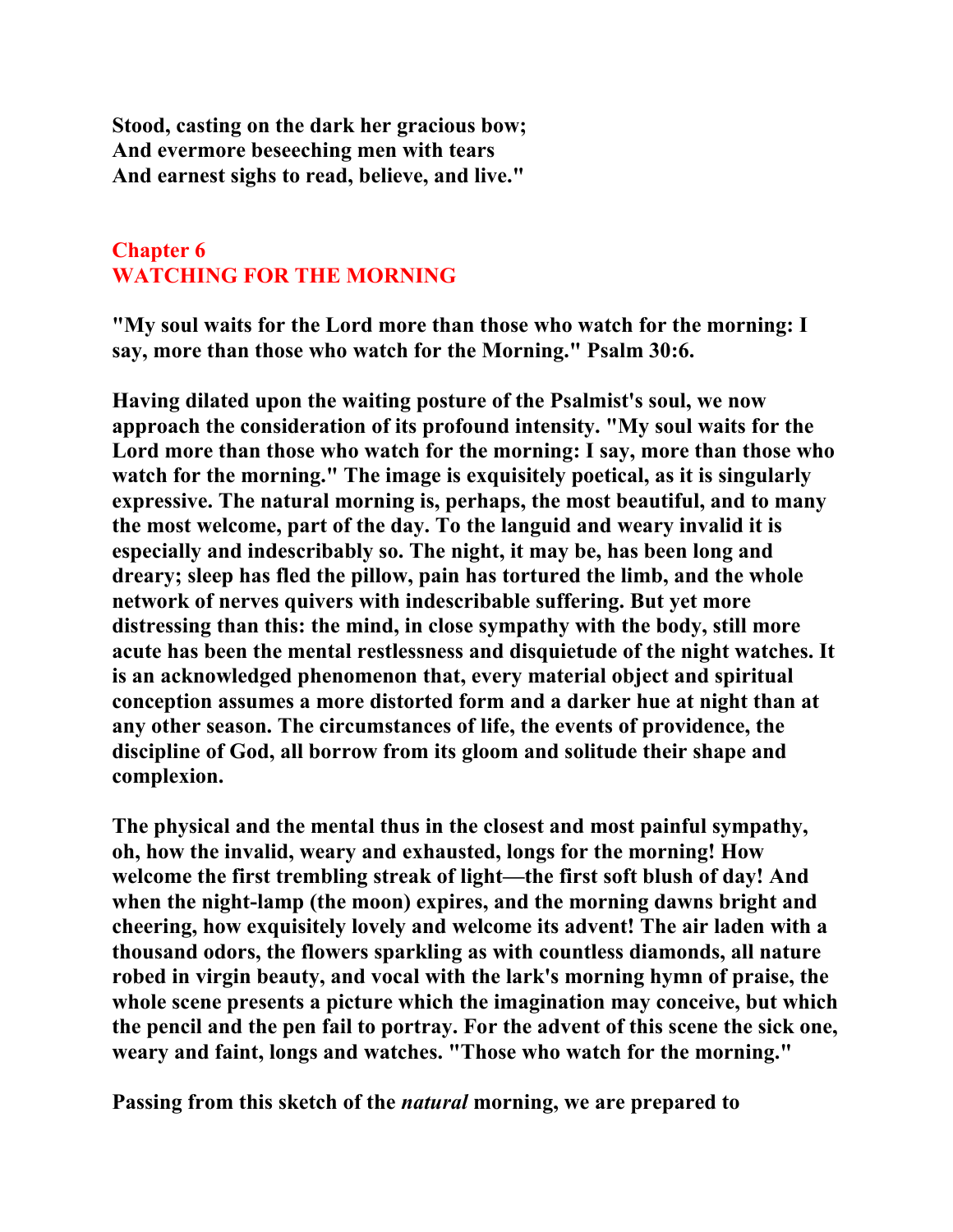**Stood, casting on the dark her gracious bow; And evermore beseeching men with tears And earnest sighs to read, believe, and live."** 

## **Chapter 6 WATCHING FOR THE MORNING**

**"My soul waits for the Lord more than those who watch for the morning: I say, more than those who watch for the Morning." Psalm 30:6.** 

**Having dilated upon the waiting posture of the Psalmist's soul, we now approach the consideration of its profound intensity. "My soul waits for the Lord more than those who watch for the morning: I say, more than those who watch for the morning." The image is exquisitely poetical, as it is singularly expressive. The natural morning is, perhaps, the most beautiful, and to many the most welcome, part of the day. To the languid and weary invalid it is especially and indescribably so. The night, it may be, has been long and dreary; sleep has fled the pillow, pain has tortured the limb, and the whole network of nerves quivers with indescribable suffering. But yet more distressing than this: the mind, in close sympathy with the body, still more acute has been the mental restlessness and disquietude of the night watches. It is an acknowledged phenomenon that, every material object and spiritual conception assumes a more distorted form and a darker hue at night than at any other season. The circumstances of life, the events of providence, the discipline of God, all borrow from its gloom and solitude their shape and complexion.** 

**The physical and the mental thus in the closest and most painful sympathy, oh, how the invalid, weary and exhausted, longs for the morning! How welcome the first trembling streak of light—the first soft blush of day! And when the night-lamp (the moon) expires, and the morning dawns bright and cheering, how exquisitely lovely and welcome its advent! The air laden with a thousand odors, the flowers sparkling as with countless diamonds, all nature robed in virgin beauty, and vocal with the lark's morning hymn of praise, the whole scene presents a picture which the imagination may conceive, but which the pencil and the pen fail to portray. For the advent of this scene the sick one, weary and faint, longs and watches. "Those who watch for the morning."** 

**Passing from this sketch of the** *natural* **morning, we are prepared to**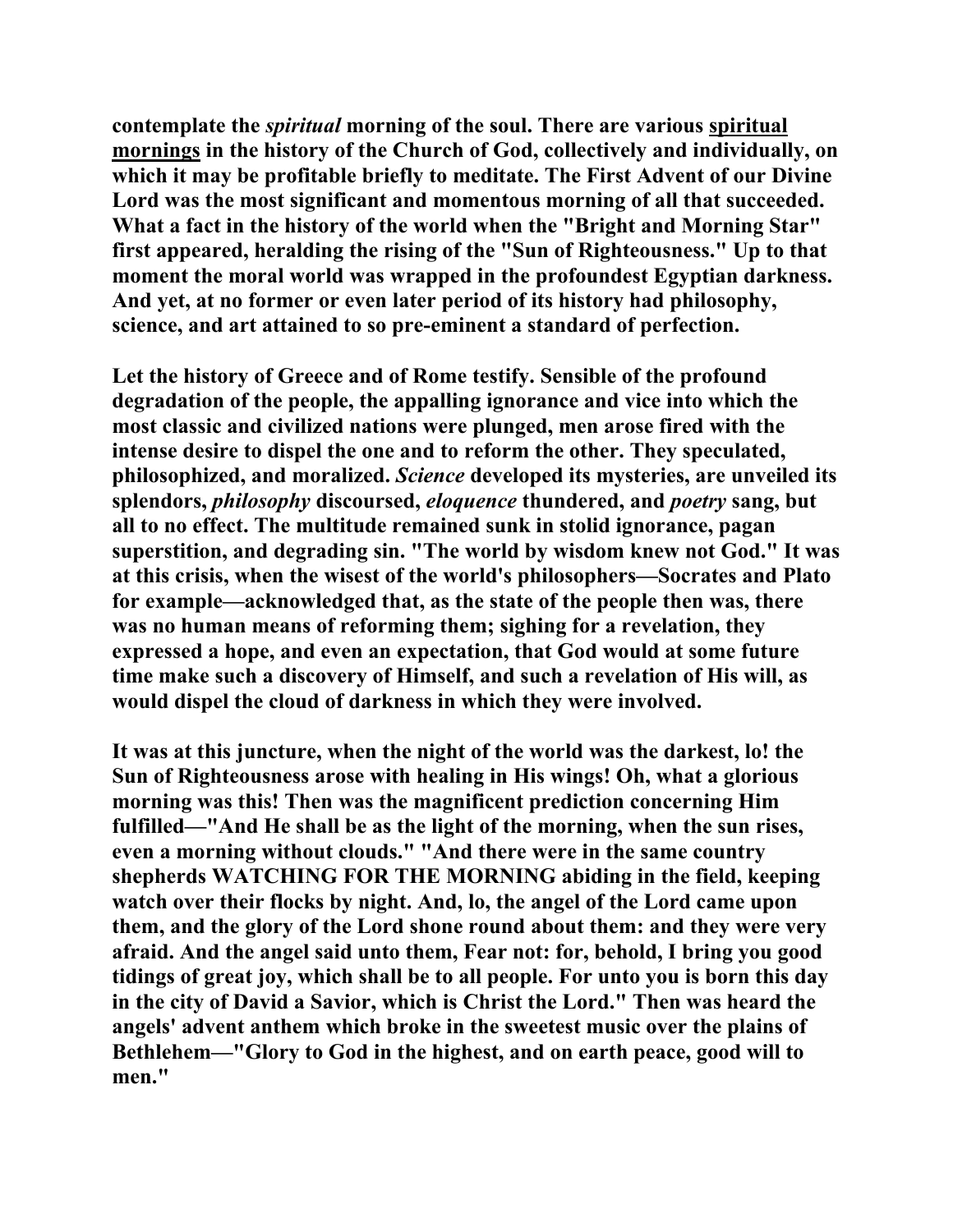**contemplate the** *spiritual* **morning of the soul. There are various spiritual mornings in the history of the Church of God, collectively and individually, on which it may be profitable briefly to meditate. The First Advent of our Divine Lord was the most significant and momentous morning of all that succeeded. What a fact in the history of the world when the "Bright and Morning Star" first appeared, heralding the rising of the "Sun of Righteousness." Up to that moment the moral world was wrapped in the profoundest Egyptian darkness. And yet, at no former or even later period of its history had philosophy, science, and art attained to so pre-eminent a standard of perfection.** 

**Let the history of Greece and of Rome testify. Sensible of the profound degradation of the people, the appalling ignorance and vice into which the most classic and civilized nations were plunged, men arose fired with the intense desire to dispel the one and to reform the other. They speculated, philosophized, and moralized.** *Science* **developed its mysteries, are unveiled its splendors,** *philosophy* **discoursed,** *eloquence* **thundered, and** *poetry* **sang, but all to no effect. The multitude remained sunk in stolid ignorance, pagan superstition, and degrading sin. "The world by wisdom knew not God." It was at this crisis, when the wisest of the world's philosophers—Socrates and Plato for example—acknowledged that, as the state of the people then was, there was no human means of reforming them; sighing for a revelation, they expressed a hope, and even an expectation, that God would at some future time make such a discovery of Himself, and such a revelation of His will, as would dispel the cloud of darkness in which they were involved.** 

**It was at this juncture, when the night of the world was the darkest, lo! the Sun of Righteousness arose with healing in His wings! Oh, what a glorious morning was this! Then was the magnificent prediction concerning Him fulfilled—"And He shall be as the light of the morning, when the sun rises, even a morning without clouds." "And there were in the same country shepherds WATCHING FOR THE MORNING abiding in the field, keeping watch over their flocks by night. And, lo, the angel of the Lord came upon them, and the glory of the Lord shone round about them: and they were very afraid. And the angel said unto them, Fear not: for, behold, I bring you good tidings of great joy, which shall be to all people. For unto you is born this day in the city of David a Savior, which is Christ the Lord." Then was heard the angels' advent anthem which broke in the sweetest music over the plains of Bethlehem—"Glory to God in the highest, and on earth peace, good will to men."**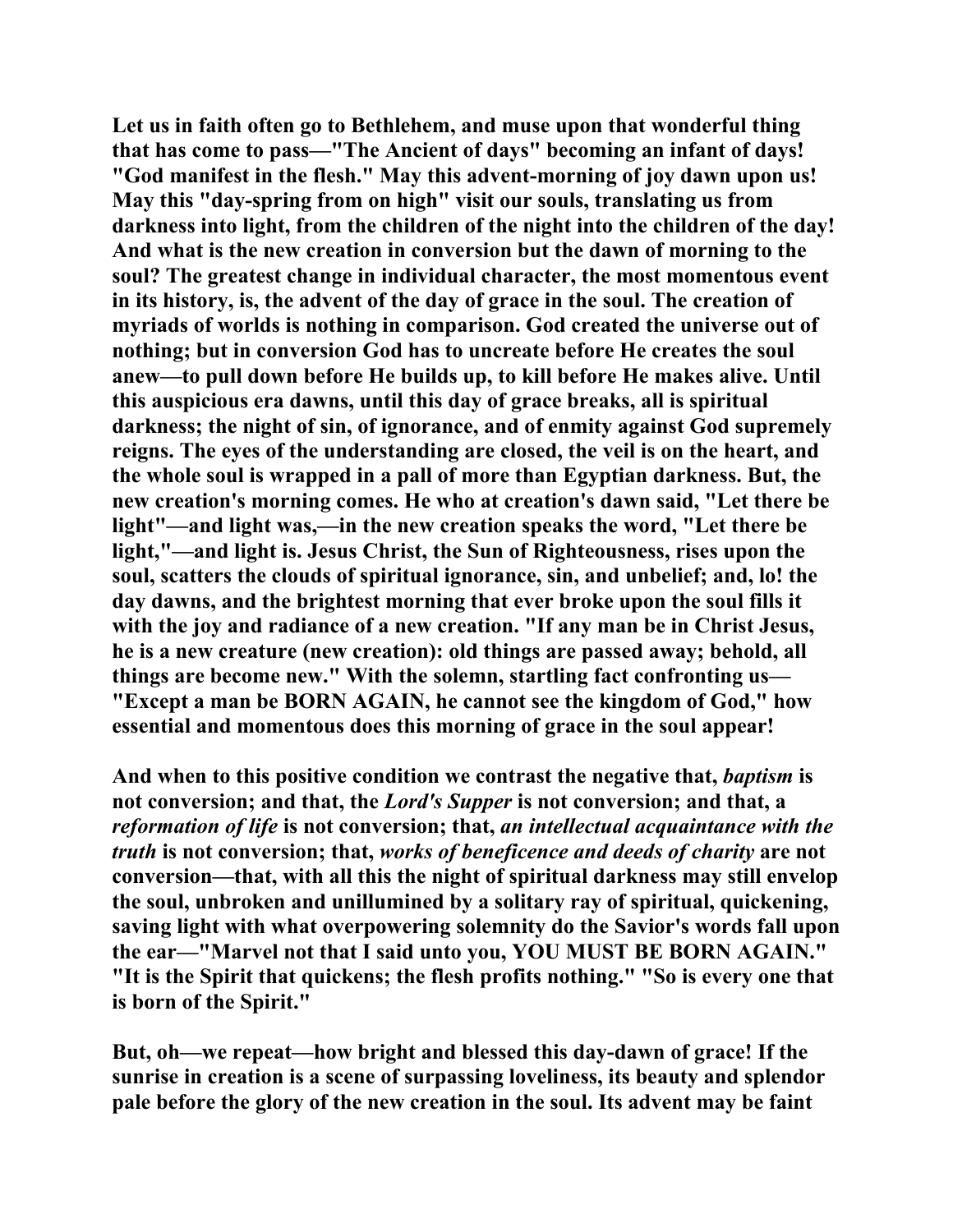**Let us in faith often go to Bethlehem, and muse upon that wonderful thing that has come to pass—"The Ancient of days" becoming an infant of days! "God manifest in the flesh." May this advent-morning of joy dawn upon us! May this "day-spring from on high" visit our souls, translating us from darkness into light, from the children of the night into the children of the day! And what is the new creation in conversion but the dawn of morning to the soul? The greatest change in individual character, the most momentous event in its history, is, the advent of the day of grace in the soul. The creation of myriads of worlds is nothing in comparison. God created the universe out of nothing; but in conversion God has to uncreate before He creates the soul anew—to pull down before He builds up, to kill before He makes alive. Until this auspicious era dawns, until this day of grace breaks, all is spiritual darkness; the night of sin, of ignorance, and of enmity against God supremely reigns. The eyes of the understanding are closed, the veil is on the heart, and the whole soul is wrapped in a pall of more than Egyptian darkness. But, the new creation's morning comes. He who at creation's dawn said, "Let there be light"—and light was,—in the new creation speaks the word, "Let there be light,"—and light is. Jesus Christ, the Sun of Righteousness, rises upon the soul, scatters the clouds of spiritual ignorance, sin, and unbelief; and, lo! the day dawns, and the brightest morning that ever broke upon the soul fills it with the joy and radiance of a new creation. "If any man be in Christ Jesus, he is a new creature (new creation): old things are passed away; behold, all things are become new." With the solemn, startling fact confronting us— "Except a man be BORN AGAIN, he cannot see the kingdom of God," how essential and momentous does this morning of grace in the soul appear!** 

**And when to this positive condition we contrast the negative that,** *baptism* **is not conversion; and that, the** *Lord's Supper* **is not conversion; and that, a**  *reformation of life* **is not conversion; that,** *an intellectual acquaintance with the truth* **is not conversion; that,** *works of beneficence and deeds of charity* **are not conversion—that, with all this the night of spiritual darkness may still envelop the soul, unbroken and unillumined by a solitary ray of spiritual, quickening, saving light with what overpowering solemnity do the Savior's words fall upon the ear—"Marvel not that I said unto you, YOU MUST BE BORN AGAIN." "It is the Spirit that quickens; the flesh profits nothing." "So is every one that is born of the Spirit."** 

**But, oh—we repeat—how bright and blessed this day-dawn of grace! If the sunrise in creation is a scene of surpassing loveliness, its beauty and splendor pale before the glory of the new creation in the soul. Its advent may be faint**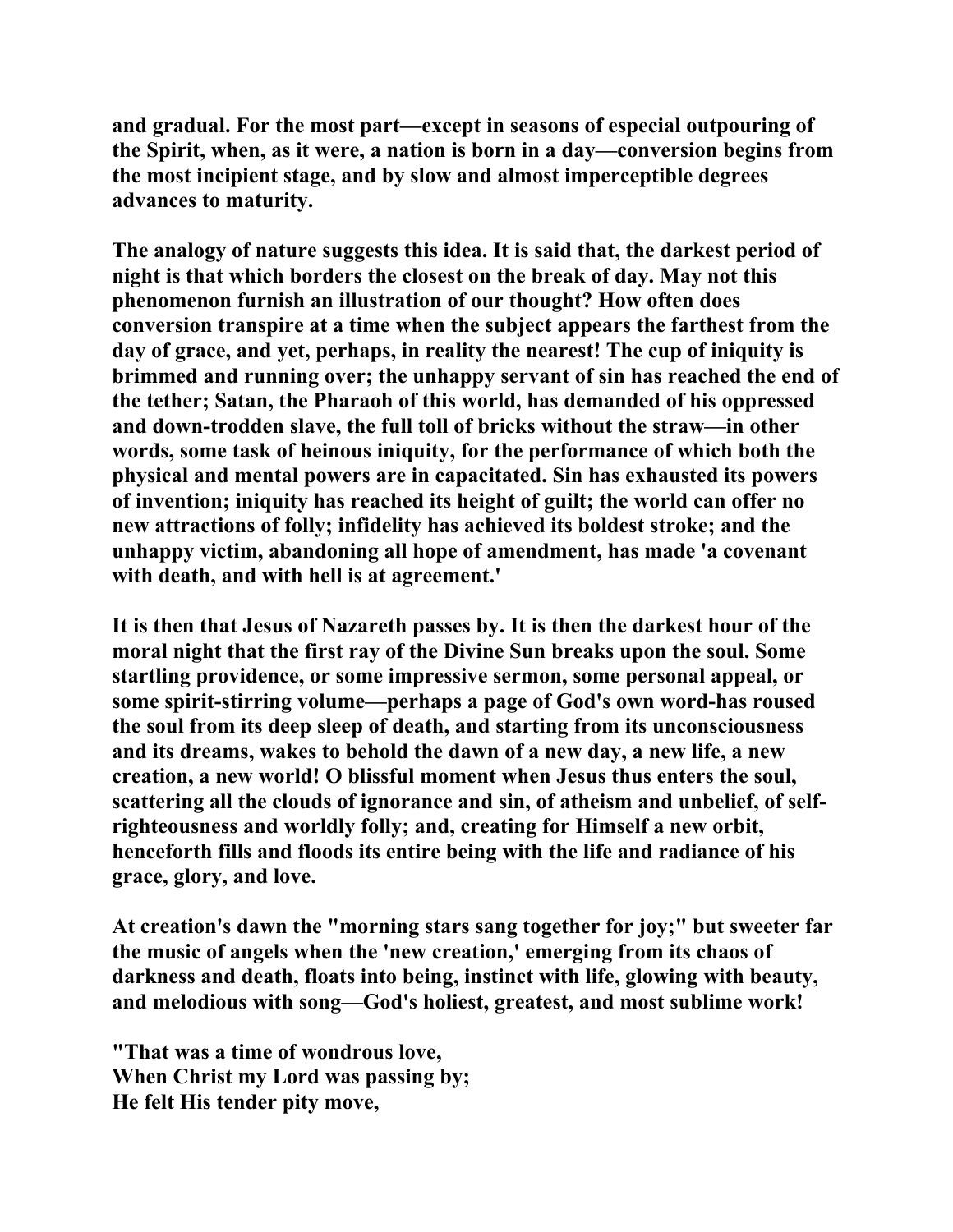**and gradual. For the most part—except in seasons of especial outpouring of the Spirit, when, as it were, a nation is born in a day—conversion begins from the most incipient stage, and by slow and almost imperceptible degrees advances to maturity.** 

**The analogy of nature suggests this idea. It is said that, the darkest period of night is that which borders the closest on the break of day. May not this phenomenon furnish an illustration of our thought? How often does conversion transpire at a time when the subject appears the farthest from the day of grace, and yet, perhaps, in reality the nearest! The cup of iniquity is brimmed and running over; the unhappy servant of sin has reached the end of the tether; Satan, the Pharaoh of this world, has demanded of his oppressed and down-trodden slave, the full toll of bricks without the straw—in other words, some task of heinous iniquity, for the performance of which both the physical and mental powers are in capacitated. Sin has exhausted its powers of invention; iniquity has reached its height of guilt; the world can offer no new attractions of folly; infidelity has achieved its boldest stroke; and the unhappy victim, abandoning all hope of amendment, has made 'a covenant with death, and with hell is at agreement.'** 

**It is then that Jesus of Nazareth passes by. It is then the darkest hour of the moral night that the first ray of the Divine Sun breaks upon the soul. Some startling providence, or some impressive sermon, some personal appeal, or some spirit-stirring volume—perhaps a page of God's own word-has roused the soul from its deep sleep of death, and starting from its unconsciousness and its dreams, wakes to behold the dawn of a new day, a new life, a new creation, a new world! O blissful moment when Jesus thus enters the soul, scattering all the clouds of ignorance and sin, of atheism and unbelief, of selfrighteousness and worldly folly; and, creating for Himself a new orbit, henceforth fills and floods its entire being with the life and radiance of his grace, glory, and love.** 

**At creation's dawn the "morning stars sang together for joy;" but sweeter far the music of angels when the 'new creation,' emerging from its chaos of darkness and death, floats into being, instinct with life, glowing with beauty, and melodious with song—God's holiest, greatest, and most sublime work!** 

**"That was a time of wondrous love, When Christ my Lord was passing by; He felt His tender pity move,**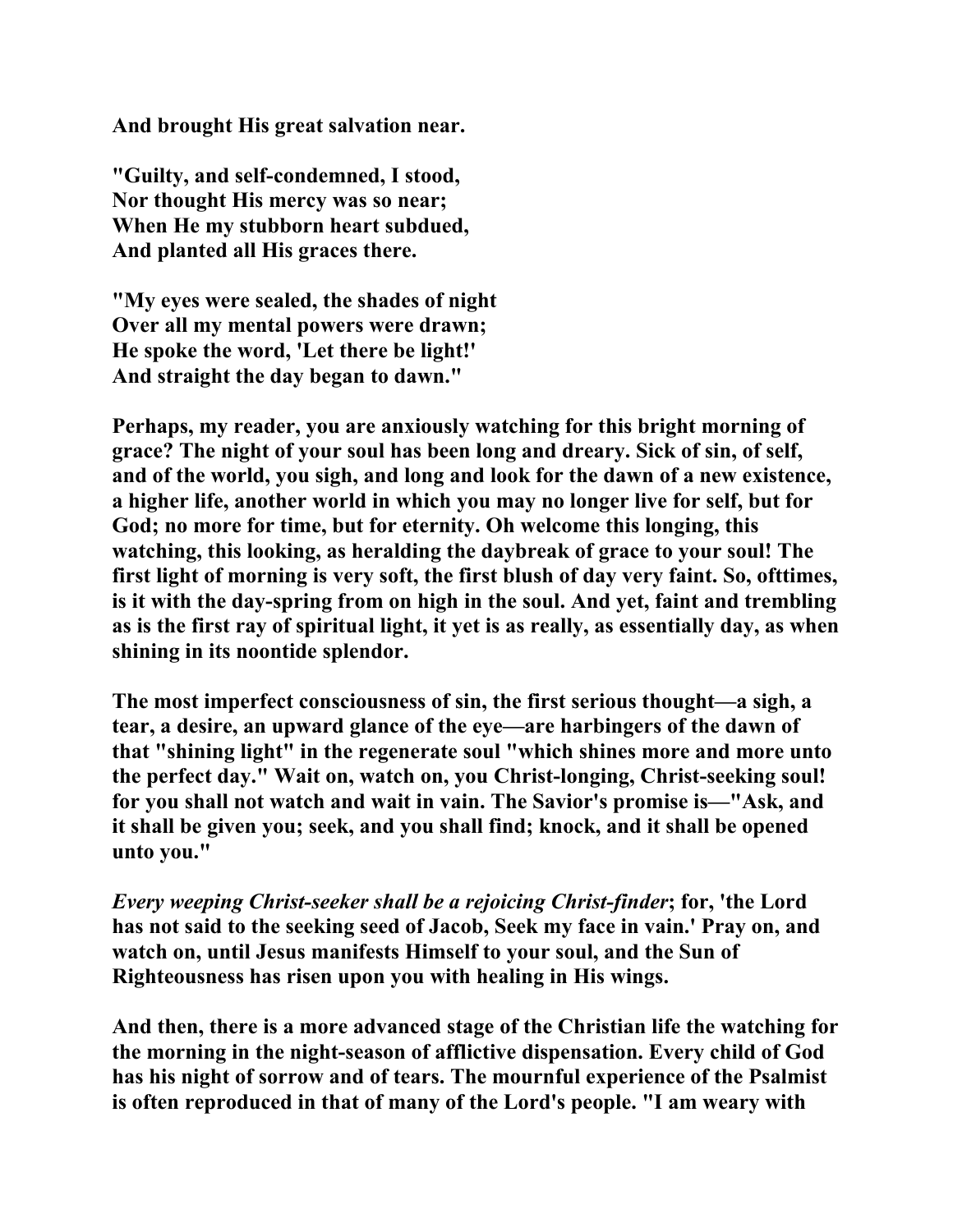**And brought His great salvation near.** 

**"Guilty, and self-condemned, I stood, Nor thought His mercy was so near; When He my stubborn heart subdued, And planted all His graces there.** 

**"My eyes were sealed, the shades of night Over all my mental powers were drawn; He spoke the word, 'Let there be light!' And straight the day began to dawn."** 

**Perhaps, my reader, you are anxiously watching for this bright morning of grace? The night of your soul has been long and dreary. Sick of sin, of self, and of the world, you sigh, and long and look for the dawn of a new existence, a higher life, another world in which you may no longer live for self, but for God; no more for time, but for eternity. Oh welcome this longing, this watching, this looking, as heralding the daybreak of grace to your soul! The first light of morning is very soft, the first blush of day very faint. So, ofttimes, is it with the day-spring from on high in the soul. And yet, faint and trembling as is the first ray of spiritual light, it yet is as really, as essentially day, as when shining in its noontide splendor.** 

**The most imperfect consciousness of sin, the first serious thought—a sigh, a tear, a desire, an upward glance of the eye—are harbingers of the dawn of that "shining light" in the regenerate soul "which shines more and more unto the perfect day." Wait on, watch on, you Christ-longing, Christ-seeking soul! for you shall not watch and wait in vain. The Savior's promise is—"Ask, and it shall be given you; seek, and you shall find; knock, and it shall be opened unto you."** 

*Every weeping Christ-seeker shall be a rejoicing Christ-finder***; for, 'the Lord has not said to the seeking seed of Jacob, Seek my face in vain.' Pray on, and watch on, until Jesus manifests Himself to your soul, and the Sun of Righteousness has risen upon you with healing in His wings.** 

**And then, there is a more advanced stage of the Christian life the watching for the morning in the night-season of afflictive dispensation. Every child of God has his night of sorrow and of tears. The mournful experience of the Psalmist is often reproduced in that of many of the Lord's people. "I am weary with**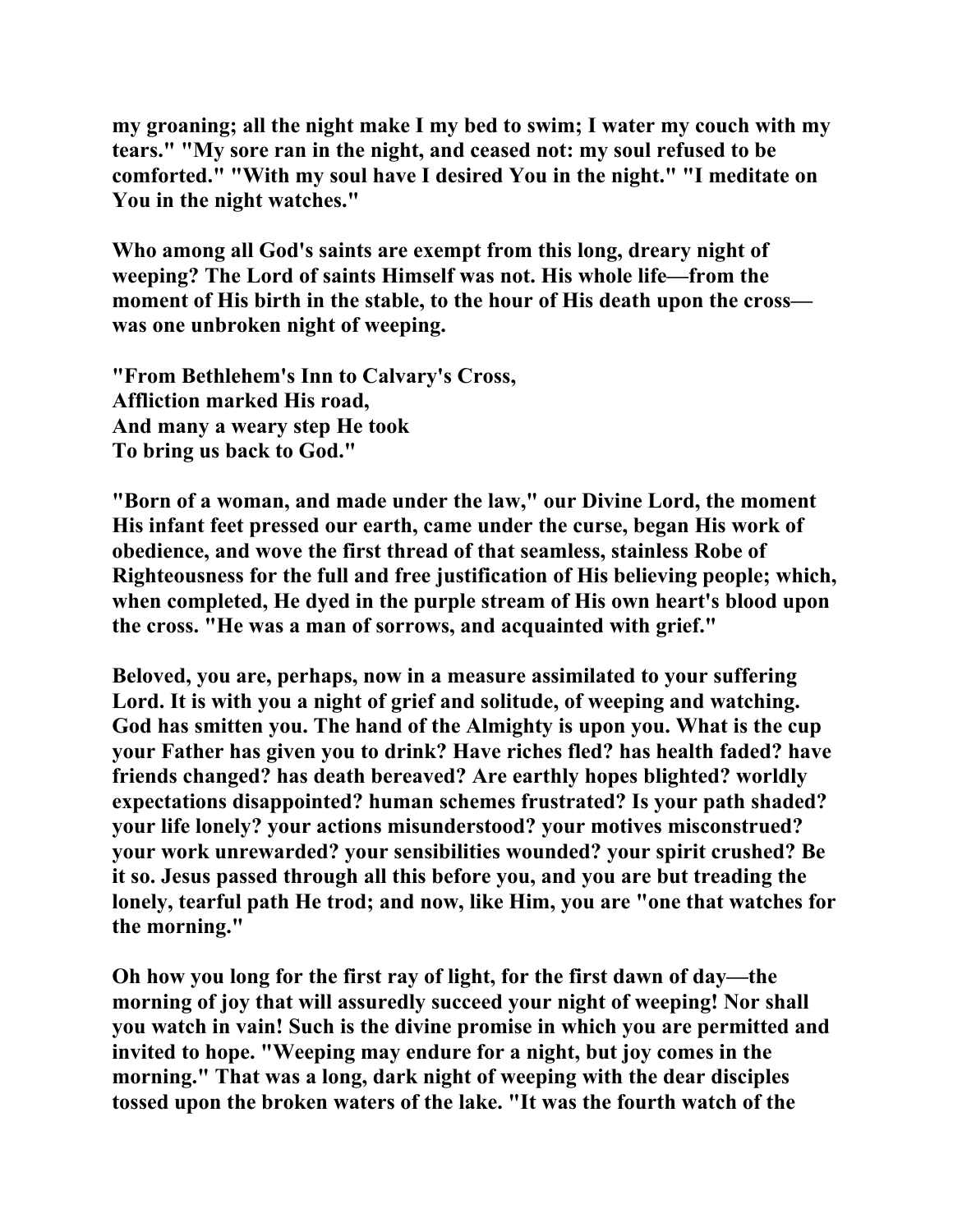**my groaning; all the night make I my bed to swim; I water my couch with my tears." "My sore ran in the night, and ceased not: my soul refused to be comforted." "With my soul have I desired You in the night." "I meditate on You in the night watches."** 

**Who among all God's saints are exempt from this long, dreary night of weeping? The Lord of saints Himself was not. His whole life—from the moment of His birth in the stable, to the hour of His death upon the cross was one unbroken night of weeping.** 

**"From Bethlehem's Inn to Calvary's Cross, Affliction marked His road, And many a weary step He took To bring us back to God."** 

**"Born of a woman, and made under the law," our Divine Lord, the moment His infant feet pressed our earth, came under the curse, began His work of obedience, and wove the first thread of that seamless, stainless Robe of Righteousness for the full and free justification of His believing people; which, when completed, He dyed in the purple stream of His own heart's blood upon the cross. "He was a man of sorrows, and acquainted with grief."** 

**Beloved, you are, perhaps, now in a measure assimilated to your suffering Lord. It is with you a night of grief and solitude, of weeping and watching. God has smitten you. The hand of the Almighty is upon you. What is the cup your Father has given you to drink? Have riches fled? has health faded? have friends changed? has death bereaved? Are earthly hopes blighted? worldly expectations disappointed? human schemes frustrated? Is your path shaded? your life lonely? your actions misunderstood? your motives misconstrued? your work unrewarded? your sensibilities wounded? your spirit crushed? Be it so. Jesus passed through all this before you, and you are but treading the lonely, tearful path He trod; and now, like Him, you are "one that watches for the morning."** 

**Oh how you long for the first ray of light, for the first dawn of day—the morning of joy that will assuredly succeed your night of weeping! Nor shall you watch in vain! Such is the divine promise in which you are permitted and invited to hope. "Weeping may endure for a night, but joy comes in the morning." That was a long, dark night of weeping with the dear disciples tossed upon the broken waters of the lake. "It was the fourth watch of the**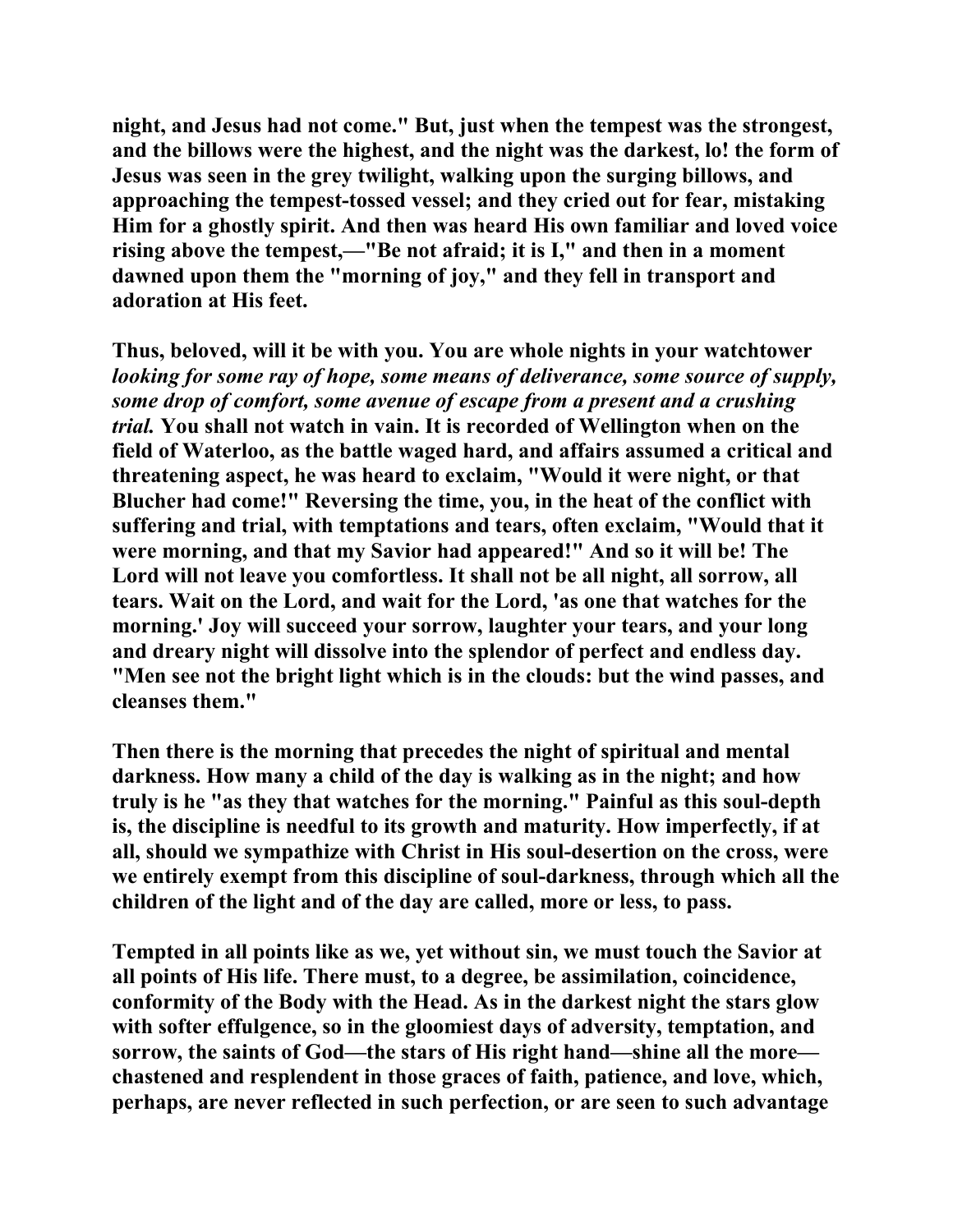**night, and Jesus had not come." But, just when the tempest was the strongest, and the billows were the highest, and the night was the darkest, lo! the form of Jesus was seen in the grey twilight, walking upon the surging billows, and approaching the tempest-tossed vessel; and they cried out for fear, mistaking Him for a ghostly spirit. And then was heard His own familiar and loved voice rising above the tempest,—"Be not afraid; it is I," and then in a moment dawned upon them the "morning of joy," and they fell in transport and adoration at His feet.** 

**Thus, beloved, will it be with you. You are whole nights in your watchtower**  *looking for some ray of hope, some means of deliverance, some source of supply, some drop of comfort, some avenue of escape from a present and a crushing trial.* **You shall not watch in vain. It is recorded of Wellington when on the field of Waterloo, as the battle waged hard, and affairs assumed a critical and threatening aspect, he was heard to exclaim, "Would it were night, or that Blucher had come!" Reversing the time, you, in the heat of the conflict with suffering and trial, with temptations and tears, often exclaim, "Would that it were morning, and that my Savior had appeared!" And so it will be! The Lord will not leave you comfortless. It shall not be all night, all sorrow, all tears. Wait on the Lord, and wait for the Lord, 'as one that watches for the morning.' Joy will succeed your sorrow, laughter your tears, and your long and dreary night will dissolve into the splendor of perfect and endless day. "Men see not the bright light which is in the clouds: but the wind passes, and cleanses them."** 

**Then there is the morning that precedes the night of spiritual and mental darkness. How many a child of the day is walking as in the night; and how truly is he "as they that watches for the morning." Painful as this soul-depth is, the discipline is needful to its growth and maturity. How imperfectly, if at all, should we sympathize with Christ in His soul-desertion on the cross, were we entirely exempt from this discipline of soul-darkness, through which all the children of the light and of the day are called, more or less, to pass.** 

**Tempted in all points like as we, yet without sin, we must touch the Savior at all points of His life. There must, to a degree, be assimilation, coincidence, conformity of the Body with the Head. As in the darkest night the stars glow with softer effulgence, so in the gloomiest days of adversity, temptation, and sorrow, the saints of God—the stars of His right hand—shine all the more chastened and resplendent in those graces of faith, patience, and love, which, perhaps, are never reflected in such perfection, or are seen to such advantage**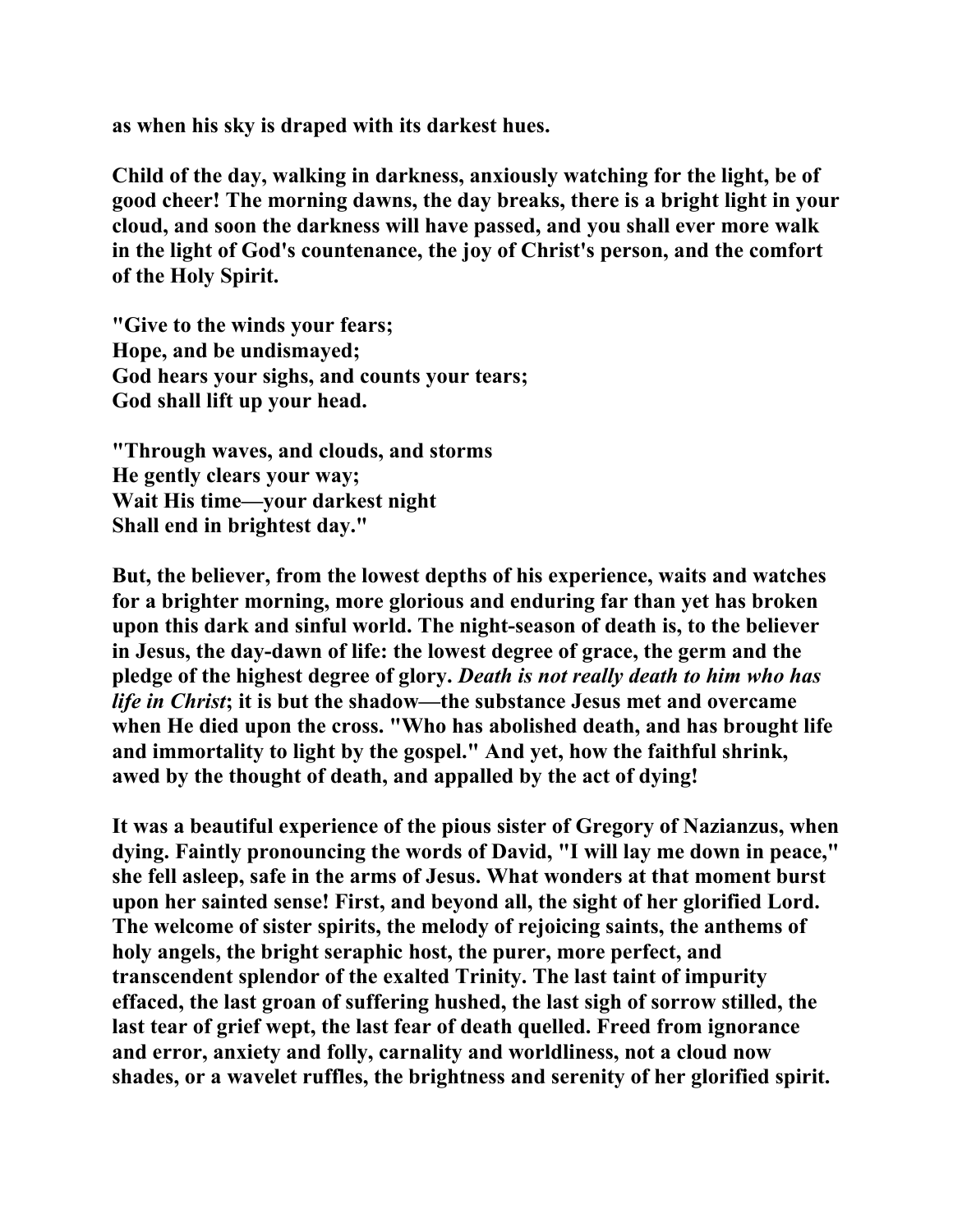**as when his sky is draped with its darkest hues.** 

**Child of the day, walking in darkness, anxiously watching for the light, be of good cheer! The morning dawns, the day breaks, there is a bright light in your cloud, and soon the darkness will have passed, and you shall ever more walk in the light of God's countenance, the joy of Christ's person, and the comfort of the Holy Spirit.** 

**"Give to the winds your fears; Hope, and be undismayed; God hears your sighs, and counts your tears; God shall lift up your head.** 

**"Through waves, and clouds, and storms He gently clears your way; Wait His time—your darkest night Shall end in brightest day."** 

**But, the believer, from the lowest depths of his experience, waits and watches for a brighter morning, more glorious and enduring far than yet has broken upon this dark and sinful world. The night-season of death is, to the believer in Jesus, the day-dawn of life: the lowest degree of grace, the germ and the pledge of the highest degree of glory.** *Death is not really death to him who has life in Christ***; it is but the shadow—the substance Jesus met and overcame when He died upon the cross. "Who has abolished death, and has brought life and immortality to light by the gospel." And yet, how the faithful shrink, awed by the thought of death, and appalled by the act of dying!** 

**It was a beautiful experience of the pious sister of Gregory of Nazianzus, when dying. Faintly pronouncing the words of David, "I will lay me down in peace," she fell asleep, safe in the arms of Jesus. What wonders at that moment burst upon her sainted sense! First, and beyond all, the sight of her glorified Lord. The welcome of sister spirits, the melody of rejoicing saints, the anthems of holy angels, the bright seraphic host, the purer, more perfect, and transcendent splendor of the exalted Trinity. The last taint of impurity effaced, the last groan of suffering hushed, the last sigh of sorrow stilled, the last tear of grief wept, the last fear of death quelled. Freed from ignorance and error, anxiety and folly, carnality and worldliness, not a cloud now shades, or a wavelet ruffles, the brightness and serenity of her glorified spirit.**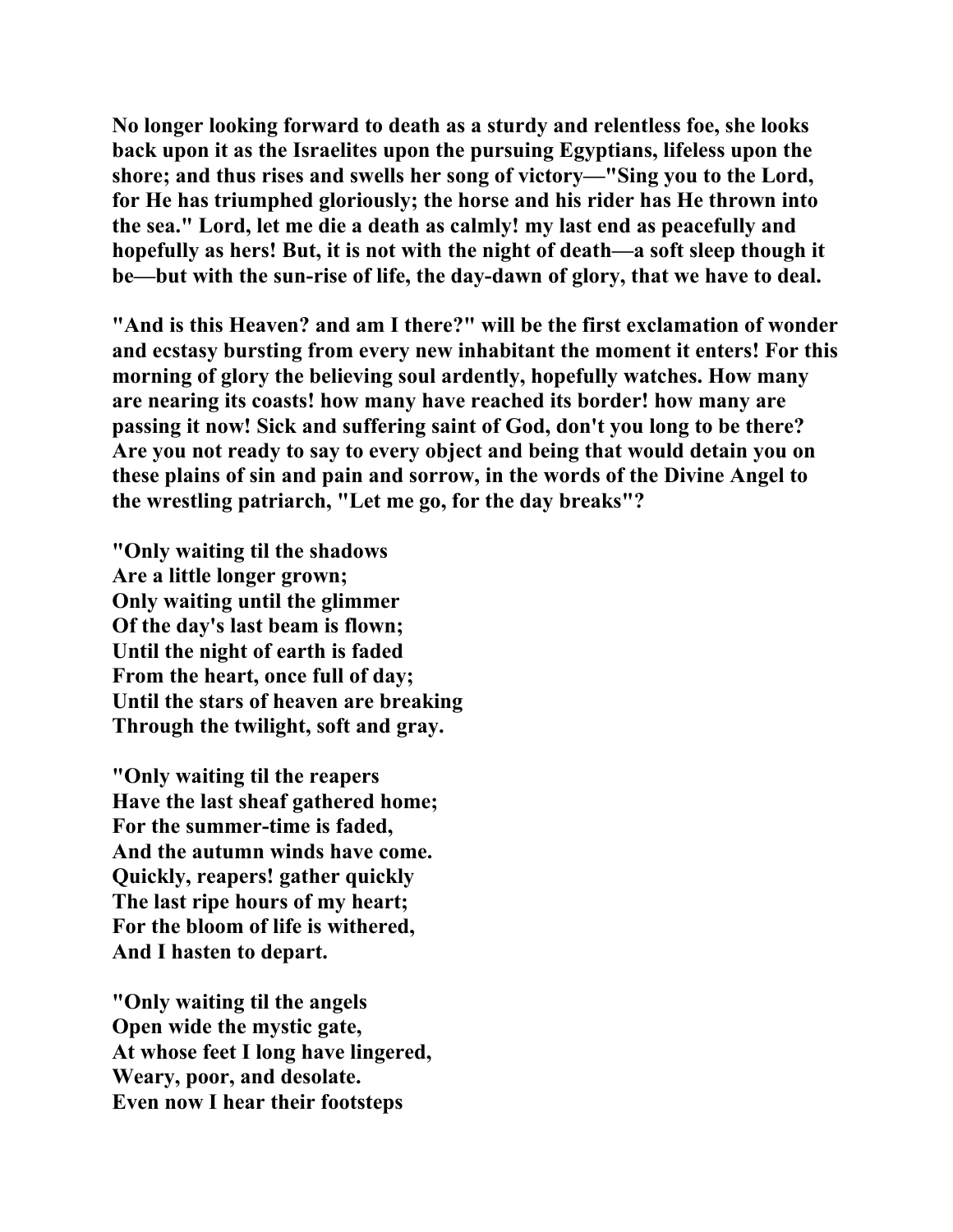**No longer looking forward to death as a sturdy and relentless foe, she looks back upon it as the Israelites upon the pursuing Egyptians, lifeless upon the shore; and thus rises and swells her song of victory—"Sing you to the Lord, for He has triumphed gloriously; the horse and his rider has He thrown into the sea." Lord, let me die a death as calmly! my last end as peacefully and hopefully as hers! But, it is not with the night of death—a soft sleep though it be—but with the sun-rise of life, the day-dawn of glory, that we have to deal.** 

**"And is this Heaven? and am I there?" will be the first exclamation of wonder and ecstasy bursting from every new inhabitant the moment it enters! For this morning of glory the believing soul ardently, hopefully watches. How many are nearing its coasts! how many have reached its border! how many are passing it now! Sick and suffering saint of God, don't you long to be there? Are you not ready to say to every object and being that would detain you on these plains of sin and pain and sorrow, in the words of the Divine Angel to the wrestling patriarch, "Let me go, for the day breaks"?** 

**"Only waiting til the shadows Are a little longer grown; Only waiting until the glimmer Of the day's last beam is flown; Until the night of earth is faded From the heart, once full of day; Until the stars of heaven are breaking Through the twilight, soft and gray.** 

**"Only waiting til the reapers Have the last sheaf gathered home; For the summer-time is faded, And the autumn winds have come. Quickly, reapers! gather quickly The last ripe hours of my heart; For the bloom of life is withered, And I hasten to depart.** 

**"Only waiting til the angels Open wide the mystic gate, At whose feet I long have lingered, Weary, poor, and desolate. Even now I hear their footsteps**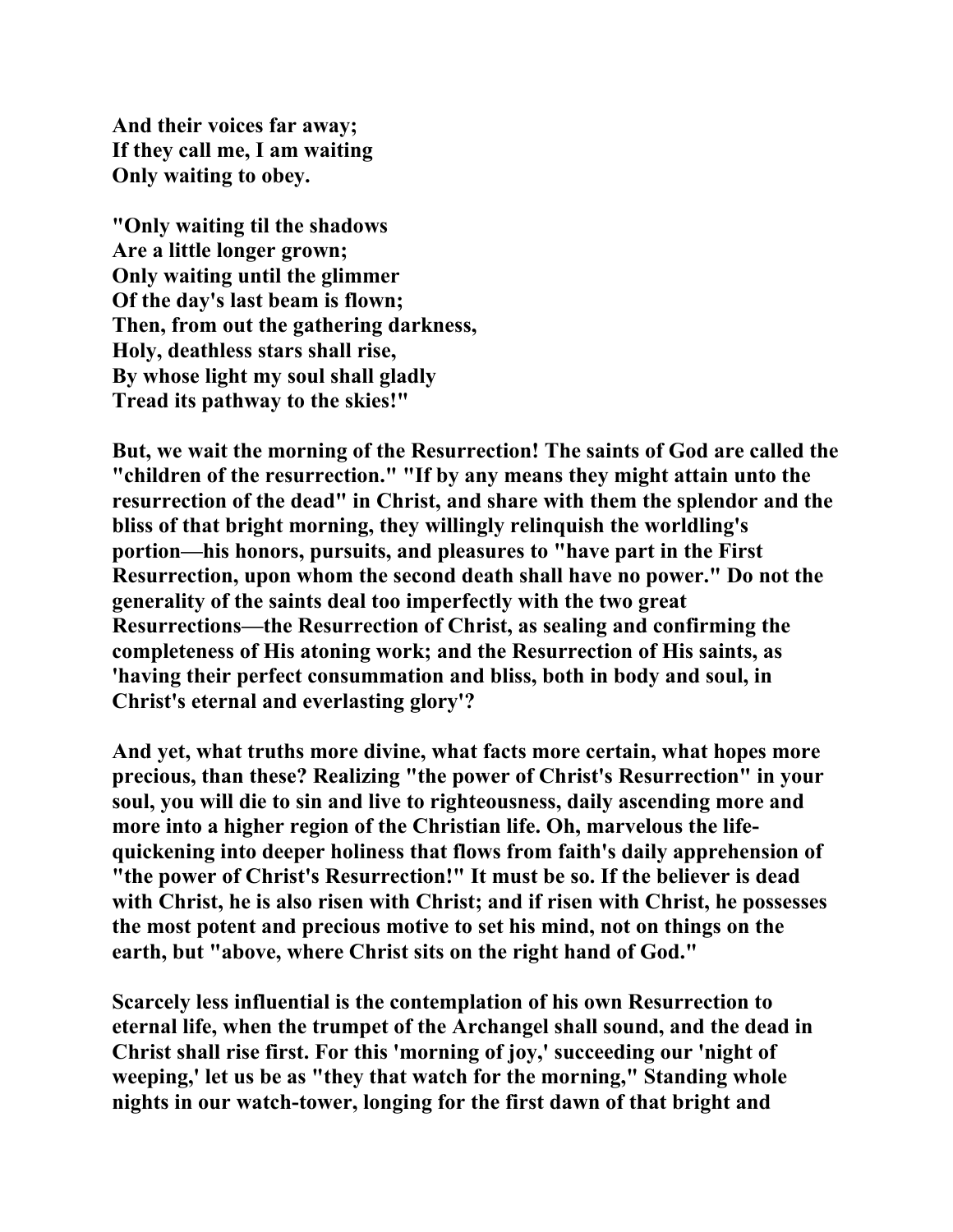**And their voices far away; If they call me, I am waiting Only waiting to obey.** 

**"Only waiting til the shadows Are a little longer grown; Only waiting until the glimmer Of the day's last beam is flown; Then, from out the gathering darkness, Holy, deathless stars shall rise, By whose light my soul shall gladly Tread its pathway to the skies!"** 

**But, we wait the morning of the Resurrection! The saints of God are called the "children of the resurrection." "If by any means they might attain unto the resurrection of the dead" in Christ, and share with them the splendor and the bliss of that bright morning, they willingly relinquish the worldling's portion—his honors, pursuits, and pleasures to "have part in the First Resurrection, upon whom the second death shall have no power." Do not the generality of the saints deal too imperfectly with the two great Resurrections—the Resurrection of Christ, as sealing and confirming the completeness of His atoning work; and the Resurrection of His saints, as 'having their perfect consummation and bliss, both in body and soul, in Christ's eternal and everlasting glory'?** 

**And yet, what truths more divine, what facts more certain, what hopes more precious, than these? Realizing "the power of Christ's Resurrection" in your soul, you will die to sin and live to righteousness, daily ascending more and more into a higher region of the Christian life. Oh, marvelous the lifequickening into deeper holiness that flows from faith's daily apprehension of "the power of Christ's Resurrection!" It must be so. If the believer is dead with Christ, he is also risen with Christ; and if risen with Christ, he possesses the most potent and precious motive to set his mind, not on things on the earth, but "above, where Christ sits on the right hand of God."** 

**Scarcely less influential is the contemplation of his own Resurrection to eternal life, when the trumpet of the Archangel shall sound, and the dead in Christ shall rise first. For this 'morning of joy,' succeeding our 'night of weeping,' let us be as "they that watch for the morning," Standing whole nights in our watch-tower, longing for the first dawn of that bright and**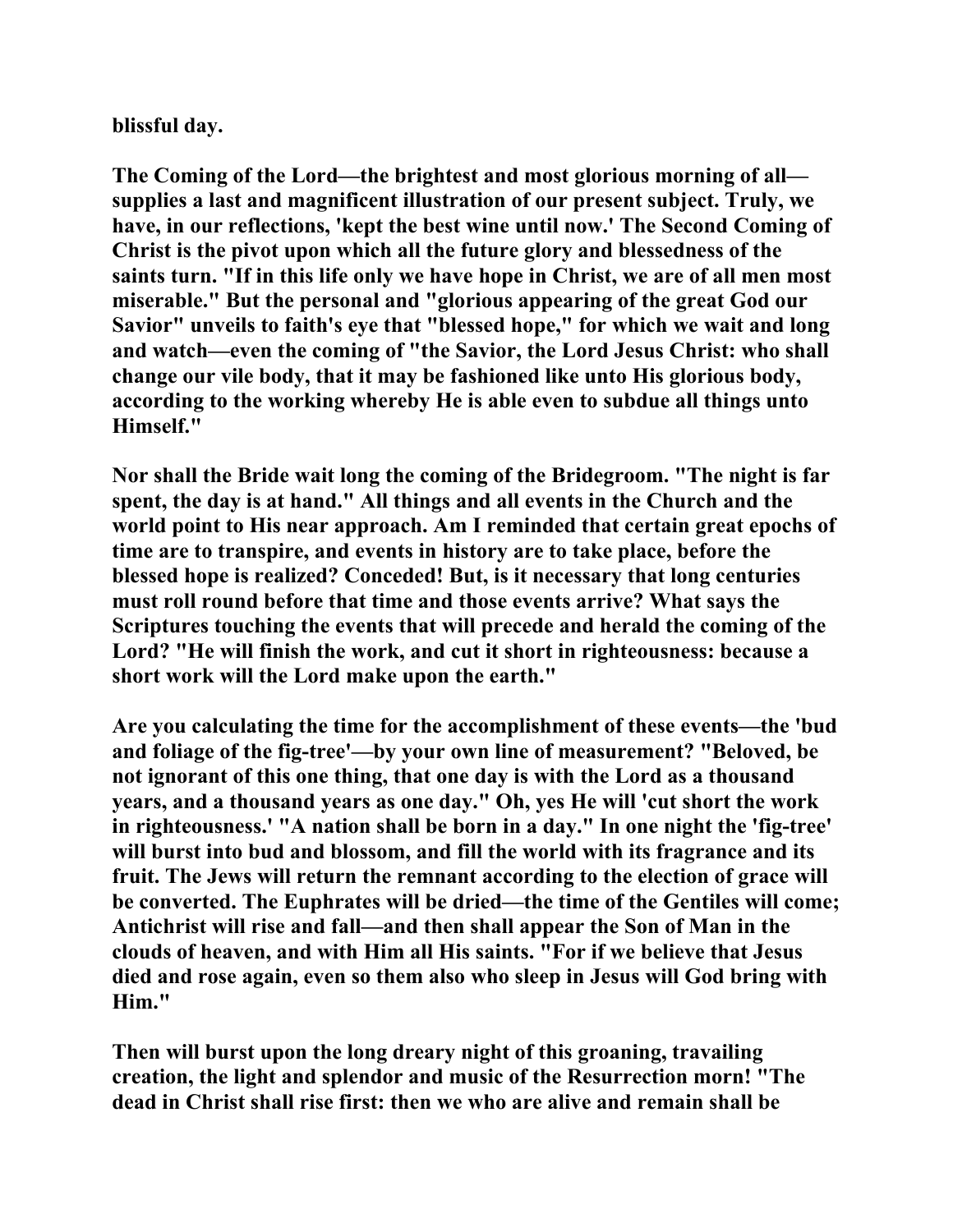**blissful day.** 

**The Coming of the Lord—the brightest and most glorious morning of all supplies a last and magnificent illustration of our present subject. Truly, we have, in our reflections, 'kept the best wine until now.' The Second Coming of Christ is the pivot upon which all the future glory and blessedness of the saints turn. "If in this life only we have hope in Christ, we are of all men most miserable." But the personal and "glorious appearing of the great God our Savior" unveils to faith's eye that "blessed hope," for which we wait and long and watch—even the coming of "the Savior, the Lord Jesus Christ: who shall change our vile body, that it may be fashioned like unto His glorious body, according to the working whereby He is able even to subdue all things unto Himself."** 

**Nor shall the Bride wait long the coming of the Bridegroom. "The night is far spent, the day is at hand." All things and all events in the Church and the world point to His near approach. Am I reminded that certain great epochs of time are to transpire, and events in history are to take place, before the blessed hope is realized? Conceded! But, is it necessary that long centuries must roll round before that time and those events arrive? What says the Scriptures touching the events that will precede and herald the coming of the Lord? "He will finish the work, and cut it short in righteousness: because a short work will the Lord make upon the earth."** 

**Are you calculating the time for the accomplishment of these events—the 'bud and foliage of the fig-tree'—by your own line of measurement? "Beloved, be not ignorant of this one thing, that one day is with the Lord as a thousand years, and a thousand years as one day." Oh, yes He will 'cut short the work in righteousness.' "A nation shall be born in a day." In one night the 'fig-tree' will burst into bud and blossom, and fill the world with its fragrance and its fruit. The Jews will return the remnant according to the election of grace will be converted. The Euphrates will be dried—the time of the Gentiles will come; Antichrist will rise and fall—and then shall appear the Son of Man in the clouds of heaven, and with Him all His saints. "For if we believe that Jesus died and rose again, even so them also who sleep in Jesus will God bring with Him."** 

**Then will burst upon the long dreary night of this groaning, travailing creation, the light and splendor and music of the Resurrection morn! "The dead in Christ shall rise first: then we who are alive and remain shall be**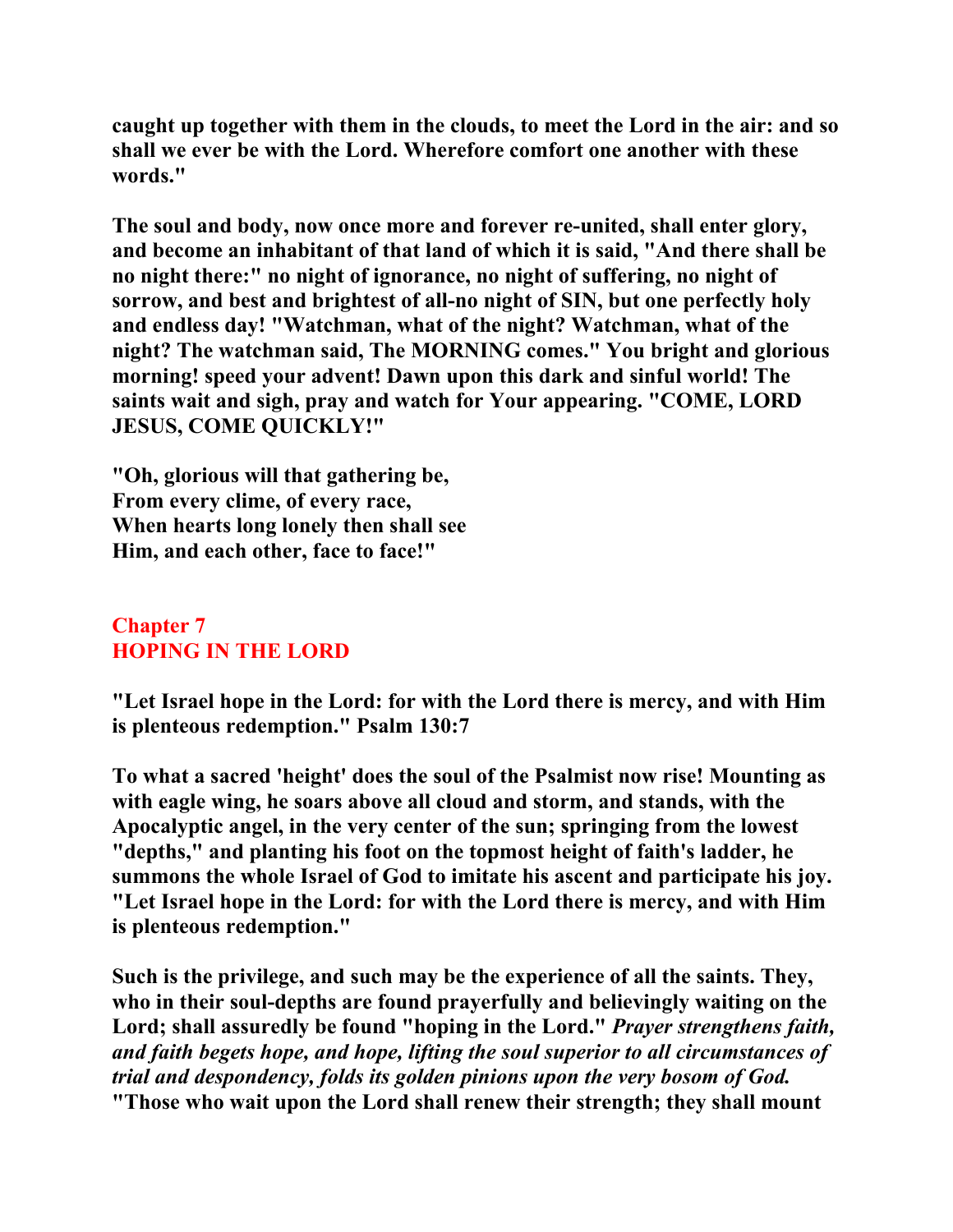**caught up together with them in the clouds, to meet the Lord in the air: and so shall we ever be with the Lord. Wherefore comfort one another with these words."** 

**The soul and body, now once more and forever re-united, shall enter glory, and become an inhabitant of that land of which it is said, "And there shall be no night there:" no night of ignorance, no night of suffering, no night of sorrow, and best and brightest of all-no night of SIN, but one perfectly holy and endless day! "Watchman, what of the night? Watchman, what of the night? The watchman said, The MORNING comes." You bright and glorious morning! speed your advent! Dawn upon this dark and sinful world! The saints wait and sigh, pray and watch for Your appearing. "COME, LORD JESUS, COME QUICKLY!"** 

**"Oh, glorious will that gathering be, From every clime, of every race, When hearts long lonely then shall see Him, and each other, face to face!"** 

## **Chapter 7 HOPING IN THE LORD**

**"Let Israel hope in the Lord: for with the Lord there is mercy, and with Him is plenteous redemption." Psalm 130:7** 

**To what a sacred 'height' does the soul of the Psalmist now rise! Mounting as with eagle wing, he soars above all cloud and storm, and stands, with the Apocalyptic angel, in the very center of the sun; springing from the lowest "depths," and planting his foot on the topmost height of faith's ladder, he summons the whole Israel of God to imitate his ascent and participate his joy. "Let Israel hope in the Lord: for with the Lord there is mercy, and with Him is plenteous redemption."** 

**Such is the privilege, and such may be the experience of all the saints. They, who in their soul-depths are found prayerfully and believingly waiting on the Lord; shall assuredly be found "hoping in the Lord."** *Prayer strengthens faith, and faith begets hope, and hope, lifting the soul superior to all circumstances of trial and despondency, folds its golden pinions upon the very bosom of God.* **"Those who wait upon the Lord shall renew their strength; they shall mount**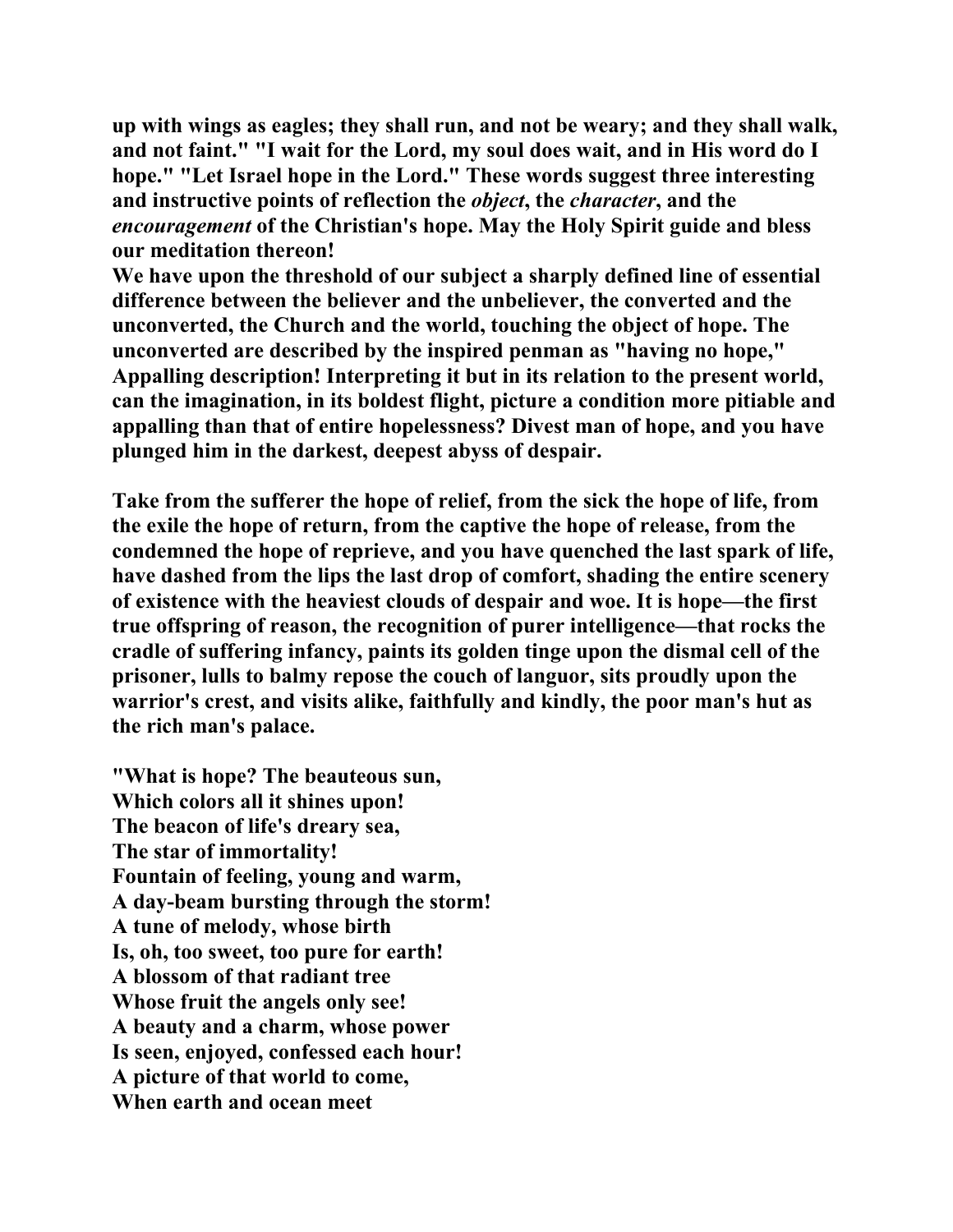**up with wings as eagles; they shall run, and not be weary; and they shall walk, and not faint." "I wait for the Lord, my soul does wait, and in His word do I hope." "Let Israel hope in the Lord." These words suggest three interesting and instructive points of reflection the** *object***, the** *character***, and the**  *encouragement* **of the Christian's hope. May the Holy Spirit guide and bless our meditation thereon!** 

**We have upon the threshold of our subject a sharply defined line of essential difference between the believer and the unbeliever, the converted and the unconverted, the Church and the world, touching the object of hope. The unconverted are described by the inspired penman as "having no hope," Appalling description! Interpreting it but in its relation to the present world, can the imagination, in its boldest flight, picture a condition more pitiable and appalling than that of entire hopelessness? Divest man of hope, and you have plunged him in the darkest, deepest abyss of despair.** 

**Take from the sufferer the hope of relief, from the sick the hope of life, from the exile the hope of return, from the captive the hope of release, from the condemned the hope of reprieve, and you have quenched the last spark of life, have dashed from the lips the last drop of comfort, shading the entire scenery of existence with the heaviest clouds of despair and woe. It is hope—the first true offspring of reason, the recognition of purer intelligence—that rocks the cradle of suffering infancy, paints its golden tinge upon the dismal cell of the prisoner, lulls to balmy repose the couch of languor, sits proudly upon the warrior's crest, and visits alike, faithfully and kindly, the poor man's hut as the rich man's palace.** 

**"What is hope? The beauteous sun, Which colors all it shines upon! The beacon of life's dreary sea, The star of immortality! Fountain of feeling, young and warm, A day-beam bursting through the storm! A tune of melody, whose birth Is, oh, too sweet, too pure for earth! A blossom of that radiant tree Whose fruit the angels only see! A beauty and a charm, whose power Is seen, enjoyed, confessed each hour! A picture of that world to come, When earth and ocean meet**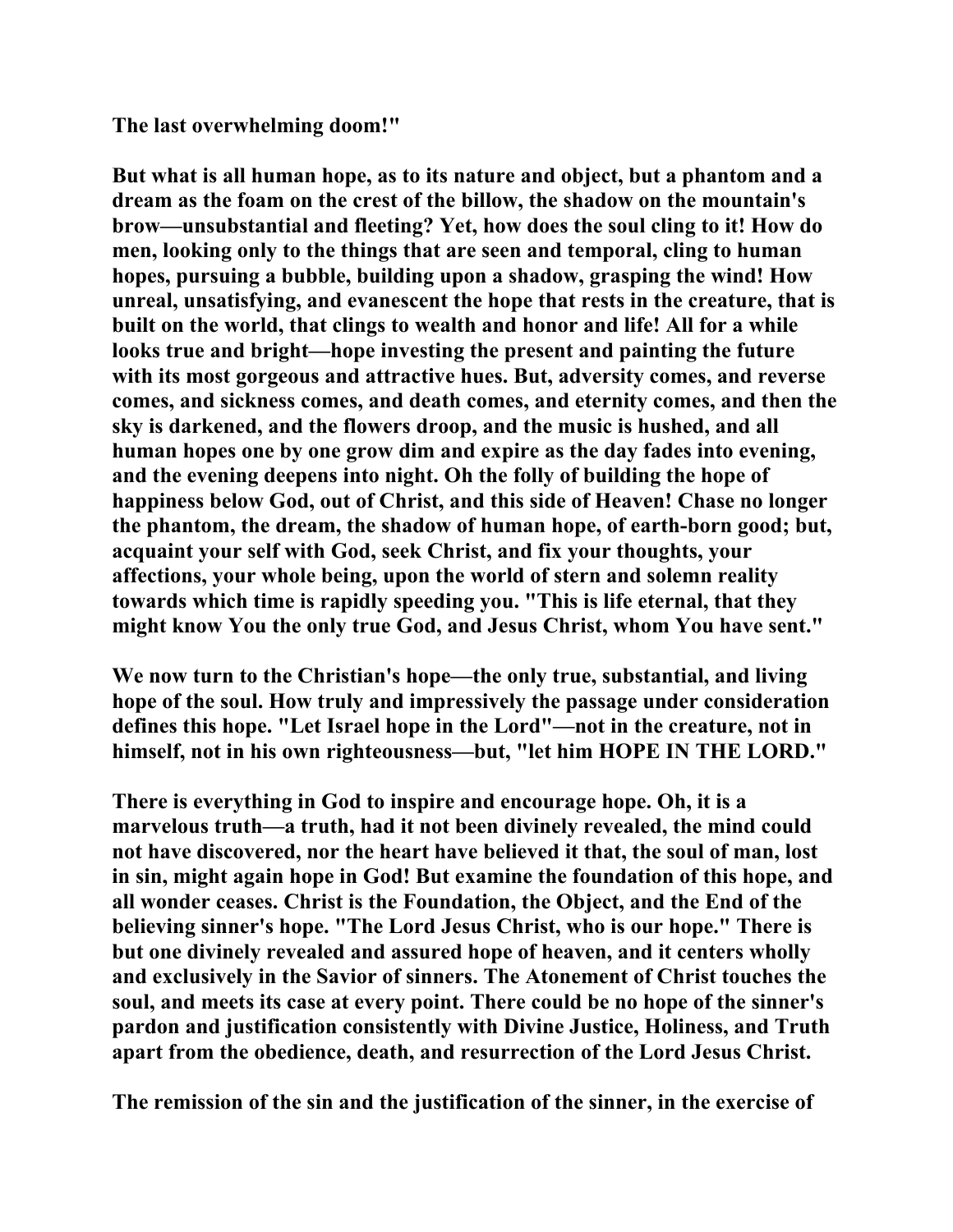**The last overwhelming doom!"** 

**But what is all human hope, as to its nature and object, but a phantom and a dream as the foam on the crest of the billow, the shadow on the mountain's brow—unsubstantial and fleeting? Yet, how does the soul cling to it! How do men, looking only to the things that are seen and temporal, cling to human hopes, pursuing a bubble, building upon a shadow, grasping the wind! How unreal, unsatisfying, and evanescent the hope that rests in the creature, that is built on the world, that clings to wealth and honor and life! All for a while looks true and bright—hope investing the present and painting the future with its most gorgeous and attractive hues. But, adversity comes, and reverse comes, and sickness comes, and death comes, and eternity comes, and then the sky is darkened, and the flowers droop, and the music is hushed, and all human hopes one by one grow dim and expire as the day fades into evening, and the evening deepens into night. Oh the folly of building the hope of happiness below God, out of Christ, and this side of Heaven! Chase no longer the phantom, the dream, the shadow of human hope, of earth-born good; but, acquaint your self with God, seek Christ, and fix your thoughts, your affections, your whole being, upon the world of stern and solemn reality towards which time is rapidly speeding you. "This is life eternal, that they might know You the only true God, and Jesus Christ, whom You have sent."** 

**We now turn to the Christian's hope—the only true, substantial, and living hope of the soul. How truly and impressively the passage under consideration defines this hope. "Let Israel hope in the Lord"—not in the creature, not in himself, not in his own righteousness—but, "let him HOPE IN THE LORD."** 

**There is everything in God to inspire and encourage hope. Oh, it is a marvelous truth—a truth, had it not been divinely revealed, the mind could not have discovered, nor the heart have believed it that, the soul of man, lost in sin, might again hope in God! But examine the foundation of this hope, and all wonder ceases. Christ is the Foundation, the Object, and the End of the believing sinner's hope. "The Lord Jesus Christ, who is our hope." There is but one divinely revealed and assured hope of heaven, and it centers wholly and exclusively in the Savior of sinners. The Atonement of Christ touches the soul, and meets its case at every point. There could be no hope of the sinner's pardon and justification consistently with Divine Justice, Holiness, and Truth apart from the obedience, death, and resurrection of the Lord Jesus Christ.** 

**The remission of the sin and the justification of the sinner, in the exercise of**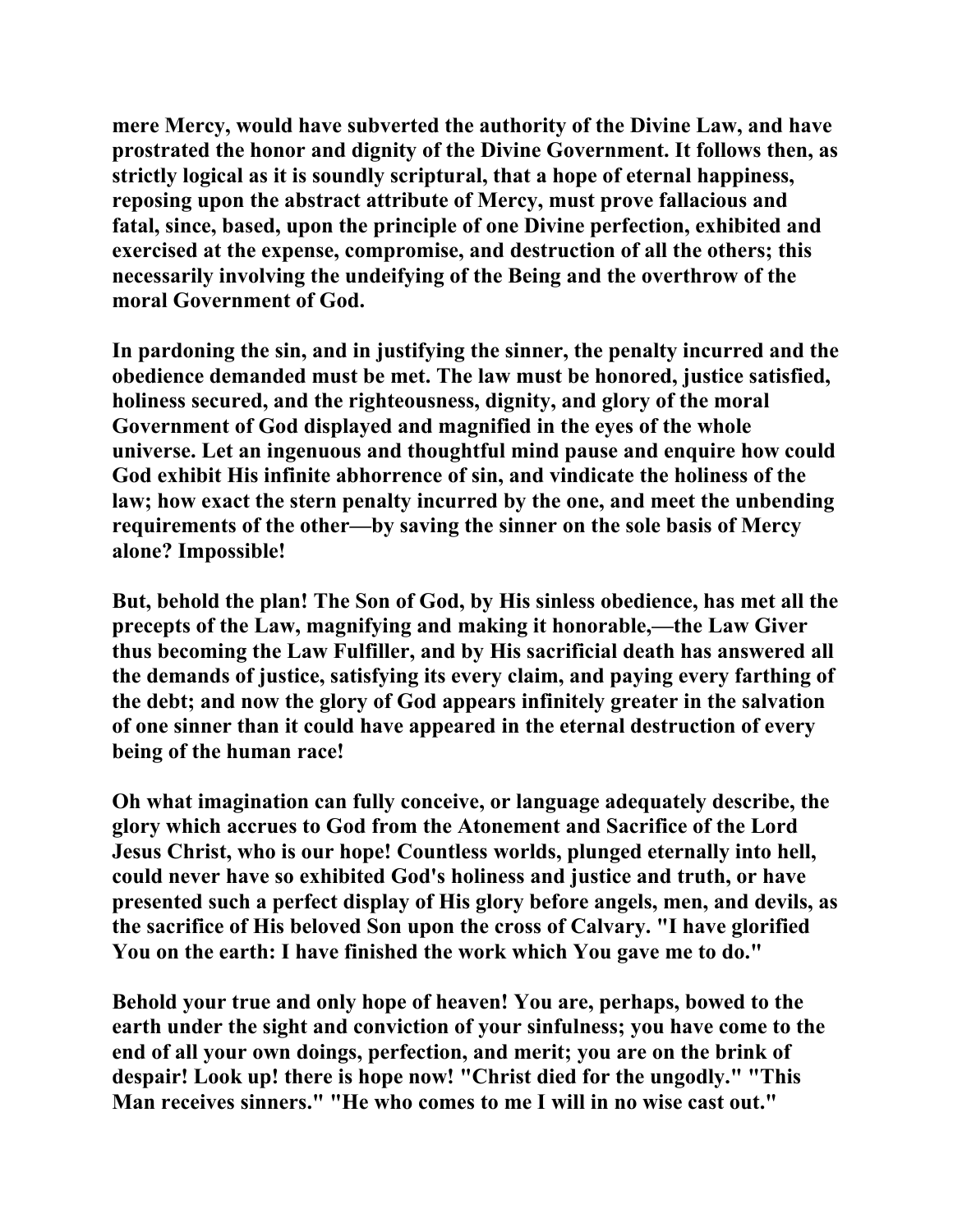**mere Mercy, would have subverted the authority of the Divine Law, and have prostrated the honor and dignity of the Divine Government. It follows then, as strictly logical as it is soundly scriptural, that a hope of eternal happiness, reposing upon the abstract attribute of Mercy, must prove fallacious and fatal, since, based, upon the principle of one Divine perfection, exhibited and exercised at the expense, compromise, and destruction of all the others; this necessarily involving the undeifying of the Being and the overthrow of the moral Government of God.** 

**In pardoning the sin, and in justifying the sinner, the penalty incurred and the obedience demanded must be met. The law must be honored, justice satisfied, holiness secured, and the righteousness, dignity, and glory of the moral Government of God displayed and magnified in the eyes of the whole universe. Let an ingenuous and thoughtful mind pause and enquire how could God exhibit His infinite abhorrence of sin, and vindicate the holiness of the law; how exact the stern penalty incurred by the one, and meet the unbending requirements of the other—by saving the sinner on the sole basis of Mercy alone? Impossible!** 

**But, behold the plan! The Son of God, by His sinless obedience, has met all the precepts of the Law, magnifying and making it honorable,—the Law Giver thus becoming the Law Fulfiller, and by His sacrificial death has answered all the demands of justice, satisfying its every claim, and paying every farthing of the debt; and now the glory of God appears infinitely greater in the salvation of one sinner than it could have appeared in the eternal destruction of every being of the human race!** 

**Oh what imagination can fully conceive, or language adequately describe, the glory which accrues to God from the Atonement and Sacrifice of the Lord Jesus Christ, who is our hope! Countless worlds, plunged eternally into hell, could never have so exhibited God's holiness and justice and truth, or have presented such a perfect display of His glory before angels, men, and devils, as the sacrifice of His beloved Son upon the cross of Calvary. "I have glorified You on the earth: I have finished the work which You gave me to do."** 

**Behold your true and only hope of heaven! You are, perhaps, bowed to the earth under the sight and conviction of your sinfulness; you have come to the end of all your own doings, perfection, and merit; you are on the brink of despair! Look up! there is hope now! "Christ died for the ungodly." "This Man receives sinners." "He who comes to me I will in no wise cast out."**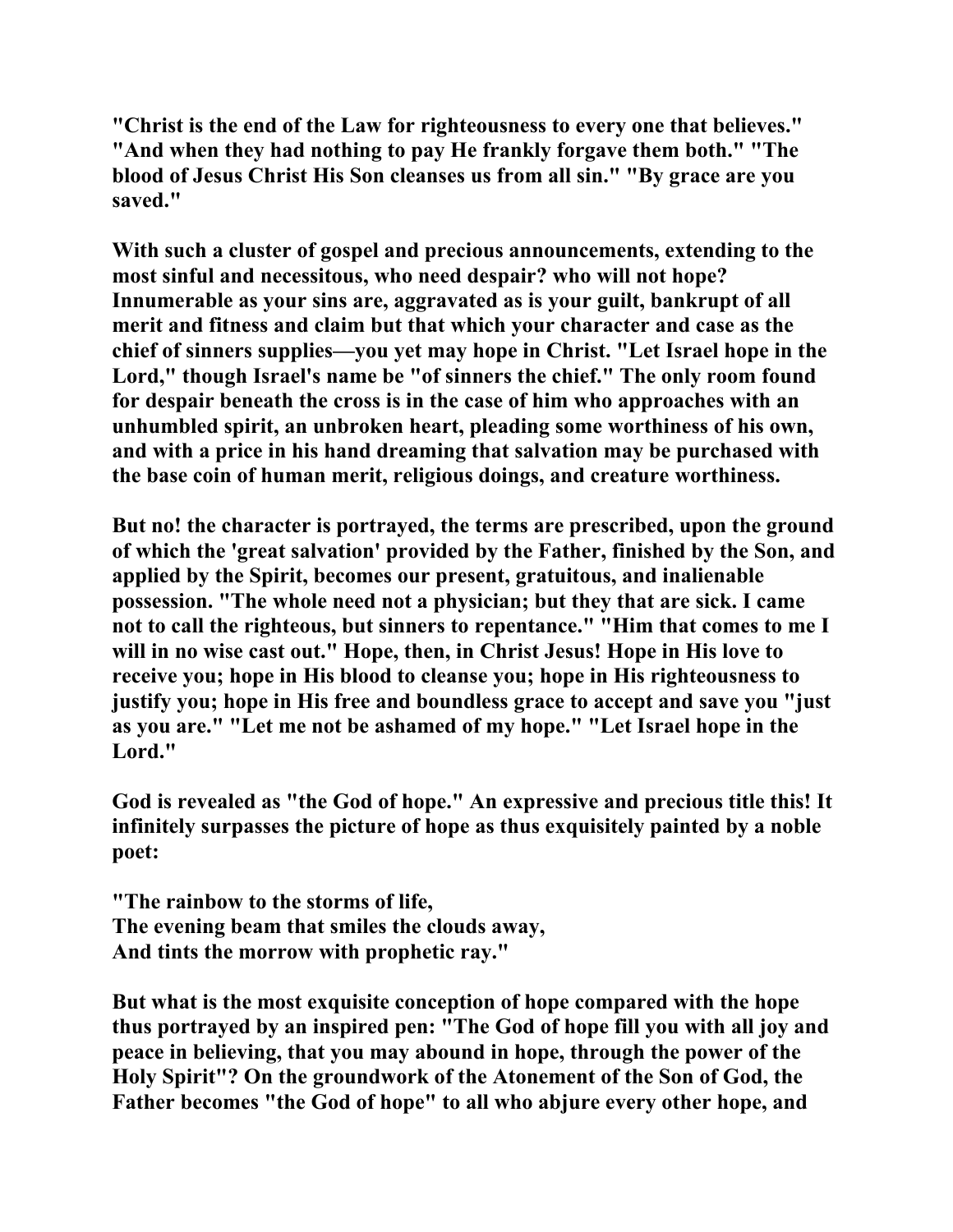**"Christ is the end of the Law for righteousness to every one that believes." "And when they had nothing to pay He frankly forgave them both." "The blood of Jesus Christ His Son cleanses us from all sin." "By grace are you saved."** 

**With such a cluster of gospel and precious announcements, extending to the most sinful and necessitous, who need despair? who will not hope? Innumerable as your sins are, aggravated as is your guilt, bankrupt of all merit and fitness and claim but that which your character and case as the chief of sinners supplies—you yet may hope in Christ. "Let Israel hope in the Lord," though Israel's name be "of sinners the chief." The only room found for despair beneath the cross is in the case of him who approaches with an unhumbled spirit, an unbroken heart, pleading some worthiness of his own, and with a price in his hand dreaming that salvation may be purchased with the base coin of human merit, religious doings, and creature worthiness.** 

**But no! the character is portrayed, the terms are prescribed, upon the ground of which the 'great salvation' provided by the Father, finished by the Son, and applied by the Spirit, becomes our present, gratuitous, and inalienable possession. "The whole need not a physician; but they that are sick. I came not to call the righteous, but sinners to repentance." "Him that comes to me I will in no wise cast out." Hope, then, in Christ Jesus! Hope in His love to receive you; hope in His blood to cleanse you; hope in His righteousness to justify you; hope in His free and boundless grace to accept and save you "just as you are." "Let me not be ashamed of my hope." "Let Israel hope in the Lord."** 

**God is revealed as "the God of hope." An expressive and precious title this! It infinitely surpasses the picture of hope as thus exquisitely painted by a noble poet:** 

**"The rainbow to the storms of life, The evening beam that smiles the clouds away, And tints the morrow with prophetic ray."** 

**But what is the most exquisite conception of hope compared with the hope thus portrayed by an inspired pen: "The God of hope fill you with all joy and peace in believing, that you may abound in hope, through the power of the Holy Spirit"? On the groundwork of the Atonement of the Son of God, the Father becomes "the God of hope" to all who abjure every other hope, and**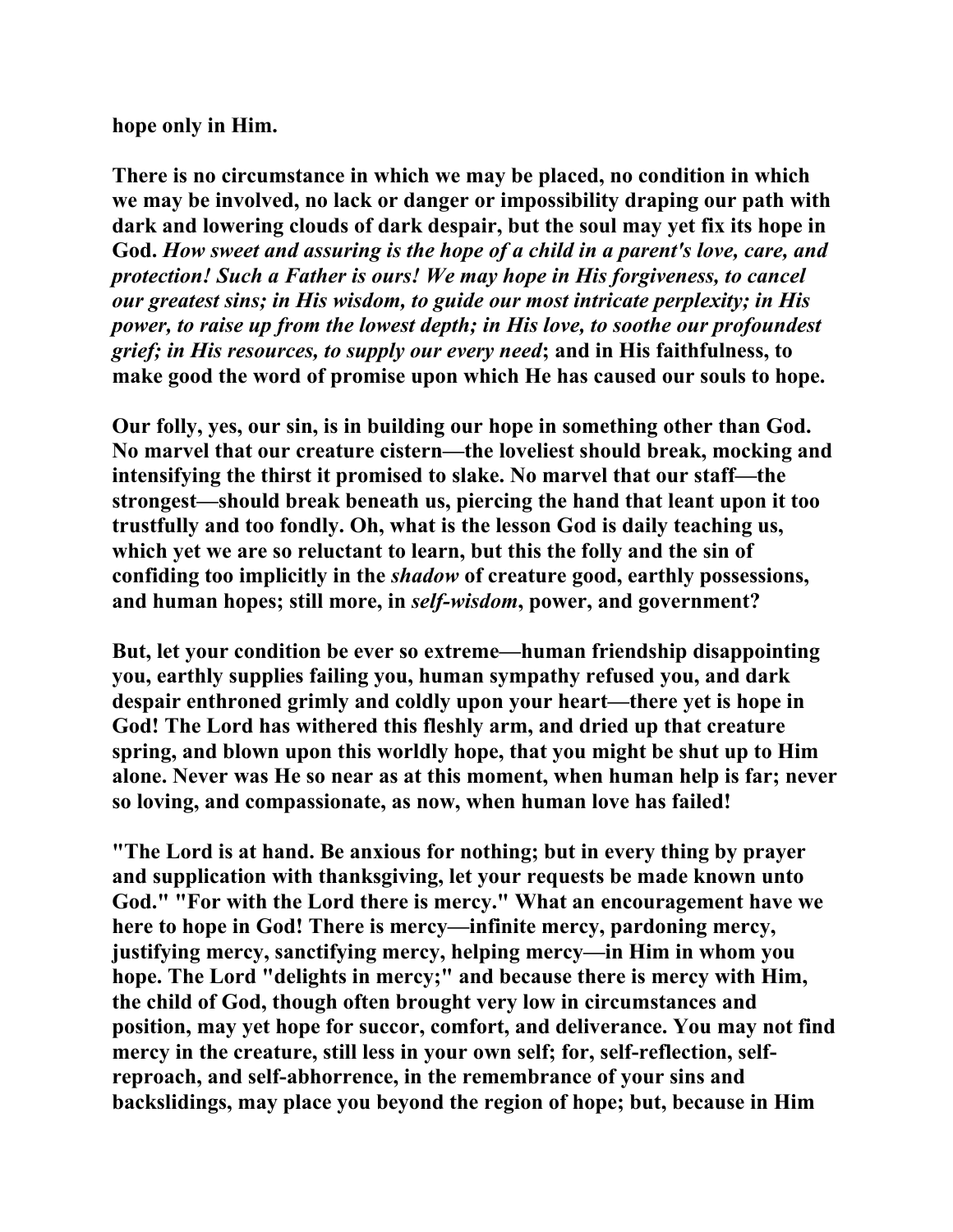**hope only in Him.** 

**There is no circumstance in which we may be placed, no condition in which we may be involved, no lack or danger or impossibility draping our path with dark and lowering clouds of dark despair, but the soul may yet fix its hope in God.** *How sweet and assuring is the hope of a child in a parent's love, care, and protection! Such a Father is ours! We may hope in His forgiveness, to cancel our greatest sins; in His wisdom, to guide our most intricate perplexity; in His power, to raise up from the lowest depth; in His love, to soothe our profoundest grief; in His resources, to supply our every need***; and in His faithfulness, to make good the word of promise upon which He has caused our souls to hope.** 

**Our folly, yes, our sin, is in building our hope in something other than God. No marvel that our creature cistern—the loveliest should break, mocking and intensifying the thirst it promised to slake. No marvel that our staff—the strongest—should break beneath us, piercing the hand that leant upon it too trustfully and too fondly. Oh, what is the lesson God is daily teaching us, which yet we are so reluctant to learn, but this the folly and the sin of confiding too implicitly in the** *shadow* **of creature good, earthly possessions, and human hopes; still more, in** *self-wisdom***, power, and government?** 

**But, let your condition be ever so extreme—human friendship disappointing you, earthly supplies failing you, human sympathy refused you, and dark despair enthroned grimly and coldly upon your heart—there yet is hope in God! The Lord has withered this fleshly arm, and dried up that creature spring, and blown upon this worldly hope, that you might be shut up to Him alone. Never was He so near as at this moment, when human help is far; never so loving, and compassionate, as now, when human love has failed!** 

**"The Lord is at hand. Be anxious for nothing; but in every thing by prayer and supplication with thanksgiving, let your requests be made known unto God." "For with the Lord there is mercy." What an encouragement have we here to hope in God! There is mercy—infinite mercy, pardoning mercy, justifying mercy, sanctifying mercy, helping mercy—in Him in whom you hope. The Lord "delights in mercy;" and because there is mercy with Him, the child of God, though often brought very low in circumstances and position, may yet hope for succor, comfort, and deliverance. You may not find mercy in the creature, still less in your own self; for, self-reflection, selfreproach, and self-abhorrence, in the remembrance of your sins and backslidings, may place you beyond the region of hope; but, because in Him**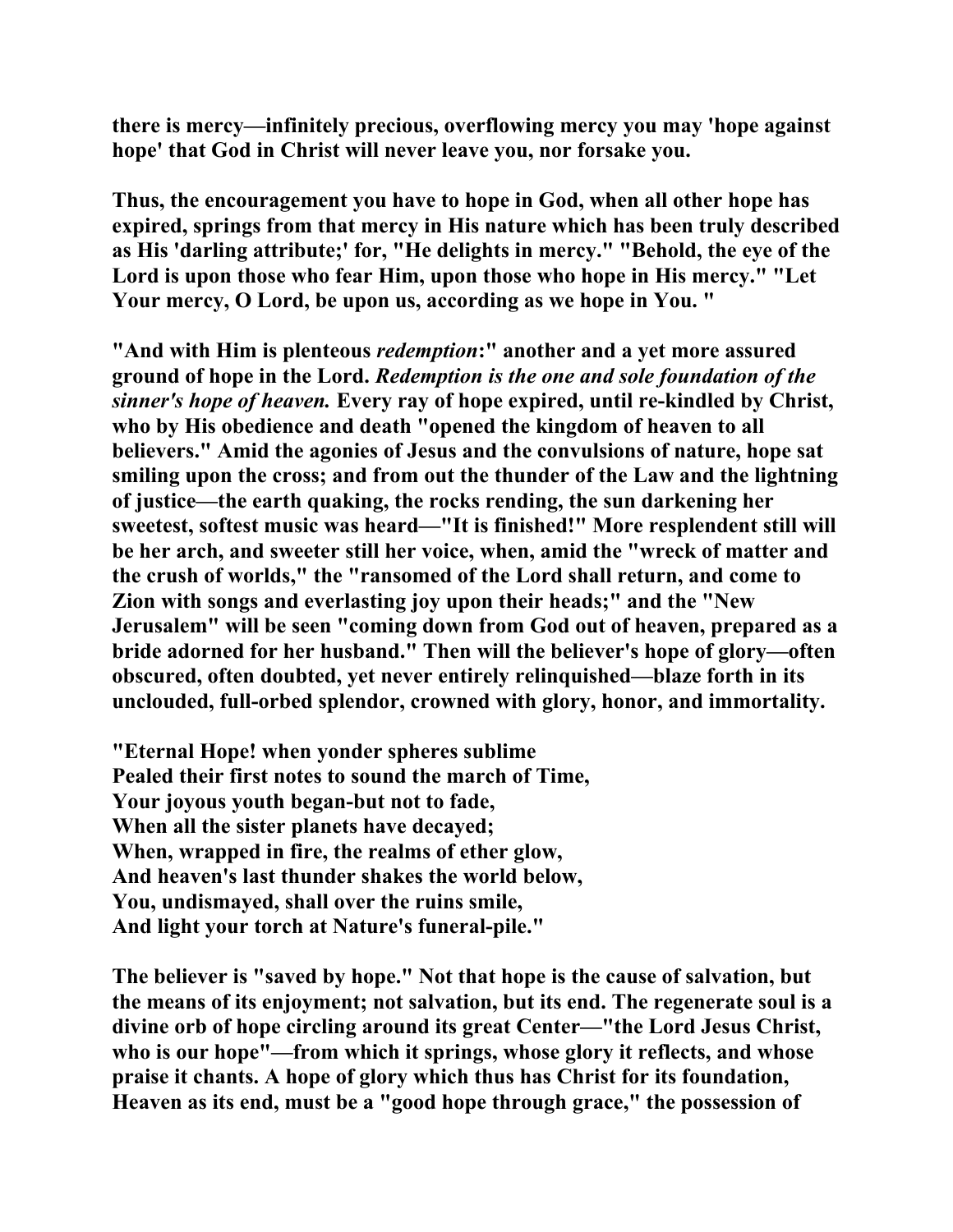**there is mercy—infinitely precious, overflowing mercy you may 'hope against hope' that God in Christ will never leave you, nor forsake you.** 

**Thus, the encouragement you have to hope in God, when all other hope has expired, springs from that mercy in His nature which has been truly described as His 'darling attribute;' for, "He delights in mercy." "Behold, the eye of the Lord is upon those who fear Him, upon those who hope in His mercy." "Let Your mercy, O Lord, be upon us, according as we hope in You. "** 

**"And with Him is plenteous** *redemption***:" another and a yet more assured ground of hope in the Lord.** *Redemption is the one and sole foundation of the sinner's hope of heaven.* **Every ray of hope expired, until re-kindled by Christ, who by His obedience and death "opened the kingdom of heaven to all believers." Amid the agonies of Jesus and the convulsions of nature, hope sat smiling upon the cross; and from out the thunder of the Law and the lightning of justice—the earth quaking, the rocks rending, the sun darkening her sweetest, softest music was heard—"It is finished!" More resplendent still will be her arch, and sweeter still her voice, when, amid the "wreck of matter and the crush of worlds," the "ransomed of the Lord shall return, and come to Zion with songs and everlasting joy upon their heads;" and the "New Jerusalem" will be seen "coming down from God out of heaven, prepared as a bride adorned for her husband." Then will the believer's hope of glory—often obscured, often doubted, yet never entirely relinquished—blaze forth in its unclouded, full-orbed splendor, crowned with glory, honor, and immortality.** 

**"Eternal Hope! when yonder spheres sublime Pealed their first notes to sound the march of Time, Your joyous youth began-but not to fade, When all the sister planets have decayed; When, wrapped in fire, the realms of ether glow, And heaven's last thunder shakes the world below, You, undismayed, shall over the ruins smile, And light your torch at Nature's funeral-pile."** 

**The believer is "saved by hope." Not that hope is the cause of salvation, but the means of its enjoyment; not salvation, but its end. The regenerate soul is a divine orb of hope circling around its great Center—"the Lord Jesus Christ, who is our hope"—from which it springs, whose glory it reflects, and whose praise it chants. A hope of glory which thus has Christ for its foundation, Heaven as its end, must be a "good hope through grace," the possession of**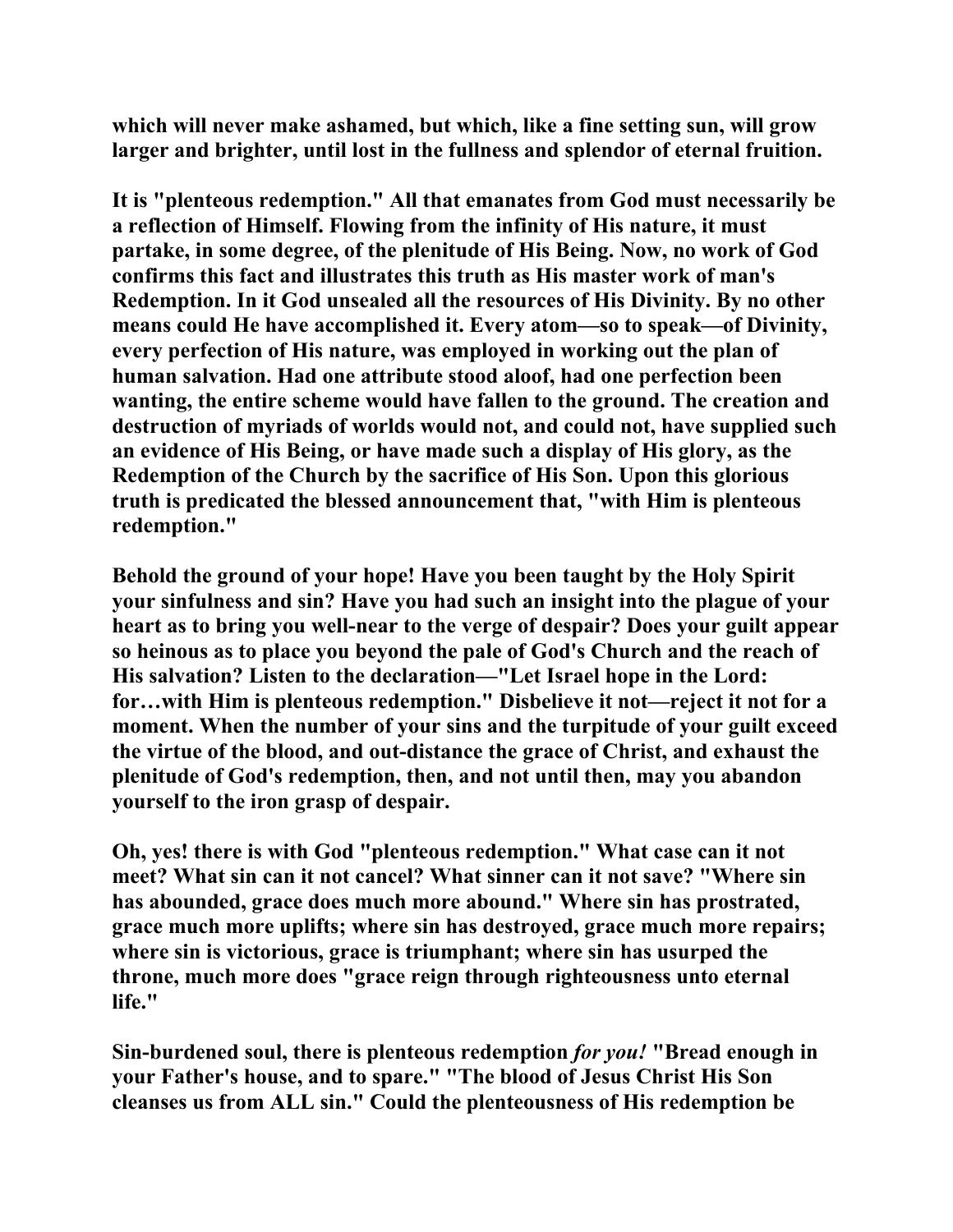**which will never make ashamed, but which, like a fine setting sun, will grow larger and brighter, until lost in the fullness and splendor of eternal fruition.** 

**It is "plenteous redemption." All that emanates from God must necessarily be a reflection of Himself. Flowing from the infinity of His nature, it must partake, in some degree, of the plenitude of His Being. Now, no work of God confirms this fact and illustrates this truth as His master work of man's Redemption. In it God unsealed all the resources of His Divinity. By no other means could He have accomplished it. Every atom—so to speak—of Divinity, every perfection of His nature, was employed in working out the plan of human salvation. Had one attribute stood aloof, had one perfection been wanting, the entire scheme would have fallen to the ground. The creation and destruction of myriads of worlds would not, and could not, have supplied such an evidence of His Being, or have made such a display of His glory, as the Redemption of the Church by the sacrifice of His Son. Upon this glorious truth is predicated the blessed announcement that, "with Him is plenteous redemption."** 

**Behold the ground of your hope! Have you been taught by the Holy Spirit your sinfulness and sin? Have you had such an insight into the plague of your heart as to bring you well-near to the verge of despair? Does your guilt appear so heinous as to place you beyond the pale of God's Church and the reach of His salvation? Listen to the declaration—"Let Israel hope in the Lord: for…with Him is plenteous redemption." Disbelieve it not—reject it not for a moment. When the number of your sins and the turpitude of your guilt exceed the virtue of the blood, and out-distance the grace of Christ, and exhaust the plenitude of God's redemption, then, and not until then, may you abandon yourself to the iron grasp of despair.** 

**Oh, yes! there is with God "plenteous redemption." What case can it not meet? What sin can it not cancel? What sinner can it not save? "Where sin has abounded, grace does much more abound." Where sin has prostrated, grace much more uplifts; where sin has destroyed, grace much more repairs; where sin is victorious, grace is triumphant; where sin has usurped the throne, much more does "grace reign through righteousness unto eternal life."** 

**Sin-burdened soul, there is plenteous redemption** *for you!* **"Bread enough in your Father's house, and to spare." "The blood of Jesus Christ His Son cleanses us from ALL sin." Could the plenteousness of His redemption be**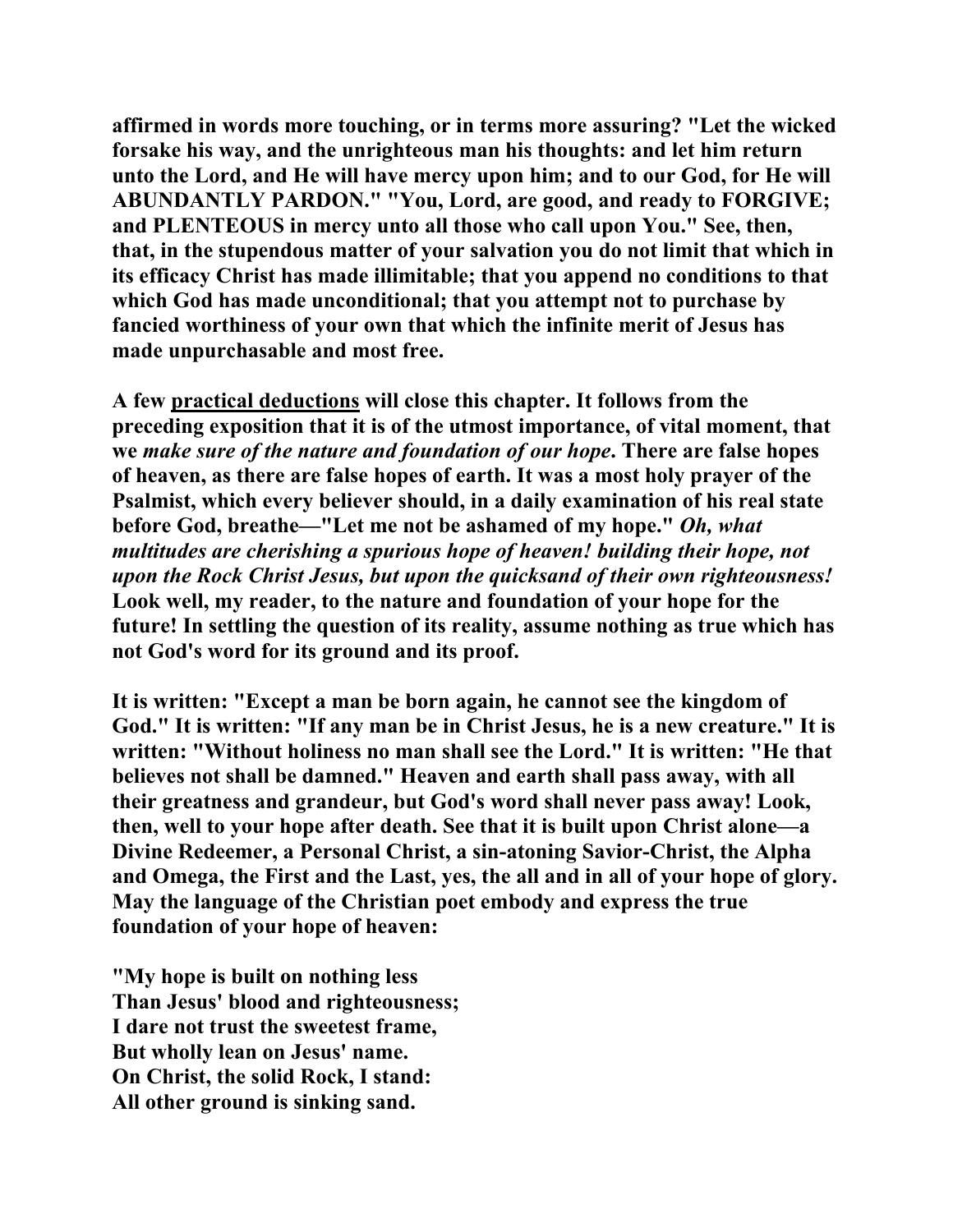**affirmed in words more touching, or in terms more assuring? "Let the wicked forsake his way, and the unrighteous man his thoughts: and let him return unto the Lord, and He will have mercy upon him; and to our God, for He will ABUNDANTLY PARDON." "You, Lord, are good, and ready to FORGIVE; and PLENTEOUS in mercy unto all those who call upon You." See, then, that, in the stupendous matter of your salvation you do not limit that which in its efficacy Christ has made illimitable; that you append no conditions to that which God has made unconditional; that you attempt not to purchase by fancied worthiness of your own that which the infinite merit of Jesus has made unpurchasable and most free.** 

**A few practical deductions will close this chapter. It follows from the preceding exposition that it is of the utmost importance, of vital moment, that we** *make sure of the nature and foundation of our hope***. There are false hopes of heaven, as there are false hopes of earth. It was a most holy prayer of the Psalmist, which every believer should, in a daily examination of his real state before God, breathe—"Let me not be ashamed of my hope."** *Oh, what multitudes are cherishing a spurious hope of heaven! building their hope, not upon the Rock Christ Jesus, but upon the quicksand of their own righteousness!* **Look well, my reader, to the nature and foundation of your hope for the future! In settling the question of its reality, assume nothing as true which has not God's word for its ground and its proof.** 

**It is written: "Except a man be born again, he cannot see the kingdom of God." It is written: "If any man be in Christ Jesus, he is a new creature." It is written: "Without holiness no man shall see the Lord." It is written: "He that believes not shall be damned." Heaven and earth shall pass away, with all their greatness and grandeur, but God's word shall never pass away! Look, then, well to your hope after death. See that it is built upon Christ alone—a Divine Redeemer, a Personal Christ, a sin-atoning Savior-Christ, the Alpha and Omega, the First and the Last, yes, the all and in all of your hope of glory. May the language of the Christian poet embody and express the true foundation of your hope of heaven:** 

**"My hope is built on nothing less Than Jesus' blood and righteousness; I dare not trust the sweetest frame, But wholly lean on Jesus' name. On Christ, the solid Rock, I stand: All other ground is sinking sand.**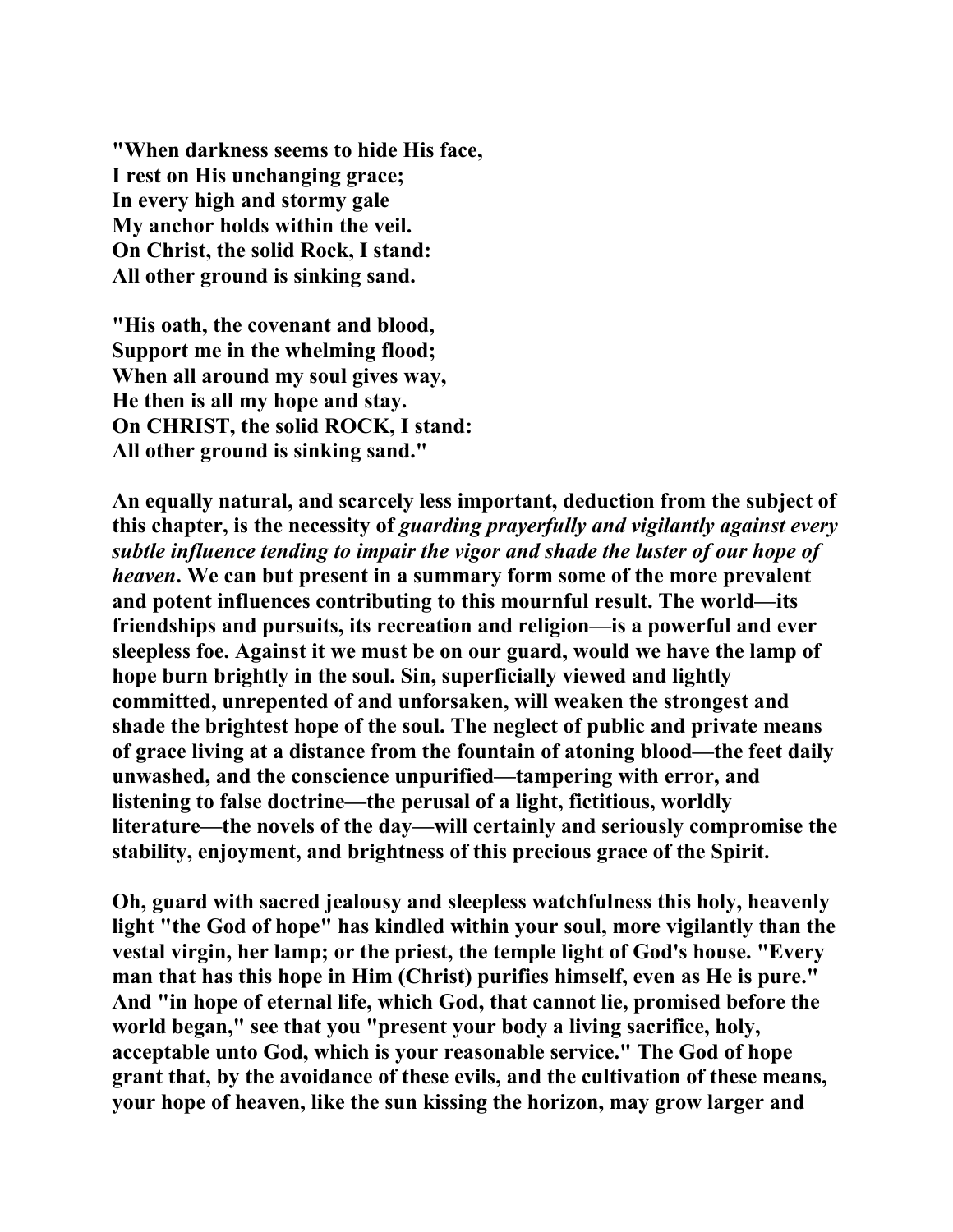**"When darkness seems to hide His face, I rest on His unchanging grace; In every high and stormy gale My anchor holds within the veil. On Christ, the solid Rock, I stand: All other ground is sinking sand.** 

**"His oath, the covenant and blood, Support me in the whelming flood; When all around my soul gives way, He then is all my hope and stay. On CHRIST, the solid ROCK, I stand: All other ground is sinking sand."** 

**An equally natural, and scarcely less important, deduction from the subject of this chapter, is the necessity of** *guarding prayerfully and vigilantly against every subtle influence tending to impair the vigor and shade the luster of our hope of heaven***. We can but present in a summary form some of the more prevalent and potent influences contributing to this mournful result. The world—its friendships and pursuits, its recreation and religion—is a powerful and ever sleepless foe. Against it we must be on our guard, would we have the lamp of hope burn brightly in the soul. Sin, superficially viewed and lightly committed, unrepented of and unforsaken, will weaken the strongest and shade the brightest hope of the soul. The neglect of public and private means of grace living at a distance from the fountain of atoning blood—the feet daily unwashed, and the conscience unpurified—tampering with error, and listening to false doctrine—the perusal of a light, fictitious, worldly literature—the novels of the day—will certainly and seriously compromise the stability, enjoyment, and brightness of this precious grace of the Spirit.** 

**Oh, guard with sacred jealousy and sleepless watchfulness this holy, heavenly light "the God of hope" has kindled within your soul, more vigilantly than the vestal virgin, her lamp; or the priest, the temple light of God's house. "Every man that has this hope in Him (Christ) purifies himself, even as He is pure." And "in hope of eternal life, which God, that cannot lie, promised before the world began," see that you "present your body a living sacrifice, holy, acceptable unto God, which is your reasonable service." The God of hope grant that, by the avoidance of these evils, and the cultivation of these means, your hope of heaven, like the sun kissing the horizon, may grow larger and**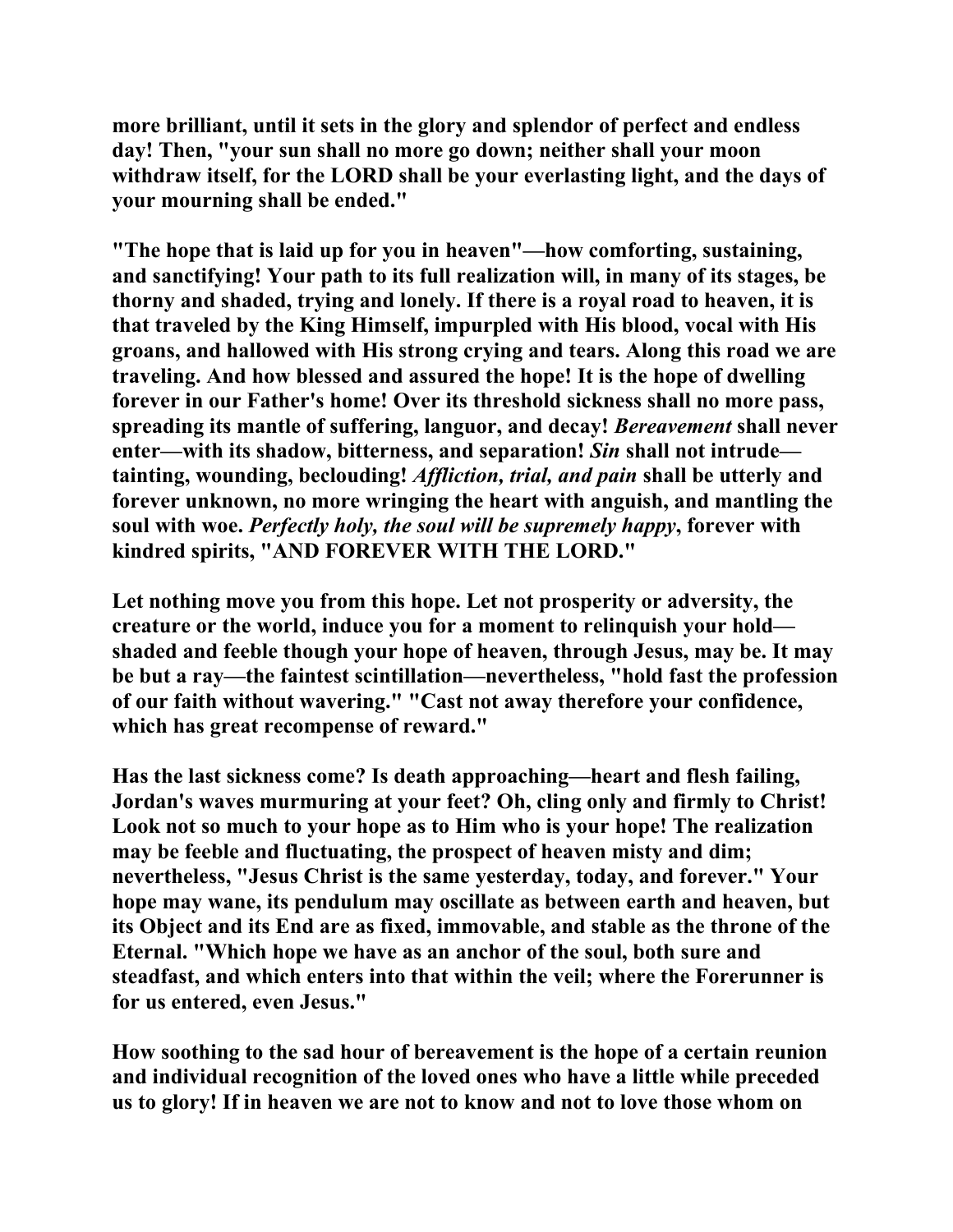**more brilliant, until it sets in the glory and splendor of perfect and endless day! Then, "your sun shall no more go down; neither shall your moon withdraw itself, for the LORD shall be your everlasting light, and the days of your mourning shall be ended."** 

**"The hope that is laid up for you in heaven"—how comforting, sustaining, and sanctifying! Your path to its full realization will, in many of its stages, be thorny and shaded, trying and lonely. If there is a royal road to heaven, it is that traveled by the King Himself, impurpled with His blood, vocal with His groans, and hallowed with His strong crying and tears. Along this road we are traveling. And how blessed and assured the hope! It is the hope of dwelling forever in our Father's home! Over its threshold sickness shall no more pass, spreading its mantle of suffering, languor, and decay!** *Bereavement* **shall never enter—with its shadow, bitterness, and separation!** *Sin* **shall not intrude tainting, wounding, beclouding!** *Affliction, trial, and pain* **shall be utterly and forever unknown, no more wringing the heart with anguish, and mantling the soul with woe.** *Perfectly holy, the soul will be supremely happy***, forever with kindred spirits, "AND FOREVER WITH THE LORD."** 

**Let nothing move you from this hope. Let not prosperity or adversity, the creature or the world, induce you for a moment to relinquish your hold shaded and feeble though your hope of heaven, through Jesus, may be. It may be but a ray—the faintest scintillation—nevertheless, "hold fast the profession of our faith without wavering." "Cast not away therefore your confidence, which has great recompense of reward."** 

**Has the last sickness come? Is death approaching—heart and flesh failing, Jordan's waves murmuring at your feet? Oh, cling only and firmly to Christ! Look not so much to your hope as to Him who is your hope! The realization may be feeble and fluctuating, the prospect of heaven misty and dim; nevertheless, "Jesus Christ is the same yesterday, today, and forever." Your hope may wane, its pendulum may oscillate as between earth and heaven, but its Object and its End are as fixed, immovable, and stable as the throne of the Eternal. "Which hope we have as an anchor of the soul, both sure and steadfast, and which enters into that within the veil; where the Forerunner is for us entered, even Jesus."** 

**How soothing to the sad hour of bereavement is the hope of a certain reunion and individual recognition of the loved ones who have a little while preceded us to glory! If in heaven we are not to know and not to love those whom on**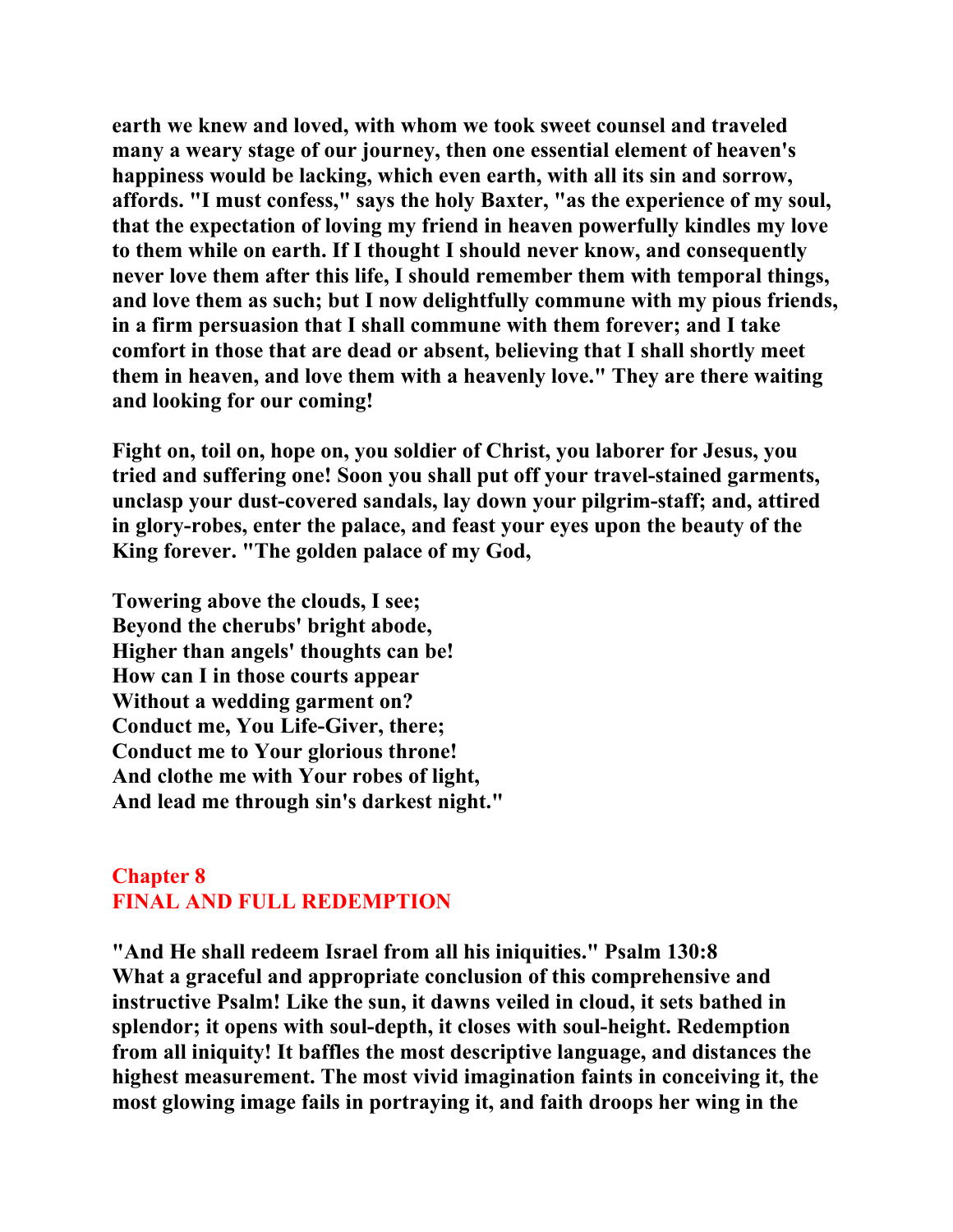**earth we knew and loved, with whom we took sweet counsel and traveled many a weary stage of our journey, then one essential element of heaven's happiness would be lacking, which even earth, with all its sin and sorrow, affords. "I must confess," says the holy Baxter, "as the experience of my soul, that the expectation of loving my friend in heaven powerfully kindles my love to them while on earth. If I thought I should never know, and consequently never love them after this life, I should remember them with temporal things, and love them as such; but I now delightfully commune with my pious friends, in a firm persuasion that I shall commune with them forever; and I take comfort in those that are dead or absent, believing that I shall shortly meet them in heaven, and love them with a heavenly love." They are there waiting and looking for our coming!** 

**Fight on, toil on, hope on, you soldier of Christ, you laborer for Jesus, you tried and suffering one! Soon you shall put off your travel-stained garments, unclasp your dust-covered sandals, lay down your pilgrim-staff; and, attired in glory-robes, enter the palace, and feast your eyes upon the beauty of the King forever. "The golden palace of my God,** 

**Towering above the clouds, I see; Beyond the cherubs' bright abode, Higher than angels' thoughts can be! How can I in those courts appear Without a wedding garment on? Conduct me, You Life-Giver, there; Conduct me to Your glorious throne! And clothe me with Your robes of light, And lead me through sin's darkest night."** 

## **Chapter 8 FINAL AND FULL REDEMPTION**

**"And He shall redeem Israel from all his iniquities." Psalm 130:8 What a graceful and appropriate conclusion of this comprehensive and instructive Psalm! Like the sun, it dawns veiled in cloud, it sets bathed in splendor; it opens with soul-depth, it closes with soul-height. Redemption from all iniquity! It baffles the most descriptive language, and distances the highest measurement. The most vivid imagination faints in conceiving it, the most glowing image fails in portraying it, and faith droops her wing in the**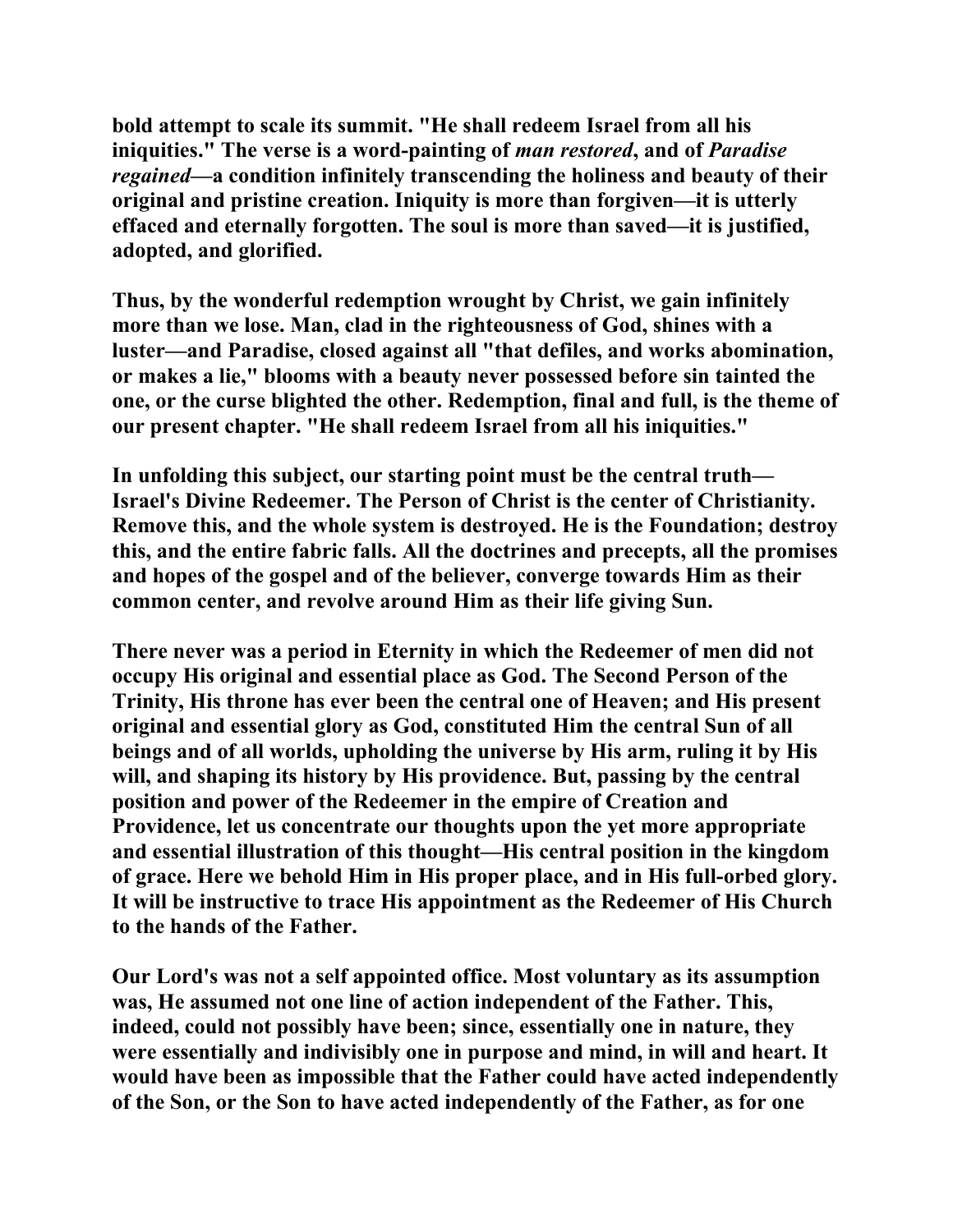**bold attempt to scale its summit. "He shall redeem Israel from all his iniquities." The verse is a word-painting of** *man restored***, and of** *Paradise regained***—a condition infinitely transcending the holiness and beauty of their original and pristine creation. Iniquity is more than forgiven—it is utterly effaced and eternally forgotten. The soul is more than saved—it is justified, adopted, and glorified.** 

**Thus, by the wonderful redemption wrought by Christ, we gain infinitely more than we lose. Man, clad in the righteousness of God, shines with a luster—and Paradise, closed against all "that defiles, and works abomination, or makes a lie," blooms with a beauty never possessed before sin tainted the one, or the curse blighted the other. Redemption, final and full, is the theme of our present chapter. "He shall redeem Israel from all his iniquities."** 

**In unfolding this subject, our starting point must be the central truth— Israel's Divine Redeemer. The Person of Christ is the center of Christianity. Remove this, and the whole system is destroyed. He is the Foundation; destroy this, and the entire fabric falls. All the doctrines and precepts, all the promises and hopes of the gospel and of the believer, converge towards Him as their common center, and revolve around Him as their life giving Sun.** 

**There never was a period in Eternity in which the Redeemer of men did not occupy His original and essential place as God. The Second Person of the Trinity, His throne has ever been the central one of Heaven; and His present original and essential glory as God, constituted Him the central Sun of all beings and of all worlds, upholding the universe by His arm, ruling it by His will, and shaping its history by His providence. But, passing by the central position and power of the Redeemer in the empire of Creation and Providence, let us concentrate our thoughts upon the yet more appropriate and essential illustration of this thought—His central position in the kingdom of grace. Here we behold Him in His proper place, and in His full-orbed glory. It will be instructive to trace His appointment as the Redeemer of His Church to the hands of the Father.** 

**Our Lord's was not a self appointed office. Most voluntary as its assumption was, He assumed not one line of action independent of the Father. This, indeed, could not possibly have been; since, essentially one in nature, they were essentially and indivisibly one in purpose and mind, in will and heart. It would have been as impossible that the Father could have acted independently of the Son, or the Son to have acted independently of the Father, as for one**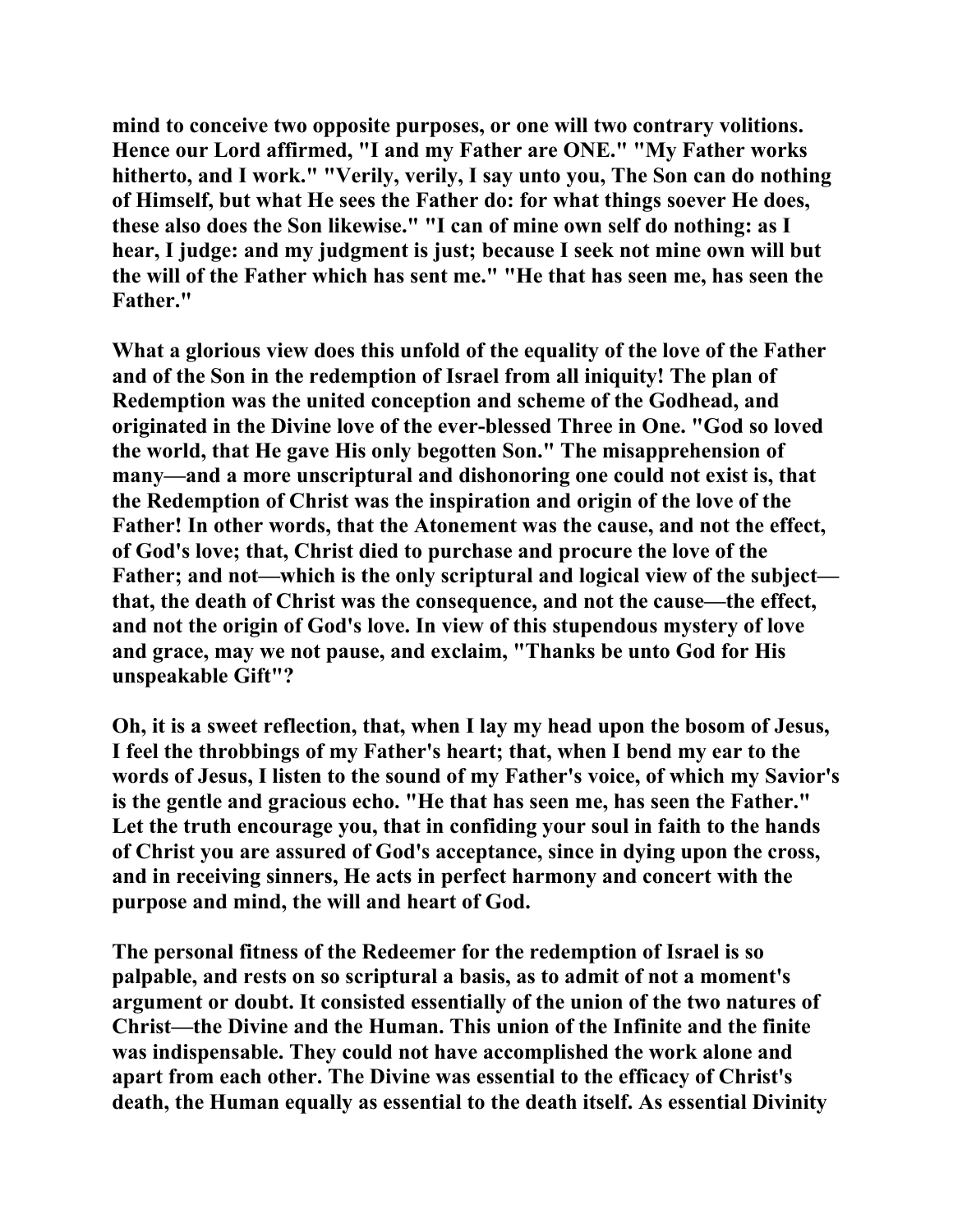**mind to conceive two opposite purposes, or one will two contrary volitions. Hence our Lord affirmed, "I and my Father are ONE." "My Father works hitherto, and I work." "Verily, verily, I say unto you, The Son can do nothing of Himself, but what He sees the Father do: for what things soever He does, these also does the Son likewise." "I can of mine own self do nothing: as I hear, I judge: and my judgment is just; because I seek not mine own will but the will of the Father which has sent me." "He that has seen me, has seen the Father."** 

**What a glorious view does this unfold of the equality of the love of the Father and of the Son in the redemption of Israel from all iniquity! The plan of Redemption was the united conception and scheme of the Godhead, and originated in the Divine love of the ever-blessed Three in One. "God so loved the world, that He gave His only begotten Son." The misapprehension of many—and a more unscriptural and dishonoring one could not exist is, that the Redemption of Christ was the inspiration and origin of the love of the Father! In other words, that the Atonement was the cause, and not the effect, of God's love; that, Christ died to purchase and procure the love of the Father; and not—which is the only scriptural and logical view of the subject that, the death of Christ was the consequence, and not the cause—the effect, and not the origin of God's love. In view of this stupendous mystery of love and grace, may we not pause, and exclaim, "Thanks be unto God for His unspeakable Gift"?** 

**Oh, it is a sweet reflection, that, when I lay my head upon the bosom of Jesus, I feel the throbbings of my Father's heart; that, when I bend my ear to the words of Jesus, I listen to the sound of my Father's voice, of which my Savior's is the gentle and gracious echo. "He that has seen me, has seen the Father." Let the truth encourage you, that in confiding your soul in faith to the hands of Christ you are assured of God's acceptance, since in dying upon the cross, and in receiving sinners, He acts in perfect harmony and concert with the purpose and mind, the will and heart of God.** 

**The personal fitness of the Redeemer for the redemption of Israel is so palpable, and rests on so scriptural a basis, as to admit of not a moment's argument or doubt. It consisted essentially of the union of the two natures of Christ—the Divine and the Human. This union of the Infinite and the finite was indispensable. They could not have accomplished the work alone and apart from each other. The Divine was essential to the efficacy of Christ's death, the Human equally as essential to the death itself. As essential Divinity**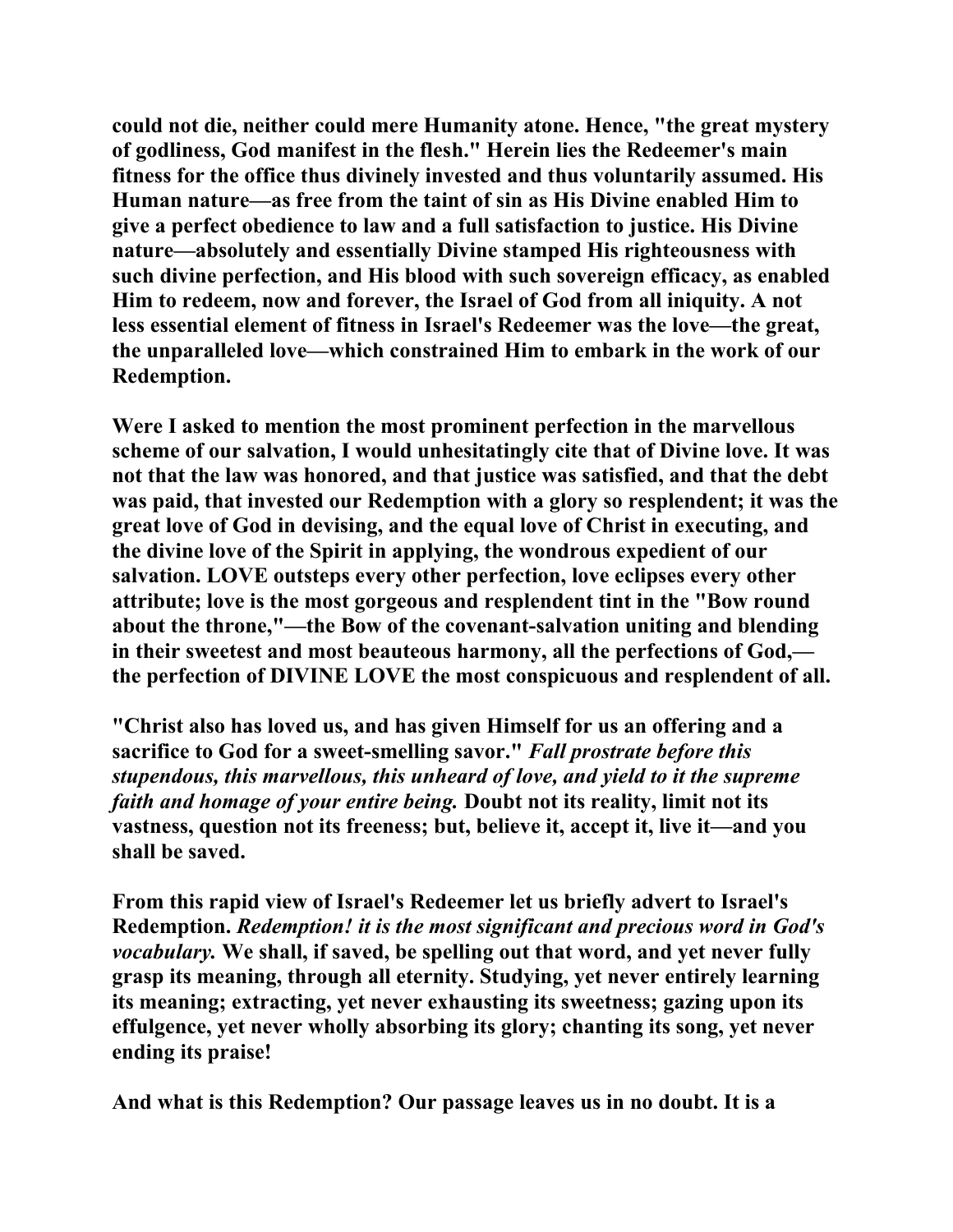**could not die, neither could mere Humanity atone. Hence, "the great mystery of godliness, God manifest in the flesh." Herein lies the Redeemer's main fitness for the office thus divinely invested and thus voluntarily assumed. His Human nature—as free from the taint of sin as His Divine enabled Him to give a perfect obedience to law and a full satisfaction to justice. His Divine nature—absolutely and essentially Divine stamped His righteousness with such divine perfection, and His blood with such sovereign efficacy, as enabled Him to redeem, now and forever, the Israel of God from all iniquity. A not less essential element of fitness in Israel's Redeemer was the love—the great, the unparalleled love—which constrained Him to embark in the work of our Redemption.** 

**Were I asked to mention the most prominent perfection in the marvellous scheme of our salvation, I would unhesitatingly cite that of Divine love. It was not that the law was honored, and that justice was satisfied, and that the debt was paid, that invested our Redemption with a glory so resplendent; it was the great love of God in devising, and the equal love of Christ in executing, and the divine love of the Spirit in applying, the wondrous expedient of our salvation. LOVE outsteps every other perfection, love eclipses every other attribute; love is the most gorgeous and resplendent tint in the "Bow round about the throne,"—the Bow of the covenant-salvation uniting and blending in their sweetest and most beauteous harmony, all the perfections of God, the perfection of DIVINE LOVE the most conspicuous and resplendent of all.** 

**"Christ also has loved us, and has given Himself for us an offering and a sacrifice to God for a sweet-smelling savor."** *Fall prostrate before this stupendous, this marvellous, this unheard of love, and yield to it the supreme faith and homage of your entire being.* **Doubt not its reality, limit not its vastness, question not its freeness; but, believe it, accept it, live it—and you shall be saved.** 

**From this rapid view of Israel's Redeemer let us briefly advert to Israel's Redemption.** *Redemption! it is the most significant and precious word in God's vocabulary.* **We shall, if saved, be spelling out that word, and yet never fully grasp its meaning, through all eternity. Studying, yet never entirely learning its meaning; extracting, yet never exhausting its sweetness; gazing upon its effulgence, yet never wholly absorbing its glory; chanting its song, yet never ending its praise!** 

**And what is this Redemption? Our passage leaves us in no doubt. It is a**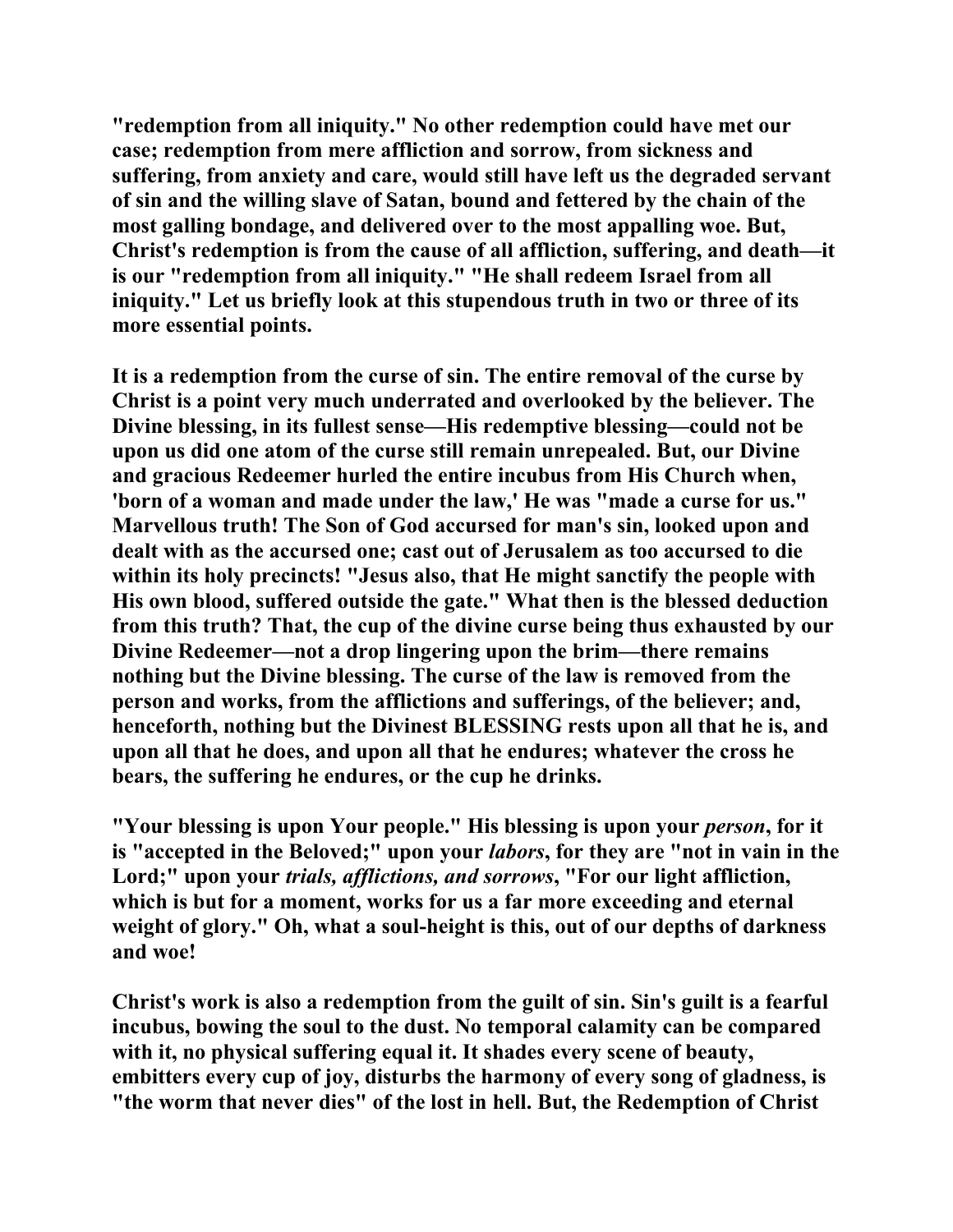**"redemption from all iniquity." No other redemption could have met our case; redemption from mere affliction and sorrow, from sickness and suffering, from anxiety and care, would still have left us the degraded servant of sin and the willing slave of Satan, bound and fettered by the chain of the most galling bondage, and delivered over to the most appalling woe. But, Christ's redemption is from the cause of all affliction, suffering, and death—it is our "redemption from all iniquity." "He shall redeem Israel from all iniquity." Let us briefly look at this stupendous truth in two or three of its more essential points.** 

**It is a redemption from the curse of sin. The entire removal of the curse by Christ is a point very much underrated and overlooked by the believer. The Divine blessing, in its fullest sense—His redemptive blessing—could not be upon us did one atom of the curse still remain unrepealed. But, our Divine and gracious Redeemer hurled the entire incubus from His Church when, 'born of a woman and made under the law,' He was "made a curse for us." Marvellous truth! The Son of God accursed for man's sin, looked upon and dealt with as the accursed one; cast out of Jerusalem as too accursed to die within its holy precincts! "Jesus also, that He might sanctify the people with His own blood, suffered outside the gate." What then is the blessed deduction from this truth? That, the cup of the divine curse being thus exhausted by our Divine Redeemer—not a drop lingering upon the brim—there remains nothing but the Divine blessing. The curse of the law is removed from the person and works, from the afflictions and sufferings, of the believer; and, henceforth, nothing but the Divinest BLESSING rests upon all that he is, and upon all that he does, and upon all that he endures; whatever the cross he bears, the suffering he endures, or the cup he drinks.** 

**"Your blessing is upon Your people." His blessing is upon your** *person***, for it is "accepted in the Beloved;" upon your** *labors***, for they are "not in vain in the Lord;" upon your** *trials, afflictions, and sorrows***, "For our light affliction, which is but for a moment, works for us a far more exceeding and eternal weight of glory." Oh, what a soul-height is this, out of our depths of darkness and woe!** 

**Christ's work is also a redemption from the guilt of sin. Sin's guilt is a fearful incubus, bowing the soul to the dust. No temporal calamity can be compared with it, no physical suffering equal it. It shades every scene of beauty, embitters every cup of joy, disturbs the harmony of every song of gladness, is "the worm that never dies" of the lost in hell. But, the Redemption of Christ**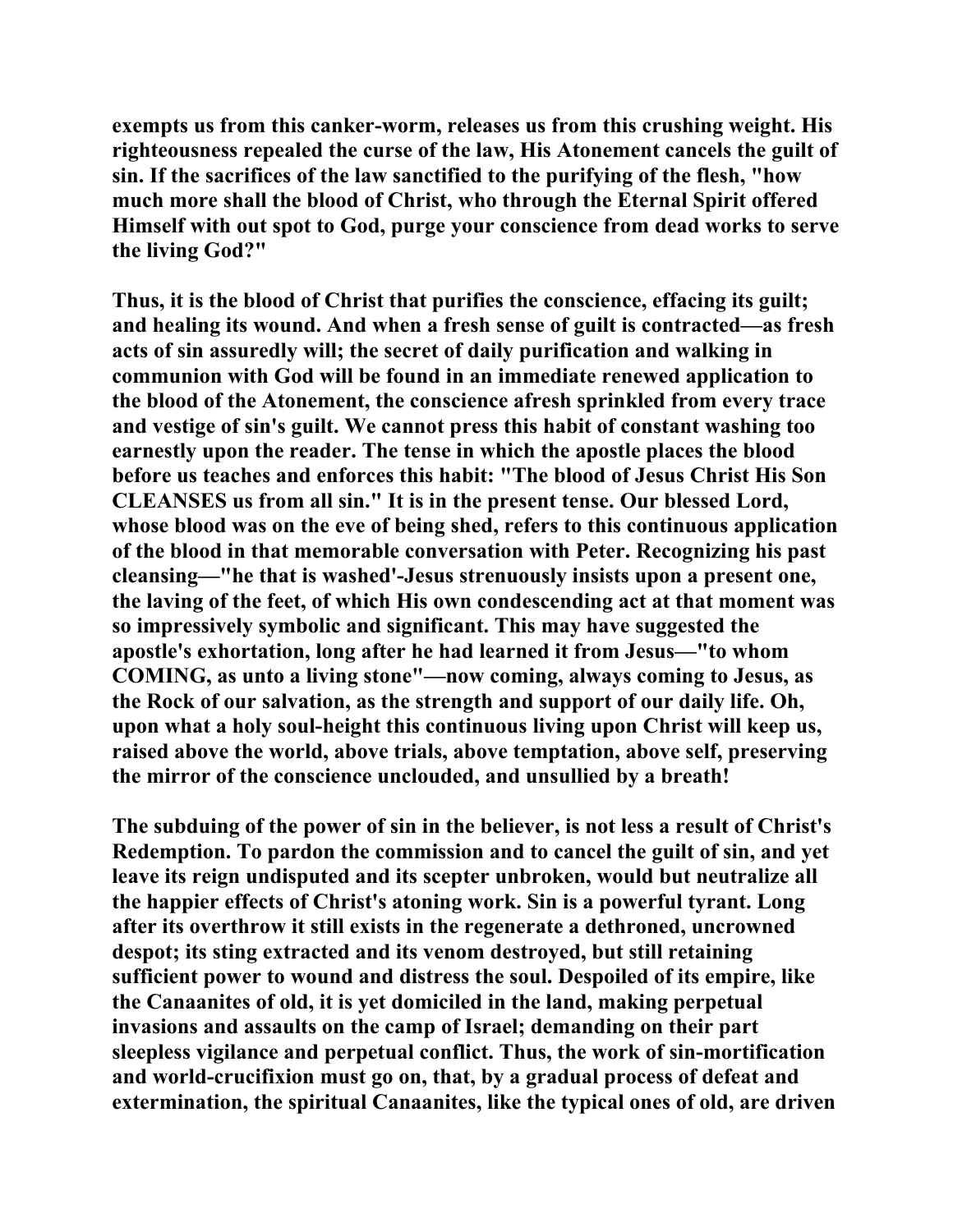**exempts us from this canker-worm, releases us from this crushing weight. His righteousness repealed the curse of the law, His Atonement cancels the guilt of sin. If the sacrifices of the law sanctified to the purifying of the flesh, "how much more shall the blood of Christ, who through the Eternal Spirit offered Himself with out spot to God, purge your conscience from dead works to serve the living God?"** 

**Thus, it is the blood of Christ that purifies the conscience, effacing its guilt; and healing its wound. And when a fresh sense of guilt is contracted—as fresh acts of sin assuredly will; the secret of daily purification and walking in communion with God will be found in an immediate renewed application to the blood of the Atonement, the conscience afresh sprinkled from every trace and vestige of sin's guilt. We cannot press this habit of constant washing too earnestly upon the reader. The tense in which the apostle places the blood before us teaches and enforces this habit: "The blood of Jesus Christ His Son CLEANSES us from all sin." It is in the present tense. Our blessed Lord, whose blood was on the eve of being shed, refers to this continuous application of the blood in that memorable conversation with Peter. Recognizing his past cleansing—"he that is washed'-Jesus strenuously insists upon a present one, the laving of the feet, of which His own condescending act at that moment was so impressively symbolic and significant. This may have suggested the apostle's exhortation, long after he had learned it from Jesus—"to whom COMING, as unto a living stone"—now coming, always coming to Jesus, as the Rock of our salvation, as the strength and support of our daily life. Oh, upon what a holy soul-height this continuous living upon Christ will keep us, raised above the world, above trials, above temptation, above self, preserving the mirror of the conscience unclouded, and unsullied by a breath!** 

**The subduing of the power of sin in the believer, is not less a result of Christ's Redemption. To pardon the commission and to cancel the guilt of sin, and yet leave its reign undisputed and its scepter unbroken, would but neutralize all the happier effects of Christ's atoning work. Sin is a powerful tyrant. Long after its overthrow it still exists in the regenerate a dethroned, uncrowned despot; its sting extracted and its venom destroyed, but still retaining sufficient power to wound and distress the soul. Despoiled of its empire, like the Canaanites of old, it is yet domiciled in the land, making perpetual invasions and assaults on the camp of Israel; demanding on their part sleepless vigilance and perpetual conflict. Thus, the work of sin-mortification and world-crucifixion must go on, that, by a gradual process of defeat and extermination, the spiritual Canaanites, like the typical ones of old, are driven**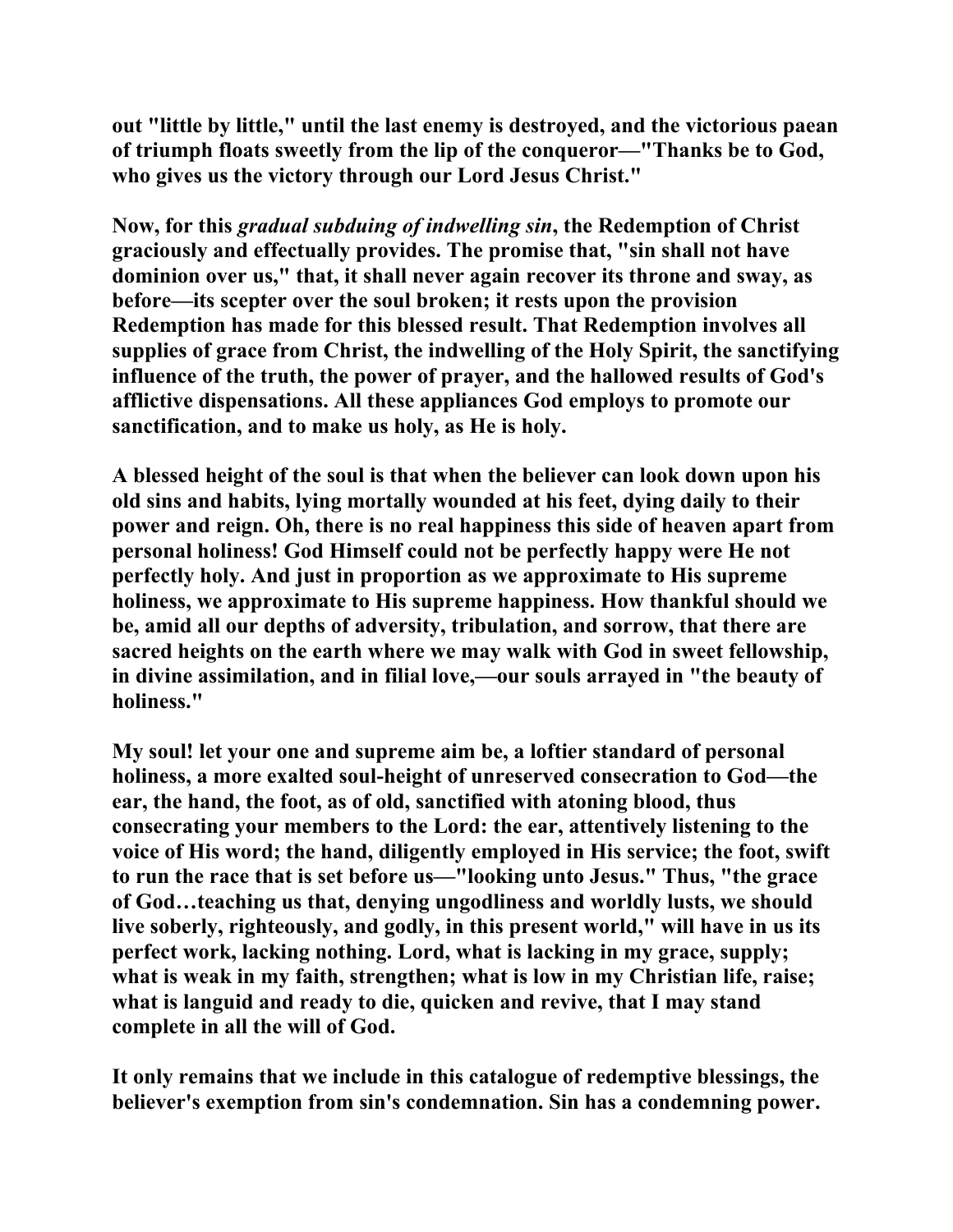**out "little by little," until the last enemy is destroyed, and the victorious paean of triumph floats sweetly from the lip of the conqueror—"Thanks be to God, who gives us the victory through our Lord Jesus Christ."** 

**Now, for this** *gradual subduing of indwelling sin***, the Redemption of Christ graciously and effectually provides. The promise that, "sin shall not have dominion over us," that, it shall never again recover its throne and sway, as before—its scepter over the soul broken; it rests upon the provision Redemption has made for this blessed result. That Redemption involves all supplies of grace from Christ, the indwelling of the Holy Spirit, the sanctifying influence of the truth, the power of prayer, and the hallowed results of God's afflictive dispensations. All these appliances God employs to promote our sanctification, and to make us holy, as He is holy.** 

**A blessed height of the soul is that when the believer can look down upon his old sins and habits, lying mortally wounded at his feet, dying daily to their power and reign. Oh, there is no real happiness this side of heaven apart from personal holiness! God Himself could not be perfectly happy were He not perfectly holy. And just in proportion as we approximate to His supreme holiness, we approximate to His supreme happiness. How thankful should we be, amid all our depths of adversity, tribulation, and sorrow, that there are sacred heights on the earth where we may walk with God in sweet fellowship, in divine assimilation, and in filial love,—our souls arrayed in "the beauty of holiness."** 

**My soul! let your one and supreme aim be, a loftier standard of personal holiness, a more exalted soul-height of unreserved consecration to God—the ear, the hand, the foot, as of old, sanctified with atoning blood, thus consecrating your members to the Lord: the ear, attentively listening to the voice of His word; the hand, diligently employed in His service; the foot, swift to run the race that is set before us—"looking unto Jesus." Thus, "the grace of God…teaching us that, denying ungodliness and worldly lusts, we should live soberly, righteously, and godly, in this present world," will have in us its perfect work, lacking nothing. Lord, what is lacking in my grace, supply; what is weak in my faith, strengthen; what is low in my Christian life, raise; what is languid and ready to die, quicken and revive, that I may stand complete in all the will of God.** 

**It only remains that we include in this catalogue of redemptive blessings, the believer's exemption from sin's condemnation. Sin has a condemning power.**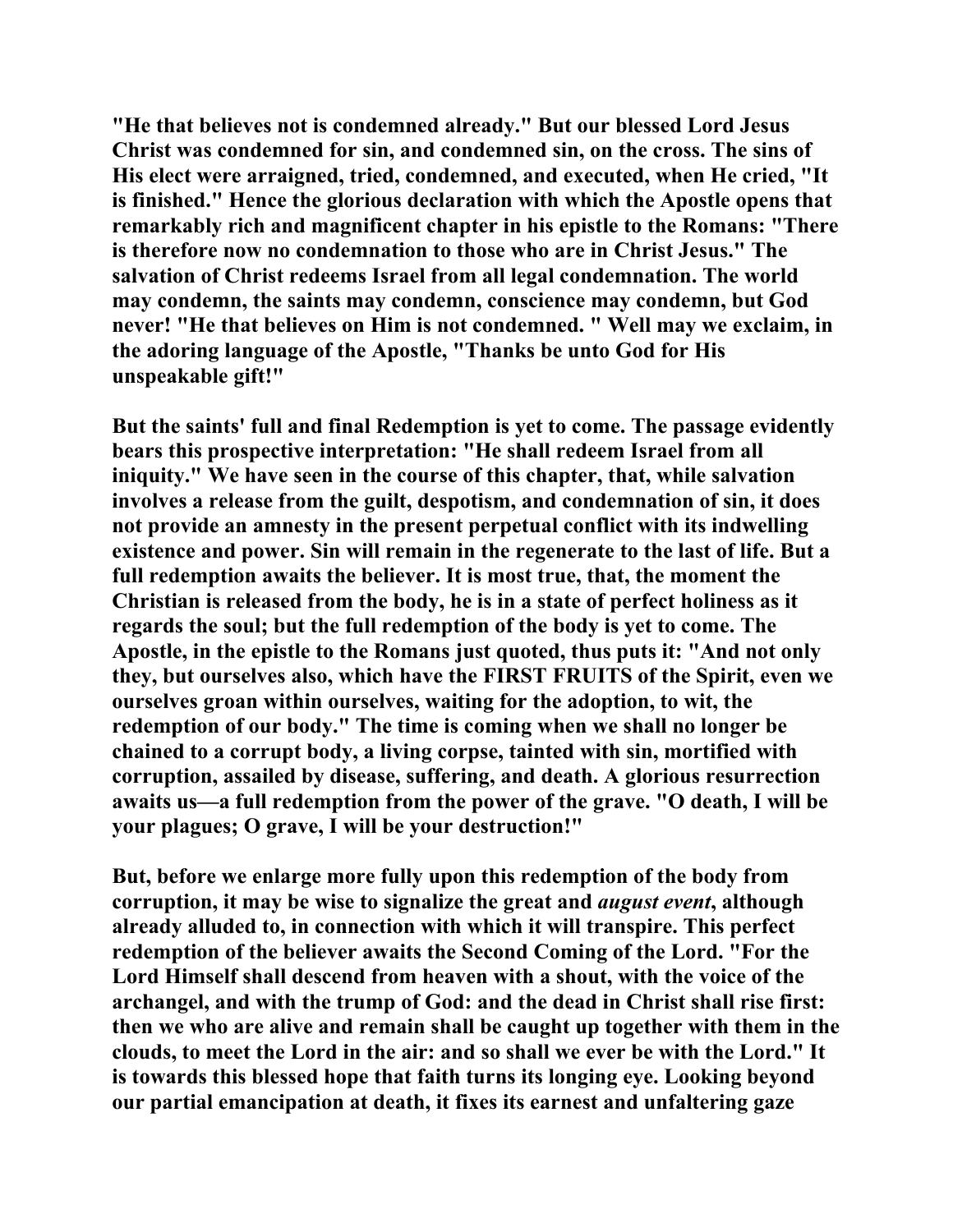**"He that believes not is condemned already." But our blessed Lord Jesus Christ was condemned for sin, and condemned sin, on the cross. The sins of His elect were arraigned, tried, condemned, and executed, when He cried, "It is finished." Hence the glorious declaration with which the Apostle opens that remarkably rich and magnificent chapter in his epistle to the Romans: "There is therefore now no condemnation to those who are in Christ Jesus." The salvation of Christ redeems Israel from all legal condemnation. The world may condemn, the saints may condemn, conscience may condemn, but God never! "He that believes on Him is not condemned. " Well may we exclaim, in the adoring language of the Apostle, "Thanks be unto God for His unspeakable gift!"** 

**But the saints' full and final Redemption is yet to come. The passage evidently bears this prospective interpretation: "He shall redeem Israel from all iniquity." We have seen in the course of this chapter, that, while salvation involves a release from the guilt, despotism, and condemnation of sin, it does not provide an amnesty in the present perpetual conflict with its indwelling existence and power. Sin will remain in the regenerate to the last of life. But a full redemption awaits the believer. It is most true, that, the moment the Christian is released from the body, he is in a state of perfect holiness as it regards the soul; but the full redemption of the body is yet to come. The Apostle, in the epistle to the Romans just quoted, thus puts it: "And not only they, but ourselves also, which have the FIRST FRUITS of the Spirit, even we ourselves groan within ourselves, waiting for the adoption, to wit, the redemption of our body." The time is coming when we shall no longer be chained to a corrupt body, a living corpse, tainted with sin, mortified with corruption, assailed by disease, suffering, and death. A glorious resurrection awaits us—a full redemption from the power of the grave. "O death, I will be your plagues; O grave, I will be your destruction!"** 

**But, before we enlarge more fully upon this redemption of the body from corruption, it may be wise to signalize the great and** *august event***, although already alluded to, in connection with which it will transpire. This perfect redemption of the believer awaits the Second Coming of the Lord. "For the Lord Himself shall descend from heaven with a shout, with the voice of the archangel, and with the trump of God: and the dead in Christ shall rise first: then we who are alive and remain shall be caught up together with them in the clouds, to meet the Lord in the air: and so shall we ever be with the Lord." It is towards this blessed hope that faith turns its longing eye. Looking beyond our partial emancipation at death, it fixes its earnest and unfaltering gaze**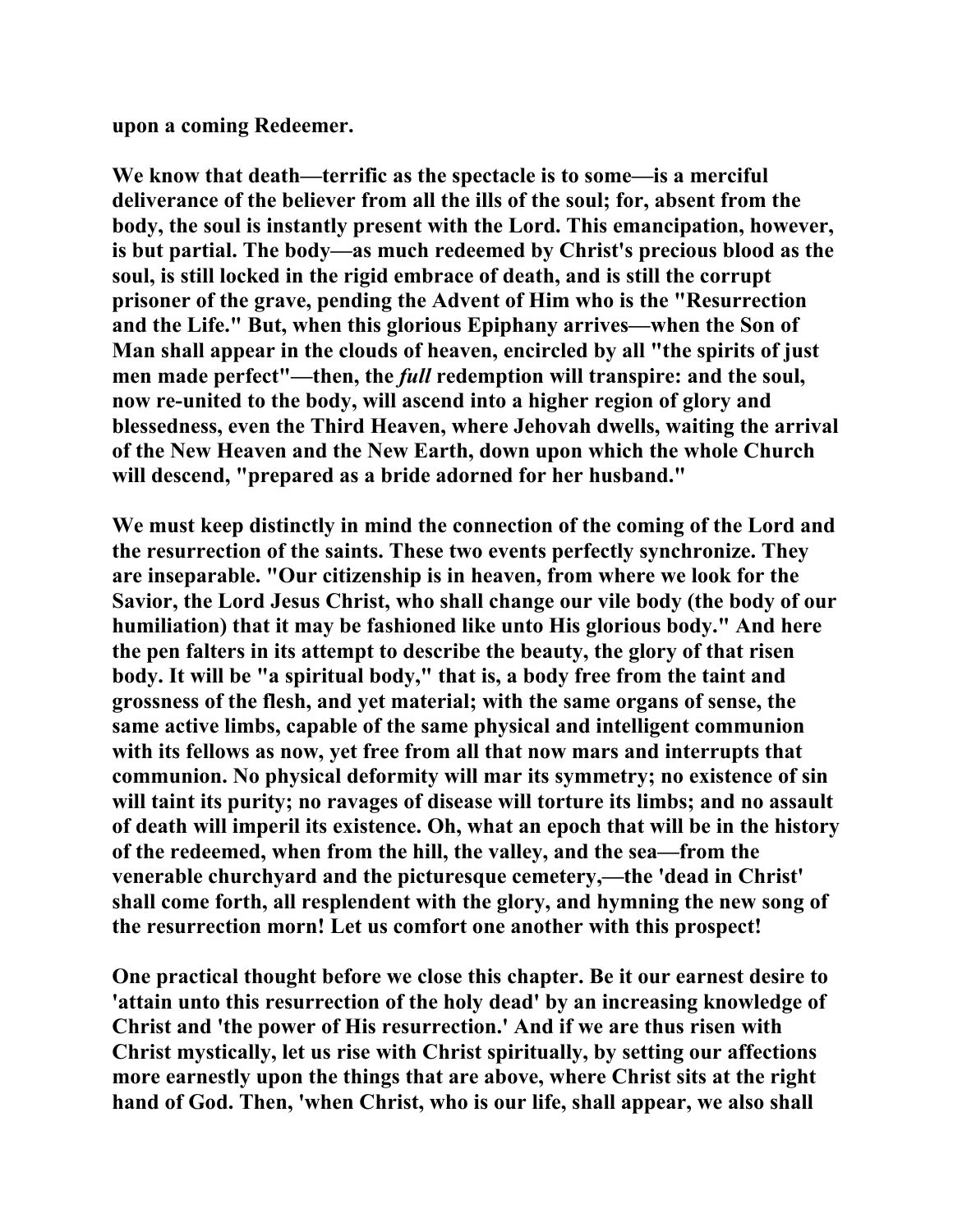**upon a coming Redeemer.** 

**We know that death—terrific as the spectacle is to some—is a merciful deliverance of the believer from all the ills of the soul; for, absent from the body, the soul is instantly present with the Lord. This emancipation, however, is but partial. The body—as much redeemed by Christ's precious blood as the soul, is still locked in the rigid embrace of death, and is still the corrupt prisoner of the grave, pending the Advent of Him who is the "Resurrection and the Life." But, when this glorious Epiphany arrives—when the Son of Man shall appear in the clouds of heaven, encircled by all "the spirits of just**  men made perfect"—then, the *full* redemption will transpire: and the soul, **now re-united to the body, will ascend into a higher region of glory and blessedness, even the Third Heaven, where Jehovah dwells, waiting the arrival of the New Heaven and the New Earth, down upon which the whole Church will descend, "prepared as a bride adorned for her husband."** 

**We must keep distinctly in mind the connection of the coming of the Lord and the resurrection of the saints. These two events perfectly synchronize. They are inseparable. "Our citizenship is in heaven, from where we look for the Savior, the Lord Jesus Christ, who shall change our vile body (the body of our humiliation) that it may be fashioned like unto His glorious body." And here the pen falters in its attempt to describe the beauty, the glory of that risen body. It will be "a spiritual body," that is, a body free from the taint and grossness of the flesh, and yet material; with the same organs of sense, the same active limbs, capable of the same physical and intelligent communion with its fellows as now, yet free from all that now mars and interrupts that communion. No physical deformity will mar its symmetry; no existence of sin will taint its purity; no ravages of disease will torture its limbs; and no assault of death will imperil its existence. Oh, what an epoch that will be in the history of the redeemed, when from the hill, the valley, and the sea—from the venerable churchyard and the picturesque cemetery,—the 'dead in Christ' shall come forth, all resplendent with the glory, and hymning the new song of the resurrection morn! Let us comfort one another with this prospect!** 

**One practical thought before we close this chapter. Be it our earnest desire to 'attain unto this resurrection of the holy dead' by an increasing knowledge of Christ and 'the power of His resurrection.' And if we are thus risen with Christ mystically, let us rise with Christ spiritually, by setting our affections more earnestly upon the things that are above, where Christ sits at the right hand of God. Then, 'when Christ, who is our life, shall appear, we also shall**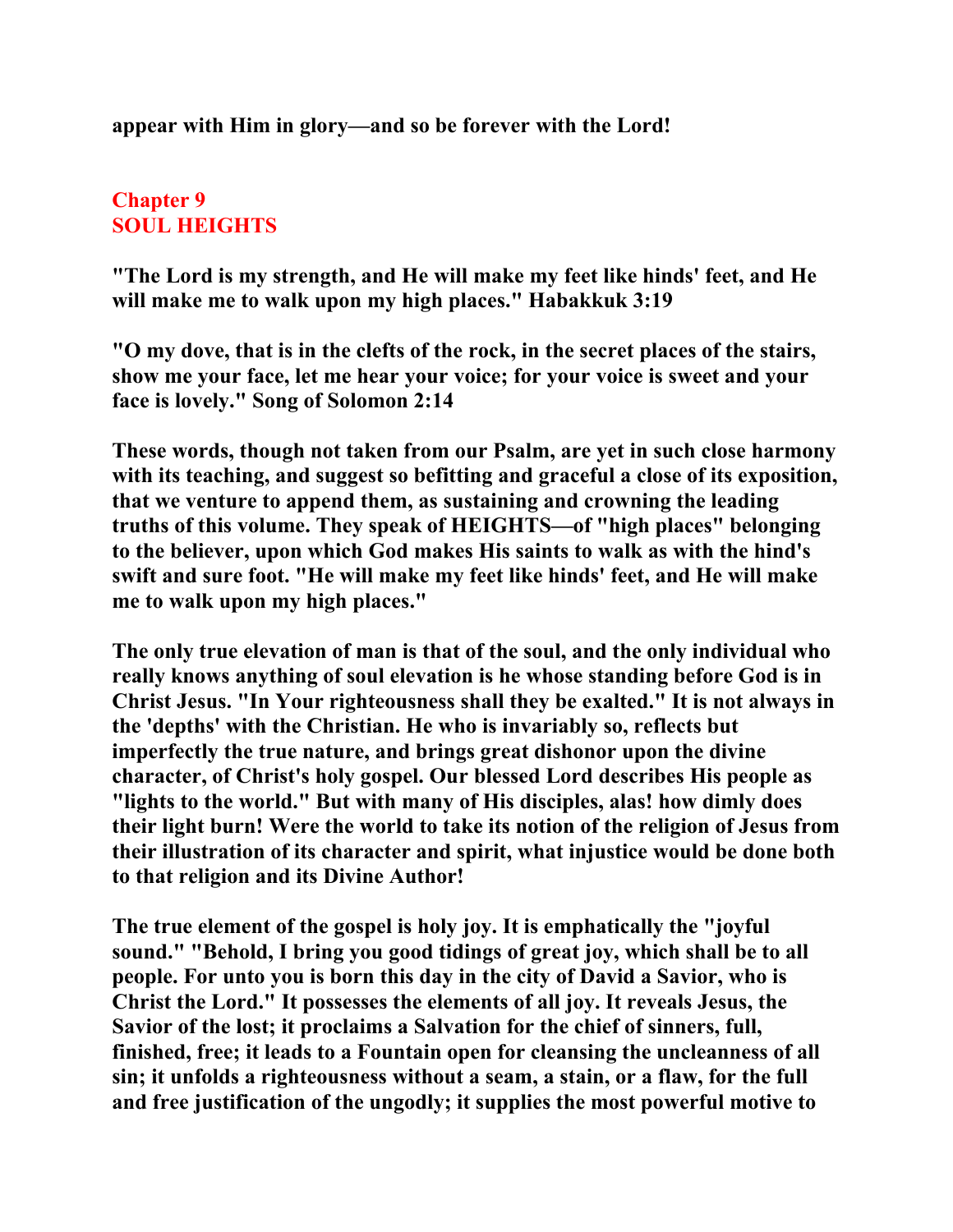**appear with Him in glory—and so be forever with the Lord!** 

## **Chapter 9 SOUL HEIGHTS**

**"The Lord is my strength, and He will make my feet like hinds' feet, and He will make me to walk upon my high places." Habakkuk 3:19** 

**"O my dove, that is in the clefts of the rock, in the secret places of the stairs, show me your face, let me hear your voice; for your voice is sweet and your face is lovely." Song of Solomon 2:14** 

**These words, though not taken from our Psalm, are yet in such close harmony with its teaching, and suggest so befitting and graceful a close of its exposition, that we venture to append them, as sustaining and crowning the leading truths of this volume. They speak of HEIGHTS—of "high places" belonging to the believer, upon which God makes His saints to walk as with the hind's swift and sure foot. "He will make my feet like hinds' feet, and He will make me to walk upon my high places."** 

**The only true elevation of man is that of the soul, and the only individual who really knows anything of soul elevation is he whose standing before God is in Christ Jesus. "In Your righteousness shall they be exalted." It is not always in the 'depths' with the Christian. He who is invariably so, reflects but imperfectly the true nature, and brings great dishonor upon the divine character, of Christ's holy gospel. Our blessed Lord describes His people as "lights to the world." But with many of His disciples, alas! how dimly does their light burn! Were the world to take its notion of the religion of Jesus from their illustration of its character and spirit, what injustice would be done both to that religion and its Divine Author!** 

**The true element of the gospel is holy joy. It is emphatically the "joyful sound." "Behold, I bring you good tidings of great joy, which shall be to all people. For unto you is born this day in the city of David a Savior, who is Christ the Lord." It possesses the elements of all joy. It reveals Jesus, the Savior of the lost; it proclaims a Salvation for the chief of sinners, full, finished, free; it leads to a Fountain open for cleansing the uncleanness of all sin; it unfolds a righteousness without a seam, a stain, or a flaw, for the full and free justification of the ungodly; it supplies the most powerful motive to**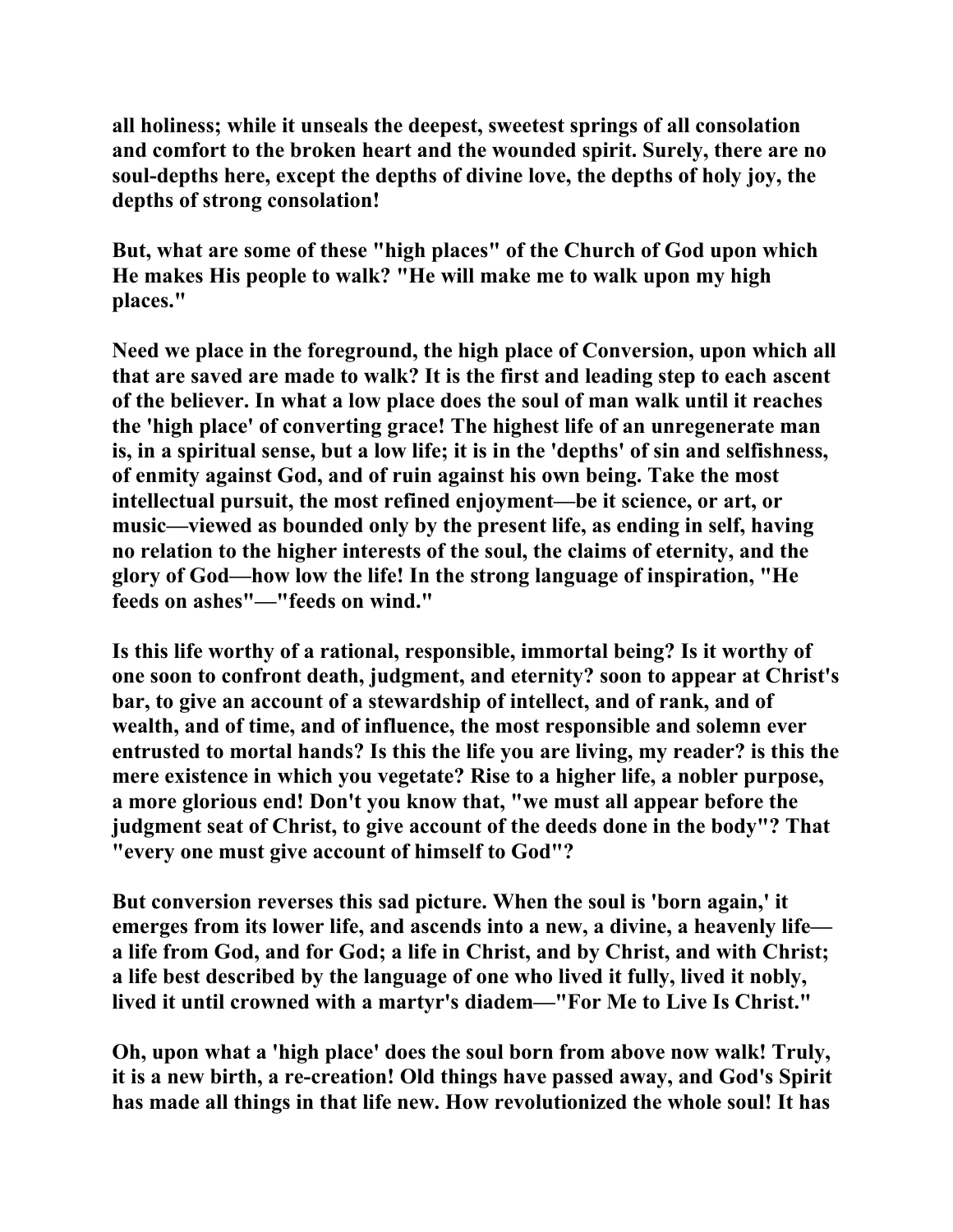**all holiness; while it unseals the deepest, sweetest springs of all consolation and comfort to the broken heart and the wounded spirit. Surely, there are no soul-depths here, except the depths of divine love, the depths of holy joy, the depths of strong consolation!** 

**But, what are some of these "high places" of the Church of God upon which He makes His people to walk? "He will make me to walk upon my high places."** 

**Need we place in the foreground, the high place of Conversion, upon which all that are saved are made to walk? It is the first and leading step to each ascent of the believer. In what a low place does the soul of man walk until it reaches the 'high place' of converting grace! The highest life of an unregenerate man is, in a spiritual sense, but a low life; it is in the 'depths' of sin and selfishness, of enmity against God, and of ruin against his own being. Take the most intellectual pursuit, the most refined enjoyment—be it science, or art, or music—viewed as bounded only by the present life, as ending in self, having no relation to the higher interests of the soul, the claims of eternity, and the glory of God—how low the life! In the strong language of inspiration, "He feeds on ashes"—"feeds on wind."** 

**Is this life worthy of a rational, responsible, immortal being? Is it worthy of one soon to confront death, judgment, and eternity? soon to appear at Christ's bar, to give an account of a stewardship of intellect, and of rank, and of wealth, and of time, and of influence, the most responsible and solemn ever entrusted to mortal hands? Is this the life you are living, my reader? is this the mere existence in which you vegetate? Rise to a higher life, a nobler purpose, a more glorious end! Don't you know that, "we must all appear before the judgment seat of Christ, to give account of the deeds done in the body"? That "every one must give account of himself to God"?** 

**But conversion reverses this sad picture. When the soul is 'born again,' it emerges from its lower life, and ascends into a new, a divine, a heavenly life a life from God, and for God; a life in Christ, and by Christ, and with Christ; a life best described by the language of one who lived it fully, lived it nobly, lived it until crowned with a martyr's diadem—"For Me to Live Is Christ."** 

**Oh, upon what a 'high place' does the soul born from above now walk! Truly, it is a new birth, a re-creation! Old things have passed away, and God's Spirit has made all things in that life new. How revolutionized the whole soul! It has**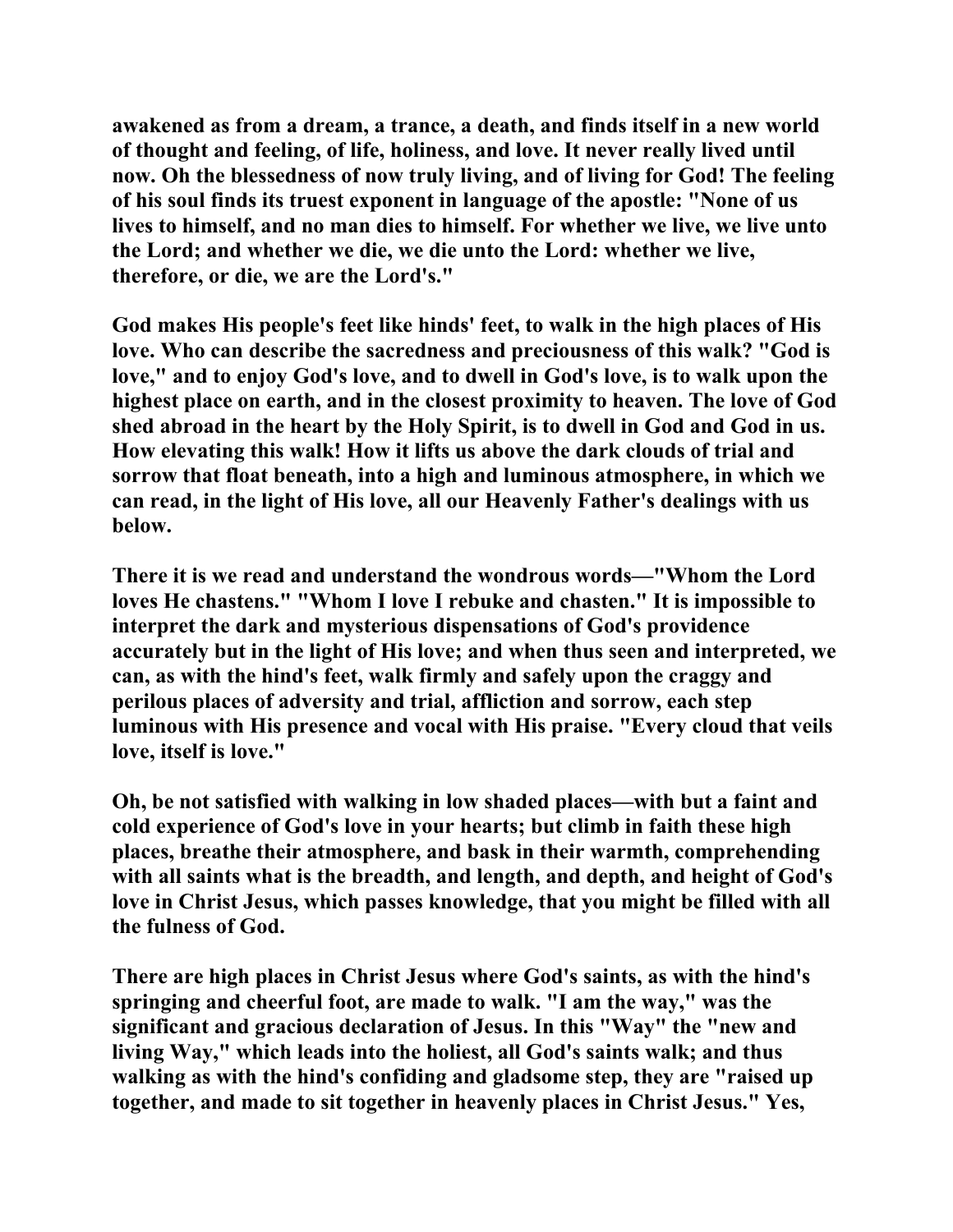**awakened as from a dream, a trance, a death, and finds itself in a new world of thought and feeling, of life, holiness, and love. It never really lived until now. Oh the blessedness of now truly living, and of living for God! The feeling of his soul finds its truest exponent in language of the apostle: "None of us lives to himself, and no man dies to himself. For whether we live, we live unto the Lord; and whether we die, we die unto the Lord: whether we live, therefore, or die, we are the Lord's."** 

**God makes His people's feet like hinds' feet, to walk in the high places of His love. Who can describe the sacredness and preciousness of this walk? "God is love," and to enjoy God's love, and to dwell in God's love, is to walk upon the highest place on earth, and in the closest proximity to heaven. The love of God shed abroad in the heart by the Holy Spirit, is to dwell in God and God in us. How elevating this walk! How it lifts us above the dark clouds of trial and sorrow that float beneath, into a high and luminous atmosphere, in which we can read, in the light of His love, all our Heavenly Father's dealings with us below.** 

**There it is we read and understand the wondrous words—"Whom the Lord loves He chastens." "Whom I love I rebuke and chasten." It is impossible to interpret the dark and mysterious dispensations of God's providence accurately but in the light of His love; and when thus seen and interpreted, we can, as with the hind's feet, walk firmly and safely upon the craggy and perilous places of adversity and trial, affliction and sorrow, each step luminous with His presence and vocal with His praise. "Every cloud that veils love, itself is love."** 

**Oh, be not satisfied with walking in low shaded places—with but a faint and cold experience of God's love in your hearts; but climb in faith these high places, breathe their atmosphere, and bask in their warmth, comprehending with all saints what is the breadth, and length, and depth, and height of God's love in Christ Jesus, which passes knowledge, that you might be filled with all the fulness of God.** 

**There are high places in Christ Jesus where God's saints, as with the hind's springing and cheerful foot, are made to walk. "I am the way," was the significant and gracious declaration of Jesus. In this "Way" the "new and living Way," which leads into the holiest, all God's saints walk; and thus walking as with the hind's confiding and gladsome step, they are "raised up together, and made to sit together in heavenly places in Christ Jesus." Yes,**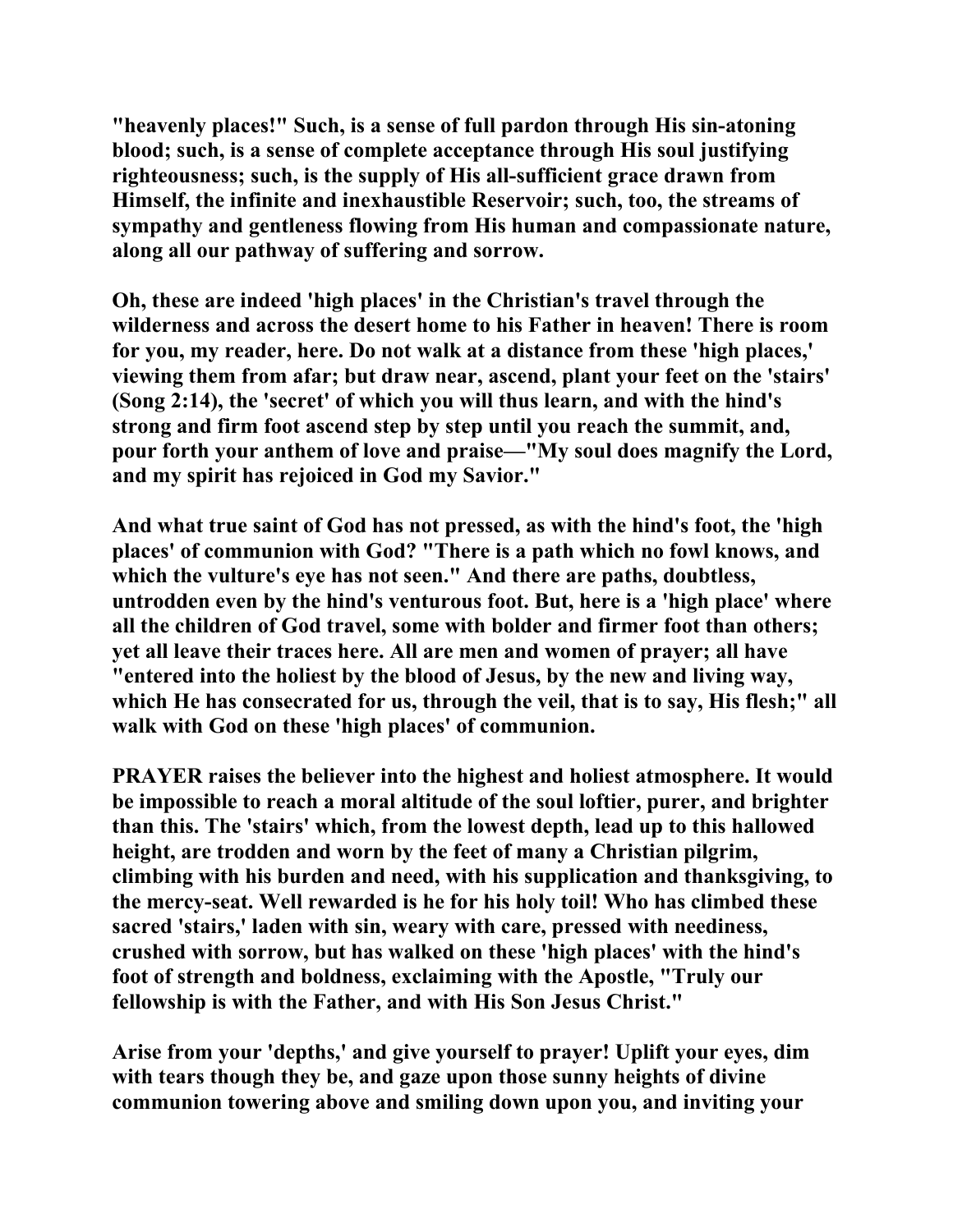**"heavenly places!" Such, is a sense of full pardon through His sin-atoning blood; such, is a sense of complete acceptance through His soul justifying righteousness; such, is the supply of His all-sufficient grace drawn from Himself, the infinite and inexhaustible Reservoir; such, too, the streams of sympathy and gentleness flowing from His human and compassionate nature, along all our pathway of suffering and sorrow.** 

**Oh, these are indeed 'high places' in the Christian's travel through the wilderness and across the desert home to his Father in heaven! There is room for you, my reader, here. Do not walk at a distance from these 'high places,' viewing them from afar; but draw near, ascend, plant your feet on the 'stairs' (Song 2:14), the 'secret' of which you will thus learn, and with the hind's strong and firm foot ascend step by step until you reach the summit, and, pour forth your anthem of love and praise—"My soul does magnify the Lord, and my spirit has rejoiced in God my Savior."** 

**And what true saint of God has not pressed, as with the hind's foot, the 'high places' of communion with God? "There is a path which no fowl knows, and which the vulture's eye has not seen." And there are paths, doubtless, untrodden even by the hind's venturous foot. But, here is a 'high place' where all the children of God travel, some with bolder and firmer foot than others; yet all leave their traces here. All are men and women of prayer; all have "entered into the holiest by the blood of Jesus, by the new and living way, which He has consecrated for us, through the veil, that is to say, His flesh;" all walk with God on these 'high places' of communion.** 

**PRAYER raises the believer into the highest and holiest atmosphere. It would be impossible to reach a moral altitude of the soul loftier, purer, and brighter than this. The 'stairs' which, from the lowest depth, lead up to this hallowed height, are trodden and worn by the feet of many a Christian pilgrim, climbing with his burden and need, with his supplication and thanksgiving, to the mercy-seat. Well rewarded is he for his holy toil! Who has climbed these sacred 'stairs,' laden with sin, weary with care, pressed with neediness, crushed with sorrow, but has walked on these 'high places' with the hind's foot of strength and boldness, exclaiming with the Apostle, "Truly our fellowship is with the Father, and with His Son Jesus Christ."** 

**Arise from your 'depths,' and give yourself to prayer! Uplift your eyes, dim with tears though they be, and gaze upon those sunny heights of divine communion towering above and smiling down upon you, and inviting your**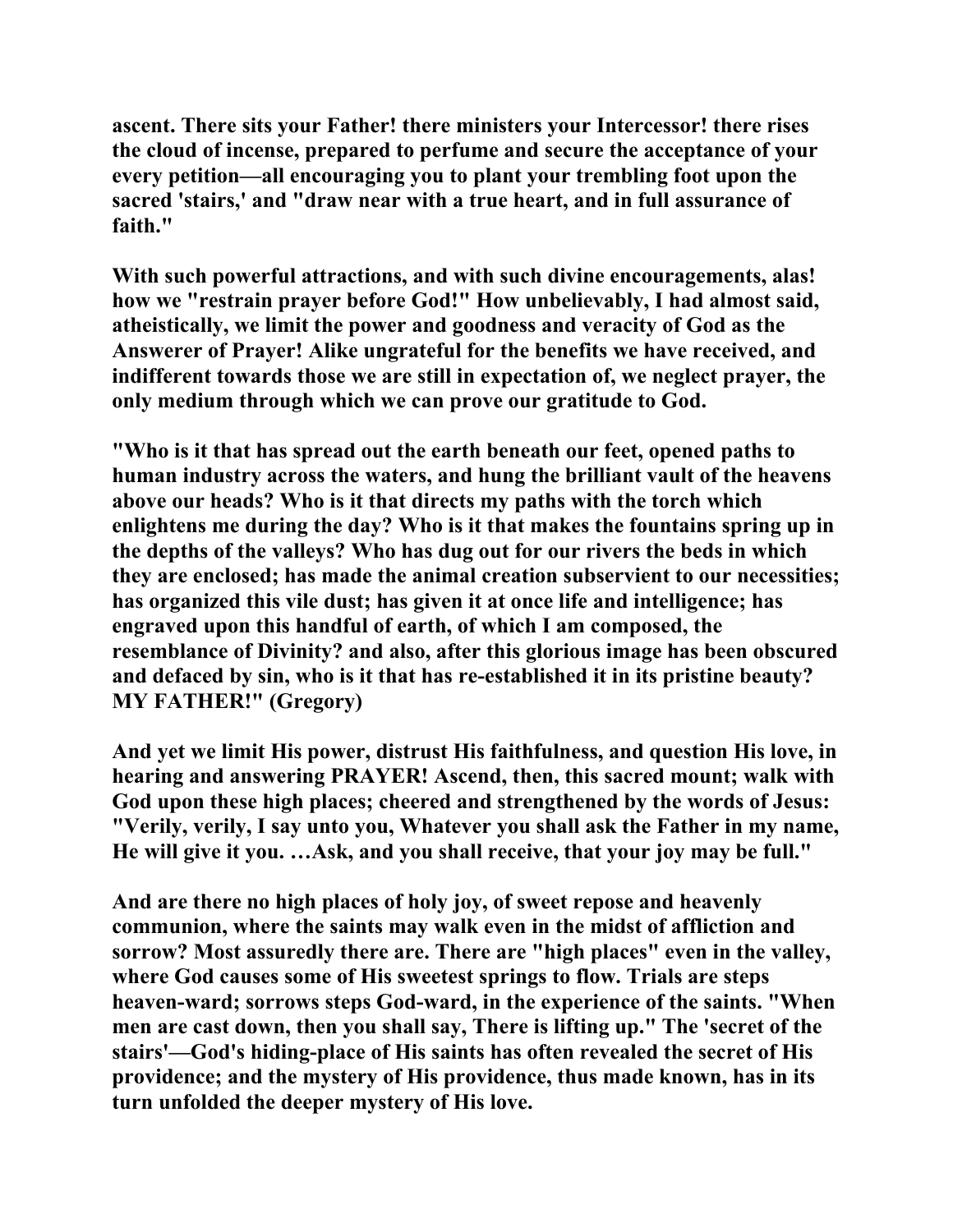**ascent. There sits your Father! there ministers your Intercessor! there rises the cloud of incense, prepared to perfume and secure the acceptance of your every petition—all encouraging you to plant your trembling foot upon the sacred 'stairs,' and "draw near with a true heart, and in full assurance of faith."** 

**With such powerful attractions, and with such divine encouragements, alas! how we "restrain prayer before God!" How unbelievably, I had almost said, atheistically, we limit the power and goodness and veracity of God as the Answerer of Prayer! Alike ungrateful for the benefits we have received, and indifferent towards those we are still in expectation of, we neglect prayer, the only medium through which we can prove our gratitude to God.** 

**"Who is it that has spread out the earth beneath our feet, opened paths to human industry across the waters, and hung the brilliant vault of the heavens above our heads? Who is it that directs my paths with the torch which enlightens me during the day? Who is it that makes the fountains spring up in the depths of the valleys? Who has dug out for our rivers the beds in which they are enclosed; has made the animal creation subservient to our necessities; has organized this vile dust; has given it at once life and intelligence; has engraved upon this handful of earth, of which I am composed, the resemblance of Divinity? and also, after this glorious image has been obscured and defaced by sin, who is it that has re-established it in its pristine beauty? MY FATHER!" (Gregory)** 

**And yet we limit His power, distrust His faithfulness, and question His love, in hearing and answering PRAYER! Ascend, then, this sacred mount; walk with God upon these high places; cheered and strengthened by the words of Jesus: "Verily, verily, I say unto you, Whatever you shall ask the Father in my name, He will give it you. …Ask, and you shall receive, that your joy may be full."** 

**And are there no high places of holy joy, of sweet repose and heavenly communion, where the saints may walk even in the midst of affliction and sorrow? Most assuredly there are. There are "high places" even in the valley, where God causes some of His sweetest springs to flow. Trials are steps heaven-ward; sorrows steps God-ward, in the experience of the saints. "When men are cast down, then you shall say, There is lifting up." The 'secret of the stairs'—God's hiding-place of His saints has often revealed the secret of His providence; and the mystery of His providence, thus made known, has in its turn unfolded the deeper mystery of His love.**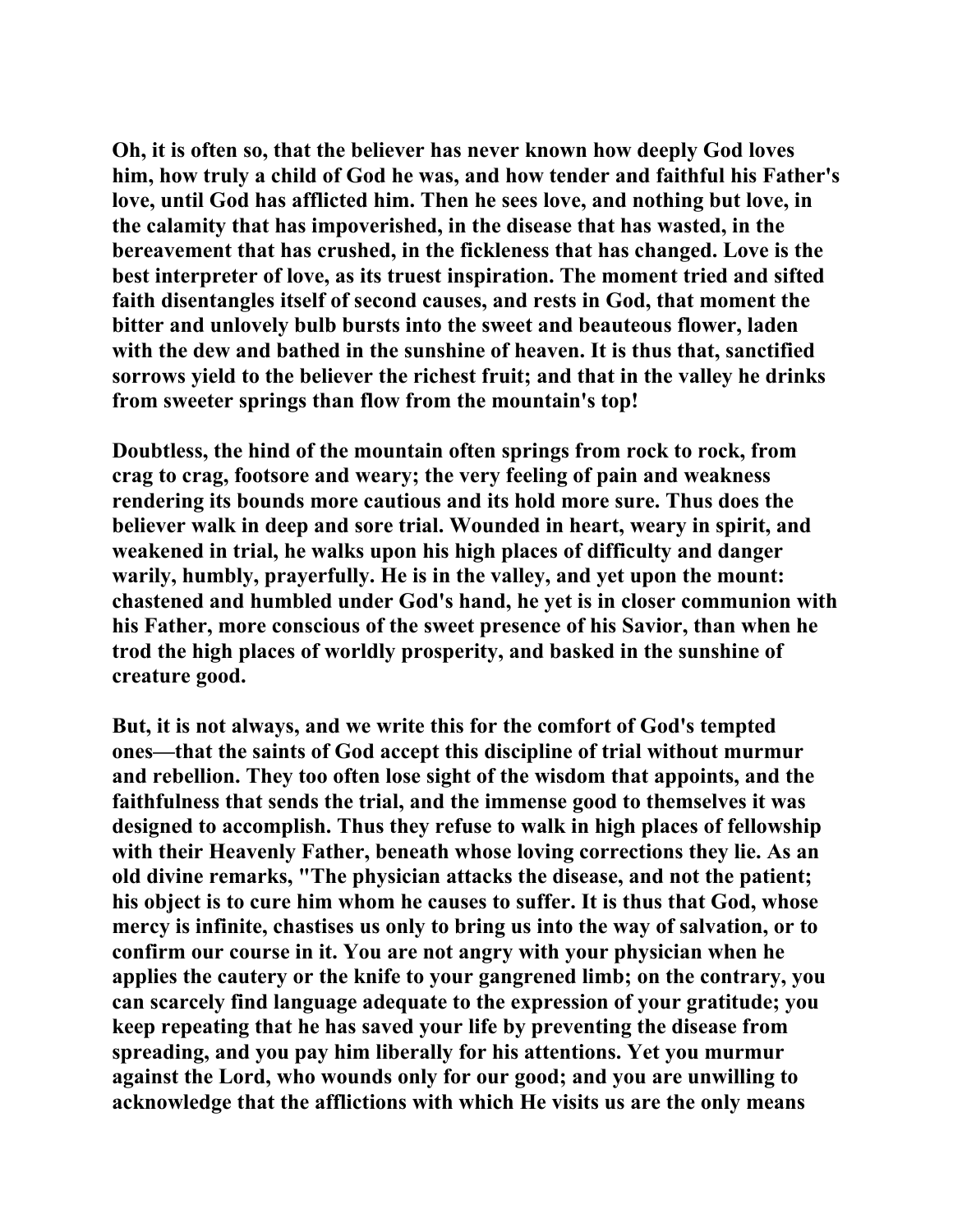**Oh, it is often so, that the believer has never known how deeply God loves him, how truly a child of God he was, and how tender and faithful his Father's love, until God has afflicted him. Then he sees love, and nothing but love, in the calamity that has impoverished, in the disease that has wasted, in the bereavement that has crushed, in the fickleness that has changed. Love is the best interpreter of love, as its truest inspiration. The moment tried and sifted faith disentangles itself of second causes, and rests in God, that moment the bitter and unlovely bulb bursts into the sweet and beauteous flower, laden with the dew and bathed in the sunshine of heaven. It is thus that, sanctified sorrows yield to the believer the richest fruit; and that in the valley he drinks from sweeter springs than flow from the mountain's top!** 

**Doubtless, the hind of the mountain often springs from rock to rock, from crag to crag, footsore and weary; the very feeling of pain and weakness rendering its bounds more cautious and its hold more sure. Thus does the believer walk in deep and sore trial. Wounded in heart, weary in spirit, and weakened in trial, he walks upon his high places of difficulty and danger warily, humbly, prayerfully. He is in the valley, and yet upon the mount: chastened and humbled under God's hand, he yet is in closer communion with his Father, more conscious of the sweet presence of his Savior, than when he trod the high places of worldly prosperity, and basked in the sunshine of creature good.** 

**But, it is not always, and we write this for the comfort of God's tempted ones—that the saints of God accept this discipline of trial without murmur and rebellion. They too often lose sight of the wisdom that appoints, and the faithfulness that sends the trial, and the immense good to themselves it was designed to accomplish. Thus they refuse to walk in high places of fellowship with their Heavenly Father, beneath whose loving corrections they lie. As an old divine remarks, "The physician attacks the disease, and not the patient; his object is to cure him whom he causes to suffer. It is thus that God, whose mercy is infinite, chastises us only to bring us into the way of salvation, or to confirm our course in it. You are not angry with your physician when he applies the cautery or the knife to your gangrened limb; on the contrary, you can scarcely find language adequate to the expression of your gratitude; you keep repeating that he has saved your life by preventing the disease from spreading, and you pay him liberally for his attentions. Yet you murmur against the Lord, who wounds only for our good; and you are unwilling to acknowledge that the afflictions with which He visits us are the only means**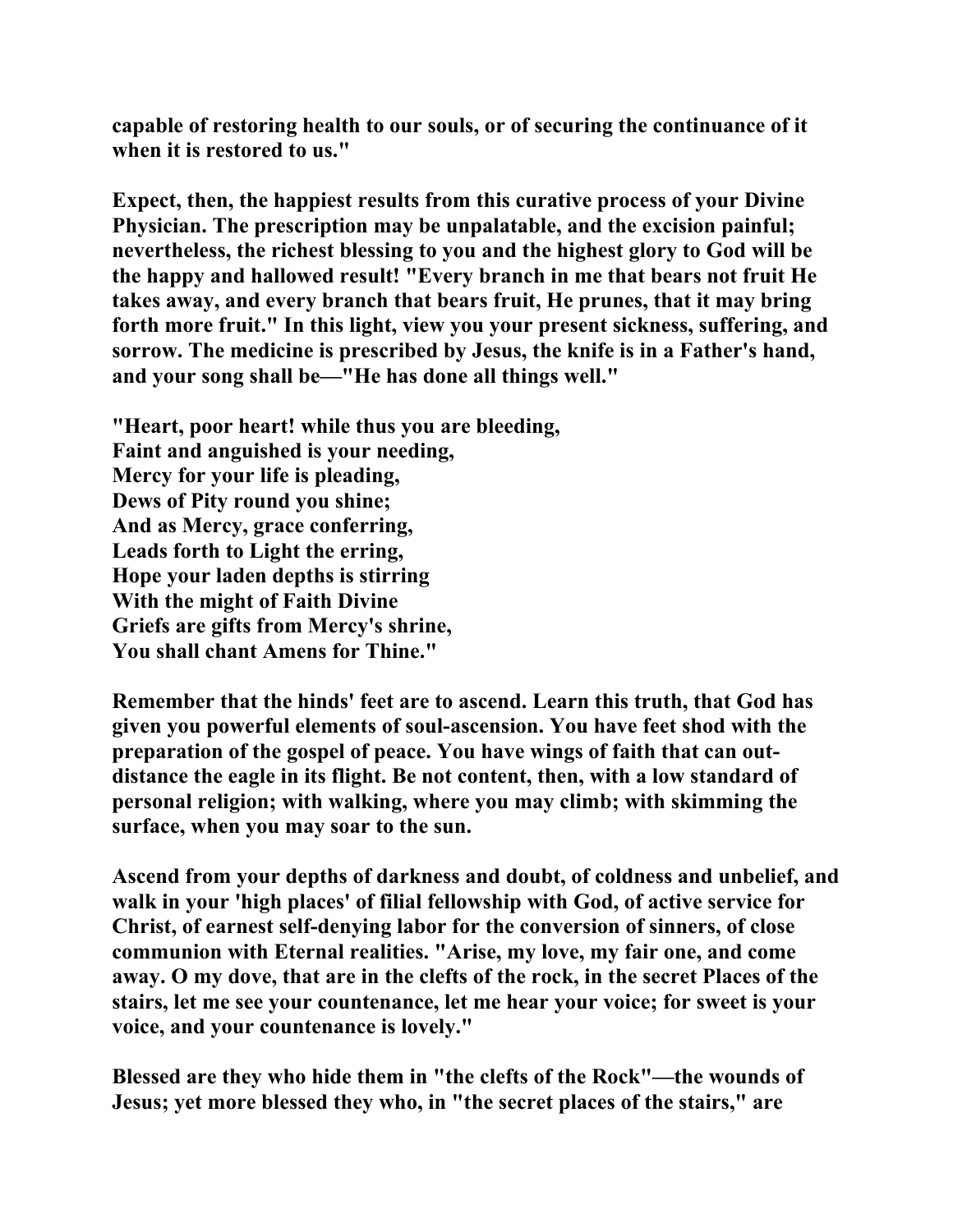**capable of restoring health to our souls, or of securing the continuance of it when it is restored to us."** 

**Expect, then, the happiest results from this curative process of your Divine Physician. The prescription may be unpalatable, and the excision painful; nevertheless, the richest blessing to you and the highest glory to God will be the happy and hallowed result! "Every branch in me that bears not fruit He takes away, and every branch that bears fruit, He prunes, that it may bring forth more fruit." In this light, view you your present sickness, suffering, and sorrow. The medicine is prescribed by Jesus, the knife is in a Father's hand, and your song shall be—"He has done all things well."** 

**"Heart, poor heart! while thus you are bleeding, Faint and anguished is your needing, Mercy for your life is pleading, Dews of Pity round you shine; And as Mercy, grace conferring, Leads forth to Light the erring, Hope your laden depths is stirring With the might of Faith Divine Griefs are gifts from Mercy's shrine, You shall chant Amens for Thine."** 

**Remember that the hinds' feet are to ascend. Learn this truth, that God has given you powerful elements of soul-ascension. You have feet shod with the preparation of the gospel of peace. You have wings of faith that can outdistance the eagle in its flight. Be not content, then, with a low standard of personal religion; with walking, where you may climb; with skimming the surface, when you may soar to the sun.** 

**Ascend from your depths of darkness and doubt, of coldness and unbelief, and walk in your 'high places' of filial fellowship with God, of active service for Christ, of earnest self-denying labor for the conversion of sinners, of close communion with Eternal realities. "Arise, my love, my fair one, and come away. O my dove, that are in the clefts of the rock, in the secret Places of the stairs, let me see your countenance, let me hear your voice; for sweet is your voice, and your countenance is lovely."** 

**Blessed are they who hide them in "the clefts of the Rock"—the wounds of Jesus; yet more blessed they who, in "the secret places of the stairs," are**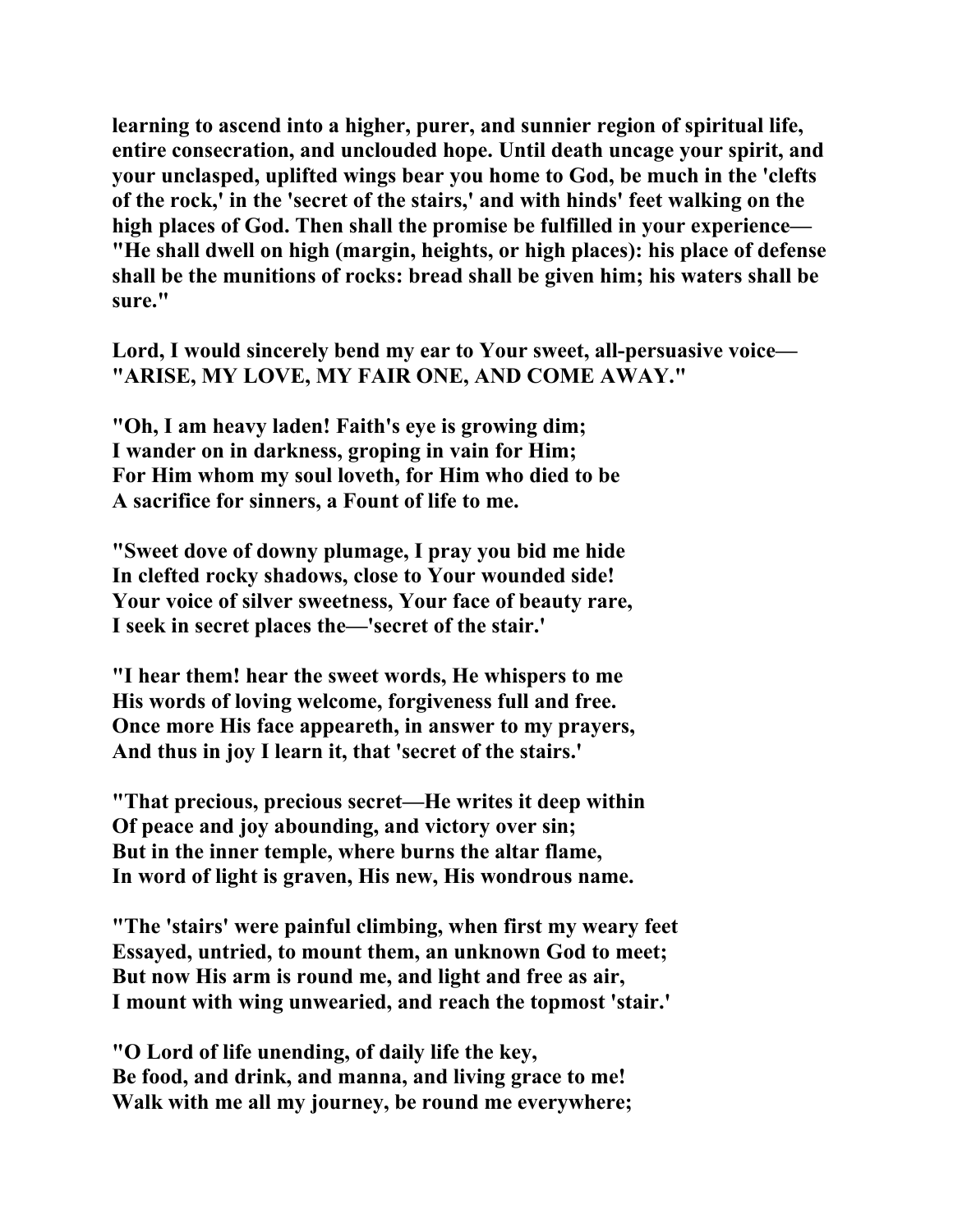**learning to ascend into a higher, purer, and sunnier region of spiritual life, entire consecration, and unclouded hope. Until death uncage your spirit, and your unclasped, uplifted wings bear you home to God, be much in the 'clefts of the rock,' in the 'secret of the stairs,' and with hinds' feet walking on the high places of God. Then shall the promise be fulfilled in your experience— "He shall dwell on high (margin, heights, or high places): his place of defense shall be the munitions of rocks: bread shall be given him; his waters shall be sure."** 

**Lord, I would sincerely bend my ear to Your sweet, all-persuasive voice— "ARISE, MY LOVE, MY FAIR ONE, AND COME AWAY."** 

**"Oh, I am heavy laden! Faith's eye is growing dim; I wander on in darkness, groping in vain for Him; For Him whom my soul loveth, for Him who died to be A sacrifice for sinners, a Fount of life to me.** 

**"Sweet dove of downy plumage, I pray you bid me hide In clefted rocky shadows, close to Your wounded side! Your voice of silver sweetness, Your face of beauty rare, I seek in secret places the—'secret of the stair.'** 

**"I hear them! hear the sweet words, He whispers to me His words of loving welcome, forgiveness full and free. Once more His face appeareth, in answer to my prayers, And thus in joy I learn it, that 'secret of the stairs.'** 

**"That precious, precious secret—He writes it deep within Of peace and joy abounding, and victory over sin; But in the inner temple, where burns the altar flame, In word of light is graven, His new, His wondrous name.** 

**"The 'stairs' were painful climbing, when first my weary feet Essayed, untried, to mount them, an unknown God to meet; But now His arm is round me, and light and free as air, I mount with wing unwearied, and reach the topmost 'stair.'** 

**"O Lord of life unending, of daily life the key, Be food, and drink, and manna, and living grace to me! Walk with me all my journey, be round me everywhere;**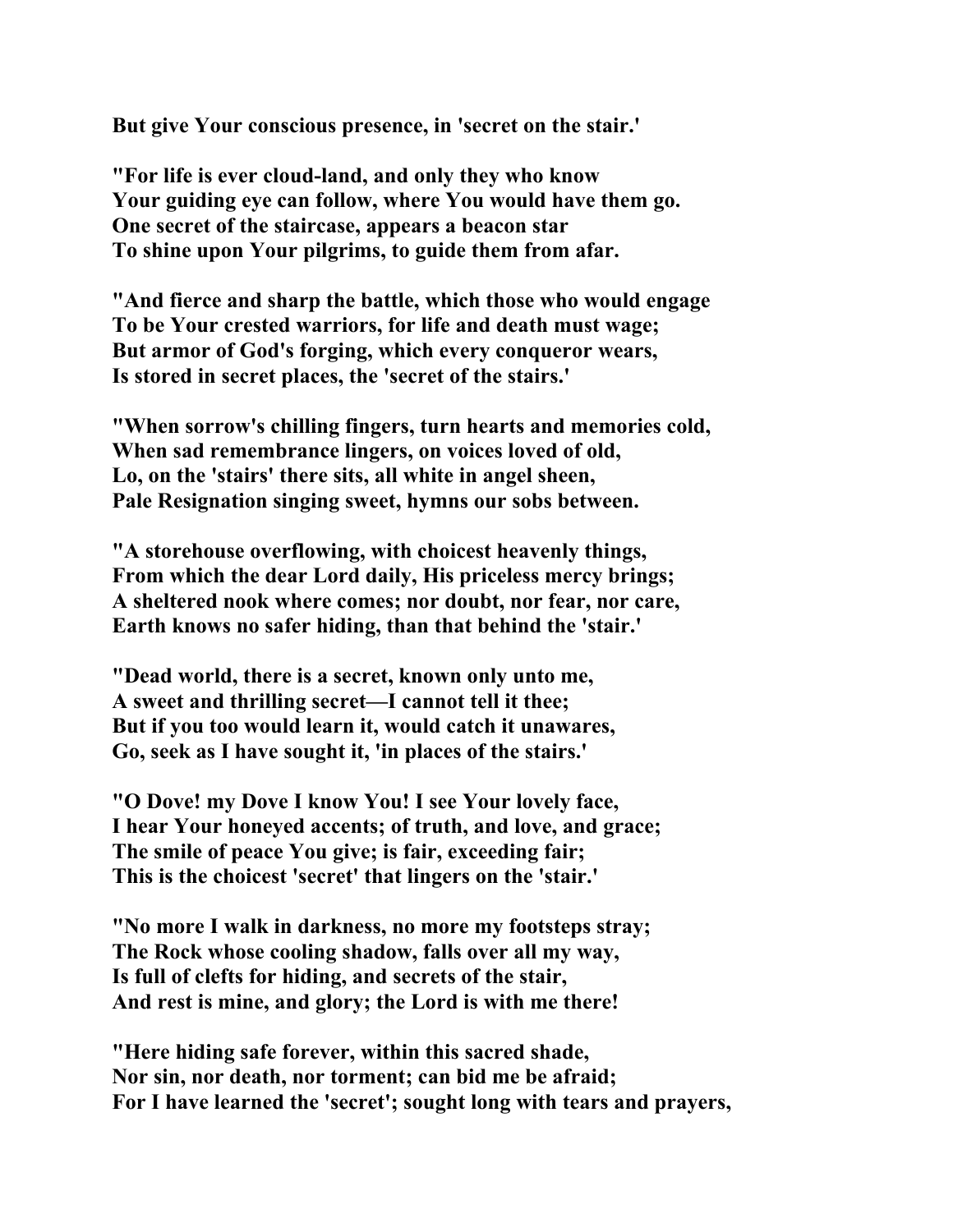**But give Your conscious presence, in 'secret on the stair.'** 

**"For life is ever cloud-land, and only they who know Your guiding eye can follow, where You would have them go. One secret of the staircase, appears a beacon star To shine upon Your pilgrims, to guide them from afar.** 

**"And fierce and sharp the battle, which those who would engage To be Your crested warriors, for life and death must wage; But armor of God's forging, which every conqueror wears, Is stored in secret places, the 'secret of the stairs.'** 

**"When sorrow's chilling fingers, turn hearts and memories cold, When sad remembrance lingers, on voices loved of old, Lo, on the 'stairs' there sits, all white in angel sheen, Pale Resignation singing sweet, hymns our sobs between.** 

**"A storehouse overflowing, with choicest heavenly things, From which the dear Lord daily, His priceless mercy brings; A sheltered nook where comes; nor doubt, nor fear, nor care, Earth knows no safer hiding, than that behind the 'stair.'** 

**"Dead world, there is a secret, known only unto me, A sweet and thrilling secret—I cannot tell it thee; But if you too would learn it, would catch it unawares, Go, seek as I have sought it, 'in places of the stairs.'** 

**"O Dove! my Dove I know You! I see Your lovely face, I hear Your honeyed accents; of truth, and love, and grace; The smile of peace You give; is fair, exceeding fair; This is the choicest 'secret' that lingers on the 'stair.'** 

**"No more I walk in darkness, no more my footsteps stray; The Rock whose cooling shadow, falls over all my way, Is full of clefts for hiding, and secrets of the stair, And rest is mine, and glory; the Lord is with me there!** 

**"Here hiding safe forever, within this sacred shade, Nor sin, nor death, nor torment; can bid me be afraid; For I have learned the 'secret'; sought long with tears and prayers,**